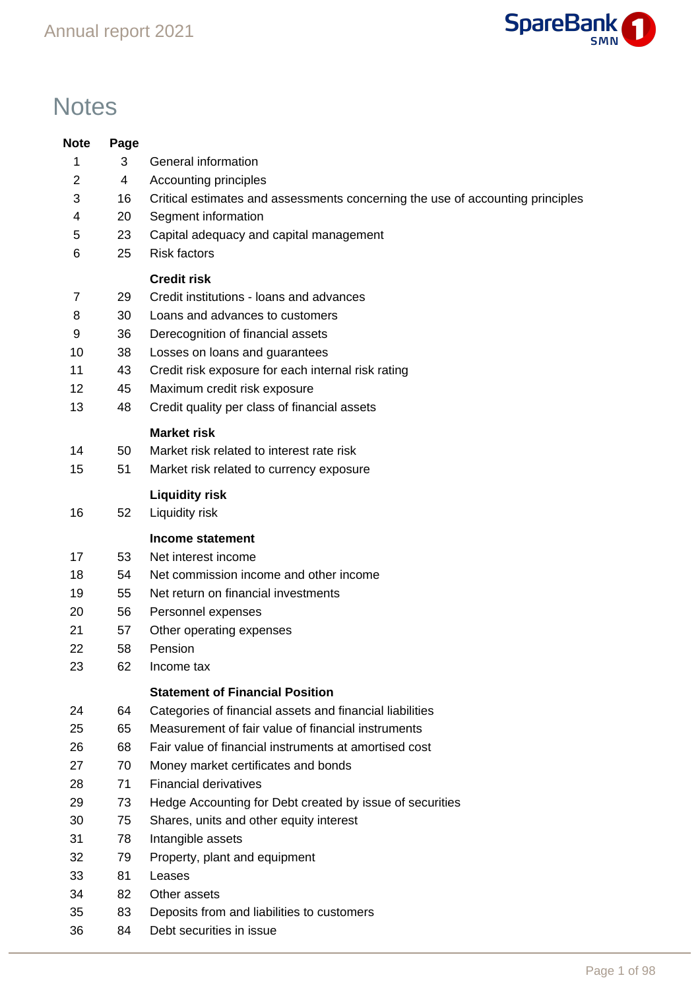

# **Notes**

| <b>Note</b> | Page     |                                                                                |
|-------------|----------|--------------------------------------------------------------------------------|
| 1           | 3        | General information                                                            |
| 2           | 4        | Accounting principles                                                          |
| 3           | 16       | Critical estimates and assessments concerning the use of accounting principles |
| 4           | 20       | Segment information                                                            |
| 5           | 23       | Capital adequacy and capital management                                        |
| 6           | 25       | <b>Risk factors</b>                                                            |
|             |          | <b>Credit risk</b>                                                             |
| 7           | 29       | Credit institutions - loans and advances                                       |
| 8           | 30       | Loans and advances to customers                                                |
| 9           | 36       | Derecognition of financial assets                                              |
| 10          | 38       | Losses on loans and guarantees                                                 |
| 11          | 43       | Credit risk exposure for each internal risk rating                             |
| 12          | 45       | Maximum credit risk exposure                                                   |
| 13          | 48       | Credit quality per class of financial assets                                   |
|             |          | <b>Market risk</b>                                                             |
| 14          | 50       | Market risk related to interest rate risk                                      |
| 15          | 51       | Market risk related to currency exposure                                       |
|             |          | <b>Liquidity risk</b>                                                          |
| 16          | 52       | Liquidity risk                                                                 |
|             |          |                                                                                |
| 17          | 53       | <b>Income statement</b><br>Net interest income                                 |
| 18          | 54       | Net commission income and other income                                         |
| 19          | 55       | Net return on financial investments                                            |
| 20          | 56       | Personnel expenses                                                             |
| 21          | 57       | Other operating expenses                                                       |
| 22          | 58       | Pension                                                                        |
| 23          | 62       | Income tax                                                                     |
|             |          |                                                                                |
|             |          | <b>Statement of Financial Position</b>                                         |
| 24          | 64       | Categories of financial assets and financial liabilities                       |
| 25          | 65       | Measurement of fair value of financial instruments                             |
| 26          | 68       | Fair value of financial instruments at amortised cost                          |
| 27          | 70       | Money market certificates and bonds                                            |
| 28          | 71       | <b>Financial derivatives</b>                                                   |
| 29          | 73       | Hedge Accounting for Debt created by issue of securities                       |
| 30<br>31    | 75       | Shares, units and other equity interest                                        |
|             | 78       | Intangible assets                                                              |
| 32<br>33    | 79<br>81 | Property, plant and equipment                                                  |
| 34          | 82       | Leases<br>Other assets                                                         |
| 35          | 83       |                                                                                |
| 36          | 84       | Deposits from and liabilities to customers<br>Debt securities in issue         |
|             |          |                                                                                |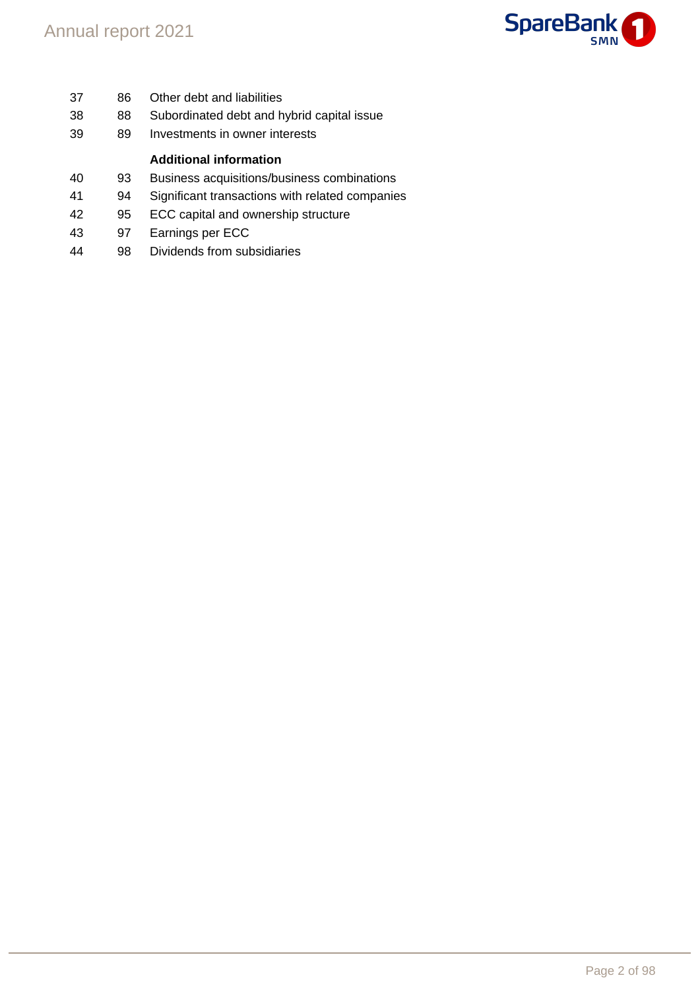

- 86 Other debt and liabilities 88 Subordinated debt and hybrid capital issue 89 Investments in owner interests **Additional information** 93 Business acquisitions/business combinations 94 Significant transactions with related companies 95 ECC capital and ownership structure 97 Earnings per ECC
- 98 Dividends from subsidiaries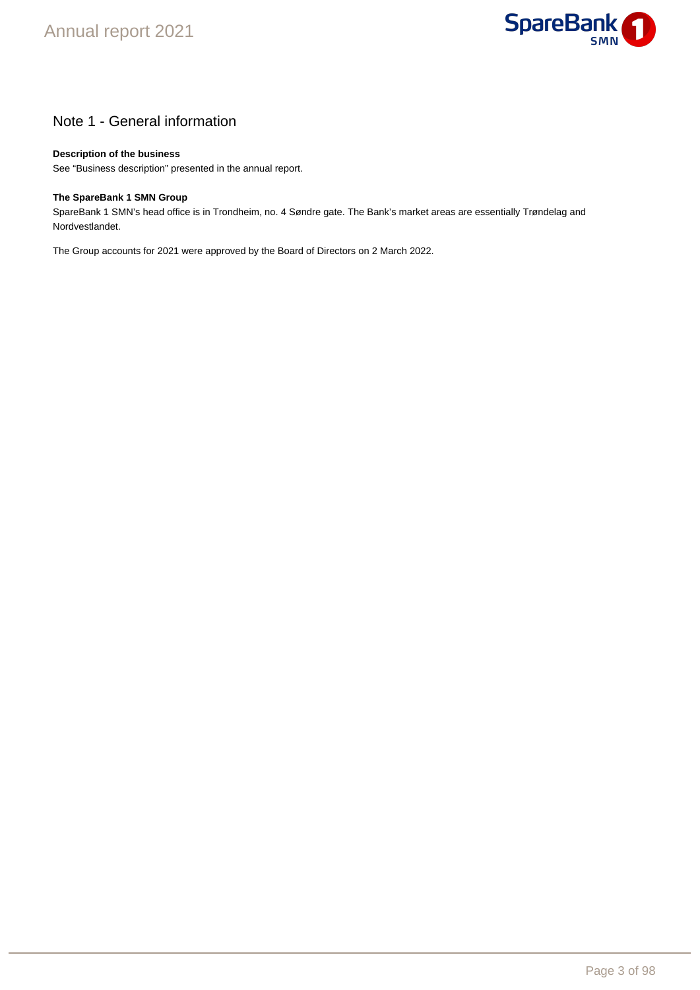

# Note 1 - General information

### **Description of the business**

See "Business description" presented in the annual report.

#### **The SpareBank 1 SMN Group**

SpareBank 1 SMN's head office is in Trondheim, no. 4 Søndre gate. The Bank's market areas are essentially Trøndelag and Nordvestlandet.

The Group accounts for 2021 were approved by the Board of Directors on 2 March 2022.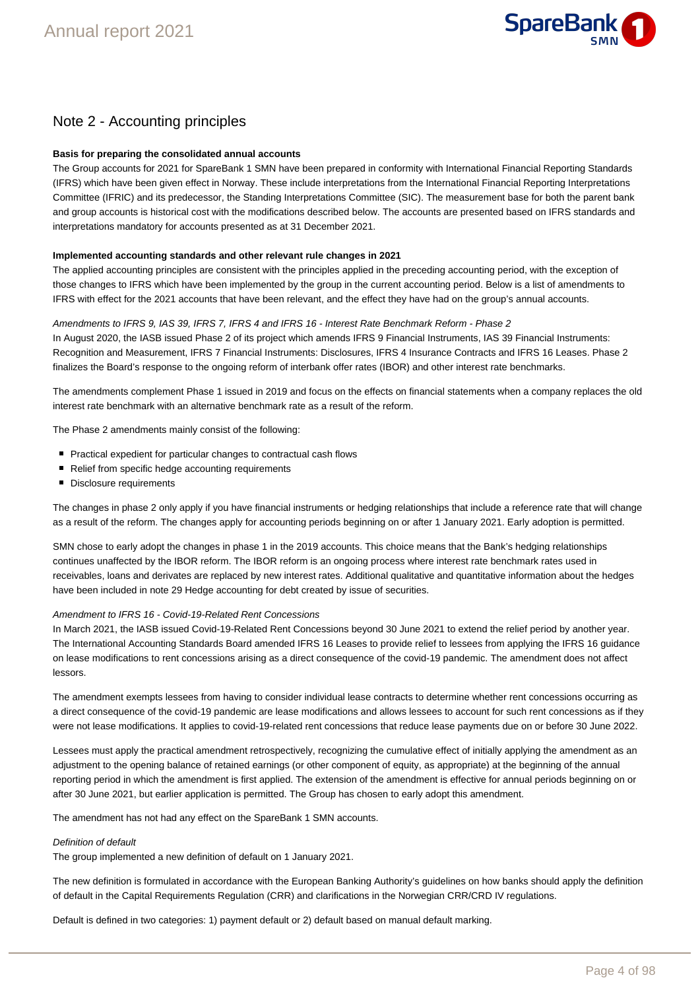

# Note 2 - Accounting principles

#### **Basis for preparing the consolidated annual accounts**

The Group accounts for 2021 for SpareBank 1 SMN have been prepared in conformity with International Financial Reporting Standards (IFRS) which have been given effect in Norway. These include interpretations from the International Financial Reporting Interpretations Committee (IFRIC) and its predecessor, the Standing Interpretations Committee (SIC). The measurement base for both the parent bank and group accounts is historical cost with the modifications described below. The accounts are presented based on IFRS standards and interpretations mandatory for accounts presented as at 31 December 2021.

#### **Implemented accounting standards and other relevant rule changes in 2021**

The applied accounting principles are consistent with the principles applied in the preceding accounting period, with the exception of those changes to IFRS which have been implemented by the group in the current accounting period. Below is a list of amendments to IFRS with effect for the 2021 accounts that have been relevant, and the effect they have had on the group's annual accounts.

#### Amendments to IFRS 9, IAS 39, IFRS 7, IFRS 4 and IFRS 16 - Interest Rate Benchmark Reform - Phase 2

In August 2020, the IASB issued Phase 2 of its project which amends IFRS 9 Financial Instruments, IAS 39 Financial Instruments: Recognition and Measurement, IFRS 7 Financial Instruments: Disclosures, IFRS 4 Insurance Contracts and IFRS 16 Leases. Phase 2 finalizes the Board's response to the ongoing reform of interbank offer rates (IBOR) and other interest rate benchmarks.

The amendments complement Phase 1 issued in 2019 and focus on the effects on financial statements when a company replaces the old interest rate benchmark with an alternative benchmark rate as a result of the reform.

The Phase 2 amendments mainly consist of the following:

- Practical expedient for particular changes to contractual cash flows
- Relief from specific hedge accounting requirements
- Disclosure requirements

The changes in phase 2 only apply if you have financial instruments or hedging relationships that include a reference rate that will change as a result of the reform. The changes apply for accounting periods beginning on or after 1 January 2021. Early adoption is permitted.

SMN chose to early adopt the changes in phase 1 in the 2019 accounts. This choice means that the Bank's hedging relationships continues unaffected by the IBOR reform. The IBOR reform is an ongoing process where interest rate benchmark rates used in receivables, loans and derivates are replaced by new interest rates. Additional qualitative and quantitative information about the hedges have been included in note 29 Hedge accounting for debt created by issue of securities.

#### Amendment to IFRS 16 - Covid-19-Related Rent Concessions

In March 2021, the IASB issued Covid-19-Related Rent Concessions beyond 30 June 2021 to extend the relief period by another year. The International Accounting Standards Board amended IFRS 16 Leases to provide relief to lessees from applying the IFRS 16 guidance on lease modifications to rent concessions arising as a direct consequence of the covid-19 pandemic. The amendment does not affect lessors.

The amendment exempts lessees from having to consider individual lease contracts to determine whether rent concessions occurring as a direct consequence of the covid-19 pandemic are lease modifications and allows lessees to account for such rent concessions as if they were not lease modifications. It applies to covid-19-related rent concessions that reduce lease payments due on or before 30 June 2022.

Lessees must apply the practical amendment retrospectively, recognizing the cumulative effect of initially applying the amendment as an adjustment to the opening balance of retained earnings (or other component of equity, as appropriate) at the beginning of the annual reporting period in which the amendment is first applied. The extension of the amendment is effective for annual periods beginning on or after 30 June 2021, but earlier application is permitted. The Group has chosen to early adopt this amendment.

The amendment has not had any effect on the SpareBank 1 SMN accounts.

#### Definition of default

1.

The group implemented a new definition of default on 1 January 2021.

The new definition is formulated in accordance with the European Banking Authority's guidelines on how banks should apply the definition of default in the Capital Requirements Regulation (CRR) and clarifications in the Norwegian CRR/CRD IV regulations.

Default is defined in two categories: 1) payment default or 2) default based on manual default marking.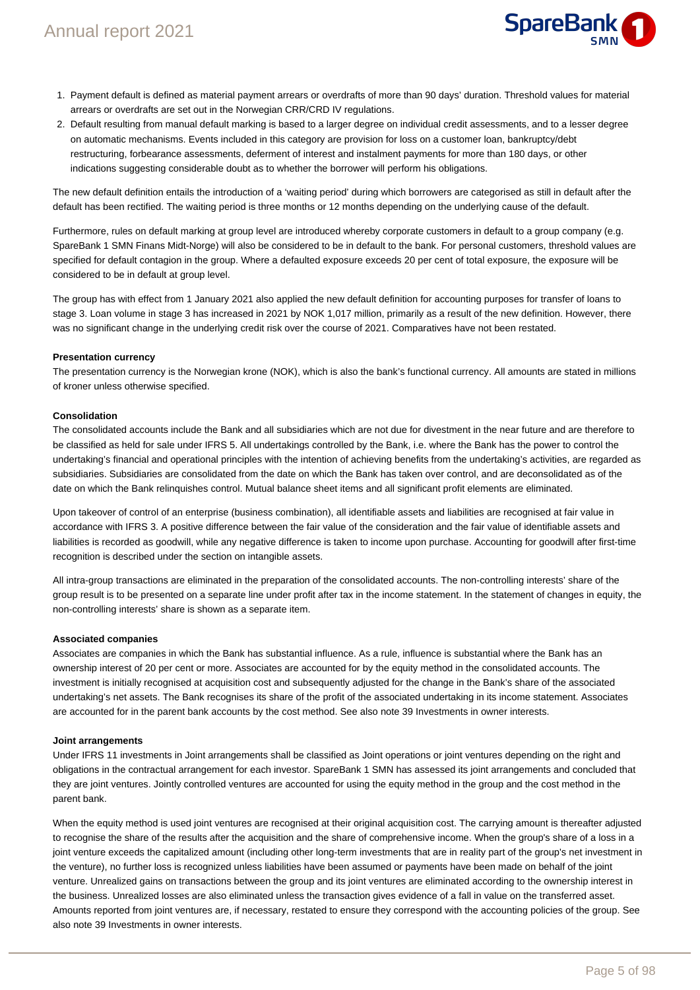

- 1. Payment default is defined as material payment arrears or overdrafts of more than 90 days' duration. Threshold values for material arrears or overdrafts are set out in the Norwegian CRR/CRD IV regulations.
- 2. Default resulting from manual default marking is based to a larger degree on individual credit assessments, and to a lesser degree on automatic mechanisms. Events included in this category are provision for loss on a customer loan, bankruptcy/debt restructuring, forbearance assessments, deferment of interest and instalment payments for more than 180 days, or other indications suggesting considerable doubt as to whether the borrower will perform his obligations.

The new default definition entails the introduction of a 'waiting period' during which borrowers are categorised as still in default after the default has been rectified. The waiting period is three months or 12 months depending on the underlying cause of the default.

Furthermore, rules on default marking at group level are introduced whereby corporate customers in default to a group company (e.g. SpareBank 1 SMN Finans Midt-Norge) will also be considered to be in default to the bank. For personal customers, threshold values are specified for default contagion in the group. Where a defaulted exposure exceeds 20 per cent of total exposure, the exposure will be considered to be in default at group level.

The group has with effect from 1 January 2021 also applied the new default definition for accounting purposes for transfer of loans to stage 3. Loan volume in stage 3 has increased in 2021 by NOK 1,017 million, primarily as a result of the new definition. However, there was no significant change in the underlying credit risk over the course of 2021. Comparatives have not been restated.

#### **Presentation currency**

The presentation currency is the Norwegian krone (NOK), which is also the bank's functional currency. All amounts are stated in millions of kroner unless otherwise specified.

#### **Consolidation**

The consolidated accounts include the Bank and all subsidiaries which are not due for divestment in the near future and are therefore to be classified as held for sale under IFRS 5. All undertakings controlled by the Bank, i.e. where the Bank has the power to control the undertaking's financial and operational principles with the intention of achieving benefits from the undertaking's activities, are regarded as subsidiaries. Subsidiaries are consolidated from the date on which the Bank has taken over control, and are deconsolidated as of the date on which the Bank relinquishes control. Mutual balance sheet items and all significant profit elements are eliminated.

Upon takeover of control of an enterprise (business combination), all identifiable assets and liabilities are recognised at fair value in accordance with IFRS 3. A positive difference between the fair value of the consideration and the fair value of identifiable assets and liabilities is recorded as goodwill, while any negative difference is taken to income upon purchase. Accounting for goodwill after first-time recognition is described under the section on intangible assets.

All intra-group transactions are eliminated in the preparation of the consolidated accounts. The non-controlling interests' share of the group result is to be presented on a separate line under profit after tax in the income statement. In the statement of changes in equity, the non-controlling interests' share is shown as a separate item.

#### **Associated companies**

Associates are companies in which the Bank has substantial influence. As a rule, influence is substantial where the Bank has an ownership interest of 20 per cent or more. Associates are accounted for by the equity method in the consolidated accounts. The investment is initially recognised at acquisition cost and subsequently adjusted for the change in the Bank's share of the associated undertaking's net assets. The Bank recognises its share of the profit of the associated undertaking in its income statement. Associates are accounted for in the parent bank accounts by the cost method. See also note 39 Investments in owner interests.

#### **Joint arrangements**

Under IFRS 11 investments in Joint arrangements shall be classified as Joint operations or joint ventures depending on the right and obligations in the contractual arrangement for each investor. SpareBank 1 SMN has assessed its joint arrangements and concluded that they are joint ventures. Jointly controlled ventures are accounted for using the equity method in the group and the cost method in the parent bank.

When the equity method is used joint ventures are recognised at their original acquisition cost. The carrying amount is thereafter adjusted to recognise the share of the results after the acquisition and the share of comprehensive income. When the group's share of a loss in a joint venture exceeds the capitalized amount (including other long-term investments that are in reality part of the group's net investment in the venture), no further loss is recognized unless liabilities have been assumed or payments have been made on behalf of the joint venture. Unrealized gains on transactions between the group and its joint ventures are eliminated according to the ownership interest in the business. Unrealized losses are also eliminated unless the transaction gives evidence of a fall in value on the transferred asset. Amounts reported from joint ventures are, if necessary, restated to ensure they correspond with the accounting policies of the group. See also note 39 Investments in owner interests.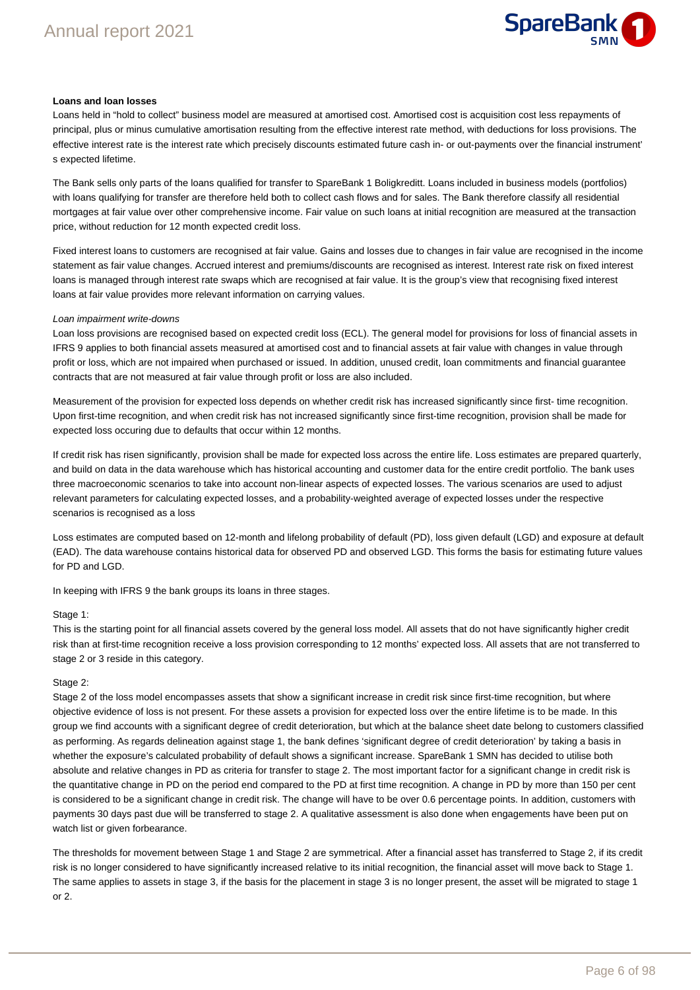

#### **Loans and loan losses**

Loans held in "hold to collect" business model are measured at amortised cost. Amortised cost is acquisition cost less repayments of principal, plus or minus cumulative amortisation resulting from the effective interest rate method, with deductions for loss provisions. The effective interest rate is the interest rate which precisely discounts estimated future cash in- or out-payments over the financial instrument' s expected lifetime.

The Bank sells only parts of the loans qualified for transfer to SpareBank 1 Boligkreditt. Loans included in business models (portfolios) with loans qualifying for transfer are therefore held both to collect cash flows and for sales. The Bank therefore classify all residential mortgages at fair value over other comprehensive income. Fair value on such loans at initial recognition are measured at the transaction price, without reduction for 12 month expected credit loss.

Fixed interest loans to customers are recognised at fair value. Gains and losses due to changes in fair value are recognised in the income statement as fair value changes. Accrued interest and premiums/discounts are recognised as interest. Interest rate risk on fixed interest loans is managed through interest rate swaps which are recognised at fair value. It is the group's view that recognising fixed interest loans at fair value provides more relevant information on carrying values.

#### Loan impairment write-downs

Loan loss provisions are recognised based on expected credit loss (ECL). The general model for provisions for loss of financial assets in IFRS 9 applies to both financial assets measured at amortised cost and to financial assets at fair value with changes in value through profit or loss, which are not impaired when purchased or issued. In addition, unused credit, loan commitments and financial guarantee contracts that are not measured at fair value through profit or loss are also included.

Measurement of the provision for expected loss depends on whether credit risk has increased significantly since first- time recognition. Upon first-time recognition, and when credit risk has not increased significantly since first-time recognition, provision shall be made for expected loss occuring due to defaults that occur within 12 months.

If credit risk has risen significantly, provision shall be made for expected loss across the entire life. Loss estimates are prepared quarterly, and build on data in the data warehouse which has historical accounting and customer data for the entire credit portfolio. The bank uses three macroeconomic scenarios to take into account non-linear aspects of expected losses. The various scenarios are used to adjust relevant parameters for calculating expected losses, and a probability-weighted average of expected losses under the respective scenarios is recognised as a loss

Loss estimates are computed based on 12-month and lifelong probability of default (PD), loss given default (LGD) and exposure at default (EAD). The data warehouse contains historical data for observed PD and observed LGD. This forms the basis for estimating future values for PD and LGD.

In keeping with IFRS 9 the bank groups its loans in three stages.

#### Stage 1:

This is the starting point for all financial assets covered by the general loss model. All assets that do not have significantly higher credit risk than at first-time recognition receive a loss provision corresponding to 12 months' expected loss. All assets that are not transferred to stage 2 or 3 reside in this category.

#### Stage 2:

Stage 2 of the loss model encompasses assets that show a significant increase in credit risk since first-time recognition, but where objective evidence of loss is not present. For these assets a provision for expected loss over the entire lifetime is to be made. In this group we find accounts with a significant degree of credit deterioration, but which at the balance sheet date belong to customers classified as performing. As regards delineation against stage 1, the bank defines 'significant degree of credit deterioration' by taking a basis in whether the exposure's calculated probability of default shows a significant increase. SpareBank 1 SMN has decided to utilise both absolute and relative changes in PD as criteria for transfer to stage 2. The most important factor for a significant change in credit risk is the quantitative change in PD on the period end compared to the PD at first time recognition. A change in PD by more than 150 per cent is considered to be a significant change in credit risk. The change will have to be over 0.6 percentage points. In addition, customers with payments 30 days past due will be transferred to stage 2. A qualitative assessment is also done when engagements have been put on watch list or given forbearance.

The thresholds for movement between Stage 1 and Stage 2 are symmetrical. After a financial asset has transferred to Stage 2, if its credit risk is no longer considered to have significantly increased relative to its initial recognition, the financial asset will move back to Stage 1. The same applies to assets in stage 3, if the basis for the placement in stage 3 is no longer present, the asset will be migrated to stage 1 or 2.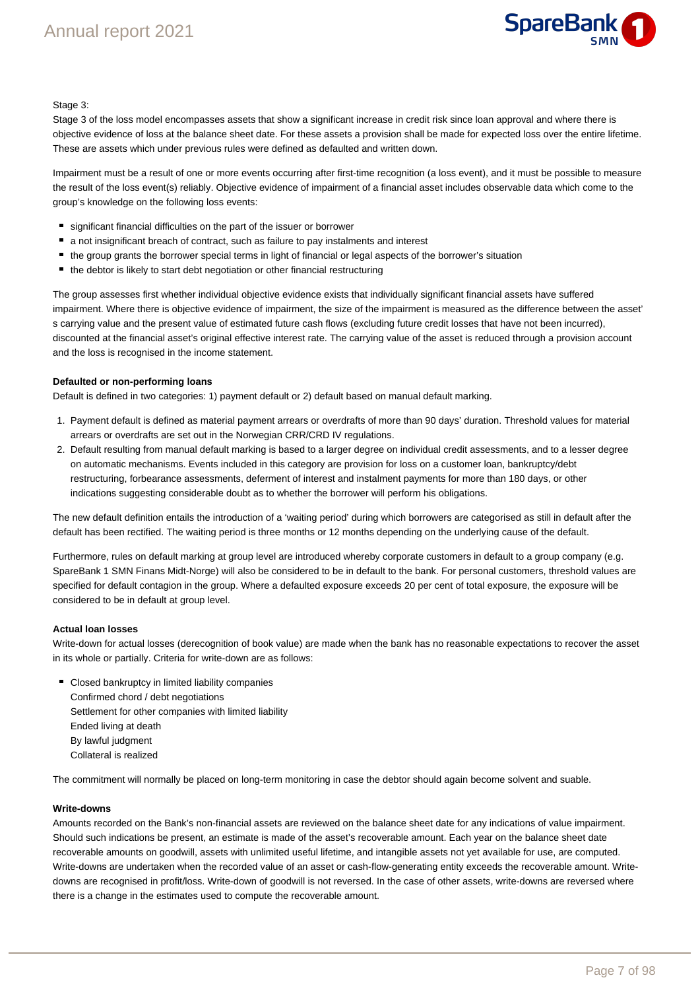# Annual report 2021



#### Stage 3:

Stage 3 of the loss model encompasses assets that show a significant increase in credit risk since loan approval and where there is objective evidence of loss at the balance sheet date. For these assets a provision shall be made for expected loss over the entire lifetime. These are assets which under previous rules were defined as defaulted and written down.

Impairment must be a result of one or more events occurring after first-time recognition (a loss event), and it must be possible to measure the result of the loss event(s) reliably. Objective evidence of impairment of a financial asset includes observable data which come to the group's knowledge on the following loss events:

- significant financial difficulties on the part of the issuer or borrower
- $\blacksquare$  a not insignificant breach of contract, such as failure to pay instalments and interest
- the group grants the borrower special terms in light of financial or legal aspects of the borrower's situation
- the debtor is likely to start debt negotiation or other financial restructuring

The group assesses first whether individual objective evidence exists that individually significant financial assets have suffered impairment. Where there is objective evidence of impairment, the size of the impairment is measured as the difference between the asset' s carrying value and the present value of estimated future cash flows (excluding future credit losses that have not been incurred), discounted at the financial asset's original effective interest rate. The carrying value of the asset is reduced through a provision account and the loss is recognised in the income statement.

### **Defaulted or non-performing loans**

Default is defined in two categories: 1) payment default or 2) default based on manual default marking.

- 1. Payment default is defined as material payment arrears or overdrafts of more than 90 days' duration. Threshold values for material arrears or overdrafts are set out in the Norwegian CRR/CRD IV regulations.
- 2. Default resulting from manual default marking is based to a larger degree on individual credit assessments, and to a lesser degree on automatic mechanisms. Events included in this category are provision for loss on a customer loan, bankruptcy/debt restructuring, forbearance assessments, deferment of interest and instalment payments for more than 180 days, or other indications suggesting considerable doubt as to whether the borrower will perform his obligations.

The new default definition entails the introduction of a 'waiting period' during which borrowers are categorised as still in default after the default has been rectified. The waiting period is three months or 12 months depending on the underlying cause of the default.

Furthermore, rules on default marking at group level are introduced whereby corporate customers in default to a group company (e.g. SpareBank 1 SMN Finans Midt-Norge) will also be considered to be in default to the bank. For personal customers, threshold values are specified for default contagion in the group. Where a defaulted exposure exceeds 20 per cent of total exposure, the exposure will be considered to be in default at group level.

#### **Actual loan losses**

Write-down for actual losses (derecognition of book value) are made when the bank has no reasonable expectations to recover the asset in its whole or partially. Criteria for write-down are as follows:

**Closed bankruptcy in limited liability companies** Confirmed chord / debt negotiations Settlement for other companies with limited liability Ended living at death By lawful judgment Collateral is realized

The commitment will normally be placed on long-term monitoring in case the debtor should again become solvent and suable.

#### **Write-downs**

Amounts recorded on the Bank's non-financial assets are reviewed on the balance sheet date for any indications of value impairment. Should such indications be present, an estimate is made of the asset's recoverable amount. Each year on the balance sheet date recoverable amounts on goodwill, assets with unlimited useful lifetime, and intangible assets not yet available for use, are computed. Write-downs are undertaken when the recorded value of an asset or cash-flow-generating entity exceeds the recoverable amount. Writedowns are recognised in profit/loss. Write-down of goodwill is not reversed. In the case of other assets, write-downs are reversed where there is a change in the estimates used to compute the recoverable amount.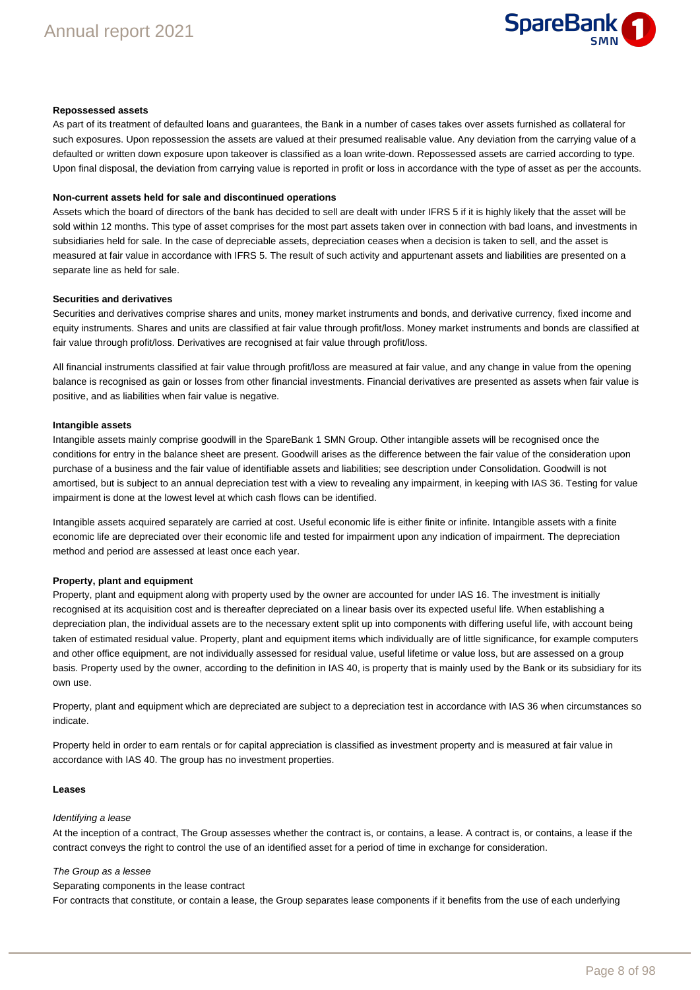#### **Repossessed assets**

As part of its treatment of defaulted loans and guarantees, the Bank in a number of cases takes over assets furnished as collateral for such exposures. Upon repossession the assets are valued at their presumed realisable value. Any deviation from the carrying value of a defaulted or written down exposure upon takeover is classified as a loan write-down. Repossessed assets are carried according to type. Upon final disposal, the deviation from carrying value is reported in profit or loss in accordance with the type of asset as per the accounts.

#### **Non-current assets held for sale and discontinued operations**

Assets which the board of directors of the bank has decided to sell are dealt with under IFRS 5 if it is highly likely that the asset will be sold within 12 months. This type of asset comprises for the most part assets taken over in connection with bad loans, and investments in subsidiaries held for sale. In the case of depreciable assets, depreciation ceases when a decision is taken to sell, and the asset is measured at fair value in accordance with IFRS 5. The result of such activity and appurtenant assets and liabilities are presented on a separate line as held for sale.

#### **Securities and derivatives**

Securities and derivatives comprise shares and units, money market instruments and bonds, and derivative currency, fixed income and equity instruments. Shares and units are classified at fair value through profit/loss. Money market instruments and bonds are classified at fair value through profit/loss. Derivatives are recognised at fair value through profit/loss.

All financial instruments classified at fair value through profit/loss are measured at fair value, and any change in value from the opening balance is recognised as gain or losses from other financial investments. Financial derivatives are presented as assets when fair value is positive, and as liabilities when fair value is negative.

#### **Intangible assets**

Intangible assets mainly comprise goodwill in the SpareBank 1 SMN Group. Other intangible assets will be recognised once the conditions for entry in the balance sheet are present. Goodwill arises as the difference between the fair value of the consideration upon purchase of a business and the fair value of identifiable assets and liabilities; see description under Consolidation. Goodwill is not amortised, but is subject to an annual depreciation test with a view to revealing any impairment, in keeping with IAS 36. Testing for value impairment is done at the lowest level at which cash flows can be identified.

Intangible assets acquired separately are carried at cost. Useful economic life is either finite or infinite. Intangible assets with a finite economic life are depreciated over their economic life and tested for impairment upon any indication of impairment. The depreciation method and period are assessed at least once each year.

#### **Property, plant and equipment**

Property, plant and equipment along with property used by the owner are accounted for under IAS 16. The investment is initially recognised at its acquisition cost and is thereafter depreciated on a linear basis over its expected useful life. When establishing a depreciation plan, the individual assets are to the necessary extent split up into components with differing useful life, with account being taken of estimated residual value. Property, plant and equipment items which individually are of little significance, for example computers and other office equipment, are not individually assessed for residual value, useful lifetime or value loss, but are assessed on a group basis. Property used by the owner, according to the definition in IAS 40, is property that is mainly used by the Bank or its subsidiary for its own use.

Property, plant and equipment which are depreciated are subject to a depreciation test in accordance with IAS 36 when circumstances so indicate.

Property held in order to earn rentals or for capital appreciation is classified as investment property and is measured at fair value in accordance with IAS 40. The group has no investment properties.

#### **Leases**

#### Identifying a lease

At the inception of a contract, The Group assesses whether the contract is, or contains, a lease. A contract is, or contains, a lease if the contract conveys the right to control the use of an identified asset for a period of time in exchange for consideration.

#### The Group as a lessee

#### Separating components in the lease contract

For contracts that constitute, or contain a lease, the Group separates lease components if it benefits from the use of each underlying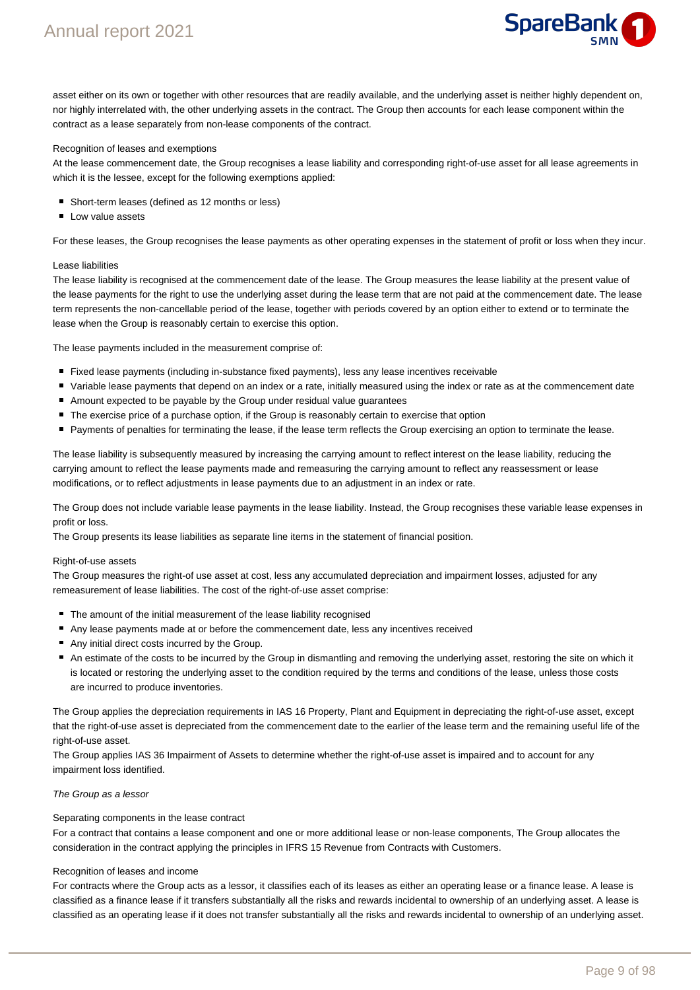

asset either on its own or together with other resources that are readily available, and the underlying asset is neither highly dependent on, nor highly interrelated with, the other underlying assets in the contract. The Group then accounts for each lease component within the contract as a lease separately from non-lease components of the contract.

#### Recognition of leases and exemptions

At the lease commencement date, the Group recognises a lease liability and corresponding right-of-use asset for all lease agreements in which it is the lessee, except for the following exemptions applied:

- Short-term leases (defined as 12 months or less)
- **Low value assets**

For these leases, the Group recognises the lease payments as other operating expenses in the statement of profit or loss when they incur.

#### Lease liabilities

The lease liability is recognised at the commencement date of the lease. The Group measures the lease liability at the present value of the lease payments for the right to use the underlying asset during the lease term that are not paid at the commencement date. The lease term represents the non-cancellable period of the lease, together with periods covered by an option either to extend or to terminate the lease when the Group is reasonably certain to exercise this option.

The lease payments included in the measurement comprise of:

- Fixed lease payments (including in-substance fixed payments), less any lease incentives receivable
- Variable lease payments that depend on an index or a rate, initially measured using the index or rate as at the commencement date
- Amount expected to be payable by the Group under residual value guarantees
- The exercise price of a purchase option, if the Group is reasonably certain to exercise that option
- Payments of penalties for terminating the lease, if the lease term reflects the Group exercising an option to terminate the lease.

The lease liability is subsequently measured by increasing the carrying amount to reflect interest on the lease liability, reducing the carrying amount to reflect the lease payments made and remeasuring the carrying amount to reflect any reassessment or lease modifications, or to reflect adjustments in lease payments due to an adjustment in an index or rate.

The Group does not include variable lease payments in the lease liability. Instead, the Group recognises these variable lease expenses in profit or loss.

The Group presents its lease liabilities as separate line items in the statement of financial position.

#### Right-of-use assets

The Group measures the right-of use asset at cost, less any accumulated depreciation and impairment losses, adjusted for any remeasurement of lease liabilities. The cost of the right-of-use asset comprise:

- The amount of the initial measurement of the lease liability recognised
- Any lease payments made at or before the commencement date, less any incentives received
- Any initial direct costs incurred by the Group.
- An estimate of the costs to be incurred by the Group in dismantling and removing the underlying asset, restoring the site on which it is located or restoring the underlying asset to the condition required by the terms and conditions of the lease, unless those costs are incurred to produce inventories.

The Group applies the depreciation requirements in IAS 16 Property, Plant and Equipment in depreciating the right-of-use asset, except that the right-of-use asset is depreciated from the commencement date to the earlier of the lease term and the remaining useful life of the right-of-use asset.

The Group applies IAS 36 Impairment of Assets to determine whether the right-of-use asset is impaired and to account for any impairment loss identified.

#### The Group as a lessor

#### Separating components in the lease contract

For a contract that contains a lease component and one or more additional lease or non-lease components, The Group allocates the consideration in the contract applying the principles in IFRS 15 Revenue from Contracts with Customers.

#### Recognition of leases and income

For contracts where the Group acts as a lessor, it classifies each of its leases as either an operating lease or a finance lease. A lease is classified as a finance lease if it transfers substantially all the risks and rewards incidental to ownership of an underlying asset. A lease is classified as an operating lease if it does not transfer substantially all the risks and rewards incidental to ownership of an underlying asset.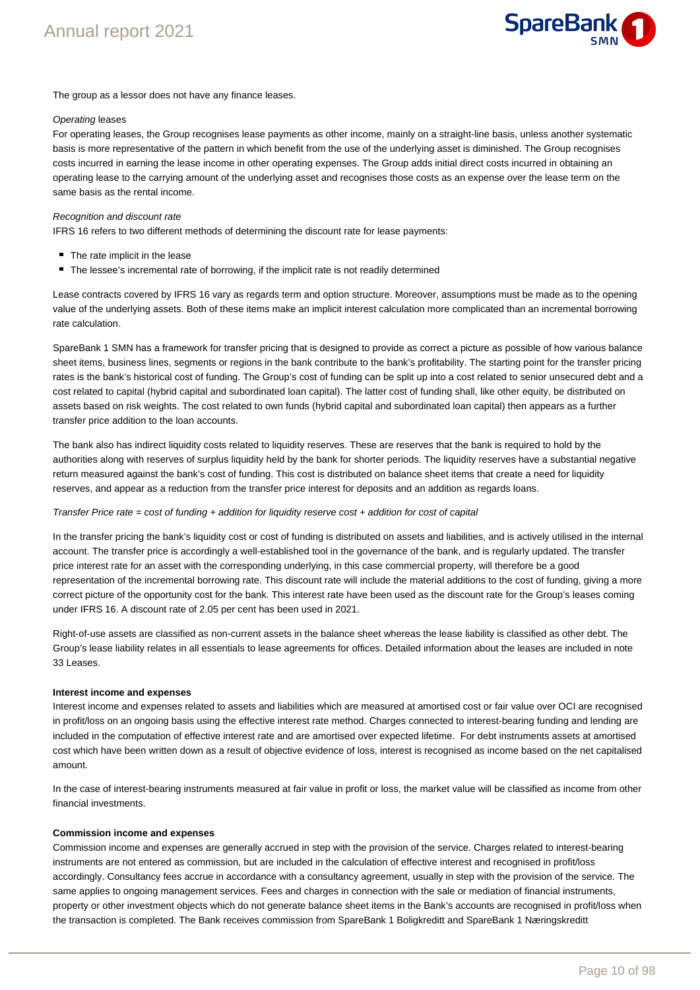

The group as a lessor does not have any finance leases.

#### Operating leases

For operating leases, the Group recognises lease payments as other income, mainly on a straight-line basis, unless another systematic basis is more representative of the pattern in which benefit from the use of the underlying asset is diminished. The Group recognises costs incurred in earning the lease income in other operating expenses. The Group adds initial direct costs incurred in obtaining an operating lease to the carrying amount of the underlying asset and recognises those costs as an expense over the lease term on the same basis as the rental income.

#### Recognition and discount rate

IFRS 16 refers to two different methods of determining the discount rate for lease payments:

- The rate implicit in the lease
- The lessee's incremental rate of borrowing, if the implicit rate is not readily determined

Lease contracts covered by IFRS 16 vary as regards term and option structure. Moreover, assumptions must be made as to the opening value of the underlying assets. Both of these items make an implicit interest calculation more complicated than an incremental borrowing rate calculation.

SpareBank 1 SMN has a framework for transfer pricing that is designed to provide as correct a picture as possible of how various balance sheet items, business lines, segments or regions in the bank contribute to the bank's profitability. The starting point for the transfer pricing rates is the bank's historical cost of funding. The Group's cost of funding can be split up into a cost related to senior unsecured debt and a cost related to capital (hybrid capital and subordinated loan capital). The latter cost of funding shall, like other equity, be distributed on assets based on risk weights. The cost related to own funds (hybrid capital and subordinated loan capital) then appears as a further transfer price addition to the loan accounts.

The bank also has indirect liquidity costs related to liquidity reserves. These are reserves that the bank is required to hold by the authorities along with reserves of surplus liquidity held by the bank for shorter periods. The liquidity reserves have a substantial negative return measured against the bank's cost of funding. This cost is distributed on balance sheet items that create a need for liquidity reserves, and appear as a reduction from the transfer price interest for deposits and an addition as regards loans.

#### Transfer Price rate = cost of funding + addition for liquidity reserve cost + addition for cost of capital

In the transfer pricing the bank's liquidity cost or cost of funding is distributed on assets and liabilities, and is actively utilised in the internal account. The transfer price is accordingly a well-established tool in the governance of the bank, and is regularly updated. The transfer price interest rate for an asset with the corresponding underlying, in this case commercial property, will therefore be a good representation of the incremental borrowing rate. This discount rate will include the material additions to the cost of funding, giving a more correct picture of the opportunity cost for the bank. This interest rate have been used as the discount rate for the Group's leases coming under IFRS 16. A discount rate of 2.05 per cent has been used in 2021.

Right-of-use assets are classified as non-current assets in the balance sheet whereas the lease liability is classified as other debt. The Group's lease liability relates in all essentials to lease agreements for offices. Detailed information about the leases are included in note 33 Leases.

#### **Interest income and expenses**

Interest income and expenses related to assets and liabilities which are measured at amortised cost or fair value over OCI are recognised in profit/loss on an ongoing basis using the effective interest rate method. Charges connected to interest-bearing funding and lending are included in the computation of effective interest rate and are amortised over expected lifetime. For debt instruments assets at amortised cost which have been written down as a result of objective evidence of loss, interest is recognised as income based on the net capitalised amount.

In the case of interest-bearing instruments measured at fair value in profit or loss, the market value will be classified as income from other financial investments.

#### **Commission income and expenses**

Commission income and expenses are generally accrued in step with the provision of the service. Charges related to interest-bearing instruments are not entered as commission, but are included in the calculation of effective interest and recognised in profit/loss accordingly. Consultancy fees accrue in accordance with a consultancy agreement, usually in step with the provision of the service. The same applies to ongoing management services. Fees and charges in connection with the sale or mediation of financial instruments, property or other investment objects which do not generate balance sheet items in the Bank's accounts are recognised in profit/loss when the transaction is completed. The Bank receives commission from SpareBank 1 Boligkreditt and SpareBank 1 Næringskreditt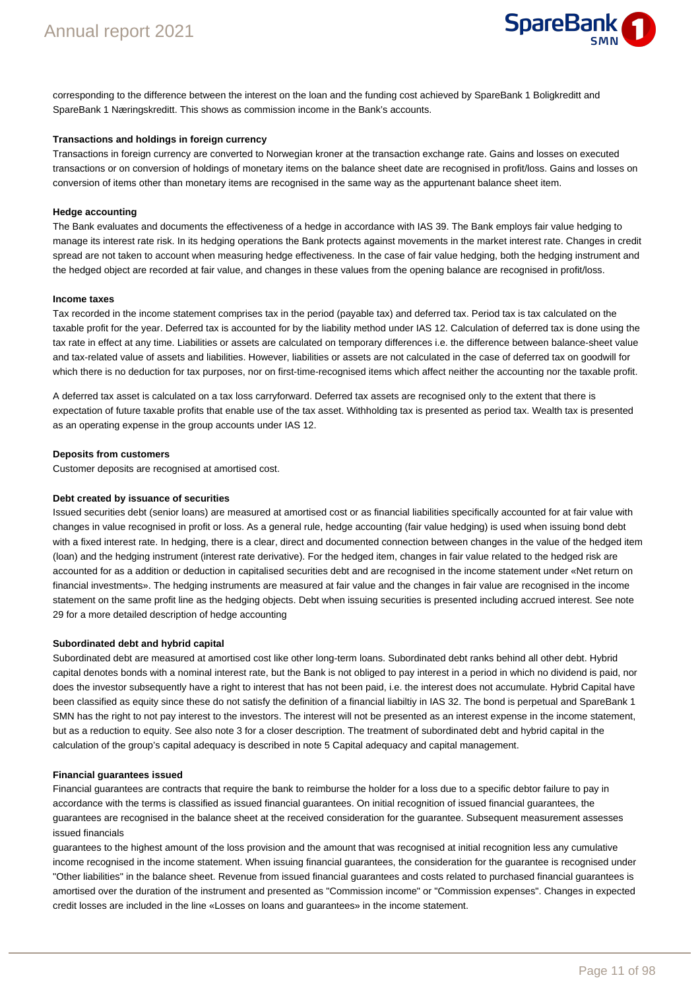

corresponding to the difference between the interest on the loan and the funding cost achieved by SpareBank 1 Boligkreditt and SpareBank 1 Næringskreditt. This shows as commission income in the Bank's accounts.

#### **Transactions and holdings in foreign currency**

Transactions in foreign currency are converted to Norwegian kroner at the transaction exchange rate. Gains and losses on executed transactions or on conversion of holdings of monetary items on the balance sheet date are recognised in profit/loss. Gains and losses on conversion of items other than monetary items are recognised in the same way as the appurtenant balance sheet item.

#### **Hedge accounting**

The Bank evaluates and documents the effectiveness of a hedge in accordance with IAS 39. The Bank employs fair value hedging to manage its interest rate risk. In its hedging operations the Bank protects against movements in the market interest rate. Changes in credit spread are not taken to account when measuring hedge effectiveness. In the case of fair value hedging, both the hedging instrument and the hedged object are recorded at fair value, and changes in these values from the opening balance are recognised in profit/loss.

#### **Income taxes**

Tax recorded in the income statement comprises tax in the period (payable tax) and deferred tax. Period tax is tax calculated on the taxable profit for the year. Deferred tax is accounted for by the liability method under IAS 12. Calculation of deferred tax is done using the tax rate in effect at any time. Liabilities or assets are calculated on temporary differences i.e. the difference between balance-sheet value and tax-related value of assets and liabilities. However, liabilities or assets are not calculated in the case of deferred tax on goodwill for which there is no deduction for tax purposes, nor on first-time-recognised items which affect neither the accounting nor the taxable profit.

A deferred tax asset is calculated on a tax loss carryforward. Deferred tax assets are recognised only to the extent that there is expectation of future taxable profits that enable use of the tax asset. Withholding tax is presented as period tax. Wealth tax is presented as an operating expense in the group accounts under IAS 12.

#### **Deposits from customers**

Customer deposits are recognised at amortised cost.

#### **Debt created by issuance of securities**

Issued securities debt (senior loans) are measured at amortised cost or as financial liabilities specifically accounted for at fair value with changes in value recognised in profit or loss. As a general rule, hedge accounting (fair value hedging) is used when issuing bond debt with a fixed interest rate. In hedging, there is a clear, direct and documented connection between changes in the value of the hedged item (loan) and the hedging instrument (interest rate derivative). For the hedged item, changes in fair value related to the hedged risk are accounted for as a addition or deduction in capitalised securities debt and are recognised in the income statement under «Net return on financial investments». The hedging instruments are measured at fair value and the changes in fair value are recognised in the income statement on the same profit line as the hedging objects. Debt when issuing securities is presented including accrued interest. See note 29 for a more detailed description of hedge accounting

#### **Subordinated debt and hybrid capital**

Subordinated debt are measured at amortised cost like other long-term loans. Subordinated debt ranks behind all other debt. Hybrid capital denotes bonds with a nominal interest rate, but the Bank is not obliged to pay interest in a period in which no dividend is paid, nor does the investor subsequently have a right to interest that has not been paid, i.e. the interest does not accumulate. Hybrid Capital have been classified as equity since these do not satisfy the definition of a financial liabiltiy in IAS 32. The bond is perpetual and SpareBank 1 SMN has the right to not pay interest to the investors. The interest will not be presented as an interest expense in the income statement, but as a reduction to equity. See also note 3 for a closer description. The treatment of subordinated debt and hybrid capital in the calculation of the group's capital adequacy is described in note 5 Capital adequacy and capital management.

#### **Financial guarantees issued**

Financial guarantees are contracts that require the bank to reimburse the holder for a loss due to a specific debtor failure to pay in accordance with the terms is classified as issued financial guarantees. On initial recognition of issued financial guarantees, the guarantees are recognised in the balance sheet at the received consideration for the guarantee. Subsequent measurement assesses issued financials

guarantees to the highest amount of the loss provision and the amount that was recognised at initial recognition less any cumulative income recognised in the income statement. When issuing financial guarantees, the consideration for the guarantee is recognised under "Other liabilities" in the balance sheet. Revenue from issued financial guarantees and costs related to purchased financial guarantees is amortised over the duration of the instrument and presented as "Commission income" or "Commission expenses". Changes in expected credit losses are included in the line «Losses on loans and guarantees» in the income statement.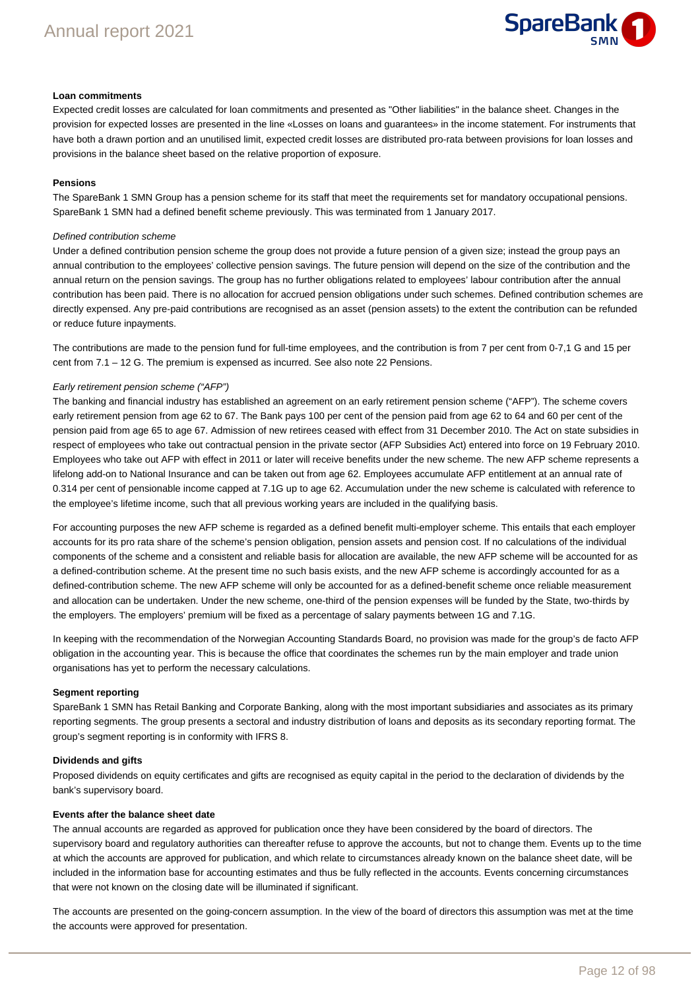

#### **Loan commitments**

Expected credit losses are calculated for loan commitments and presented as "Other liabilities" in the balance sheet. Changes in the provision for expected losses are presented in the line «Losses on loans and guarantees» in the income statement. For instruments that have both a drawn portion and an unutilised limit, expected credit losses are distributed pro-rata between provisions for loan losses and provisions in the balance sheet based on the relative proportion of exposure.

#### **Pensions**

The SpareBank 1 SMN Group has a pension scheme for its staff that meet the requirements set for mandatory occupational pensions. SpareBank 1 SMN had a defined benefit scheme previously. This was terminated from 1 January 2017.

#### Defined contribution scheme

Under a defined contribution pension scheme the group does not provide a future pension of a given size; instead the group pays an annual contribution to the employees' collective pension savings. The future pension will depend on the size of the contribution and the annual return on the pension savings. The group has no further obligations related to employees' labour contribution after the annual contribution has been paid. There is no allocation for accrued pension obligations under such schemes. Defined contribution schemes are directly expensed. Any pre-paid contributions are recognised as an asset (pension assets) to the extent the contribution can be refunded or reduce future inpayments.

The contributions are made to the pension fund for full-time employees, and the contribution is from 7 per cent from 0-7,1 G and 15 per cent from 7.1 – 12 G. The premium is expensed as incurred. See also note 22 Pensions.

#### Early retirement pension scheme ("AFP")

The banking and financial industry has established an agreement on an early retirement pension scheme ("AFP"). The scheme covers early retirement pension from age 62 to 67. The Bank pays 100 per cent of the pension paid from age 62 to 64 and 60 per cent of the pension paid from age 65 to age 67. Admission of new retirees ceased with effect from 31 December 2010. The Act on state subsidies in respect of employees who take out contractual pension in the private sector (AFP Subsidies Act) entered into force on 19 February 2010. Employees who take out AFP with effect in 2011 or later will receive benefits under the new scheme. The new AFP scheme represents a lifelong add-on to National Insurance and can be taken out from age 62. Employees accumulate AFP entitlement at an annual rate of 0.314 per cent of pensionable income capped at 7.1G up to age 62. Accumulation under the new scheme is calculated with reference to the employee's lifetime income, such that all previous working years are included in the qualifying basis.

For accounting purposes the new AFP scheme is regarded as a defined benefit multi-employer scheme. This entails that each employer accounts for its pro rata share of the scheme's pension obligation, pension assets and pension cost. If no calculations of the individual components of the scheme and a consistent and reliable basis for allocation are available, the new AFP scheme will be accounted for as a defined-contribution scheme. At the present time no such basis exists, and the new AFP scheme is accordingly accounted for as a defined-contribution scheme. The new AFP scheme will only be accounted for as a defined-benefit scheme once reliable measurement and allocation can be undertaken. Under the new scheme, one-third of the pension expenses will be funded by the State, two-thirds by the employers. The employers' premium will be fixed as a percentage of salary payments between 1G and 7.1G.

In keeping with the recommendation of the Norwegian Accounting Standards Board, no provision was made for the group's de facto AFP obligation in the accounting year. This is because the office that coordinates the schemes run by the main employer and trade union organisations has yet to perform the necessary calculations.

#### **Segment reporting**

SpareBank 1 SMN has Retail Banking and Corporate Banking, along with the most important subsidiaries and associates as its primary reporting segments. The group presents a sectoral and industry distribution of loans and deposits as its secondary reporting format. The group's segment reporting is in conformity with IFRS 8.

#### **Dividends and gifts**

Proposed dividends on equity certificates and gifts are recognised as equity capital in the period to the declaration of dividends by the bank's supervisory board.

#### **Events after the balance sheet date**

The annual accounts are regarded as approved for publication once they have been considered by the board of directors. The supervisory board and regulatory authorities can thereafter refuse to approve the accounts, but not to change them. Events up to the time at which the accounts are approved for publication, and which relate to circumstances already known on the balance sheet date, will be included in the information base for accounting estimates and thus be fully reflected in the accounts. Events concerning circumstances that were not known on the closing date will be illuminated if significant.

The accounts are presented on the going-concern assumption. In the view of the board of directors this assumption was met at the time the accounts were approved for presentation.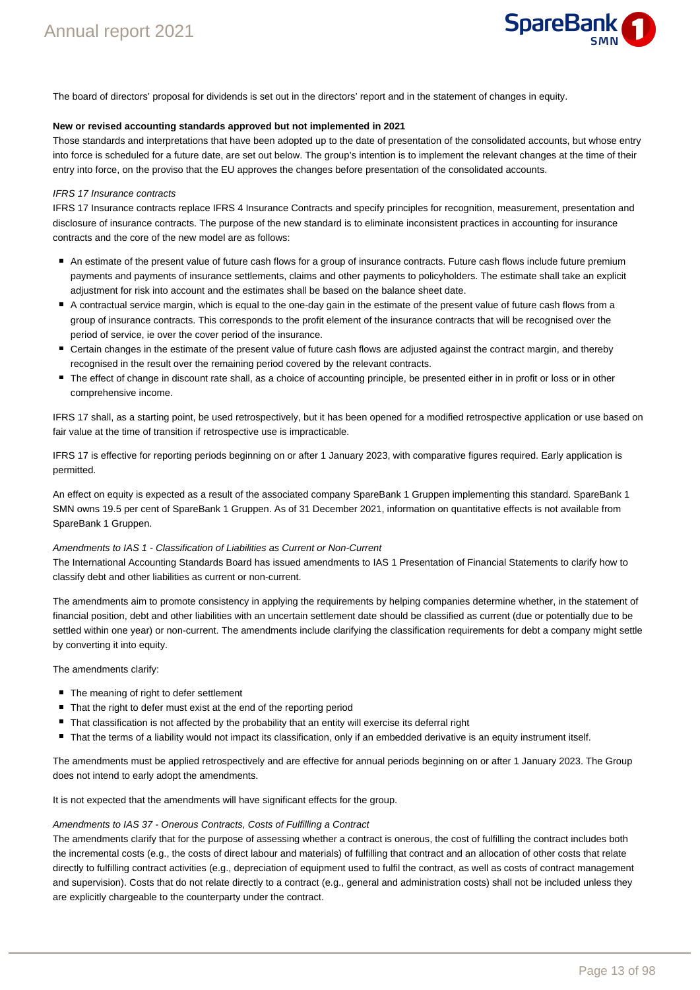

The board of directors' proposal for dividends is set out in the directors' report and in the statement of changes in equity.

#### **New or revised accounting standards approved but not implemented in 2021**

Those standards and interpretations that have been adopted up to the date of presentation of the consolidated accounts, but whose entry into force is scheduled for a future date, are set out below. The group's intention is to implement the relevant changes at the time of their entry into force, on the proviso that the EU approves the changes before presentation of the consolidated accounts.

#### IFRS 17 Insurance contracts

IFRS 17 Insurance contracts replace IFRS 4 Insurance Contracts and specify principles for recognition, measurement, presentation and disclosure of insurance contracts. The purpose of the new standard is to eliminate inconsistent practices in accounting for insurance contracts and the core of the new model are as follows:

- An estimate of the present value of future cash flows for a group of insurance contracts. Future cash flows include future premium payments and payments of insurance settlements, claims and other payments to policyholders. The estimate shall take an explicit adjustment for risk into account and the estimates shall be based on the balance sheet date.
- A contractual service margin, which is equal to the one-day gain in the estimate of the present value of future cash flows from a group of insurance contracts. This corresponds to the profit element of the insurance contracts that will be recognised over the period of service, ie over the cover period of the insurance.
- Certain changes in the estimate of the present value of future cash flows are adjusted against the contract margin, and thereby recognised in the result over the remaining period covered by the relevant contracts.
- The effect of change in discount rate shall, as a choice of accounting principle, be presented either in in profit or loss or in other comprehensive income.

IFRS 17 shall, as a starting point, be used retrospectively, but it has been opened for a modified retrospective application or use based on fair value at the time of transition if retrospective use is impracticable.

IFRS 17 is effective for reporting periods beginning on or after 1 January 2023, with comparative figures required. Early application is permitted.

An effect on equity is expected as a result of the associated company SpareBank 1 Gruppen implementing this standard. SpareBank 1 SMN owns 19.5 per cent of SpareBank 1 Gruppen. As of 31 December 2021, information on quantitative effects is not available from SpareBank 1 Gruppen.

#### Amendments to IAS 1 - Classification of Liabilities as Current or Non-Current

The International Accounting Standards Board has issued amendments to IAS 1 Presentation of Financial Statements to clarify how to classify debt and other liabilities as current or non-current.

The amendments aim to promote consistency in applying the requirements by helping companies determine whether, in the statement of financial position, debt and other liabilities with an uncertain settlement date should be classified as current (due or potentially due to be settled within one year) or non-current. The amendments include clarifying the classification requirements for debt a company might settle by converting it into equity.

The amendments clarify:

- The meaning of right to defer settlement
- That the right to defer must exist at the end of the reporting period
- That classification is not affected by the probability that an entity will exercise its deferral right
- That the terms of a liability would not impact its classification, only if an embedded derivative is an equity instrument itself.

The amendments must be applied retrospectively and are effective for annual periods beginning on or after 1 January 2023. The Group does not intend to early adopt the amendments.

It is not expected that the amendments will have significant effects for the group.

#### Amendments to IAS 37 - Onerous Contracts, Costs of Fulfilling a Contract

The amendments clarify that for the purpose of assessing whether a contract is onerous, the cost of fulfilling the contract includes both the incremental costs (e.g., the costs of direct labour and materials) of fulfilling that contract and an allocation of other costs that relate directly to fulfilling contract activities (e.g., depreciation of equipment used to fulfil the contract, as well as costs of contract management and supervision). Costs that do not relate directly to a contract (e.g., general and administration costs) shall not be included unless they are explicitly chargeable to the counterparty under the contract.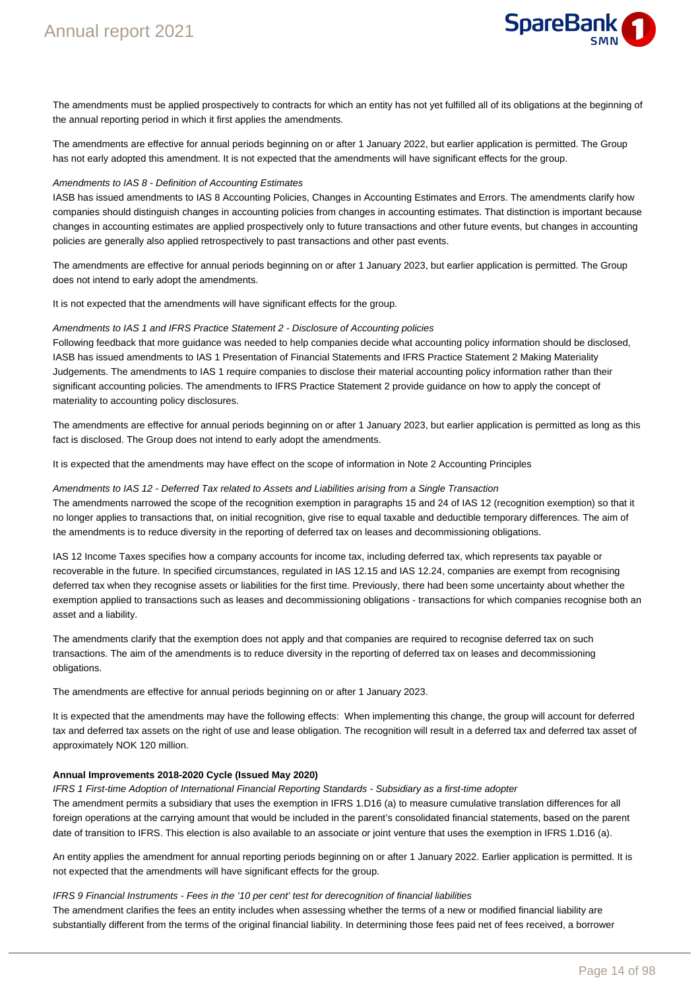

The amendments must be applied prospectively to contracts for which an entity has not yet fulfilled all of its obligations at the beginning of the annual reporting period in which it first applies the amendments.

The amendments are effective for annual periods beginning on or after 1 January 2022, but earlier application is permitted. The Group has not early adopted this amendment. It is not expected that the amendments will have significant effects for the group.

#### Amendments to IAS 8 - Definition of Accounting Estimates

IASB has issued amendments to IAS 8 Accounting Policies, Changes in Accounting Estimates and Errors. The amendments clarify how companies should distinguish changes in accounting policies from changes in accounting estimates. That distinction is important because changes in accounting estimates are applied prospectively only to future transactions and other future events, but changes in accounting policies are generally also applied retrospectively to past transactions and other past events.

The amendments are effective for annual periods beginning on or after 1 January 2023, but earlier application is permitted. The Group does not intend to early adopt the amendments.

It is not expected that the amendments will have significant effects for the group.

#### Amendments to IAS 1 and IFRS Practice Statement 2 - Disclosure of Accounting policies

Following feedback that more guidance was needed to help companies decide what accounting policy information should be disclosed, IASB has issued amendments to IAS 1 Presentation of Financial Statements and IFRS Practice Statement 2 Making Materiality Judgements. The amendments to IAS 1 require companies to disclose their material accounting policy information rather than their significant accounting policies. The amendments to IFRS Practice Statement 2 provide guidance on how to apply the concept of materiality to accounting policy disclosures.

The amendments are effective for annual periods beginning on or after 1 January 2023, but earlier application is permitted as long as this fact is disclosed. The Group does not intend to early adopt the amendments.

It is expected that the amendments may have effect on the scope of information in Note 2 Accounting Principles

#### Amendments to IAS 12 - Deferred Tax related to Assets and Liabilities arising from a Single Transaction

The amendments narrowed the scope of the recognition exemption in paragraphs 15 and 24 of IAS 12 (recognition exemption) so that it no longer applies to transactions that, on initial recognition, give rise to equal taxable and deductible temporary differences. The aim of the amendments is to reduce diversity in the reporting of deferred tax on leases and decommissioning obligations.

IAS 12 Income Taxes specifies how a company accounts for income tax, including deferred tax, which represents tax payable or recoverable in the future. In specified circumstances, regulated in IAS 12.15 and IAS 12.24, companies are exempt from recognising deferred tax when they recognise assets or liabilities for the first time. Previously, there had been some uncertainty about whether the exemption applied to transactions such as leases and decommissioning obligations - transactions for which companies recognise both an asset and a liability.

The amendments clarify that the exemption does not apply and that companies are required to recognise deferred tax on such transactions. The aim of the amendments is to reduce diversity in the reporting of deferred tax on leases and decommissioning obligations.

The amendments are effective for annual periods beginning on or after 1 January 2023.

It is expected that the amendments may have the following effects: When implementing this change, the group will account for deferred tax and deferred tax assets on the right of use and lease obligation. The recognition will result in a deferred tax and deferred tax asset of approximately NOK 120 million.

#### **Annual Improvements 2018-2020 Cycle (Issued May 2020)**

IFRS 1 First-time Adoption of International Financial Reporting Standards - Subsidiary as a first-time adopter The amendment permits a subsidiary that uses the exemption in IFRS 1.D16 (a) to measure cumulative translation differences for all foreign operations at the carrying amount that would be included in the parent's consolidated financial statements, based on the parent date of transition to IFRS. This election is also available to an associate or joint venture that uses the exemption in IFRS 1.D16 (a).

An entity applies the amendment for annual reporting periods beginning on or after 1 January 2022. Earlier application is permitted. It is not expected that the amendments will have significant effects for the group.

#### IFRS 9 Financial Instruments - Fees in the '10 per cent' test for derecognition of financial liabilities

The amendment clarifies the fees an entity includes when assessing whether the terms of a new or modified financial liability are substantially different from the terms of the original financial liability. In determining those fees paid net of fees received, a borrower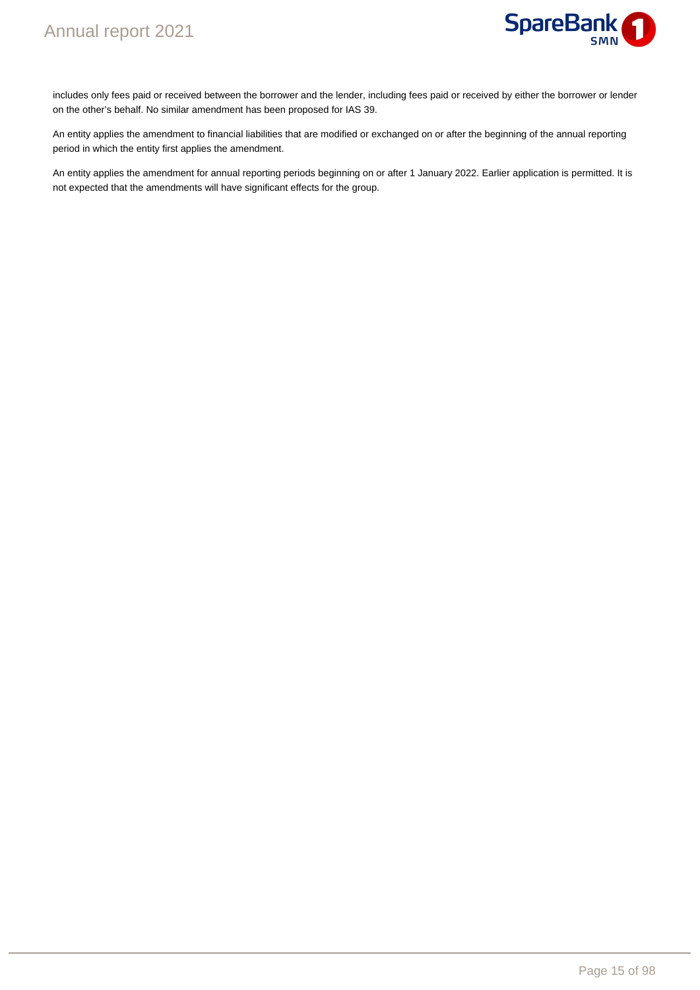

includes only fees paid or received between the borrower and the lender, including fees paid or received by either the borrower or lender on the other's behalf. No similar amendment has been proposed for IAS 39.

An entity applies the amendment to financial liabilities that are modified or exchanged on or after the beginning of the annual reporting period in which the entity first applies the amendment.

An entity applies the amendment for annual reporting periods beginning on or after 1 January 2022. Earlier application is permitted. It is not expected that the amendments will have significant effects for the group.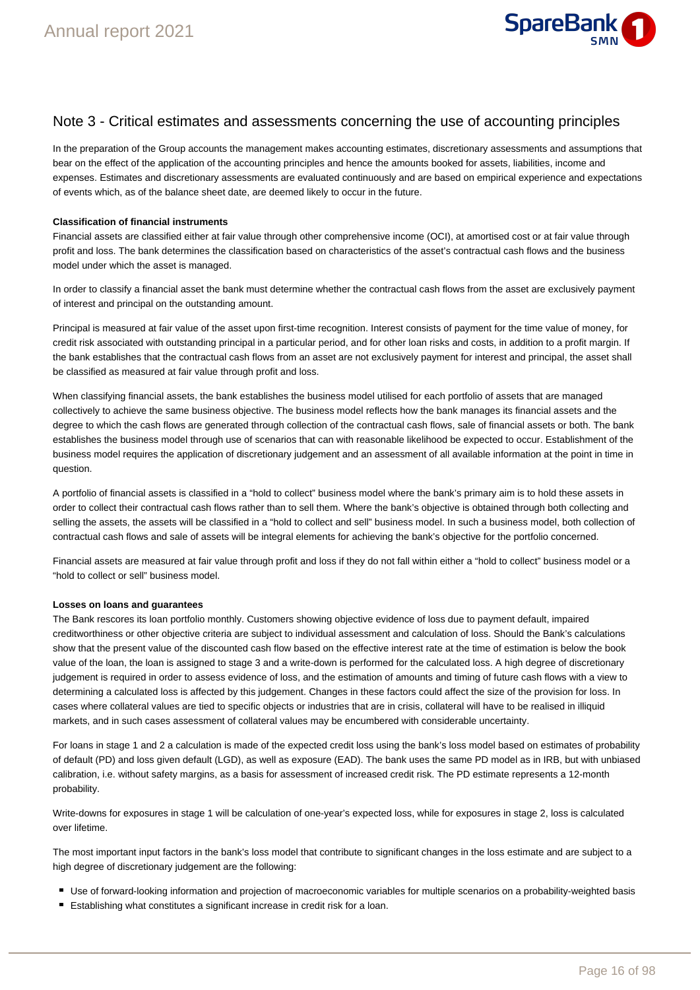

# Note 3 - Critical estimates and assessments concerning the use of accounting principles

In the preparation of the Group accounts the management makes accounting estimates, discretionary assessments and assumptions that bear on the effect of the application of the accounting principles and hence the amounts booked for assets, liabilities, income and expenses. Estimates and discretionary assessments are evaluated continuously and are based on empirical experience and expectations of events which, as of the balance sheet date, are deemed likely to occur in the future.

#### **Classification of financial instruments**

Financial assets are classified either at fair value through other comprehensive income (OCI), at amortised cost or at fair value through profit and loss. The bank determines the classification based on characteristics of the asset's contractual cash flows and the business model under which the asset is managed.

In order to classify a financial asset the bank must determine whether the contractual cash flows from the asset are exclusively payment of interest and principal on the outstanding amount.

Principal is measured at fair value of the asset upon first-time recognition. Interest consists of payment for the time value of money, for credit risk associated with outstanding principal in a particular period, and for other loan risks and costs, in addition to a profit margin. If the bank establishes that the contractual cash flows from an asset are not exclusively payment for interest and principal, the asset shall be classified as measured at fair value through profit and loss.

When classifying financial assets, the bank establishes the business model utilised for each portfolio of assets that are managed collectively to achieve the same business objective. The business model reflects how the bank manages its financial assets and the degree to which the cash flows are generated through collection of the contractual cash flows, sale of financial assets or both. The bank establishes the business model through use of scenarios that can with reasonable likelihood be expected to occur. Establishment of the business model requires the application of discretionary judgement and an assessment of all available information at the point in time in question.

A portfolio of financial assets is classified in a "hold to collect" business model where the bank's primary aim is to hold these assets in order to collect their contractual cash flows rather than to sell them. Where the bank's objective is obtained through both collecting and selling the assets, the assets will be classified in a "hold to collect and sell" business model. In such a business model, both collection of contractual cash flows and sale of assets will be integral elements for achieving the bank's objective for the portfolio concerned.

Financial assets are measured at fair value through profit and loss if they do not fall within either a "hold to collect" business model or a "hold to collect or sell" business model.

#### **Losses on loans and guarantees**

The Bank rescores its loan portfolio monthly. Customers showing objective evidence of loss due to payment default, impaired creditworthiness or other objective criteria are subject to individual assessment and calculation of loss. Should the Bank's calculations show that the present value of the discounted cash flow based on the effective interest rate at the time of estimation is below the book value of the loan, the loan is assigned to stage 3 and a write-down is performed for the calculated loss. A high degree of discretionary judgement is required in order to assess evidence of loss, and the estimation of amounts and timing of future cash flows with a view to determining a calculated loss is affected by this judgement. Changes in these factors could affect the size of the provision for loss. In cases where collateral values are tied to specific objects or industries that are in crisis, collateral will have to be realised in illiquid markets, and in such cases assessment of collateral values may be encumbered with considerable uncertainty.

For loans in stage 1 and 2 a calculation is made of the expected credit loss using the bank's loss model based on estimates of probability of default (PD) and loss given default (LGD), as well as exposure (EAD). The bank uses the same PD model as in IRB, but with unbiased calibration, i.e. without safety margins, as a basis for assessment of increased credit risk. The PD estimate represents a 12-month probability.

Write-downs for exposures in stage 1 will be calculation of one-year's expected loss, while for exposures in stage 2, loss is calculated over lifetime.

The most important input factors in the bank's loss model that contribute to significant changes in the loss estimate and are subject to a high degree of discretionary judgement are the following:

- Use of forward-looking information and projection of macroeconomic variables for multiple scenarios on a probability-weighted basis
- Establishing what constitutes a significant increase in credit risk for a loan.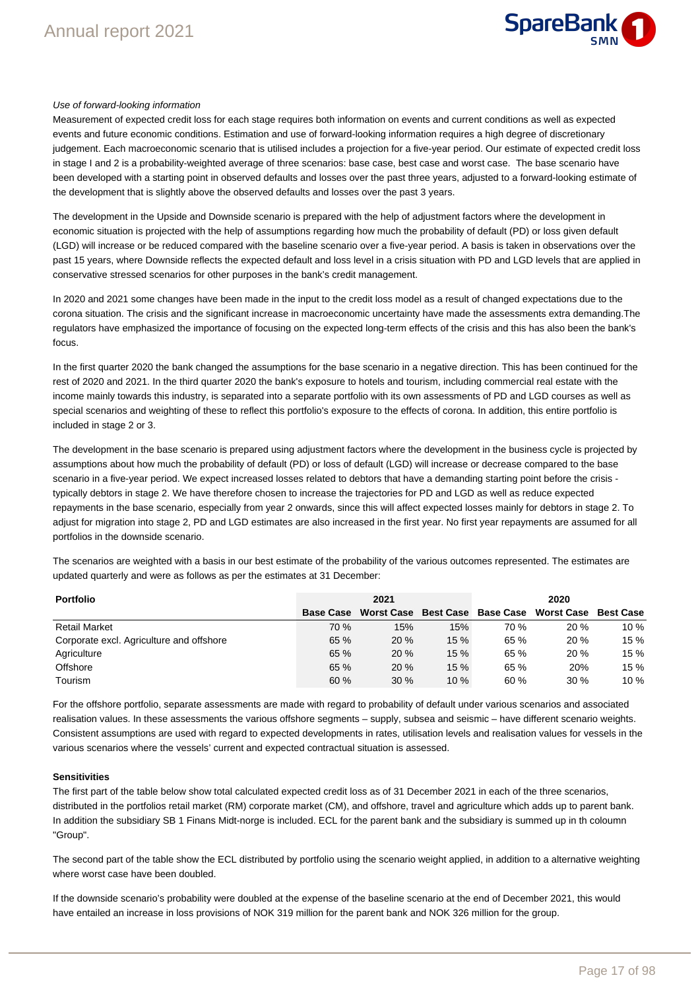

#### Use of forward-looking information

Measurement of expected credit loss for each stage requires both information on events and current conditions as well as expected events and future economic conditions. Estimation and use of forward-looking information requires a high degree of discretionary judgement. Each macroeconomic scenario that is utilised includes a projection for a five-year period. Our estimate of expected credit loss in stage I and 2 is a probability-weighted average of three scenarios: base case, best case and worst case. The base scenario have been developed with a starting point in observed defaults and losses over the past three years, adjusted to a forward-looking estimate of the development that is slightly above the observed defaults and losses over the past 3 years.

The development in the Upside and Downside scenario is prepared with the help of adjustment factors where the development in economic situation is projected with the help of assumptions regarding how much the probability of default (PD) or loss given default (LGD) will increase or be reduced compared with the baseline scenario over a five-year period. A basis is taken in observations over the past 15 years, where Downside reflects the expected default and loss level in a crisis situation with PD and LGD levels that are applied in conservative stressed scenarios for other purposes in the bank's credit management.

In 2020 and 2021 some changes have been made in the input to the credit loss model as a result of changed expectations due to the corona situation. The crisis and the significant increase in macroeconomic uncertainty have made the assessments extra demanding.The regulators have emphasized the importance of focusing on the expected long-term effects of the crisis and this has also been the bank's focus.

In the first quarter 2020 the bank changed the assumptions for the base scenario in a negative direction. This has been continued for the rest of 2020 and 2021. In the third quarter 2020 the bank's exposure to hotels and tourism, including commercial real estate with the income mainly towards this industry, is separated into a separate portfolio with its own assessments of PD and LGD courses as well as special scenarios and weighting of these to reflect this portfolio's exposure to the effects of corona. In addition, this entire portfolio is included in stage 2 or 3.

The development in the base scenario is prepared using adjustment factors where the development in the business cycle is projected by assumptions about how much the probability of default (PD) or loss of default (LGD) will increase or decrease compared to the base scenario in a five-year period. We expect increased losses related to debtors that have a demanding starting point before the crisis typically debtors in stage 2. We have therefore chosen to increase the trajectories for PD and LGD as well as reduce expected repayments in the base scenario, especially from year 2 onwards, since this will affect expected losses mainly for debtors in stage 2. To adjust for migration into stage 2, PD and LGD estimates are also increased in the first year. No first year repayments are assumed for all portfolios in the downside scenario.

The scenarios are weighted with a basis in our best estimate of the probability of the various outcomes represented. The estimates are updated quarterly and were as follows as per the estimates at 31 December:

| <b>Portfolio</b>                         |                  | 2021 |     |      | 2020                                                |      |
|------------------------------------------|------------------|------|-----|------|-----------------------------------------------------|------|
|                                          | <b>Base Case</b> |      |     |      | Worst Case Best Case Base Case Worst Case Best Case |      |
| <b>Retail Market</b>                     | 70 %             | 15%  | 15% | 70 % | 20%                                                 | 10%  |
| Corporate excl. Agriculture and offshore | 65%              | 20%  | 15% | 65 % | 20%                                                 | 15 % |
| Agriculture                              | 65%              | 20%  | 15% | 65 % | 20%                                                 | 15 % |
| Offshore                                 | 65%              | 20 % | 15% | 65 % | 20%                                                 | 15 % |
| <b>Tourism</b>                           | 60%              | 30%  | 10% | 60 % | 30%                                                 | 10%  |

For the offshore portfolio, separate assessments are made with regard to probability of default under various scenarios and associated realisation values. In these assessments the various offshore segments – supply, subsea and seismic – have different scenario weights. Consistent assumptions are used with regard to expected developments in rates, utilisation levels and realisation values for vessels in the various scenarios where the vessels' current and expected contractual situation is assessed.

#### **Sensitivities**

The first part of the table below show total calculated expected credit loss as of 31 December 2021 in each of the three scenarios, distributed in the portfolios retail market (RM) corporate market (CM), and offshore, travel and agriculture which adds up to parent bank. In addition the subsidiary SB 1 Finans Midt-norge is included. ECL for the parent bank and the subsidiary is summed up in th coloumn "Group".

The second part of the table show the ECL distributed by portfolio using the scenario weight applied, in addition to a alternative weighting where worst case have been doubled.

If the downside scenario's probability were doubled at the expense of the baseline scenario at the end of December 2021, this would have entailed an increase in loss provisions of NOK 319 million for the parent bank and NOK 326 million for the group.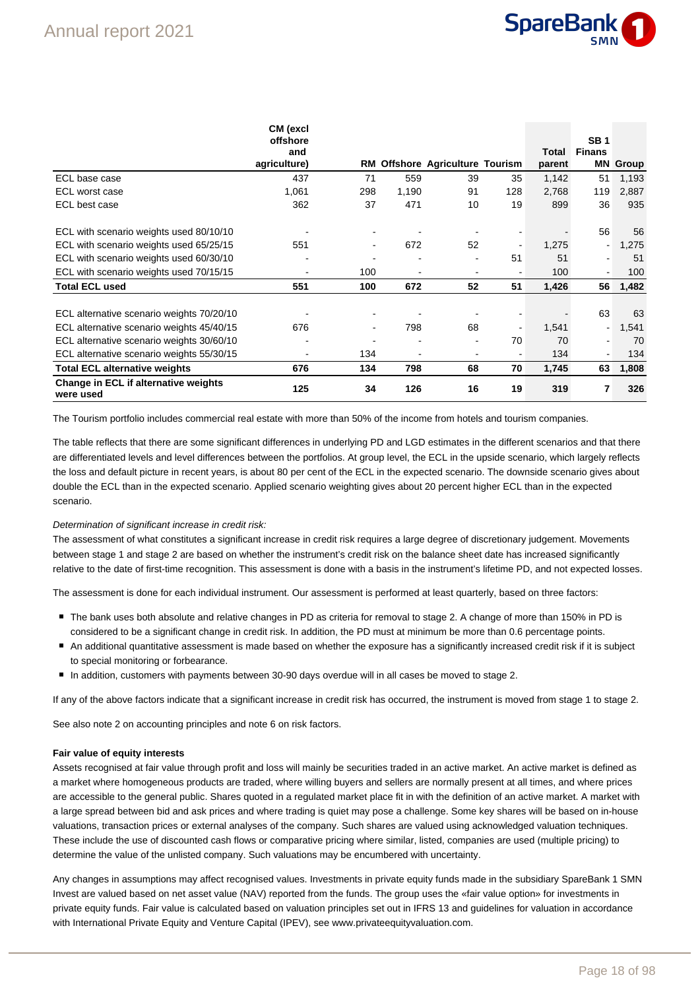

|                                                   | CM (excl<br>offshore |                |       |                                        |     |        | <b>SB1</b>    |       |
|---------------------------------------------------|----------------------|----------------|-------|----------------------------------------|-----|--------|---------------|-------|
|                                                   | and                  |                |       |                                        |     | Total  | <b>Finans</b> |       |
|                                                   | agriculture)         |                |       | <b>RM Offshore Agriculture Tourism</b> |     | parent | ΜN            | Group |
| ECL base case                                     | 437                  | 71             | 559   | 39                                     | 35  | 1,142  | 51            | 1,193 |
| ECL worst case                                    | 1,061                | 298            | 1,190 | 91                                     | 128 | 2,768  | 119           | 2,887 |
| ECL best case                                     | 362                  | 37             | 471   | 10                                     | 19  | 899    | 36            | 935   |
| ECL with scenario weights used 80/10/10           |                      | ۰              |       |                                        |     |        | 56            | 56    |
| ECL with scenario weights used 65/25/15           | 551                  | $\blacksquare$ | 672   | 52                                     |     | 1,275  |               | 1,275 |
| ECL with scenario weights used 60/30/10           |                      | -              | ۰     | $\overline{\phantom{a}}$               | 51  | 51     |               | 51    |
| ECL with scenario weights used 70/15/15           |                      | 100            |       |                                        |     | 100    |               | 100   |
| <b>Total ECL used</b>                             | 551                  | 100            | 672   | 52                                     | 51  | 1,426  | 56            | 1,482 |
|                                                   |                      |                |       |                                        |     |        | 63            | 63    |
| ECL alternative scenario weights 70/20/10         |                      | ۰              |       |                                        |     |        |               |       |
| ECL alternative scenario weights 45/40/15         | 676                  | $\blacksquare$ | 798   | 68                                     |     | 1,541  |               | 1,541 |
| ECL alternative scenario weights 30/60/10         |                      | ٠              | ٠     | $\blacksquare$                         | 70  | 70     |               | 70    |
| ECL alternative scenario weights 55/30/15         |                      | 134            | ٠     |                                        |     | 134    |               | 134   |
| <b>Total ECL alternative weights</b>              | 676                  | 134            | 798   | 68                                     | 70  | 1,745  | 63            | 1,808 |
| Change in ECL if alternative weights<br>were used | 125                  | 34             | 126   | 16                                     | 19  | 319    | 7             | 326   |

The Tourism portfolio includes commercial real estate with more than 50% of the income from hotels and tourism companies.

The table reflects that there are some significant differences in underlying PD and LGD estimates in the different scenarios and that there are differentiated levels and level differences between the portfolios. At group level, the ECL in the upside scenario, which largely reflects the loss and default picture in recent years, is about 80 per cent of the ECL in the expected scenario. The downside scenario gives about double the ECL than in the expected scenario. Applied scenario weighting gives about 20 percent higher ECL than in the expected scenario.

#### Determination of significant increase in credit risk:

The assessment of what constitutes a significant increase in credit risk requires a large degree of discretionary judgement. Movements between stage 1 and stage 2 are based on whether the instrument's credit risk on the balance sheet date has increased significantly relative to the date of first-time recognition. This assessment is done with a basis in the instrument's lifetime PD, and not expected losses.

The assessment is done for each individual instrument. Our assessment is performed at least quarterly, based on three factors:

- The bank uses both absolute and relative changes in PD as criteria for removal to stage 2. A change of more than 150% in PD is considered to be a significant change in credit risk. In addition, the PD must at minimum be more than 0.6 percentage points.
- An additional quantitative assessment is made based on whether the exposure has a significantly increased credit risk if it is subject to special monitoring or forbearance.
- In addition, customers with payments between 30-90 days overdue will in all cases be moved to stage 2.

If any of the above factors indicate that a significant increase in credit risk has occurred, the instrument is moved from stage 1 to stage 2.

See also note 2 on accounting principles and note 6 on risk factors.

#### **Fair value of equity interests**

Assets recognised at fair value through profit and loss will mainly be securities traded in an active market. An active market is defined as a market where homogeneous products are traded, where willing buyers and sellers are normally present at all times, and where prices are accessible to the general public. Shares quoted in a regulated market place fit in with the definition of an active market. A market with a large spread between bid and ask prices and where trading is quiet may pose a challenge. Some key shares will be based on in-house valuations, transaction prices or external analyses of the company. Such shares are valued using acknowledged valuation techniques. These include the use of discounted cash flows or comparative pricing where similar, listed, companies are used (multiple pricing) to determine the value of the unlisted company. Such valuations may be encumbered with uncertainty.

Any changes in assumptions may affect recognised values. Investments in private equity funds made in the subsidiary SpareBank 1 SMN Invest are valued based on net asset value (NAV) reported from the funds. The group uses the «fair value option» for investments in private equity funds. Fair value is calculated based on valuation principles set out in IFRS 13 and guidelines for valuation in accordance with International Private Equity and Venture Capital (IPEV), see www.privateequityvaluation.com.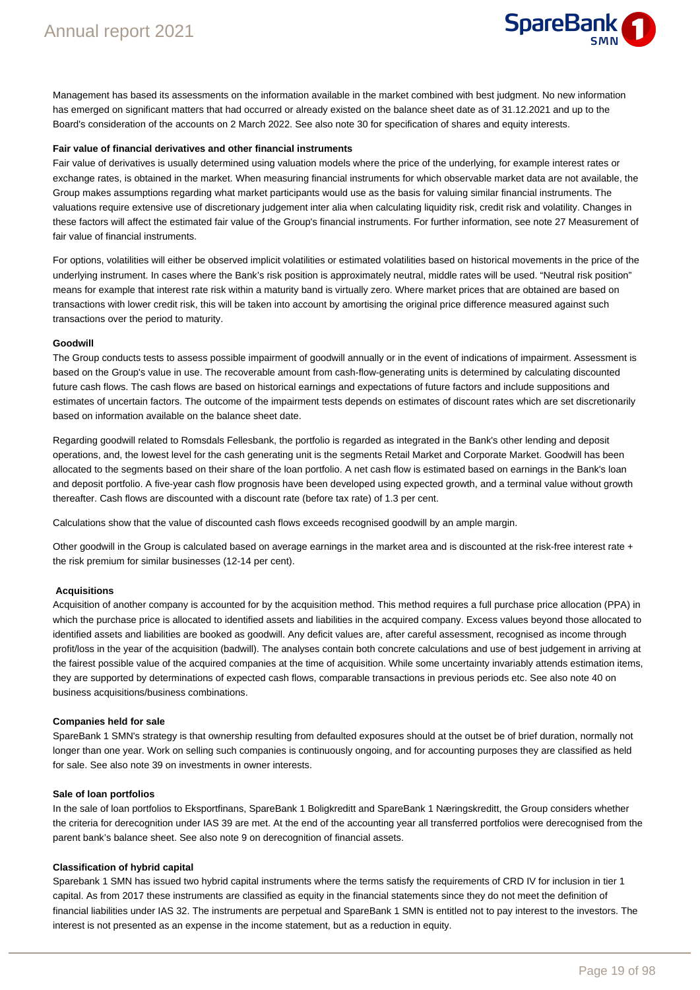

Management has based its assessments on the information available in the market combined with best judgment. No new information has emerged on significant matters that had occurred or already existed on the balance sheet date as of 31.12.2021 and up to the Board's consideration of the accounts on 2 March 2022. See also note 30 for specification of shares and equity interests.

#### **Fair value of financial derivatives and other financial instruments**

Fair value of derivatives is usually determined using valuation models where the price of the underlying, for example interest rates or exchange rates, is obtained in the market. When measuring financial instruments for which observable market data are not available, the Group makes assumptions regarding what market participants would use as the basis for valuing similar financial instruments. The valuations require extensive use of discretionary judgement inter alia when calculating liquidity risk, credit risk and volatility. Changes in these factors will affect the estimated fair value of the Group's financial instruments. For further information, see note 27 Measurement of fair value of financial instruments.

For options, volatilities will either be observed implicit volatilities or estimated volatilities based on historical movements in the price of the underlying instrument. In cases where the Bank's risk position is approximately neutral, middle rates will be used. "Neutral risk position" means for example that interest rate risk within a maturity band is virtually zero. Where market prices that are obtained are based on transactions with lower credit risk, this will be taken into account by amortising the original price difference measured against such transactions over the period to maturity.

#### **Goodwill**

The Group conducts tests to assess possible impairment of goodwill annually or in the event of indications of impairment. Assessment is based on the Group's value in use. The recoverable amount from cash-flow-generating units is determined by calculating discounted future cash flows. The cash flows are based on historical earnings and expectations of future factors and include suppositions and estimates of uncertain factors. The outcome of the impairment tests depends on estimates of discount rates which are set discretionarily based on information available on the balance sheet date.

Regarding goodwill related to Romsdals Fellesbank, the portfolio is regarded as integrated in the Bank's other lending and deposit operations, and, the lowest level for the cash generating unit is the segments Retail Market and Corporate Market. Goodwill has been allocated to the segments based on their share of the loan portfolio. A net cash flow is estimated based on earnings in the Bank's loan and deposit portfolio. A five-year cash flow prognosis have been developed using expected growth, and a terminal value without growth thereafter. Cash flows are discounted with a discount rate (before tax rate) of 1.3 per cent.

Calculations show that the value of discounted cash flows exceeds recognised goodwill by an ample margin.

Other goodwill in the Group is calculated based on average earnings in the market area and is discounted at the risk-free interest rate + the risk premium for similar businesses (12-14 per cent).

#### **Acquisitions**

Acquisition of another company is accounted for by the acquisition method. This method requires a full purchase price allocation (PPA) in which the purchase price is allocated to identified assets and liabilities in the acquired company. Excess values beyond those allocated to identified assets and liabilities are booked as goodwill. Any deficit values are, after careful assessment, recognised as income through profit/loss in the year of the acquisition (badwill). The analyses contain both concrete calculations and use of best judgement in arriving at the fairest possible value of the acquired companies at the time of acquisition. While some uncertainty invariably attends estimation items, they are supported by determinations of expected cash flows, comparable transactions in previous periods etc. See also note 40 on business acquisitions/business combinations.

#### **Companies held for sale**

SpareBank 1 SMN's strategy is that ownership resulting from defaulted exposures should at the outset be of brief duration, normally not longer than one year. Work on selling such companies is continuously ongoing, and for accounting purposes they are classified as held for sale. See also note 39 on investments in owner interests.

#### **Sale of loan portfolios**

In the sale of loan portfolios to Eksportfinans, SpareBank 1 Boligkreditt and SpareBank 1 Næringskreditt, the Group considers whether the criteria for derecognition under IAS 39 are met. At the end of the accounting year all transferred portfolios were derecognised from the parent bank's balance sheet. See also note 9 on derecognition of financial assets.

#### **Classification of hybrid capital**

Sparebank 1 SMN has issued two hybrid capital instruments where the terms satisfy the requirements of CRD IV for inclusion in tier 1 capital. As from 2017 these instruments are classified as equity in the financial statements since they do not meet the definition of financial liabilities under IAS 32. The instruments are perpetual and SpareBank 1 SMN is entitled not to pay interest to the investors. The interest is not presented as an expense in the income statement, but as a reduction in equity.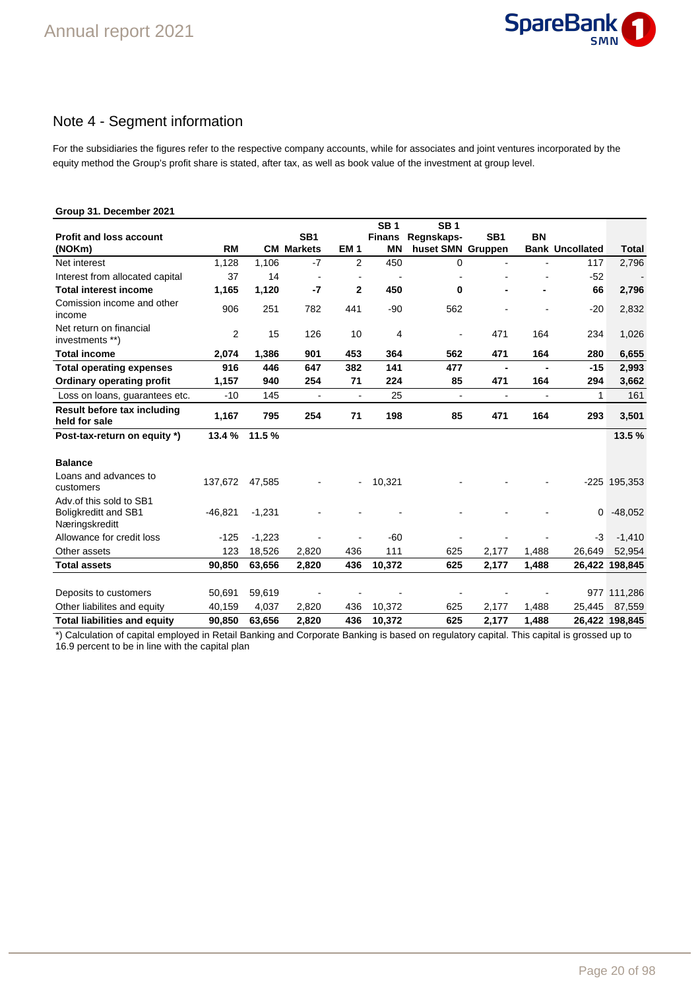

# Note 4 - Segment information

For the subsidiaries the figures refer to the respective company accounts, while for associates and joint ventures incorporated by the equity method the Group's profit share is stated, after tax, as well as book value of the investment at group level.

# **Group 31. December 2021**

|                                                                          |           |          |                   |                 | <b>SB1</b>    | <b>SB1</b>        |                 |                |                        |                |
|--------------------------------------------------------------------------|-----------|----------|-------------------|-----------------|---------------|-------------------|-----------------|----------------|------------------------|----------------|
| <b>Profit and loss account</b>                                           |           |          | SB <sub>1</sub>   |                 | <b>Finans</b> | Regnskaps-        | SB <sub>1</sub> | <b>BN</b>      |                        |                |
| (NOKm)                                                                   | <b>RM</b> |          | <b>CM Markets</b> | EM <sub>1</sub> | <b>MN</b>     | huset SMN Gruppen |                 |                | <b>Bank Uncollated</b> | <b>Total</b>   |
| Net interest                                                             | 1,128     | 1,106    | $-7$              | $\overline{2}$  | 450           | 0                 |                 |                | 117                    | 2,796          |
| Interest from allocated capital                                          | 37        | 14       | $\blacksquare$    |                 |               |                   |                 |                | $-52$                  |                |
| <b>Total interest income</b>                                             | 1,165     | 1,120    | $-7$              | $\mathbf{2}$    | 450           | 0                 |                 |                | 66                     | 2,796          |
| Comission income and other<br>income                                     | 906       | 251      | 782               | 441             | $-90$         | 562               |                 |                | $-20$                  | 2,832          |
| Net return on financial<br>investments **)                               | 2         | 15       | 126               | 10              | 4             |                   | 471             | 164            | 234                    | 1,026          |
| <b>Total income</b>                                                      | 2,074     | 1,386    | 901               | 453             | 364           | 562               | 471             | 164            | 280                    | 6,655          |
| <b>Total operating expenses</b>                                          | 916       | 446      | 647               | 382             | 141           | 477               | $\blacksquare$  |                | $-15$                  | 2,993          |
| Ordinary operating profit                                                | 1,157     | 940      | 254               | 71              | 224           | 85                | 471             | 164            | 294                    | 3,662          |
| Loss on loans, guarantees etc.                                           | $-10$     | 145      | $\overline{a}$    | $\blacksquare$  | 25            | ÷,                | ÷,              | $\blacksquare$ | 1                      | 161            |
| Result before tax including<br>held for sale                             | 1,167     | 795      | 254               | 71              | 198           | 85                | 471             | 164            | 293                    | 3,501          |
| Post-tax-return on equity *)                                             | 13.4 %    | 11.5%    |                   |                 |               |                   |                 |                |                        | 13.5%          |
| <b>Balance</b>                                                           |           |          |                   |                 |               |                   |                 |                |                        |                |
| Loans and advances to<br>customers                                       | 137,672   | 47,585   |                   | $\blacksquare$  | 10,321        |                   |                 |                |                        | $-225$ 195,353 |
| Adv.of this sold to SB1<br><b>Boligkreditt and SB1</b><br>Næringskreditt | $-46,821$ | $-1,231$ |                   |                 |               |                   |                 |                | 0                      | $-48,052$      |
| Allowance for credit loss                                                | $-125$    | $-1,223$ |                   |                 | $-60$         |                   |                 |                | $-3$                   | $-1,410$       |
| Other assets                                                             | 123       | 18,526   | 2,820             | 436             | 111           | 625               | 2,177           | 1,488          | 26,649                 | 52,954         |
| <b>Total assets</b>                                                      | 90,850    | 63,656   | 2,820             | 436             | 10,372        | 625               | 2,177           | 1,488          |                        | 26,422 198,845 |
|                                                                          |           |          |                   |                 |               |                   |                 |                |                        |                |
| Deposits to customers                                                    | 50,691    | 59,619   |                   |                 |               |                   |                 |                |                        | 977 111,286    |
| Other liabilites and equity                                              | 40,159    | 4,037    | 2,820             | 436             | 10,372        | 625               | 2,177           | 1,488          | 25,445                 | 87,559         |
| <b>Total liabilities and equity</b>                                      | 90,850    | 63.656   | 2.820             | 436             | 10,372        | 625               | 2,177           | 1.488          |                        | 26,422 198,845 |

\*) Calculation of capital employed in Retail Banking and Corporate Banking is based on regulatory capital. This capital is grossed up to 16.9 percent to be in line with the capital plan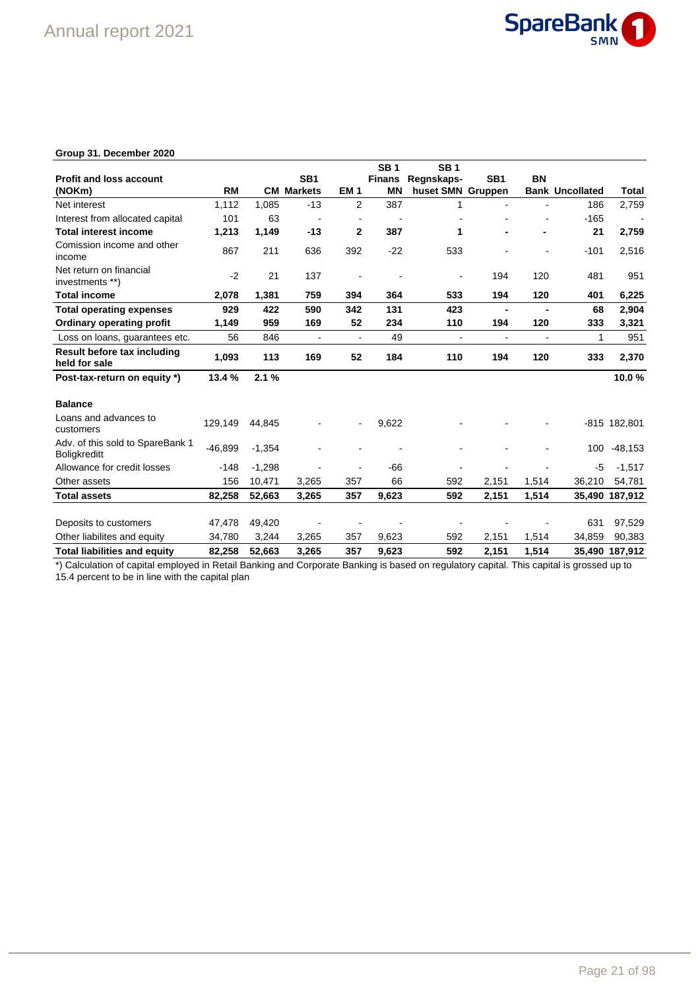

# **Group 31. December 2020**

|                                                         |           |          |                          |                          | SB <sub>1</sub> | SB <sub>1</sub>   |                          |                          |                        |                          |
|---------------------------------------------------------|-----------|----------|--------------------------|--------------------------|-----------------|-------------------|--------------------------|--------------------------|------------------------|--------------------------|
| <b>Profit and loss account</b>                          |           |          | SB <sub>1</sub>          |                          | <b>Finans</b>   | Regnskaps-        | SB <sub>1</sub>          | <b>BN</b>                |                        |                          |
| (NOKm)                                                  | <b>RM</b> |          | <b>CM Markets</b>        | EM <sub>1</sub>          | <b>MN</b>       | huset SMN Gruppen |                          |                          | <b>Bank Uncollated</b> | Total                    |
| Net interest                                            | 1.112     | 1,085    | $-13$                    | $\overline{2}$           | 387             | 1                 |                          |                          | 186                    | 2,759                    |
| Interest from allocated capital                         | 101       | 63       | $\overline{\phantom{a}}$ |                          |                 |                   |                          |                          | $-165$                 | $\overline{\phantom{a}}$ |
| <b>Total interest income</b>                            | 1,213     | 1,149    | $-13$                    | $\mathbf{2}$             | 387             | 1                 |                          |                          | 21                     | 2,759                    |
| Comission income and other<br>income                    | 867       | 211      | 636                      | 392                      | $-22$           | 533               |                          |                          | $-101$                 | 2,516                    |
| Net return on financial<br>investments **)              | $-2$      | 21       | 137                      |                          |                 |                   | 194                      | 120                      | 481                    | 951                      |
| <b>Total income</b>                                     | 2,078     | 1,381    | 759                      | 394                      | 364             | 533               | 194                      | 120                      | 401                    | 6,225                    |
| <b>Total operating expenses</b>                         | 929       | 422      | 590                      | 342                      | 131             | 423               | $\blacksquare$           |                          | 68                     | 2,904                    |
| <b>Ordinary operating profit</b>                        | 1,149     | 959      | 169                      | 52                       | 234             | 110               | 194                      | 120                      | 333                    | 3,321                    |
| Loss on loans, quarantees etc.                          | 56        | 846      | $\overline{\phantom{a}}$ | $\overline{\phantom{a}}$ | 49              |                   | $\overline{\phantom{a}}$ | $\overline{\phantom{a}}$ | 1                      | 951                      |
| Result before tax including<br>held for sale            | 1,093     | 113      | 169                      | 52                       | 184             | 110               | 194                      | 120                      | 333                    | 2,370                    |
| Post-tax-return on equity *)                            | 13.4%     | 2.1%     |                          |                          |                 |                   |                          |                          |                        | 10.0%                    |
| <b>Balance</b>                                          |           |          |                          |                          |                 |                   |                          |                          |                        |                          |
| Loans and advances to<br>customers                      | 129,149   | 44,845   |                          | $\overline{\phantom{a}}$ | 9,622           |                   |                          |                          |                        | -815 182,801             |
| Adv. of this sold to SpareBank 1<br><b>Boligkreditt</b> | $-46,899$ | $-1,354$ |                          |                          |                 |                   |                          |                          | 100                    | $-48,153$                |
| Allowance for credit losses                             | $-148$    | $-1.298$ |                          |                          | -66             |                   |                          |                          | -5                     | $-1,517$                 |
| Other assets                                            | 156       | 10,471   | 3,265                    | 357                      | 66              | 592               | 2,151                    | 1,514                    | 36,210                 | 54,781                   |
| <b>Total assets</b>                                     | 82,258    | 52,663   | 3,265                    | 357                      | 9,623           | 592               | 2,151                    | 1,514                    |                        | 35,490 187,912           |
|                                                         |           |          |                          |                          |                 |                   |                          |                          |                        |                          |
| Deposits to customers                                   | 47,478    | 49,420   |                          |                          |                 |                   |                          |                          | 631                    | 97,529                   |
| Other liabilites and equity                             | 34,780    | 3,244    | 3,265                    | 357                      | 9,623           | 592               | 2,151                    | 1,514                    | 34,859                 | 90,383                   |
| <b>Total liabilities and equity</b>                     | 82,258    | 52,663   | 3,265                    | 357                      | 9,623           | 592               | 2,151                    | 1,514                    |                        | 35,490 187,912           |

\*) Calculation of capital employed in Retail Banking and Corporate Banking is based on regulatory capital. This capital is grossed up to 15.4 percent to be in line with the capital plan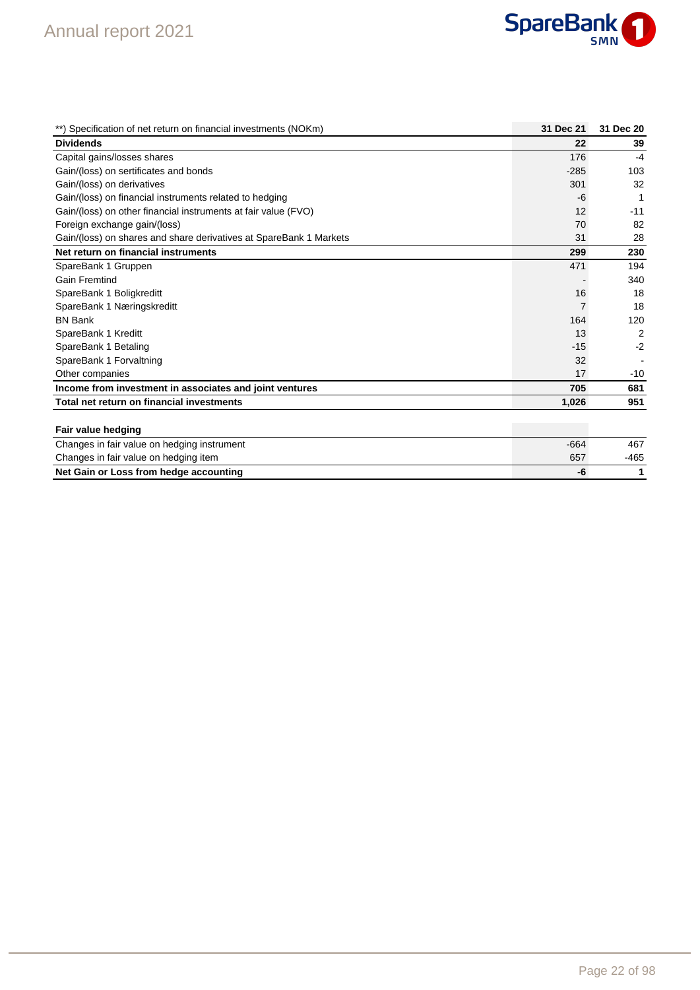

| **) Specification of net return on financial investments (NOKm)    | 31 Dec 21 | 31 Dec 20      |
|--------------------------------------------------------------------|-----------|----------------|
| <b>Dividends</b>                                                   | 22        | 39             |
| Capital gains/losses shares                                        | 176       | $-4$           |
| Gain/(loss) on sertificates and bonds                              | $-285$    | 103            |
| Gain/(loss) on derivatives                                         | 301       | 32             |
| Gain/(loss) on financial instruments related to hedging            | -6        | 1              |
| Gain/(loss) on other financial instruments at fair value (FVO)     | 12        | $-11$          |
| Foreign exchange gain/(loss)                                       | 70        | 82             |
| Gain/(loss) on shares and share derivatives at SpareBank 1 Markets | 31        | 28             |
| Net return on financial instruments                                | 299       | 230            |
| SpareBank 1 Gruppen                                                | 471       | 194            |
| <b>Gain Fremtind</b>                                               |           | 340            |
| SpareBank 1 Boligkreditt                                           | 16        | 18             |
| SpareBank 1 Næringskreditt                                         |           | 18             |
| <b>BN Bank</b>                                                     | 164       | 120            |
| SpareBank 1 Kreditt                                                | 13        | $\overline{2}$ |
| SpareBank 1 Betaling                                               | $-15$     | $-2$           |
| SpareBank 1 Forvaltning                                            | 32        |                |
| Other companies                                                    | 17        | $-10$          |
| Income from investment in associates and joint ventures            | 705       | 681            |
| Total net return on financial investments                          | 1,026     | 951            |
|                                                                    |           |                |

### **Fair value hedging**

| - -                                         |      |      |
|---------------------------------------------|------|------|
| Changes in fair value on hedging instrument | -664 | 467  |
| Changes in fair value on hedging item       | 657  | -465 |
| Net Gain or Loss from hedge accounting      | -7   |      |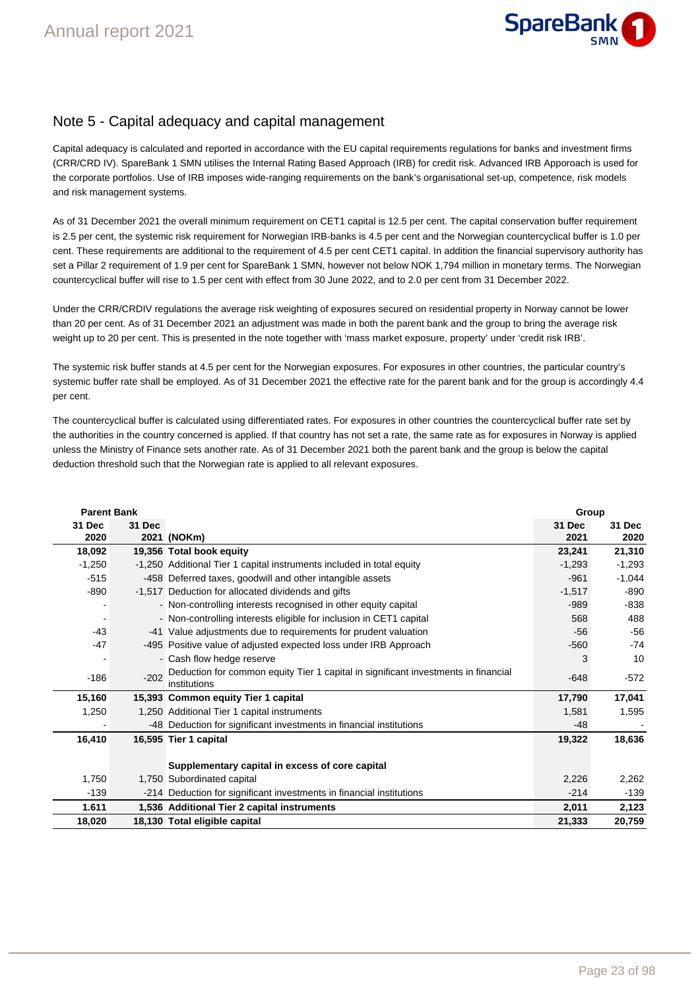

# Note 5 - Capital adequacy and capital management

Capital adequacy is calculated and reported in accordance with the EU capital requirements regulations for banks and investment firms (CRR/CRD IV). SpareBank 1 SMN utilises the Internal Rating Based Approach (IRB) for credit risk. Advanced IRB Apporoach is used for the corporate portfolios. Use of IRB imposes wide-ranging requirements on the bank's organisational set-up, competence, risk models and risk management systems.

As of 31 December 2021 the overall minimum requirement on CET1 capital is 12.5 per cent. The capital conservation buffer requirement is 2.5 per cent, the systemic risk requirement for Norwegian IRB-banks is 4.5 per cent and the Norwegian countercyclical buffer is 1.0 per cent. These requirements are additional to the requirement of 4.5 per cent CET1 capital. In addition the financial supervisory authority has set a Pillar 2 requirement of 1.9 per cent for SpareBank 1 SMN, however not below NOK 1,794 million in monetary terms. The Norwegian countercyclical buffer will rise to 1.5 per cent with effect from 30 June 2022, and to 2.0 per cent from 31 December 2022.

Under the CRR/CRDIV regulations the average risk weighting of exposures secured on residential property in Norway cannot be lower than 20 per cent. As of 31 December 2021 an adjustment was made in both the parent bank and the group to bring the average risk weight up to 20 per cent. This is presented in the note together with 'mass market exposure, property' under 'credit risk IRB'.

The systemic risk buffer stands at 4.5 per cent for the Norwegian exposures. For exposures in other countries, the particular country's systemic buffer rate shall be employed. As of 31 December 2021 the effective rate for the parent bank and for the group is accordingly 4.4 per cent.

The countercyclical buffer is calculated using differentiated rates. For exposures in other countries the countercyclical buffer rate set by the authorities in the country concerned is applied. If that country has not set a rate, the same rate as for exposures in Norway is applied unless the Ministry of Finance sets another rate. As of 31 December 2021 both the parent bank and the group is below the capital deduction threshold such that the Norwegian rate is applied to all relevant exposures.

| <b>Parent Bank</b> |        |                                                                                                    | Group    |          |  |
|--------------------|--------|----------------------------------------------------------------------------------------------------|----------|----------|--|
| 31 Dec             | 31 Dec |                                                                                                    | 31 Dec   | 31 Dec   |  |
| 2020               |        | 2021 (NOKm)                                                                                        | 2021     | 2020     |  |
| 18,092             |        | 19,356 Total book equity                                                                           | 23,241   | 21,310   |  |
| $-1,250$           |        | -1,250 Additional Tier 1 capital instruments included in total equity                              | $-1,293$ | $-1,293$ |  |
| $-515$             |        | -458 Deferred taxes, goodwill and other intangible assets                                          | $-961$   | $-1,044$ |  |
| -890               |        | -1,517 Deduction for allocated dividends and gifts                                                 | $-1,517$ | -890     |  |
|                    |        | - Non-controlling interests recognised in other equity capital                                     | $-989$   | -838     |  |
|                    |        | - Non-controlling interests eligible for inclusion in CET1 capital                                 | 568      | 488      |  |
| $-43$              |        | -41 Value adjustments due to requirements for prudent valuation                                    | $-56$    | -56      |  |
| $-47$              |        | -495 Positive value of adjusted expected loss under IRB Approach                                   | $-560$   | $-74$    |  |
|                    |        | - Cash flow hedge reserve                                                                          | 3        | 10       |  |
| $-186$             | $-202$ | Deduction for common equity Tier 1 capital in significant investments in financial<br>institutions | $-648$   | $-572$   |  |
| 15,160             |        | 15,393 Common equity Tier 1 capital                                                                | 17,790   | 17,041   |  |
| 1,250              |        | 1,250 Additional Tier 1 capital instruments                                                        | 1,581    | 1,595    |  |
|                    |        | -48 Deduction for significant investments in financial institutions                                | $-48$    |          |  |
| 16,410             |        | 16,595 Tier 1 capital                                                                              | 19,322   | 18,636   |  |
|                    |        | Supplementary capital in excess of core capital                                                    |          |          |  |
| 1,750              |        | 1,750 Subordinated capital                                                                         | 2,226    | 2,262    |  |
| $-139$             |        | -214 Deduction for significant investments in financial institutions                               | $-214$   | $-139$   |  |
| 1.611              |        | 1,536 Additional Tier 2 capital instruments                                                        | 2,011    | 2,123    |  |
| 18,020             |        | 18,130 Total eligible capital                                                                      | 21,333   | 20,759   |  |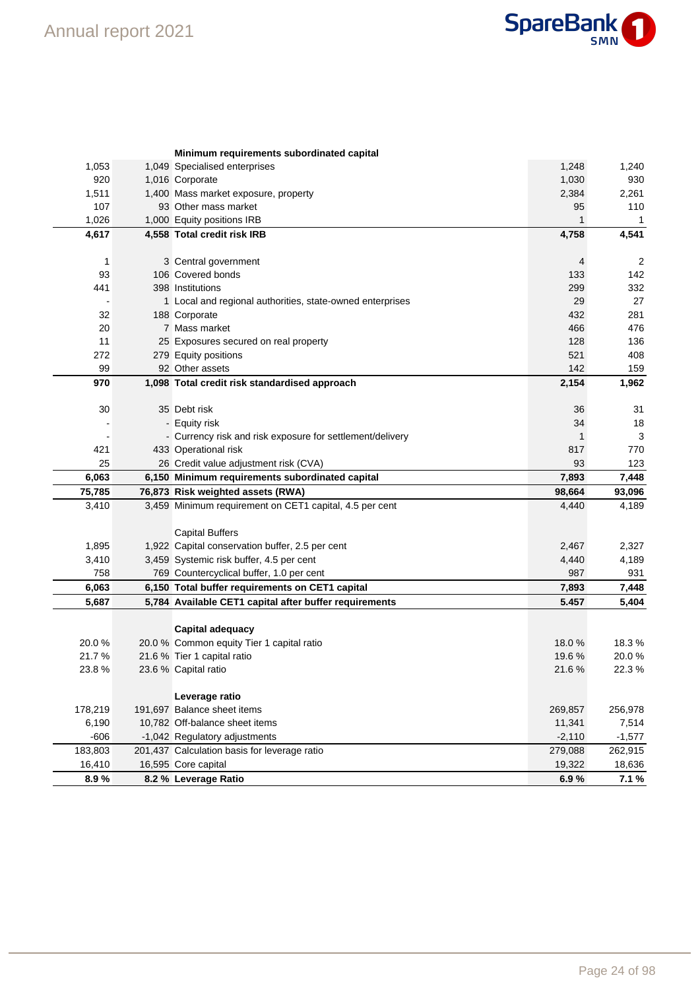

|                | Minimum requirements subordinated capital                 |                |                 |
|----------------|-----------------------------------------------------------|----------------|-----------------|
| 1,053          | 1,049 Specialised enterprises                             | 1,248          | 1,240           |
| 920            | 1,016 Corporate                                           | 1,030          | 930             |
| 1,511          | 1,400 Mass market exposure, property                      | 2,384          | 2,261           |
| 107            | 93 Other mass market                                      | 95             | 110             |
| 1,026          | 1,000 Equity positions IRB                                | 1              | 1               |
| 4,617          | 4,558 Total credit risk IRB                               | 4,758          | 4,541           |
|                |                                                           |                |                 |
| 1              | 3 Central government                                      | 4              | $\overline{2}$  |
| 93             | 106 Covered bonds                                         | 133            | 142             |
| 441            | 398 Institutions                                          | 299            | 332             |
|                | 1 Local and regional authorities, state-owned enterprises | 29             | 27              |
| 32             | 188 Corporate                                             | 432            | 281             |
| 20             | 7 Mass market                                             | 466            | 476             |
| 11             | 25 Exposures secured on real property                     | 128            | 136             |
| 272            | 279 Equity positions                                      | 521            | 408             |
| 99             | 92 Other assets                                           | 142            | 159             |
| 970            | 1,098 Total credit risk standardised approach             | 2,154          | 1,962           |
| 30             | 35 Debt risk                                              | 36             | 31              |
|                | - Equity risk                                             | 34             | 18              |
|                | - Currency risk and risk exposure for settlement/delivery | 1              | 3               |
| 421            | 433 Operational risk                                      | 817            | 770             |
| 25             | 26 Credit value adjustment risk (CVA)                     | 93             | 123             |
| 6,063          | 6,150 Minimum requirements subordinated capital           | 7,893          | 7,448           |
| 75,785         | 76,873 Risk weighted assets (RWA)                         |                |                 |
|                |                                                           |                |                 |
|                |                                                           | 98,664         | 93,096          |
| 3,410          | 3,459 Minimum requirement on CET1 capital, 4.5 per cent   | 4,440          | 4,189           |
|                |                                                           |                |                 |
| 1,895          | <b>Capital Buffers</b>                                    | 2,467          |                 |
|                | 1,922 Capital conservation buffer, 2.5 per cent           |                | 2,327           |
| 3,410<br>758   | 3,459 Systemic risk buffer, 4.5 per cent                  | 4,440<br>987   | 4,189<br>931    |
|                | 769 Countercyclical buffer, 1.0 per cent                  |                |                 |
| 6,063          | 6,150 Total buffer requirements on CET1 capital           | 7,893<br>5.457 | 7,448           |
| 5,687          | 5,784 Available CET1 capital after buffer requirements    |                | 5,404           |
|                | Capital adequacy                                          |                |                 |
| 20.0%          | 20.0 % Common equity Tier 1 capital ratio                 | 18.0%          | 18.3%           |
| 21.7%          | 21.6 % Tier 1 capital ratio                               | 19.6 %         | 20.0%           |
| 23.8%          | 23.6 % Capital ratio                                      | 21.6%          | 22.3%           |
|                |                                                           |                |                 |
|                | Leverage ratio                                            |                |                 |
| 178,219        | 191,697 Balance sheet items                               | 269,857        | 256,978         |
| 6,190          | 10,782 Off-balance sheet items                            | 11,341         | 7,514           |
| $-606$         | -1,042 Regulatory adjustments                             | $-2,110$       | $-1,577$        |
| 183,803        | 201,437 Calculation basis for leverage ratio              | 279,088        | 262,915         |
| 16,410<br>8.9% | 16,595 Core capital<br>8.2 % Leverage Ratio               | 19,322<br>6.9% | 18,636<br>7.1 % |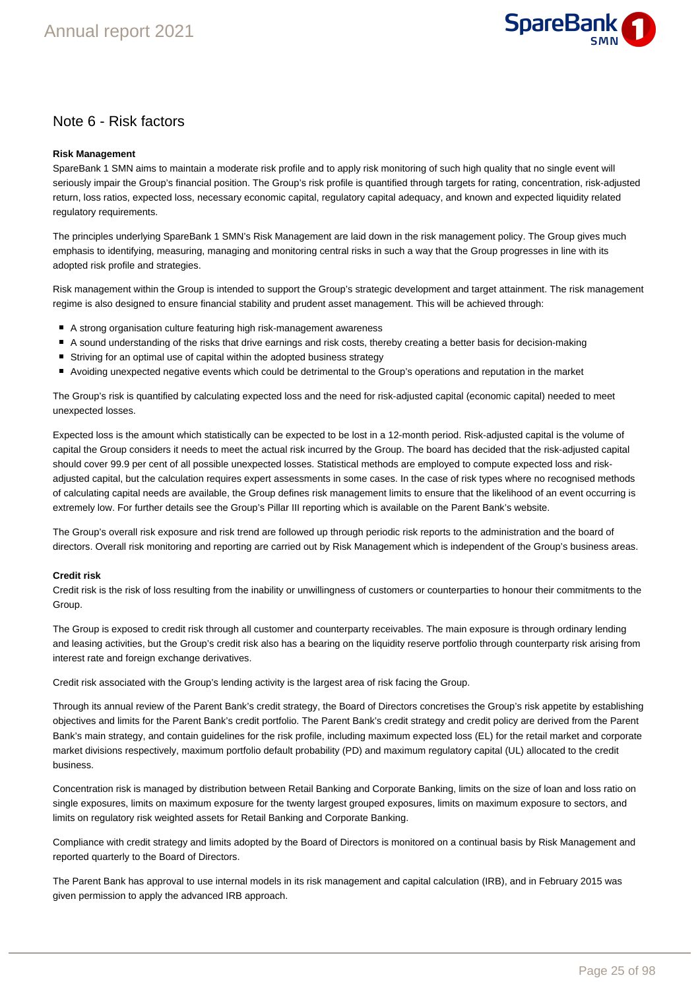

# Note 6 - Risk factors

#### **Risk Management**

SpareBank 1 SMN aims to maintain a moderate risk profile and to apply risk monitoring of such high quality that no single event will seriously impair the Group's financial position. The Group's risk profile is quantified through targets for rating, concentration, risk-adjusted return, loss ratios, expected loss, necessary economic capital, regulatory capital adequacy, and known and expected liquidity related regulatory requirements.

The principles underlying SpareBank 1 SMN's Risk Management are laid down in the risk management policy. The Group gives much emphasis to identifying, measuring, managing and monitoring central risks in such a way that the Group progresses in line with its adopted risk profile and strategies.

Risk management within the Group is intended to support the Group's strategic development and target attainment. The risk management regime is also designed to ensure financial stability and prudent asset management. This will be achieved through:

- A strong organisation culture featuring high risk-management awareness
- A sound understanding of the risks that drive earnings and risk costs, thereby creating a better basis for decision-making
- Striving for an optimal use of capital within the adopted business strategy
- Avoiding unexpected negative events which could be detrimental to the Group's operations and reputation in the market

The Group's risk is quantified by calculating expected loss and the need for risk-adjusted capital (economic capital) needed to meet unexpected losses.

Expected loss is the amount which statistically can be expected to be lost in a 12-month period. Risk-adjusted capital is the volume of capital the Group considers it needs to meet the actual risk incurred by the Group. The board has decided that the risk-adjusted capital should cover 99.9 per cent of all possible unexpected losses. Statistical methods are employed to compute expected loss and riskadjusted capital, but the calculation requires expert assessments in some cases. In the case of risk types where no recognised methods of calculating capital needs are available, the Group defines risk management limits to ensure that the likelihood of an event occurring is extremely low. For further details see the Group's Pillar III reporting which is available on the Parent Bank's website.

The Group's overall risk exposure and risk trend are followed up through periodic risk reports to the administration and the board of directors. Overall risk monitoring and reporting are carried out by Risk Management which is independent of the Group's business areas.

#### **Credit risk**

Credit risk is the risk of loss resulting from the inability or unwillingness of customers or counterparties to honour their commitments to the Group.

The Group is exposed to credit risk through all customer and counterparty receivables. The main exposure is through ordinary lending and leasing activities, but the Group's credit risk also has a bearing on the liquidity reserve portfolio through counterparty risk arising from interest rate and foreign exchange derivatives.

Credit risk associated with the Group's lending activity is the largest area of risk facing the Group.

Through its annual review of the Parent Bank's credit strategy, the Board of Directors concretises the Group's risk appetite by establishing objectives and limits for the Parent Bank's credit portfolio. The Parent Bank's credit strategy and credit policy are derived from the Parent Bank's main strategy, and contain guidelines for the risk profile, including maximum expected loss (EL) for the retail market and corporate market divisions respectively, maximum portfolio default probability (PD) and maximum regulatory capital (UL) allocated to the credit business.

Concentration risk is managed by distribution between Retail Banking and Corporate Banking, limits on the size of loan and loss ratio on single exposures, limits on maximum exposure for the twenty largest grouped exposures, limits on maximum exposure to sectors, and limits on regulatory risk weighted assets for Retail Banking and Corporate Banking.

Compliance with credit strategy and limits adopted by the Board of Directors is monitored on a continual basis by Risk Management and reported quarterly to the Board of Directors.

The Parent Bank has approval to use internal models in its risk management and capital calculation (IRB), and in February 2015 was given permission to apply the advanced IRB approach.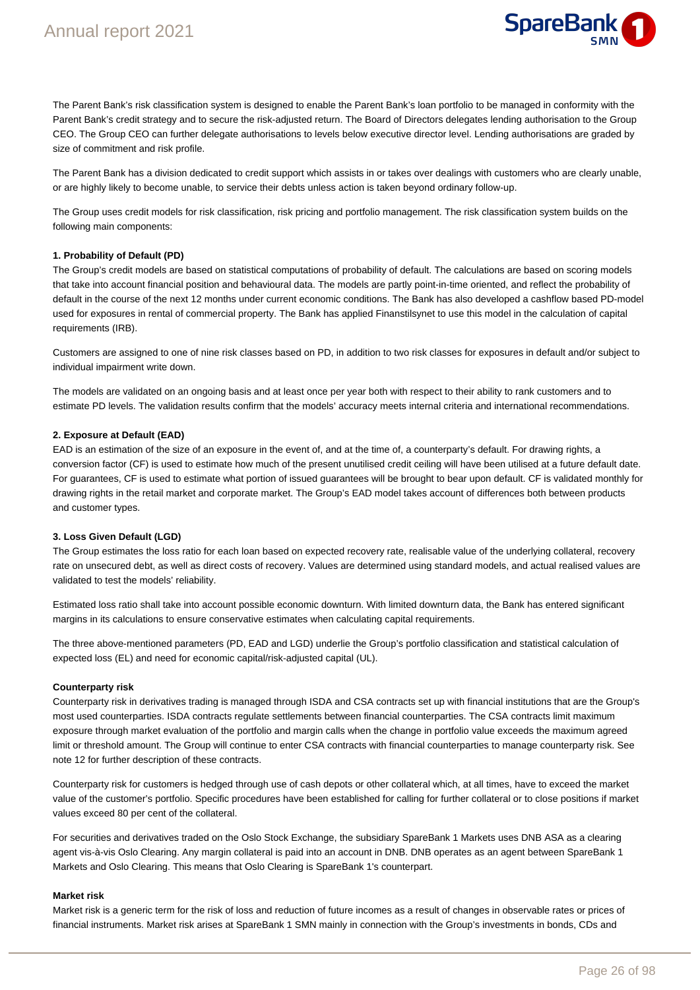

The Parent Bank's risk classification system is designed to enable the Parent Bank's loan portfolio to be managed in conformity with the Parent Bank's credit strategy and to secure the risk-adjusted return. The Board of Directors delegates lending authorisation to the Group CEO. The Group CEO can further delegate authorisations to levels below executive director level. Lending authorisations are graded by size of commitment and risk profile.

The Parent Bank has a division dedicated to credit support which assists in or takes over dealings with customers who are clearly unable, or are highly likely to become unable, to service their debts unless action is taken beyond ordinary follow-up.

The Group uses credit models for risk classification, risk pricing and portfolio management. The risk classification system builds on the following main components:

#### **1. Probability of Default (PD)**

The Group's credit models are based on statistical computations of probability of default. The calculations are based on scoring models that take into account financial position and behavioural data. The models are partly point-in-time oriented, and reflect the probability of default in the course of the next 12 months under current economic conditions. The Bank has also developed a cashflow based PD-model used for exposures in rental of commercial property. The Bank has applied Finanstilsynet to use this model in the calculation of capital requirements (IRB).

Customers are assigned to one of nine risk classes based on PD, in addition to two risk classes for exposures in default and/or subject to individual impairment write down.

The models are validated on an ongoing basis and at least once per year both with respect to their ability to rank customers and to estimate PD levels. The validation results confirm that the models' accuracy meets internal criteria and international recommendations.

#### **2. Exposure at Default (EAD)**

EAD is an estimation of the size of an exposure in the event of, and at the time of, a counterparty's default. For drawing rights, a conversion factor (CF) is used to estimate how much of the present unutilised credit ceiling will have been utilised at a future default date. For guarantees, CF is used to estimate what portion of issued guarantees will be brought to bear upon default. CF is validated monthly for drawing rights in the retail market and corporate market. The Group's EAD model takes account of differences both between products and customer types.

#### **3. Loss Given Default (LGD)**

The Group estimates the loss ratio for each loan based on expected recovery rate, realisable value of the underlying collateral, recovery rate on unsecured debt, as well as direct costs of recovery. Values are determined using standard models, and actual realised values are validated to test the models' reliability.

Estimated loss ratio shall take into account possible economic downturn. With limited downturn data, the Bank has entered significant margins in its calculations to ensure conservative estimates when calculating capital requirements.

The three above-mentioned parameters (PD, EAD and LGD) underlie the Group's portfolio classification and statistical calculation of expected loss (EL) and need for economic capital/risk-adjusted capital (UL).

#### **Counterparty risk**

Counterparty risk in derivatives trading is managed through ISDA and CSA contracts set up with financial institutions that are the Group's most used counterparties. ISDA contracts regulate settlements between financial counterparties. The CSA contracts limit maximum exposure through market evaluation of the portfolio and margin calls when the change in portfolio value exceeds the maximum agreed limit or threshold amount. The Group will continue to enter CSA contracts with financial counterparties to manage counterparty risk. See note 12 for further description of these contracts.

Counterparty risk for customers is hedged through use of cash depots or other collateral which, at all times, have to exceed the market value of the customer's portfolio. Specific procedures have been established for calling for further collateral or to close positions if market values exceed 80 per cent of the collateral.

For securities and derivatives traded on the Oslo Stock Exchange, the subsidiary SpareBank 1 Markets uses DNB ASA as a clearing agent vis-à-vis Oslo Clearing. Any margin collateral is paid into an account in DNB. DNB operates as an agent between SpareBank 1 Markets and Oslo Clearing. This means that Oslo Clearing is SpareBank 1's counterpart.

#### **Market risk**

Market risk is a generic term for the risk of loss and reduction of future incomes as a result of changes in observable rates or prices of financial instruments. Market risk arises at SpareBank 1 SMN mainly in connection with the Group's investments in bonds, CDs and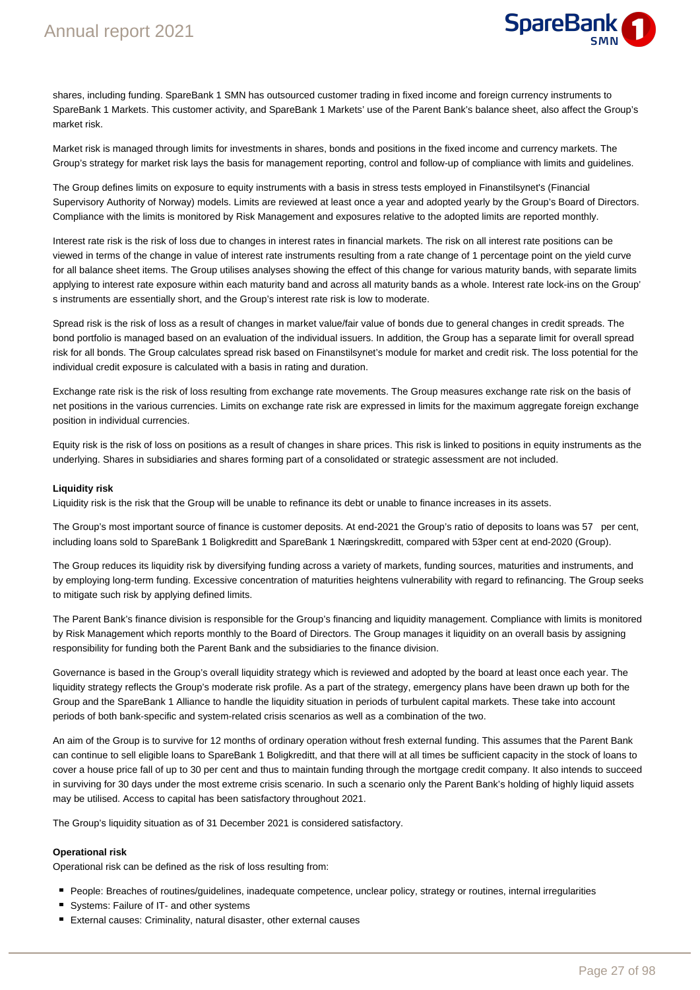

shares, including funding. SpareBank 1 SMN has outsourced customer trading in fixed income and foreign currency instruments to SpareBank 1 Markets. This customer activity, and SpareBank 1 Markets' use of the Parent Bank's balance sheet, also affect the Group's market risk.

Market risk is managed through limits for investments in shares, bonds and positions in the fixed income and currency markets. The Group's strategy for market risk lays the basis for management reporting, control and follow-up of compliance with limits and guidelines.

The Group defines limits on exposure to equity instruments with a basis in stress tests employed in Finanstilsynet's (Financial Supervisory Authority of Norway) models. Limits are reviewed at least once a year and adopted yearly by the Group's Board of Directors. Compliance with the limits is monitored by Risk Management and exposures relative to the adopted limits are reported monthly.

Interest rate risk is the risk of loss due to changes in interest rates in financial markets. The risk on all interest rate positions can be viewed in terms of the change in value of interest rate instruments resulting from a rate change of 1 percentage point on the yield curve for all balance sheet items. The Group utilises analyses showing the effect of this change for various maturity bands, with separate limits applying to interest rate exposure within each maturity band and across all maturity bands as a whole. Interest rate lock-ins on the Group' s instruments are essentially short, and the Group's interest rate risk is low to moderate.

Spread risk is the risk of loss as a result of changes in market value/fair value of bonds due to general changes in credit spreads. The bond portfolio is managed based on an evaluation of the individual issuers. In addition, the Group has a separate limit for overall spread risk for all bonds. The Group calculates spread risk based on Finanstilsynet's module for market and credit risk. The loss potential for the individual credit exposure is calculated with a basis in rating and duration.

Exchange rate risk is the risk of loss resulting from exchange rate movements. The Group measures exchange rate risk on the basis of net positions in the various currencies. Limits on exchange rate risk are expressed in limits for the maximum aggregate foreign exchange position in individual currencies.

Equity risk is the risk of loss on positions as a result of changes in share prices. This risk is linked to positions in equity instruments as the underlying. Shares in subsidiaries and shares forming part of a consolidated or strategic assessment are not included.

#### **Liquidity risk**

Liquidity risk is the risk that the Group will be unable to refinance its debt or unable to finance increases in its assets.

The Group's most important source of finance is customer deposits. At end-2021 the Group's ratio of deposits to loans was 57 per cent, including loans sold to SpareBank 1 Boligkreditt and SpareBank 1 Næringskreditt, compared with 53per cent at end-2020 (Group).

The Group reduces its liquidity risk by diversifying funding across a variety of markets, funding sources, maturities and instruments, and by employing long-term funding. Excessive concentration of maturities heightens vulnerability with regard to refinancing. The Group seeks to mitigate such risk by applying defined limits.

The Parent Bank's finance division is responsible for the Group's financing and liquidity management. Compliance with limits is monitored by Risk Management which reports monthly to the Board of Directors. The Group manages it liquidity on an overall basis by assigning responsibility for funding both the Parent Bank and the subsidiaries to the finance division.

Governance is based in the Group's overall liquidity strategy which is reviewed and adopted by the board at least once each year. The liquidity strategy reflects the Group's moderate risk profile. As a part of the strategy, emergency plans have been drawn up both for the Group and the SpareBank 1 Alliance to handle the liquidity situation in periods of turbulent capital markets. These take into account periods of both bank-specific and system-related crisis scenarios as well as a combination of the two.

An aim of the Group is to survive for 12 months of ordinary operation without fresh external funding. This assumes that the Parent Bank can continue to sell eligible loans to SpareBank 1 Boligkreditt, and that there will at all times be sufficient capacity in the stock of loans to cover a house price fall of up to 30 per cent and thus to maintain funding through the mortgage credit company. It also intends to succeed in surviving for 30 days under the most extreme crisis scenario. In such a scenario only the Parent Bank's holding of highly liquid assets may be utilised. Access to capital has been satisfactory throughout 2021.

The Group's liquidity situation as of 31 December 2021 is considered satisfactory.

#### **Operational risk**

Operational risk can be defined as the risk of loss resulting from:

- People: Breaches of routines/guidelines, inadequate competence, unclear policy, strategy or routines, internal irregularities
- Systems: Failure of IT- and other systems
- External causes: Criminality, natural disaster, other external causes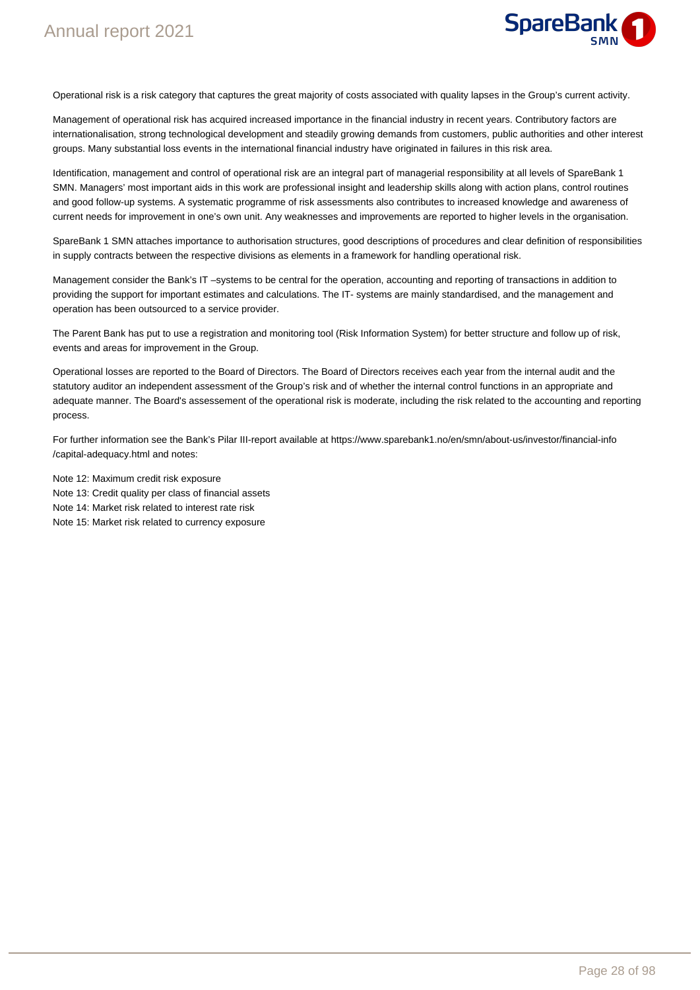

Operational risk is a risk category that captures the great majority of costs associated with quality lapses in the Group's current activity.

Management of operational risk has acquired increased importance in the financial industry in recent years. Contributory factors are internationalisation, strong technological development and steadily growing demands from customers, public authorities and other interest groups. Many substantial loss events in the international financial industry have originated in failures in this risk area.

Identification, management and control of operational risk are an integral part of managerial responsibility at all levels of SpareBank 1 SMN. Managers' most important aids in this work are professional insight and leadership skills along with action plans, control routines and good follow-up systems. A systematic programme of risk assessments also contributes to increased knowledge and awareness of current needs for improvement in one's own unit. Any weaknesses and improvements are reported to higher levels in the organisation.

SpareBank 1 SMN attaches importance to authorisation structures, good descriptions of procedures and clear definition of responsibilities in supply contracts between the respective divisions as elements in a framework for handling operational risk.

Management consider the Bank's IT –systems to be central for the operation, accounting and reporting of transactions in addition to providing the support for important estimates and calculations. The IT- systems are mainly standardised, and the management and operation has been outsourced to a service provider.

The Parent Bank has put to use a registration and monitoring tool (Risk Information System) for better structure and follow up of risk, events and areas for improvement in the Group.

Operational losses are reported to the Board of Directors. The Board of Directors receives each year from the internal audit and the statutory auditor an independent assessment of the Group's risk and of whether the internal control functions in an appropriate and adequate manner. The Board's assessement of the operational risk is moderate, including the risk related to the accounting and reporting process.

For further information see the Bank's Pilar III-report available at https://www.sparebank1.no/en/smn/about-us/investor/financial-info /capital-adequacy.html and notes:

Note 12: Maximum credit risk exposure Note 13: Credit quality per class of financial assets Note 14: Market risk related to interest rate risk Note 15: Market risk related to currency exposure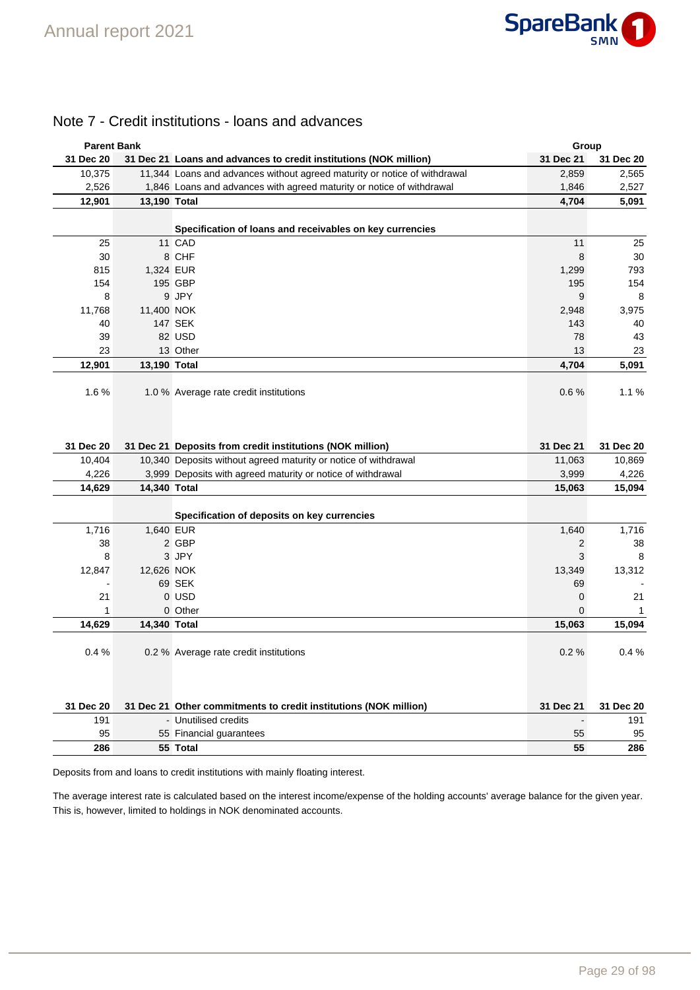

# Note 7 - Credit institutions - loans and advances

| <b>Parent Bank</b> |              |                                                                           | Group                    |           |
|--------------------|--------------|---------------------------------------------------------------------------|--------------------------|-----------|
| 31 Dec 20          |              | 31 Dec 21 Loans and advances to credit institutions (NOK million)         | 31 Dec 21                | 31 Dec 20 |
| 10,375             |              | 11,344 Loans and advances without agreed maturity or notice of withdrawal | 2,859                    | 2,565     |
| 2,526              |              | 1,846 Loans and advances with agreed maturity or notice of withdrawal     | 1,846                    | 2,527     |
| 12,901             | 13,190 Total |                                                                           | 4,704                    | 5,091     |
|                    |              | Specification of loans and receivables on key currencies                  |                          |           |
| 25                 |              | 11 CAD                                                                    | 11                       | 25        |
| 30                 |              | 8 CHF                                                                     | 8                        | 30        |
| 815                |              | 1,324 EUR                                                                 | 1,299                    | 793       |
| 154                |              | 195 GBP                                                                   | 195                      | 154       |
| 8                  |              | 9 JPY                                                                     | 9                        | 8         |
| 11,768             | 11,400 NOK   |                                                                           | 2,948                    | 3,975     |
| 40                 |              | <b>147 SEK</b>                                                            | 143                      | 40        |
| 39                 |              | 82 USD                                                                    | 78                       | 43        |
| 23                 |              | 13 Other                                                                  | 13                       | 23        |
| 12,901             | 13,190 Total |                                                                           | 4,704                    | 5,091     |
| 1.6%               |              | 1.0 % Average rate credit institutions                                    | 0.6%                     | 1.1%      |
| 31 Dec 20          |              | 31 Dec 21 Deposits from credit institutions (NOK million)                 | 31 Dec 21                | 31 Dec 20 |
| 10,404             |              | 10,340 Deposits without agreed maturity or notice of withdrawal           | 11,063                   | 10,869    |
| 4,226              |              | 3,999 Deposits with agreed maturity or notice of withdrawal               | 3,999                    | 4,226     |
| 14,629             | 14,340 Total |                                                                           | 15,063                   | 15,094    |
|                    |              | Specification of deposits on key currencies                               |                          |           |
| 1,716              | 1,640 EUR    |                                                                           | 1,640                    | 1,716     |
| 38                 |              | 2 GBP                                                                     | $\overline{c}$           | 38        |
| 8                  |              | 3 JPY                                                                     | 3                        | 8         |
| 12,847             | 12,626 NOK   |                                                                           | 13,349                   | 13,312    |
|                    |              | 69 SEK                                                                    | 69                       |           |
| 21                 |              | 0 USD                                                                     | 0                        | 21        |
| 1                  |              | 0 Other                                                                   | 0                        | 1         |
| 14,629             | 14,340 Total |                                                                           | 15,063                   | 15,094    |
| 0.4%               |              | 0.2 % Average rate credit institutions                                    | 0.2%                     | 0.4%      |
| 31 Dec 20          |              | 31 Dec 21 Other commitments to credit institutions (NOK million)          | 31 Dec 21                | 31 Dec 20 |
| 191                |              | - Unutilised credits                                                      | $\overline{\phantom{a}}$ | 191       |
| 95                 |              | 55 Financial guarantees                                                   | 55                       | 95        |
| 286                |              | 55 Total                                                                  | 55                       | 286       |
|                    |              |                                                                           |                          |           |

Deposits from and loans to credit institutions with mainly floating interest.

The average interest rate is calculated based on the interest income/expense of the holding accounts' average balance for the given year. This is, however, limited to holdings in NOK denominated accounts.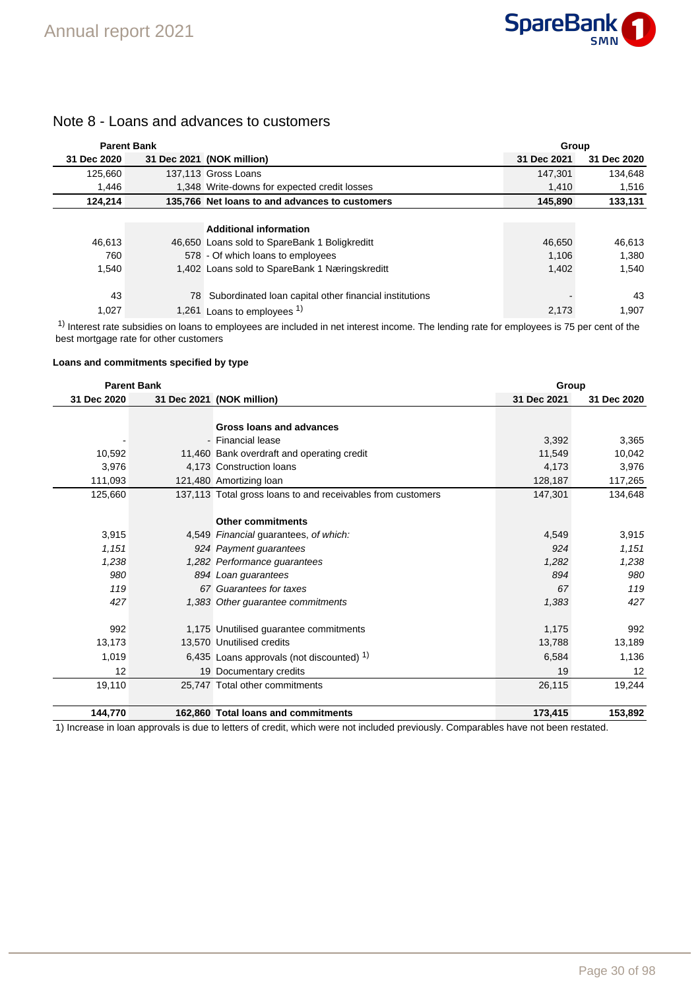

# Note 8 - Loans and advances to customers

| <b>Parent Bank</b> |     |                                                                                                                                                                                                                                   | <b>Group</b> |             |  |
|--------------------|-----|-----------------------------------------------------------------------------------------------------------------------------------------------------------------------------------------------------------------------------------|--------------|-------------|--|
| 31 Dec 2020        |     | 31 Dec 2021 (NOK million)                                                                                                                                                                                                         | 31 Dec 2021  | 31 Dec 2020 |  |
| 125.660            |     | 137.113 Gross Loans                                                                                                                                                                                                               | 147.301      | 134.648     |  |
| 1.446              |     | 1,348 Write-downs for expected credit losses                                                                                                                                                                                      | 1,410        | 1,516       |  |
| 124,214            |     | 135,766 Net loans to and advances to customers                                                                                                                                                                                    | 145,890      | 133,131     |  |
|                    |     |                                                                                                                                                                                                                                   |              |             |  |
|                    |     | <b>Additional information</b>                                                                                                                                                                                                     |              |             |  |
| 46.613             |     | 46,650 Loans sold to SpareBank 1 Boligkreditt                                                                                                                                                                                     | 46.650       | 46,613      |  |
| 760                |     | 578 - Of which loans to employees                                                                                                                                                                                                 | 1,106        | 1,380       |  |
| 1.540              |     | 1,402 Loans sold to SpareBank 1 Næringskreditt                                                                                                                                                                                    | 1.402        | 1,540       |  |
|                    |     |                                                                                                                                                                                                                                   |              |             |  |
| 43                 | 78. | Subordinated Ioan capital other financial institutions                                                                                                                                                                            |              | 43          |  |
| 1,027              |     | 1,261 Loans to employees <sup>1)</sup>                                                                                                                                                                                            | 2,173        | 1,907       |  |
|                    |     | $\mathbf{r}$ , and the contract of the contract of the contract of the contract of the contract of the contract of the contract of the contract of the contract of the contract of the contract of the contract of the contract o |              |             |  |

<sup>1)</sup> Interest rate subsidies on loans to employees are included in net interest income. The lending rate for employees is 75 per cent of the best mortgage rate for other customers

#### **Loans and commitments specified by type**

|             | <b>Parent Bank</b> |                                                             | Group       |             |
|-------------|--------------------|-------------------------------------------------------------|-------------|-------------|
| 31 Dec 2020 |                    | 31 Dec 2021 (NOK million)                                   | 31 Dec 2021 | 31 Dec 2020 |
|             |                    |                                                             |             |             |
|             |                    | Gross loans and advances                                    |             |             |
|             |                    | - Financial lease                                           | 3,392       | 3,365       |
| 10,592      |                    | 11,460 Bank overdraft and operating credit                  | 11,549      | 10,042      |
| 3,976       |                    | 4,173 Construction loans                                    | 4,173       | 3,976       |
| 111,093     |                    | 121,480 Amortizing loan                                     | 128,187     | 117,265     |
| 125,660     |                    | 137,113 Total gross loans to and receivables from customers | 147,301     | 134,648     |
|             |                    |                                                             |             |             |
|             |                    | <b>Other commitments</b>                                    |             |             |
| 3,915       |                    | 4,549 Financial guarantees, of which:                       | 4,549       | 3,915       |
| 1,151       |                    | 924 Payment quarantees                                      | 924         | 1,151       |
| 1,238       |                    | 1,282 Performance guarantees                                | 1,282       | 1,238       |
| 980         |                    | 894 Loan guarantees                                         | 894         | 980         |
| 119         |                    | 67 Guarantees for taxes                                     | 67          | 119         |
| 427         |                    | 1,383 Other guarantee commitments                           | 1,383       | 427         |
|             |                    |                                                             |             |             |
| 992         |                    | 1,175 Unutilised guarantee commitments                      | 1,175       | 992         |
| 13,173      |                    | 13,570 Unutilised credits                                   | 13,788      | 13,189      |
| 1,019       |                    | 6,435 Loans approvals (not discounted) $1$                  | 6,584       | 1,136       |
| 12          |                    | 19 Documentary credits                                      | 19          | 12          |
| 19,110      |                    | 25,747 Total other commitments                              | 26,115      | 19,244      |
|             |                    |                                                             |             |             |
| 144,770     |                    | 162,860 Total loans and commitments                         | 173,415     | 153,892     |

1) Increase in loan approvals is due to letters of credit, which were not included previously. Comparables have not been restated.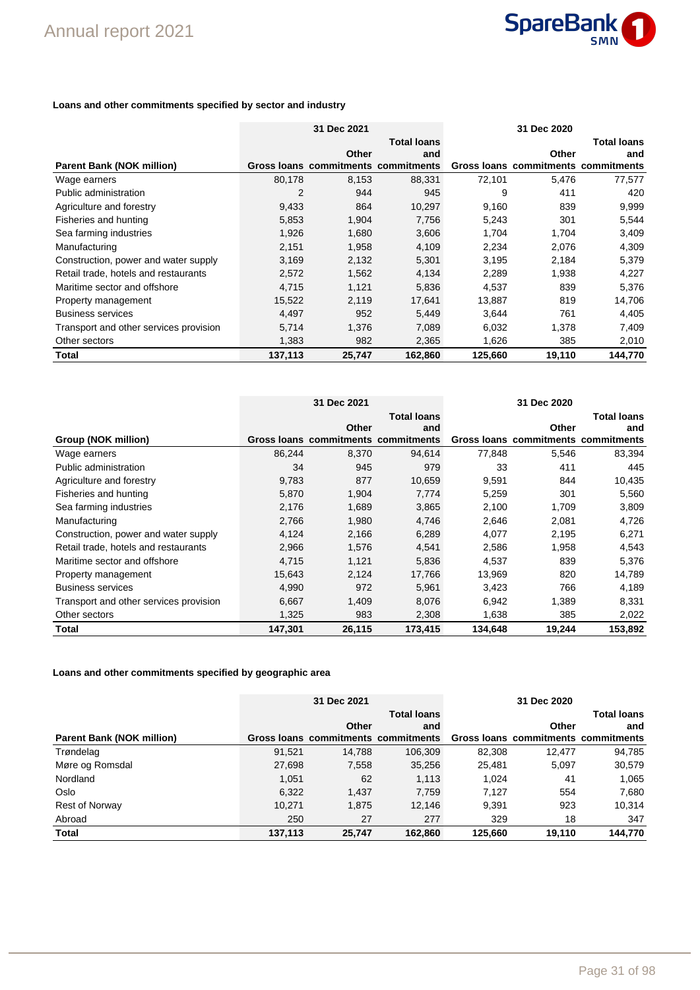

### **Loans and other commitments specified by sector and industry**

|                                        |         | 31 Dec 2021                         |                    |         | 31 Dec 2020                         |                    |
|----------------------------------------|---------|-------------------------------------|--------------------|---------|-------------------------------------|--------------------|
|                                        |         |                                     | <b>Total loans</b> |         |                                     | <b>Total loans</b> |
|                                        |         | Other                               | and                |         | Other                               | and                |
| <b>Parent Bank (NOK million)</b>       |         | Gross loans commitments commitments |                    |         | Gross loans commitments commitments |                    |
| Wage earners                           | 80,178  | 8,153                               | 88,331             | 72,101  | 5,476                               | 77,577             |
| Public administration                  | 2       | 944                                 | 945                | 9       | 411                                 | 420                |
| Agriculture and forestry               | 9,433   | 864                                 | 10,297             | 9,160   | 839                                 | 9,999              |
| Fisheries and hunting                  | 5,853   | 1,904                               | 7,756              | 5,243   | 301                                 | 5,544              |
| Sea farming industries                 | 1,926   | 1,680                               | 3,606              | 1,704   | 1,704                               | 3,409              |
| Manufacturing                          | 2,151   | 1,958                               | 4,109              | 2,234   | 2,076                               | 4,309              |
| Construction, power and water supply   | 3,169   | 2,132                               | 5,301              | 3,195   | 2,184                               | 5,379              |
| Retail trade, hotels and restaurants   | 2,572   | 1,562                               | 4,134              | 2,289   | 1,938                               | 4,227              |
| Maritime sector and offshore           | 4,715   | 1,121                               | 5,836              | 4,537   | 839                                 | 5,376              |
| Property management                    | 15,522  | 2,119                               | 17,641             | 13,887  | 819                                 | 14,706             |
| <b>Business services</b>               | 4,497   | 952                                 | 5,449              | 3,644   | 761                                 | 4,405              |
| Transport and other services provision | 5,714   | 1,376                               | 7,089              | 6,032   | 1,378                               | 7,409              |
| Other sectors                          | 1,383   | 982                                 | 2,365              | 1,626   | 385                                 | 2,010              |
| Total                                  | 137,113 | 25,747                              | 162,860            | 125,660 | 19,110                              | 144,770            |

|                                        |         | 31 Dec 2021                         |                    |         | 31 Dec 2020                         |                    |
|----------------------------------------|---------|-------------------------------------|--------------------|---------|-------------------------------------|--------------------|
|                                        |         |                                     | <b>Total loans</b> |         |                                     | <b>Total loans</b> |
|                                        |         | Other                               | and                |         | Other                               | and                |
| Group (NOK million)                    |         | Gross loans commitments commitments |                    |         | Gross loans commitments commitments |                    |
| Wage earners                           | 86,244  | 8,370                               | 94,614             | 77,848  | 5,546                               | 83,394             |
| Public administration                  | 34      | 945                                 | 979                | 33      | 411                                 | 445                |
| Agriculture and forestry               | 9,783   | 877                                 | 10,659             | 9,591   | 844                                 | 10,435             |
| Fisheries and hunting                  | 5,870   | 1,904                               | 7,774              | 5,259   | 301                                 | 5,560              |
| Sea farming industries                 | 2,176   | 1,689                               | 3,865              | 2,100   | 1,709                               | 3,809              |
| Manufacturing                          | 2,766   | 1,980                               | 4,746              | 2,646   | 2,081                               | 4,726              |
| Construction, power and water supply   | 4,124   | 2,166                               | 6,289              | 4,077   | 2,195                               | 6,271              |
| Retail trade, hotels and restaurants   | 2,966   | 1,576                               | 4,541              | 2,586   | 1,958                               | 4,543              |
| Maritime sector and offshore           | 4,715   | 1,121                               | 5,836              | 4,537   | 839                                 | 5,376              |
| Property management                    | 15,643  | 2,124                               | 17,766             | 13,969  | 820                                 | 14,789             |
| <b>Business services</b>               | 4,990   | 972                                 | 5,961              | 3,423   | 766                                 | 4,189              |
| Transport and other services provision | 6,667   | 1,409                               | 8,076              | 6,942   | 1,389                               | 8,331              |
| Other sectors                          | 1,325   | 983                                 | 2,308              | 1,638   | 385                                 | 2,022              |
| Total                                  | 147,301 | 26,115                              | 173,415            | 134,648 | 19,244                              | 153,892            |

### **Loans and other commitments specified by geographic area**

|                                  | 31 Dec 2021 |                                     |                    | 31 Dec 2020 |                                     |                    |
|----------------------------------|-------------|-------------------------------------|--------------------|-------------|-------------------------------------|--------------------|
|                                  |             |                                     | <b>Total loans</b> |             |                                     | <b>Total loans</b> |
|                                  |             | Other                               | and                |             | Other                               | and                |
| <b>Parent Bank (NOK million)</b> |             | Gross loans commitments commitments |                    |             | Gross loans commitments commitments |                    |
| Trøndelag                        | 91.521      | 14.788                              | 106.309            | 82,308      | 12.477                              | 94,785             |
| Møre og Romsdal                  | 27,698      | 7,558                               | 35,256             | 25,481      | 5.097                               | 30,579             |
| Nordland                         | 1.051       | 62                                  | 1,113              | 1.024       | 41                                  | 1.065              |
| Oslo                             | 6,322       | 1.437                               | 7.759              | 7.127       | 554                                 | 7,680              |
| <b>Rest of Norway</b>            | 10,271      | 1,875                               | 12,146             | 9,391       | 923                                 | 10,314             |
| Abroad                           | 250         | 27                                  | 277                | 329         | 18                                  | 347                |
| <b>Total</b>                     | 137,113     | 25,747                              | 162.860            | 125,660     | 19,110                              | 144,770            |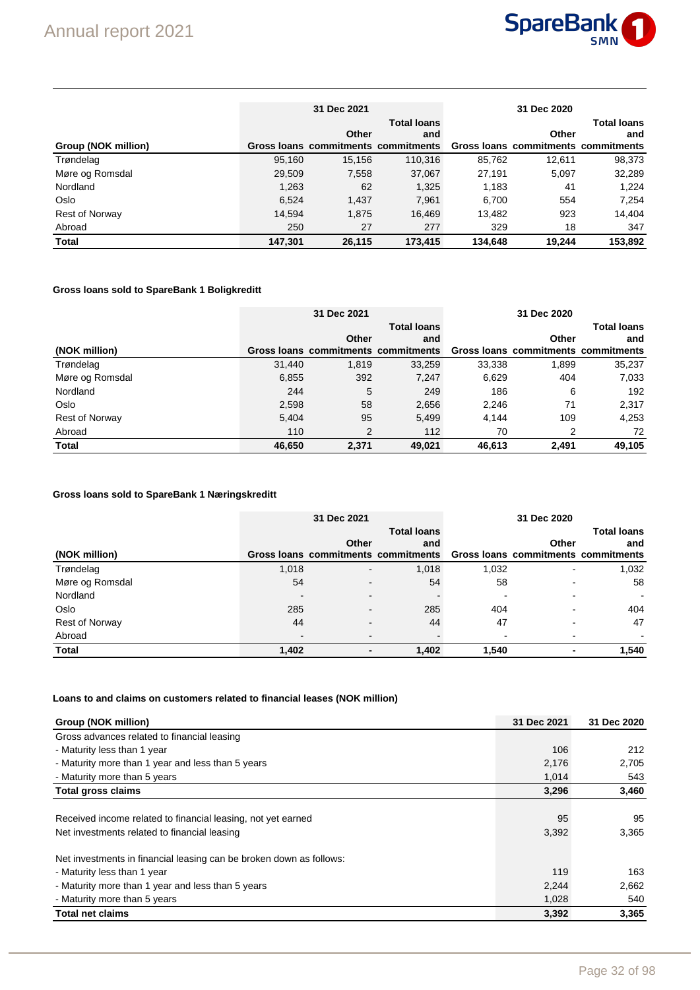

|                       |         | 31 Dec 2021 |                                     | 31 Dec 2020 |                                     |                    |  |
|-----------------------|---------|-------------|-------------------------------------|-------------|-------------------------------------|--------------------|--|
|                       |         |             | <b>Total loans</b>                  |             |                                     | <b>Total loans</b> |  |
|                       |         | Other       | and                                 |             | Other                               | and                |  |
| Group (NOK million)   |         |             | Gross loans commitments commitments |             | Gross loans commitments commitments |                    |  |
| Trøndelag             | 95,160  | 15.156      | 110.316                             | 85.762      | 12.611                              | 98,373             |  |
| Møre og Romsdal       | 29.509  | 7,558       | 37,067                              | 27.191      | 5.097                               | 32,289             |  |
| Nordland              | 1.263   | 62          | 1,325                               | 1,183       | 41                                  | 1.224              |  |
| Oslo                  | 6.524   | 1,437       | 7,961                               | 6,700       | 554                                 | 7,254              |  |
| <b>Rest of Norway</b> | 14,594  | 1,875       | 16.469                              | 13,482      | 923                                 | 14.404             |  |
| Abroad                | 250     | 27          | 277                                 | 329         | 18                                  | 347                |  |
| <b>Total</b>          | 147.301 | 26.115      | 173.415                             | 134.648     | 19.244                              | 153.892            |  |

### **Gross loans sold to SpareBank 1 Boligkreditt**

|                       | 31 Dec 2021 |       |                                     |        |                                     |                    |
|-----------------------|-------------|-------|-------------------------------------|--------|-------------------------------------|--------------------|
|                       |             |       | <b>Total loans</b>                  |        |                                     | <b>Total loans</b> |
|                       |             | Other | and                                 |        | Other                               | and                |
| (NOK million)         |             |       | Gross loans commitments commitments |        | Gross loans commitments commitments |                    |
| Trøndelag             | 31,440      | 1.819 | 33,259                              | 33,338 | 1.899                               | 35,237             |
| Møre og Romsdal       | 6,855       | 392   | 7.247                               | 6,629  | 404                                 | 7,033              |
| Nordland              | 244         | 5     | 249                                 | 186    | 6                                   | 192                |
| Oslo                  | 2,598       | 58    | 2,656                               | 2,246  | 71                                  | 2,317              |
| <b>Rest of Norway</b> | 5,404       | 95    | 5,499                               | 4.144  | 109                                 | 4,253              |
| Abroad                | 110         | 2     | 112                                 | 70     | 2                                   | 72                 |
| <b>Total</b>          | 46,650      | 2.371 | 49,021                              | 46,613 | 2.491                               | 49,105             |

### **Gross loans sold to SpareBank 1 Næringskreditt**

|                 |                          | 31 Dec 2021    |                                                                         | 31 Dec 2020        |                          |       |  |
|-----------------|--------------------------|----------------|-------------------------------------------------------------------------|--------------------|--------------------------|-------|--|
|                 |                          |                |                                                                         | <b>Total loans</b> |                          |       |  |
|                 |                          | Other          | and                                                                     |                    | Other                    | and   |  |
| (NOK million)   |                          |                | Gross loans commitments commitments Gross loans commitments commitments |                    |                          |       |  |
| Trøndelag       | 1,018                    | $\blacksquare$ | 1,018                                                                   | 1,032              | $\overline{\phantom{0}}$ | 1,032 |  |
| Møre og Romsdal | 54                       |                | 54                                                                      | 58                 |                          | 58    |  |
| Nordland        | $\overline{\phantom{0}}$ |                |                                                                         |                    |                          |       |  |
| Oslo            | 285                      |                | 285                                                                     | 404                |                          | 404   |  |
| Rest of Norway  | 44                       |                | 44                                                                      | 47                 |                          | 47    |  |
| Abroad          |                          |                |                                                                         |                    |                          |       |  |
| <b>Total</b>    | 1,402                    | ٠              | 1,402                                                                   | 1.540              | $\blacksquare$           | 1,540 |  |

### **Loans to and claims on customers related to financial leases (NOK million)**

| Group (NOK million)                                                 | 31 Dec 2021 | 31 Dec 2020 |
|---------------------------------------------------------------------|-------------|-------------|
| Gross advances related to financial leasing                         |             |             |
| - Maturity less than 1 year                                         | 106         | 212         |
| - Maturity more than 1 year and less than 5 years                   | 2,176       | 2,705       |
| - Maturity more than 5 years                                        | 1,014       | 543         |
| <b>Total gross claims</b>                                           | 3,296       | 3,460       |
|                                                                     |             |             |
| Received income related to financial leasing, not yet earned        | 95          | 95          |
| Net investments related to financial leasing                        | 3,392       | 3,365       |
| Net investments in financial leasing can be broken down as follows: |             |             |
| - Maturity less than 1 year                                         | 119         | 163         |
| - Maturity more than 1 year and less than 5 years                   | 2,244       | 2,662       |
| - Maturity more than 5 years                                        | 1,028       | 540         |
| <b>Total net claims</b>                                             | 3.392       | 3.365       |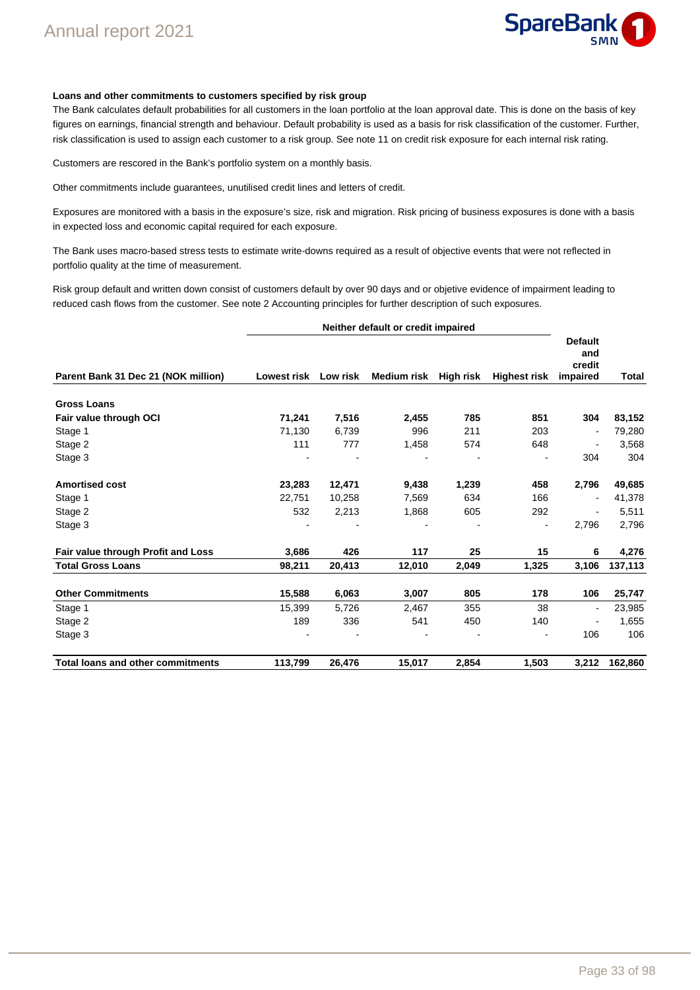

#### **Loans and other commitments to customers specified by risk group**

The Bank calculates default probabilities for all customers in the loan portfolio at the loan approval date. This is done on the basis of key figures on earnings, financial strength and behaviour. Default probability is used as a basis for risk classification of the customer. Further, risk classification is used to assign each customer to a risk group. See note 11 on credit risk exposure for each internal risk rating.

Customers are rescored in the Bank's portfolio system on a monthly basis.

Other commitments include guarantees, unutilised credit lines and letters of credit.

Exposures are monitored with a basis in the exposure's size, risk and migration. Risk pricing of business exposures is done with a basis in expected loss and economic capital required for each exposure.

The Bank uses macro-based stress tests to estimate write-downs required as a result of objective events that were not reflected in portfolio quality at the time of measurement.

Risk group default and written down consist of customers default by over 90 days and or objetive evidence of impairment leading to reduced cash flows from the customer. See note 2 Accounting principles for further description of such exposures.

| Neither default or credit impaired       |                      |        |                       |       |                     |                                             |              |
|------------------------------------------|----------------------|--------|-----------------------|-------|---------------------|---------------------------------------------|--------------|
| Parent Bank 31 Dec 21 (NOK million)      | Lowest risk Low risk |        | Medium risk High risk |       | <b>Highest risk</b> | <b>Default</b><br>and<br>credit<br>impaired | <b>Total</b> |
| <b>Gross Loans</b>                       |                      |        |                       |       |                     |                                             |              |
| Fair value through OCI                   | 71,241               | 7,516  | 2,455                 | 785   | 851                 | 304                                         | 83,152       |
| Stage 1                                  | 71,130               | 6,739  | 996                   | 211   | 203                 | $\overline{\phantom{a}}$                    | 79,280       |
| Stage 2                                  | 111                  | 777    | 1,458                 | 574   | 648                 | $\blacksquare$                              | 3,568        |
| Stage 3                                  |                      |        |                       |       |                     | 304                                         | 304          |
| <b>Amortised cost</b>                    | 23,283               | 12,471 | 9,438                 | 1,239 | 458                 | 2,796                                       | 49,685       |
| Stage 1                                  | 22,751               | 10,258 | 7,569                 | 634   | 166                 |                                             | 41,378       |
| Stage 2                                  | 532                  | 2,213  | 1,868                 | 605   | 292                 | $\blacksquare$                              | 5,511        |
| Stage 3                                  |                      |        |                       |       | -                   | 2,796                                       | 2,796        |
| Fair value through Profit and Loss       | 3,686                | 426    | 117                   | 25    | 15                  | 6                                           | 4,276        |
| <b>Total Gross Loans</b>                 | 98,211               | 20,413 | 12,010                | 2,049 | 1,325               | 3,106                                       | 137,113      |
| <b>Other Commitments</b>                 | 15,588               | 6,063  | 3,007                 | 805   | 178                 | 106                                         | 25,747       |
| Stage 1                                  | 15,399               | 5,726  | 2,467                 | 355   | 38                  | $\blacksquare$                              | 23,985       |
| Stage 2                                  | 189                  | 336    | 541                   | 450   | 140                 | $\overline{a}$                              | 1,655        |
| Stage 3                                  |                      |        |                       |       |                     | 106                                         | 106          |
| <b>Total loans and other commitments</b> | 113,799              | 26,476 | 15,017                | 2,854 | 1,503               | 3,212                                       | 162,860      |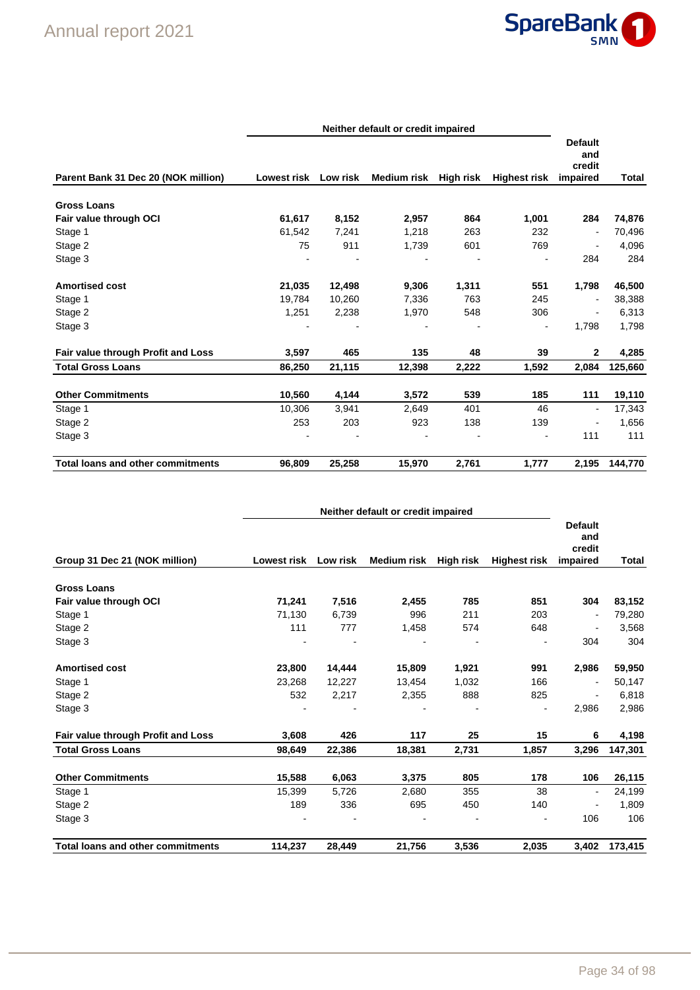

| Parent Bank 31 Dec 20 (NOK million)      | Lowest risk Low risk |        | Medium risk High risk |       | <b>Highest risk</b>          | <b>Default</b><br>and<br>credit<br>impaired | Total   |
|------------------------------------------|----------------------|--------|-----------------------|-------|------------------------------|---------------------------------------------|---------|
| <b>Gross Loans</b>                       |                      |        |                       |       |                              |                                             |         |
| Fair value through OCI                   | 61,617               | 8,152  | 2,957                 | 864   | 1,001                        | 284                                         | 74,876  |
| Stage 1                                  | 61,542               | 7,241  | 1,218                 | 263   | 232                          | $\blacksquare$                              | 70,496  |
| Stage 2                                  | 75                   | 911    | 1,739                 | 601   | 769                          | $\blacksquare$                              | 4,096   |
| Stage 3                                  |                      |        |                       |       | $\overline{a}$               | 284                                         | 284     |
| <b>Amortised cost</b>                    | 21,035               | 12,498 | 9,306                 | 1,311 | 551                          | 1,798                                       | 46,500  |
| Stage 1                                  | 19.784               | 10,260 | 7,336                 | 763   | 245                          | $\blacksquare$                              | 38,388  |
| Stage 2                                  | 1,251                | 2,238  | 1,970                 | 548   | 306                          | $\overline{\phantom{a}}$                    | 6,313   |
| Stage 3                                  |                      |        |                       |       | $\qquad \qquad \blacksquare$ | 1,798                                       | 1,798   |
| Fair value through Profit and Loss       | 3,597                | 465    | 135                   | 48    | 39                           | $\mathbf{2}$                                | 4,285   |
| <b>Total Gross Loans</b>                 | 86,250               | 21,115 | 12,398                | 2,222 | 1,592                        | 2,084                                       | 125,660 |
| <b>Other Commitments</b>                 | 10,560               | 4,144  | 3,572                 | 539   | 185                          | 111                                         | 19,110  |
| Stage 1                                  | 10,306               | 3,941  | 2,649                 | 401   | 46                           | $\overline{\phantom{a}}$                    | 17,343  |
| Stage 2                                  | 253                  | 203    | 923                   | 138   | 139                          | $\overline{\phantom{a}}$                    | 1,656   |
| Stage 3                                  |                      |        |                       |       | $\blacksquare$               | 111                                         | 111     |
| <b>Total loans and other commitments</b> | 96,809               | 25,258 | 15,970                | 2,761 | 1,777                        | 2,195                                       | 144,770 |

|                                          | Neither default or credit impaired |          |                    |           |                     |                                             |              |
|------------------------------------------|------------------------------------|----------|--------------------|-----------|---------------------|---------------------------------------------|--------------|
| Group 31 Dec 21 (NOK million)            | <b>Lowest risk</b>                 | Low risk | <b>Medium risk</b> | High risk | <b>Highest risk</b> | <b>Default</b><br>and<br>credit<br>impaired | <b>Total</b> |
| <b>Gross Loans</b>                       |                                    |          |                    |           |                     |                                             |              |
| Fair value through OCI                   | 71,241                             | 7,516    | 2,455              | 785       | 851                 | 304                                         | 83,152       |
| Stage 1                                  | 71,130                             | 6,739    | 996                | 211       | 203                 | $\blacksquare$                              | 79,280       |
| Stage 2                                  | 111                                | 777      | 1,458              | 574       | 648                 | $\overline{\phantom{a}}$                    | 3,568        |
| Stage 3                                  |                                    |          |                    |           |                     | 304                                         | 304          |
| <b>Amortised cost</b>                    | 23,800                             | 14,444   | 15,809             | 1,921     | 991                 | 2,986                                       | 59,950       |
| Stage 1                                  | 23,268                             | 12,227   | 13,454             | 1,032     | 166                 | $\blacksquare$                              | 50,147       |
| Stage 2                                  | 532                                | 2,217    | 2,355              | 888       | 825                 |                                             | 6,818        |
| Stage 3                                  |                                    |          |                    |           |                     | 2,986                                       | 2,986        |
| Fair value through Profit and Loss       | 3,608                              | 426      | 117                | 25        | 15                  | 6                                           | 4,198        |
| <b>Total Gross Loans</b>                 | 98,649                             | 22,386   | 18,381             | 2,731     | 1,857               | 3,296                                       | 147,301      |
| <b>Other Commitments</b>                 | 15,588                             | 6,063    | 3,375              | 805       | 178                 | 106                                         | 26,115       |
| Stage 1                                  | 15,399                             | 5,726    | 2,680              | 355       | 38                  | $\overline{\phantom{a}}$                    | 24,199       |
| Stage 2                                  | 189                                | 336      | 695                | 450       | 140                 |                                             | 1,809        |
| Stage 3                                  |                                    |          |                    |           |                     | 106                                         | 106          |
| <b>Total loans and other commitments</b> | 114,237                            | 28,449   | 21,756             | 3,536     | 2,035               | 3.402                                       | 173,415      |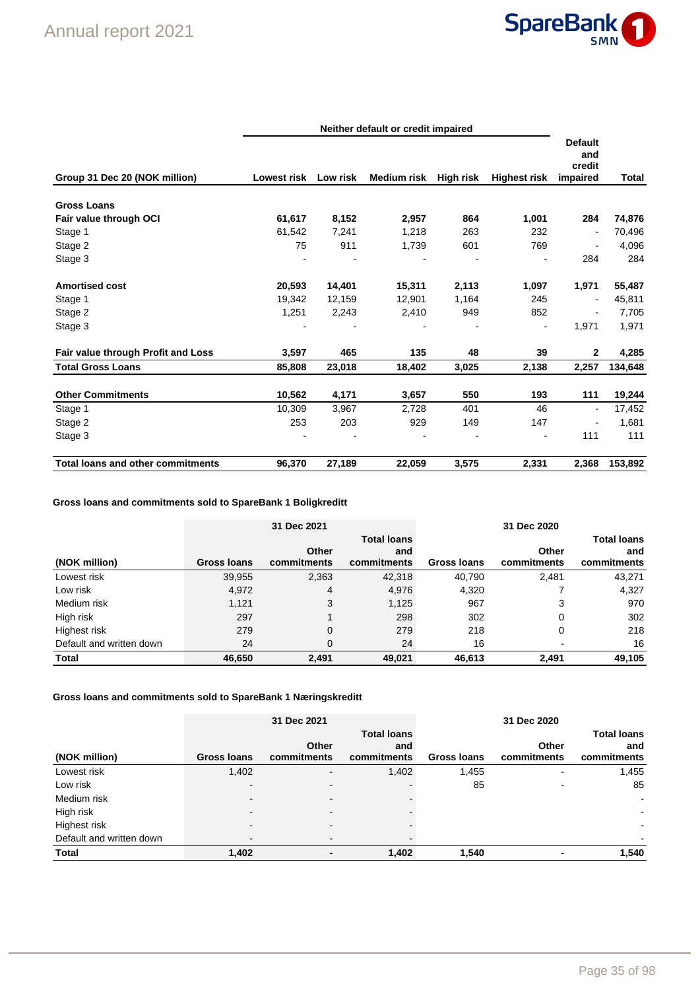

|                                          | Neither default or credit impaired |          |             |           |                     |                                             |         |  |
|------------------------------------------|------------------------------------|----------|-------------|-----------|---------------------|---------------------------------------------|---------|--|
| Group 31 Dec 20 (NOK million)            | <b>Lowest risk</b>                 | Low risk | Medium risk | High risk | <b>Highest risk</b> | <b>Default</b><br>and<br>credit<br>impaired | Total   |  |
| <b>Gross Loans</b>                       |                                    |          |             |           |                     |                                             |         |  |
| Fair value through OCI                   | 61,617                             | 8,152    | 2,957       | 864       | 1,001               | 284                                         | 74,876  |  |
| Stage 1                                  | 61,542                             | 7,241    | 1,218       | 263       | 232                 | ÷                                           | 70,496  |  |
| Stage 2                                  | 75                                 | 911      | 1,739       | 601       | 769                 | $\blacksquare$                              | 4,096   |  |
| Stage 3                                  |                                    |          |             |           |                     | 284                                         | 284     |  |
| <b>Amortised cost</b>                    | 20,593                             | 14,401   | 15,311      | 2,113     | 1,097               | 1,971                                       | 55,487  |  |
| Stage 1                                  | 19.342                             | 12,159   | 12,901      | 1,164     | 245                 | $\overline{\phantom{a}}$                    | 45,811  |  |
| Stage 2                                  | 1,251                              | 2,243    | 2,410       | 949       | 852                 | $\overline{\phantom{0}}$                    | 7,705   |  |
| Stage 3                                  |                                    |          |             |           | $\blacksquare$      | 1,971                                       | 1,971   |  |
| Fair value through Profit and Loss       | 3,597                              | 465      | 135         | 48        | 39                  | $\mathbf{2}$                                | 4,285   |  |
| <b>Total Gross Loans</b>                 | 85,808                             | 23,018   | 18,402      | 3,025     | 2,138               | 2,257                                       | 134,648 |  |
| <b>Other Commitments</b>                 | 10,562                             | 4,171    | 3,657       | 550       | 193                 | 111                                         | 19,244  |  |
| Stage 1                                  | 10,309                             | 3,967    | 2,728       | 401       | 46                  | $\overline{\phantom{a}}$                    | 17,452  |  |
| Stage 2                                  | 253                                | 203      | 929         | 149       | 147                 | $\overline{\phantom{a}}$                    | 1,681   |  |
| Stage 3                                  |                                    |          |             |           |                     | 111                                         | 111     |  |
| <b>Total loans and other commitments</b> | 96,370                             | 27,189   | 22,059      | 3,575     | 2,331               | 2,368                                       | 153,892 |  |

# **Gross loans and commitments sold to SpareBank 1 Boligkreditt**

|                          |                    | 31 Dec 2021          |                    | 31 Dec 2020 |                      |                    |  |
|--------------------------|--------------------|----------------------|--------------------|-------------|----------------------|--------------------|--|
|                          |                    |                      | <b>Total loans</b> |             |                      | <b>Total loans</b> |  |
| (NOK million)            | <b>Gross loans</b> | Other<br>commitments | and<br>commitments | Gross loans | Other<br>commitments | and<br>commitments |  |
| Lowest risk              | 39,955             | 2,363                | 42,318             | 40.790      | 2.481                | 43,271             |  |
| Low risk                 | 4,972              | 4                    | 4,976              | 4,320       |                      | 4,327              |  |
| Medium risk              | 1,121              | 3                    | 1,125              | 967         | 3                    | 970                |  |
| High risk                | 297                |                      | 298                | 302         | 0                    | 302                |  |
| Highest risk             | 279                | $\mathbf 0$          | 279                | 218         | 0                    | 218                |  |
| Default and written down | 24                 | $\Omega$             | 24                 | 16          |                      | 16                 |  |
| <b>Total</b>             | 46,650             | 2.491                | 49.021             | 46.613      | 2,491                | 49,105             |  |

# **Gross loans and commitments sold to SpareBank 1 Næringskreditt**

|                          |             | 31 Dec 2021 |                    |                    | 31 Dec 2020 |                          |
|--------------------------|-------------|-------------|--------------------|--------------------|-------------|--------------------------|
|                          |             |             | <b>Total loans</b> |                    |             | <b>Total loans</b>       |
|                          |             | Other       | and                |                    | Other       | and                      |
| (NOK million)            | Gross Ioans | commitments | commitments        | <b>Gross loans</b> | commitments | commitments              |
| Lowest risk              | 1,402       |             | 1,402              | 1,455              |             | 1,455                    |
| Low risk                 | -           |             |                    | 85                 |             | 85                       |
| Medium risk              | -           |             |                    |                    |             | $\sim$                   |
| High risk                | -           |             |                    |                    |             | $\overline{\phantom{a}}$ |
| Highest risk             | -           |             |                    |                    |             | $\blacksquare$           |
| Default and written down |             | -           |                    |                    |             |                          |
| <b>Total</b>             | 1,402       |             | 1,402              | 1.540              |             | 1.540                    |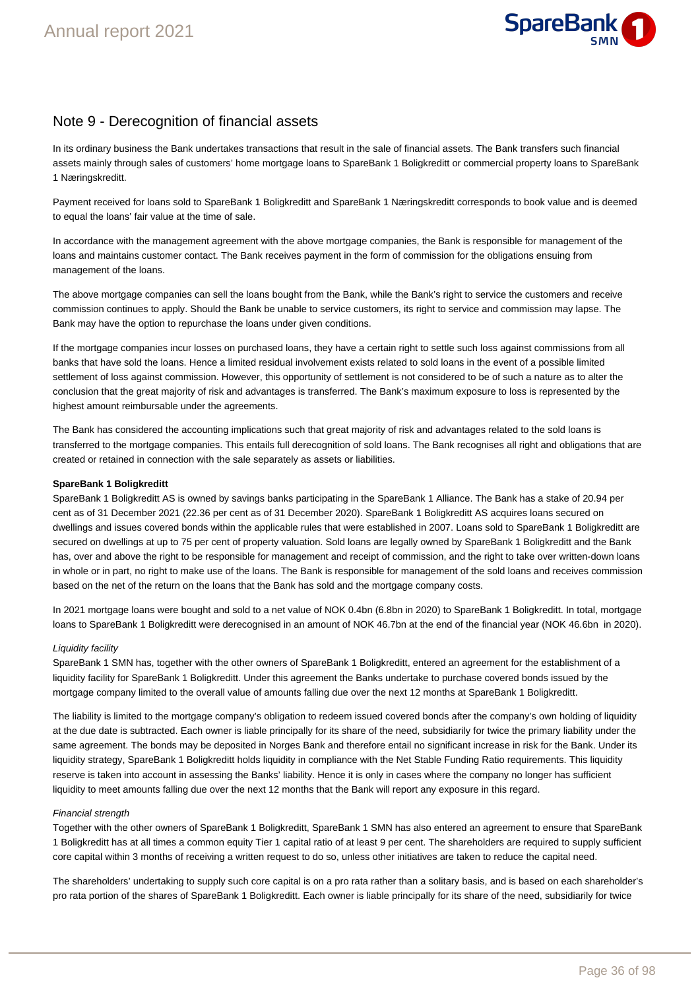

# Note 9 - Derecognition of financial assets

In its ordinary business the Bank undertakes transactions that result in the sale of financial assets. The Bank transfers such financial assets mainly through sales of customers' home mortgage loans to SpareBank 1 Boligkreditt or commercial property loans to SpareBank 1 Næringskreditt.

Payment received for loans sold to SpareBank 1 Boligkreditt and SpareBank 1 Næringskreditt corresponds to book value and is deemed to equal the loans' fair value at the time of sale.

In accordance with the management agreement with the above mortgage companies, the Bank is responsible for management of the loans and maintains customer contact. The Bank receives payment in the form of commission for the obligations ensuing from management of the loans.

The above mortgage companies can sell the loans bought from the Bank, while the Bank's right to service the customers and receive commission continues to apply. Should the Bank be unable to service customers, its right to service and commission may lapse. The Bank may have the option to repurchase the loans under given conditions.

If the mortgage companies incur losses on purchased loans, they have a certain right to settle such loss against commissions from all banks that have sold the loans. Hence a limited residual involvement exists related to sold loans in the event of a possible limited settlement of loss against commission. However, this opportunity of settlement is not considered to be of such a nature as to alter the conclusion that the great majority of risk and advantages is transferred. The Bank's maximum exposure to loss is represented by the highest amount reimbursable under the agreements.

The Bank has considered the accounting implications such that great majority of risk and advantages related to the sold loans is transferred to the mortgage companies. This entails full derecognition of sold loans. The Bank recognises all right and obligations that are created or retained in connection with the sale separately as assets or liabilities.

#### **SpareBank 1 Boligkreditt**

SpareBank 1 Boligkreditt AS is owned by savings banks participating in the SpareBank 1 Alliance. The Bank has a stake of 20.94 per cent as of 31 December 2021 (22.36 per cent as of 31 December 2020). SpareBank 1 Boligkreditt AS acquires loans secured on dwellings and issues covered bonds within the applicable rules that were established in 2007. Loans sold to SpareBank 1 Boligkreditt are secured on dwellings at up to 75 per cent of property valuation. Sold loans are legally owned by SpareBank 1 Boligkreditt and the Bank has, over and above the right to be responsible for management and receipt of commission, and the right to take over written-down loans in whole or in part, no right to make use of the loans. The Bank is responsible for management of the sold loans and receives commission based on the net of the return on the loans that the Bank has sold and the mortgage company costs.

In 2021 mortgage loans were bought and sold to a net value of NOK 0.4bn (6.8bn in 2020) to SpareBank 1 Boligkreditt. In total, mortgage loans to SpareBank 1 Boligkreditt were derecognised in an amount of NOK 46.7bn at the end of the financial year (NOK 46.6bn in 2020).

#### Liquidity facility

SpareBank 1 SMN has, together with the other owners of SpareBank 1 Boligkreditt, entered an agreement for the establishment of a liquidity facility for SpareBank 1 Boligkreditt. Under this agreement the Banks undertake to purchase covered bonds issued by the mortgage company limited to the overall value of amounts falling due over the next 12 months at SpareBank 1 Boligkreditt.

The liability is limited to the mortgage company's obligation to redeem issued covered bonds after the company's own holding of liquidity at the due date is subtracted. Each owner is liable principally for its share of the need, subsidiarily for twice the primary liability under the same agreement. The bonds may be deposited in Norges Bank and therefore entail no significant increase in risk for the Bank. Under its liquidity strategy, SpareBank 1 Boligkreditt holds liquidity in compliance with the Net Stable Funding Ratio requirements. This liquidity reserve is taken into account in assessing the Banks' liability. Hence it is only in cases where the company no longer has sufficient liquidity to meet amounts falling due over the next 12 months that the Bank will report any exposure in this regard.

#### Financial strength

Together with the other owners of SpareBank 1 Boligkreditt, SpareBank 1 SMN has also entered an agreement to ensure that SpareBank 1 Boligkreditt has at all times a common equity Tier 1 capital ratio of at least 9 per cent. The shareholders are required to supply sufficient core capital within 3 months of receiving a written request to do so, unless other initiatives are taken to reduce the capital need.

The shareholders' undertaking to supply such core capital is on a pro rata rather than a solitary basis, and is based on each shareholder's pro rata portion of the shares of SpareBank 1 Boligkreditt. Each owner is liable principally for its share of the need, subsidiarily for twice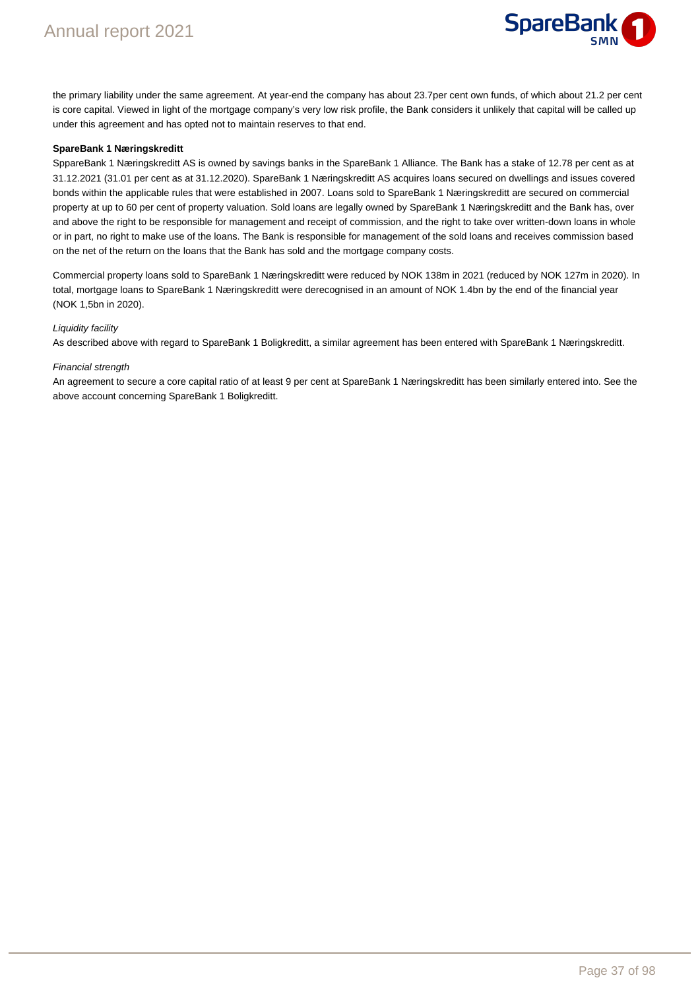

the primary liability under the same agreement. At year-end the company has about 23.7per cent own funds, of which about 21.2 per cent is core capital. Viewed in light of the mortgage company's very low risk profile, the Bank considers it unlikely that capital will be called up under this agreement and has opted not to maintain reserves to that end.

#### **SpareBank 1 Næringskreditt**

SppareBank 1 Næringskreditt AS is owned by savings banks in the SpareBank 1 Alliance. The Bank has a stake of 12.78 per cent as at 31.12.2021 (31.01 per cent as at 31.12.2020). SpareBank 1 Næringskreditt AS acquires loans secured on dwellings and issues covered bonds within the applicable rules that were established in 2007. Loans sold to SpareBank 1 Næringskreditt are secured on commercial property at up to 60 per cent of property valuation. Sold loans are legally owned by SpareBank 1 Næringskreditt and the Bank has, over and above the right to be responsible for management and receipt of commission, and the right to take over written-down loans in whole or in part, no right to make use of the loans. The Bank is responsible for management of the sold loans and receives commission based on the net of the return on the loans that the Bank has sold and the mortgage company costs.

Commercial property loans sold to SpareBank 1 Næringskreditt were reduced by NOK 138m in 2021 (reduced by NOK 127m in 2020). In total, mortgage loans to SpareBank 1 Næringskreditt were derecognised in an amount of NOK 1.4bn by the end of the financial year (NOK 1,5bn in 2020).

#### Liquidity facility

As described above with regard to SpareBank 1 Boligkreditt, a similar agreement has been entered with SpareBank 1 Næringskreditt.

#### Financial strength

An agreement to secure a core capital ratio of at least 9 per cent at SpareBank 1 Næringskreditt has been similarly entered into. See the above account concerning SpareBank 1 Boligkreditt.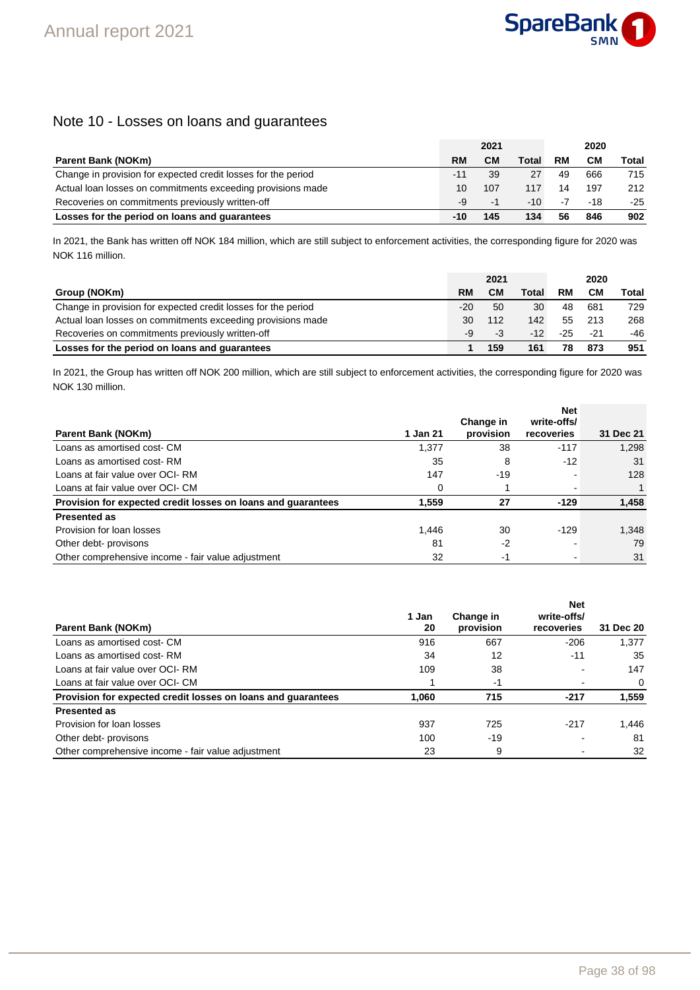### Note 10 - Losses on loans and guarantees

|                                                               |       | 2021 |       |    | 2020  |       |
|---------------------------------------------------------------|-------|------|-------|----|-------|-------|
| <b>Parent Bank (NOKm)</b>                                     | RM    | CМ   | Total | RM | CМ    | Total |
| Change in provision for expected credit losses for the period | $-11$ | 39   | 27    | 49 | 666   | 715   |
| Actual loan losses on commitments exceeding provisions made   | 10    | 107  | 117   | 14 | 197   | 212   |
| Recoveries on commitments previously written-off              | -9    | -1   | -10   | -7 | $-18$ | $-25$ |
| Losses for the period on loans and quarantees                 | -10   | 145  | 134   | 56 | 846   | 902   |

In 2021, the Bank has written off NOK 184 million, which are still subject to enforcement activities, the corresponding figure for 2020 was NOK 116 million.

|                                                               | 2021  |     |       | 2020 |       |       |  |
|---------------------------------------------------------------|-------|-----|-------|------|-------|-------|--|
| Group (NOKm)                                                  | RM    | CМ  | Total | RM   | CМ    | Total |  |
| Change in provision for expected credit losses for the period | $-20$ | 50  | 30    | 48   | 681   | 729   |  |
| Actual loan losses on commitments exceeding provisions made   | 30    | 112 | 142   | 55   | 213   | 268   |  |
| Recoveries on commitments previously written-off              | -9    | -3  | $-12$ | -25  | $-21$ | -46   |  |
| Losses for the period on loans and quarantees                 |       | 159 | 161   |      | 873   | 951   |  |

In 2021, the Group has written off NOK 200 million, which are still subject to enforcement activities, the corresponding figure for 2020 was NOK 130 million.

|                                                              |          |           | <b>Net</b>  |           |
|--------------------------------------------------------------|----------|-----------|-------------|-----------|
|                                                              |          | Change in | write-offs/ |           |
| <b>Parent Bank (NOKm)</b>                                    | 1 Jan 21 | provision | recoveries  | 31 Dec 21 |
| Loans as amortised cost- CM                                  | 1,377    | 38        | $-117$      | 1,298     |
| Loans as amortised cost-RM                                   | 35       | 8         | $-12$       | 31        |
| Loans at fair value over OCI-RM                              | 147      | -19       |             | 128       |
| Loans at fair value over OCI- CM                             | 0        |           |             |           |
| Provision for expected credit losses on loans and guarantees | 1.559    | 27        | $-129$      | 1,458     |
| <b>Presented as</b>                                          |          |           |             |           |
| Provision for loan losses                                    | 1.446    | 30        | $-129$      | 1,348     |
| Other debt- provisons                                        | 81       | $-2$      |             | 79        |
| Other comprehensive income - fair value adjustment           | 32       | -1        |             | 31        |

| <b>Parent Bank (NOKm)</b>                                    | 1 Jan<br>20 | Change in<br>provision | <b>Net</b><br>write-offs/<br>recoveries | 31 Dec 20 |
|--------------------------------------------------------------|-------------|------------------------|-----------------------------------------|-----------|
| Loans as amortised cost- CM                                  | 916         | 667                    | $-206$                                  | 1,377     |
| Loans as amortised cost-RM                                   | 34          | 12                     | $-11$                                   | 35        |
| Loans at fair value over OCI-RM                              | 109         | 38                     |                                         | 147       |
| Loans at fair value over OCI- CM                             |             | -1                     |                                         | 0         |
| Provision for expected credit losses on loans and quarantees | 1.060       | 715                    | $-217$                                  | 1,559     |
| <b>Presented as</b>                                          |             |                        |                                         |           |
| Provision for loan losses                                    | 937         | 725                    | $-217$                                  | 1.446     |
| Other debt- provisons                                        | 100         | $-19$                  |                                         | 81        |
| Other comprehensive income - fair value adjustment           | 23          | 9                      | $\blacksquare$                          | 32        |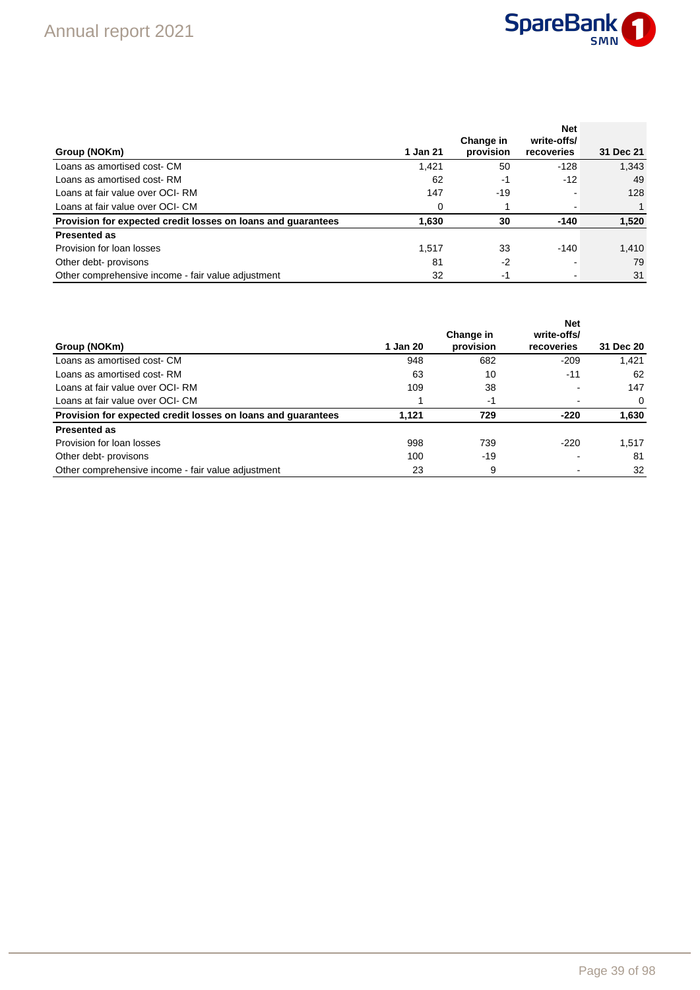

| Group (NOKm)                                                 | 1 Jan 21 | Change in<br>provision | <b>Net</b><br>write-offs/<br>recoveries | 31 Dec 21 |
|--------------------------------------------------------------|----------|------------------------|-----------------------------------------|-----------|
| Loans as amortised cost- CM                                  | 1.421    | 50                     | -128                                    | 1,343     |
| Loans as amortised cost-RM                                   | 62       | -1                     | $-12$                                   | 49        |
| Loans at fair value over OCI-RM                              | 147      | $-19$                  |                                         | 128       |
| Loans at fair value over OCI- CM                             | 0        |                        |                                         |           |
| Provision for expected credit losses on loans and quarantees | 1.630    | 30                     | $-140$                                  | 1,520     |
| <b>Presented as</b>                                          |          |                        |                                         |           |
| Provision for loan losses                                    | 1.517    | 33                     | -140                                    | 1.410     |
| Other debt- provisons                                        | 81       | $-2$                   |                                         | 79        |
| Other comprehensive income - fair value adjustment           | 32       | -1                     |                                         | 31        |

| Group (NOKm)                                                 | 1 Jan 20 | Change in<br>provision | <b>Net</b><br>write-offs/<br>recoveries | 31 Dec 20 |
|--------------------------------------------------------------|----------|------------------------|-----------------------------------------|-----------|
| Loans as amortised cost- CM                                  | 948      | 682                    | $-209$                                  | 1.421     |
| Loans as amortised cost-RM                                   | 63       | 10                     | $-11$                                   | 62        |
| Loans at fair value over OCI-RM                              | 109      | 38                     |                                         | 147       |
| Loans at fair value over OCI- CM                             |          | -1                     |                                         | $\Omega$  |
| Provision for expected credit losses on loans and quarantees | 1.121    | 729                    | $-220$                                  | 1,630     |
| <b>Presented as</b>                                          |          |                        |                                         |           |
| Provision for loan losses                                    | 998      | 739                    | $-220$                                  | 1.517     |
| Other debt- provisons                                        | 100      | -19                    |                                         | 81        |
| Other comprehensive income - fair value adjustment           | 23       | 9                      |                                         | 32        |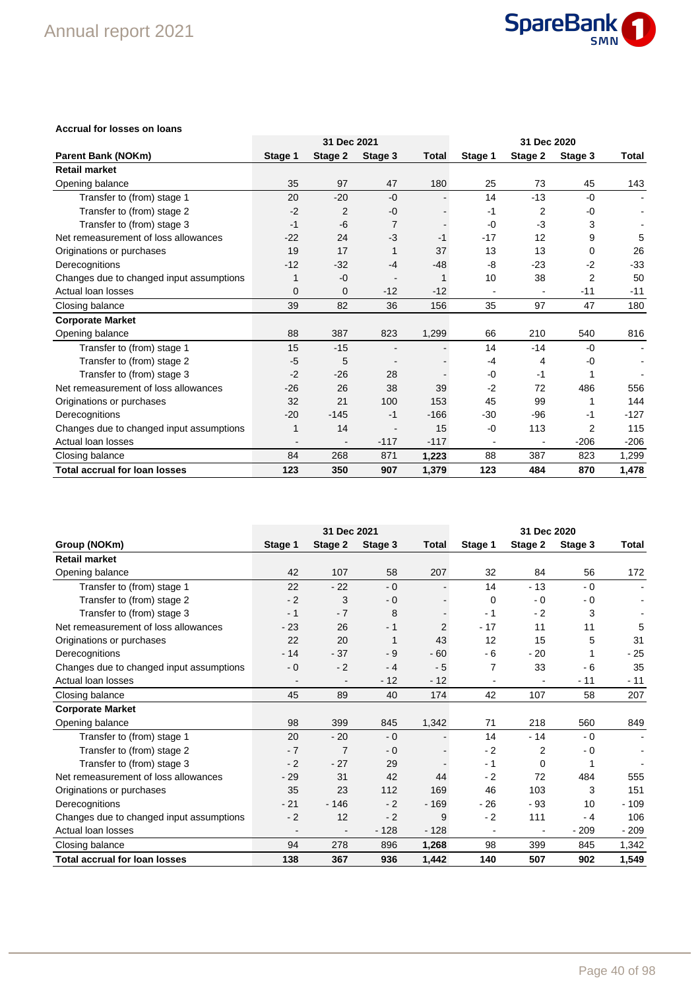

#### **Accrual for losses on loans**

|                                          |         |             |         |              |         | 31 Dec 2021<br>31 Dec 2020 |                |        |  |
|------------------------------------------|---------|-------------|---------|--------------|---------|----------------------------|----------------|--------|--|
| <b>Parent Bank (NOKm)</b>                | Stage 1 | Stage 2     | Stage 3 | <b>Total</b> | Stage 1 | Stage 2                    | Stage 3        | Total  |  |
| <b>Retail market</b>                     |         |             |         |              |         |                            |                |        |  |
| Opening balance                          | 35      | 97          | 47      | 180          | 25      | 73                         | 45             | 143    |  |
| Transfer to (from) stage 1               | 20      | $-20$       | $-0$    |              | 14      | $-13$                      | $-0$           |        |  |
| Transfer to (from) stage 2               | $-2$    | 2           | -0      |              | $-1$    | 2                          | -0             |        |  |
| Transfer to (from) stage 3               | $-1$    | -6          | 7       |              | $-0$    | $-3$                       | 3              |        |  |
| Net remeasurement of loss allowances     | $-22$   | 24          | $-3$    | $-1$         | $-17$   | 12                         | 9              | 5      |  |
| Originations or purchases                | 19      | 17          |         | 37           | 13      | 13                         | 0              | 26     |  |
| Derecognitions                           | $-12$   | $-32$       | $-4$    | $-48$        | -8      | $-23$                      | $-2$           | $-33$  |  |
| Changes due to changed input assumptions | 1       | $-0$        |         |              | 10      | 38                         | $\overline{2}$ | 50     |  |
| Actual loan losses                       | 0       | $\mathbf 0$ | $-12$   | $-12$        |         |                            | $-11$          | $-11$  |  |
| Closing balance                          | 39      | 82          | 36      | 156          | 35      | 97                         | 47             | 180    |  |
| <b>Corporate Market</b>                  |         |             |         |              |         |                            |                |        |  |
| Opening balance                          | 88      | 387         | 823     | 1,299        | 66      | 210                        | 540            | 816    |  |
| Transfer to (from) stage 1               | 15      | $-15$       |         |              | 14      | $-14$                      | $-0$           | $\sim$ |  |
| Transfer to (from) stage 2               | $-5$    | 5           |         |              | -4      | 4                          | -0             | ٠      |  |
| Transfer to (from) stage 3               | $-2$    | $-26$       | 28      |              | $-0$    | $-1$                       |                |        |  |
| Net remeasurement of loss allowances     | $-26$   | 26          | 38      | 39           | $-2$    | 72                         | 486            | 556    |  |
| Originations or purchases                | 32      | 21          | 100     | 153          | 45      | 99                         |                | 144    |  |
| Derecognitions                           | $-20$   | $-145$      | $-1$    | $-166$       | -30     | -96                        | -1             | $-127$ |  |
| Changes due to changed input assumptions | 1       | 14          |         | 15           | -0      | 113                        | 2              | 115    |  |
| Actual loan losses                       |         |             | $-117$  | $-117$       | ٠       |                            | $-206$         | $-206$ |  |
| Closing balance                          | 84      | 268         | 871     | 1,223        | 88      | 387                        | 823            | 1,299  |  |
| <b>Total accrual for loan losses</b>     | 123     | 350         | 907     | 1,379        | 123     | 484                        | 870            | 1,478  |  |

|                                          | 31 Dec 2021<br>31 Dec 2020 |                |         |                |                          |          |         |        |
|------------------------------------------|----------------------------|----------------|---------|----------------|--------------------------|----------|---------|--------|
| Group (NOKm)                             | Stage 1                    | Stage 2        | Stage 3 | Total          | Stage 1                  | Stage 2  | Stage 3 | Total  |
| <b>Retail market</b>                     |                            |                |         |                |                          |          |         |        |
| Opening balance                          | 42                         | 107            | 58      | 207            | 32                       | 84       | 56      | 172    |
| Transfer to (from) stage 1               | 22                         | $-22$          | $-0$    |                | 14                       | $-13$    | $-0$    |        |
| Transfer to (from) stage 2               | $-2$                       | 3              | $-0$    |                | 0                        | - 0      | $-0$    |        |
| Transfer to (from) stage 3               | $-1$                       | $-7$           | 8       |                | - 1                      | $-2$     | 3       |        |
| Net remeasurement of loss allowances     | $-23$                      | 26             | $-1$    | $\overline{2}$ | $-17$                    | 11       | 11      | 5      |
| Originations or purchases                | 22                         | 20             |         | 43             | 12                       | 15       | 5       | 31     |
| Derecognitions                           | $-14$                      | $-37$          | - 9     | $-60$          | - 6                      | $-20$    |         | $-25$  |
| Changes due to changed input assumptions | $-0$                       | $-2$           | - 4     | $-5$           | 7                        | 33       | $-6$    | 35     |
| Actual loan losses                       |                            |                | $-12$   | $-12$          | $\overline{\phantom{a}}$ |          | $-11$   | $-11$  |
| Closing balance                          | 45                         | 89             | 40      | 174            | 42                       | 107      | 58      | 207    |
| <b>Corporate Market</b>                  |                            |                |         |                |                          |          |         |        |
| Opening balance                          | 98                         | 399            | 845     | 1,342          | 71                       | 218      | 560     | 849    |
| Transfer to (from) stage 1               | 20                         | $-20$          | $-0$    |                | 14                       | $-14$    | $-0$    |        |
| Transfer to (from) stage 2               | $-7$                       | $\overline{7}$ | $-0$    |                | $-2$                     | 2        | - 0     |        |
| Transfer to (from) stage 3               | $-2$                       | $-27$          | 29      |                | $-1$                     | $\Omega$ |         |        |
| Net remeasurement of loss allowances     | $-29$                      | 31             | 42      | 44             | $-2$                     | 72       | 484     | 555    |
| Originations or purchases                | 35                         | 23             | 112     | 169            | 46                       | 103      | 3       | 151    |
| Derecognitions                           | $-21$                      | $-146$         | $-2$    | $-169$         | $-26$                    | - 93     | 10      | $-109$ |
| Changes due to changed input assumptions | $-2$                       | 12             | $-2$    | 9              | $-2$                     | 111      | $-4$    | 106    |
| Actual loan losses                       | $\overline{\phantom{a}}$   |                | $-128$  | $-128$         | $\overline{\phantom{a}}$ |          | $-209$  | $-209$ |
| Closing balance                          | 94                         | 278            | 896     | 1,268          | 98                       | 399      | 845     | 1,342  |
| <b>Total accrual for loan losses</b>     | 138                        | 367            | 936     | 1,442          | 140                      | 507      | 902     | 1,549  |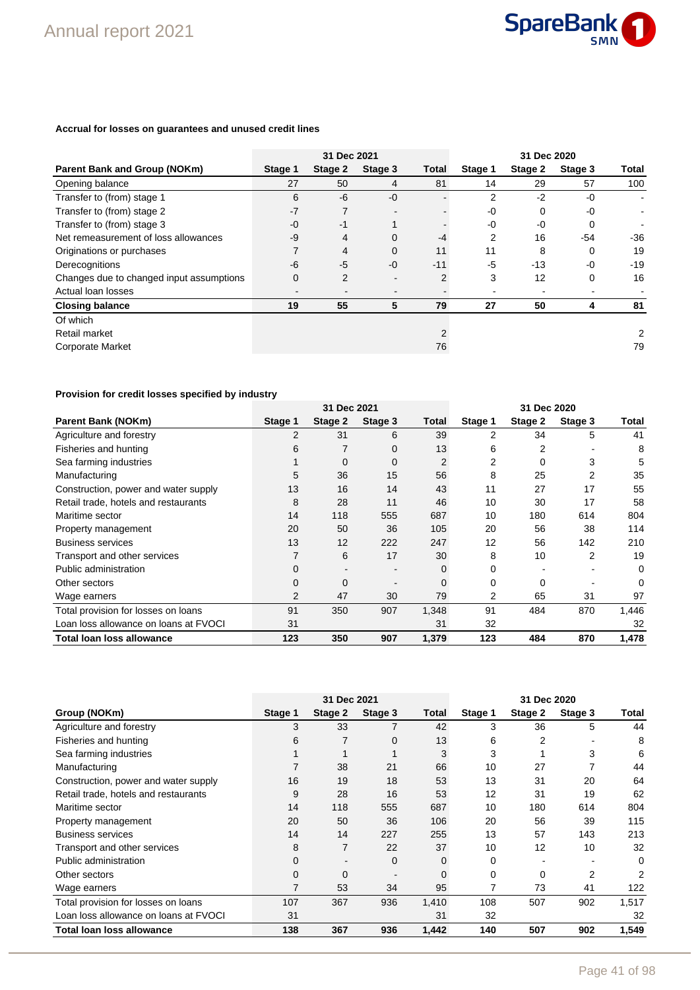

#### **Accrual for losses on guarantees and unused credit lines**

|                                          | 31 Dec 2021<br>31 Dec 2020 |         |                |                |         |         |         |       |
|------------------------------------------|----------------------------|---------|----------------|----------------|---------|---------|---------|-------|
| <b>Parent Bank and Group (NOKm)</b>      | Stage 1                    | Stage 2 | Stage 3        | Total          | Stage 1 | Stage 2 | Stage 3 | Total |
| Opening balance                          | 27                         | 50      | 4              | 81             | 14      | 29      | 57      | 100   |
| Transfer to (from) stage 1               | 6                          | -6      | $-0$           |                | 2       | $-2$    | $-0$    |       |
| Transfer to (from) stage 2               | $-7$                       |         |                |                | $-0$    | 0       | $-0$    |       |
| Transfer to (from) stage 3               | $-0$                       | $-1$    |                |                | $-0$    | $-0$    | 0       |       |
| Net remeasurement of loss allowances     | $-9$                       | 4       | $\Omega$       | -4             | 2       | 16      | -54     | $-36$ |
| Originations or purchases                | 7                          | 4       | $\Omega$       | 11             | 11      | 8       | 0       | 19    |
| Derecognitions                           | $-6$                       | $-5$    | $-0$           | $-11$          | -5      | -13     | $-0$    | $-19$ |
| Changes due to changed input assumptions | $\mathbf 0$                | 2       | $\blacksquare$ | $\overline{2}$ | 3       | 12      | 0       | 16    |
| Actual loan losses                       |                            |         |                |                |         |         |         |       |
| <b>Closing balance</b>                   | 19                         | 55      | 5              | 79             | 27      | 50      | 4       | 81    |
| Of which                                 |                            |         |                |                |         |         |         |       |
| Retail market                            |                            |         |                | 2              |         |         |         | 2     |
| <b>Corporate Market</b>                  |                            |         |                | 76             |         |         |         | 79    |

### **Provision for credit losses specified by industry**

|                                       |         | 31 Dec 2021 |         |       | 31 Dec 2020 |         |         |       |
|---------------------------------------|---------|-------------|---------|-------|-------------|---------|---------|-------|
| <b>Parent Bank (NOKm)</b>             | Stage 1 | Stage 2     | Stage 3 | Total | Stage 1     | Stage 2 | Stage 3 | Total |
| Agriculture and forestry              | 2       | 31          | 6       | 39    | 2           | 34      | 5       | 41    |
| Fisheries and hunting                 | 6       |             | 0       | 13    | 6           | 2       |         | 8     |
| Sea farming industries                |         | 0           | 0       | 2     | 2           | 0       | 3       | 5     |
| Manufacturing                         | 5       | 36          | 15      | 56    | 8           | 25      | 2       | 35    |
| Construction, power and water supply  | 13      | 16          | 14      | 43    | 11          | 27      | 17      | 55    |
| Retail trade, hotels and restaurants  | 8       | 28          | 11      | 46    | 10          | 30      | 17      | 58    |
| Maritime sector                       | 14      | 118         | 555     | 687   | 10          | 180     | 614     | 804   |
| Property management                   | 20      | 50          | 36      | 105   | 20          | 56      | 38      | 114   |
| <b>Business services</b>              | 13      | 12          | 222     | 247   | 12          | 56      | 142     | 210   |
| Transport and other services          |         | 6           | 17      | 30    | 8           | 10      | 2       | 19    |
| Public administration                 | 0       |             |         | 0     | 0           |         |         | 0     |
| Other sectors                         | 0       | 0           |         | 0     | 0           | 0       |         |       |
| Wage earners                          | 2       | 47          | 30      | 79    | 2           | 65      | 31      | 97    |
| Total provision for losses on loans   | 91      | 350         | 907     | 1,348 | 91          | 484     | 870     | 1,446 |
| Loan loss allowance on loans at FVOCI | 31      |             |         | 31    | 32          |         |         | 32    |
| <b>Total loan loss allowance</b>      | 123     | 350         | 907     | 1,379 | 123         | 484     | 870     | 1,478 |

|                                       |             | 31 Dec 2021 |         |          | 31 Dec 2020 |         |         |       |
|---------------------------------------|-------------|-------------|---------|----------|-------------|---------|---------|-------|
| Group (NOKm)                          | Stage 1     | Stage 2     | Stage 3 | Total    | Stage 1     | Stage 2 | Stage 3 | Total |
| Agriculture and forestry              | 3           | 33          |         | 42       | 3           | 36      | 5       | 44    |
| Fisheries and hunting                 | 6           |             | 0       | 13       | 6           | 2       |         | 8     |
| Sea farming industries                |             |             |         | 3        | 3           |         | 3       | 6     |
| Manufacturing                         |             | 38          | 21      | 66       | 10          | 27      |         | 44    |
| Construction, power and water supply  | 16          | 19          | 18      | 53       | 13          | 31      | 20      | 64    |
| Retail trade, hotels and restaurants  | 9           | 28          | 16      | 53       | 12          | 31      | 19      | 62    |
| Maritime sector                       | 14          | 118         | 555     | 687      | 10          | 180     | 614     | 804   |
| Property management                   | 20          | 50          | 36      | 106      | 20          | 56      | 39      | 115   |
| <b>Business services</b>              | 14          | 14          | 227     | 255      | 13          | 57      | 143     | 213   |
| Transport and other services          | 8           |             | 22      | 37       | 10          | 12      | 10      | 32    |
| Public administration                 | $\mathbf 0$ |             | 0       | 0        | 0           |         |         | 0     |
| Other sectors                         | $\Omega$    | $\Omega$    |         | $\Omega$ | 0           | 0       | 2       | 2     |
| Wage earners                          | 7           | 53          | 34      | 95       |             | 73      | 41      | 122   |
| Total provision for losses on loans   | 107         | 367         | 936     | 1,410    | 108         | 507     | 902     | 1,517 |
| Loan loss allowance on loans at FVOCI | 31          |             |         | 31       | 32          |         |         | 32    |
| Total loan loss allowance             | 138         | 367         | 936     | 1,442    | 140         | 507     | 902     | 1,549 |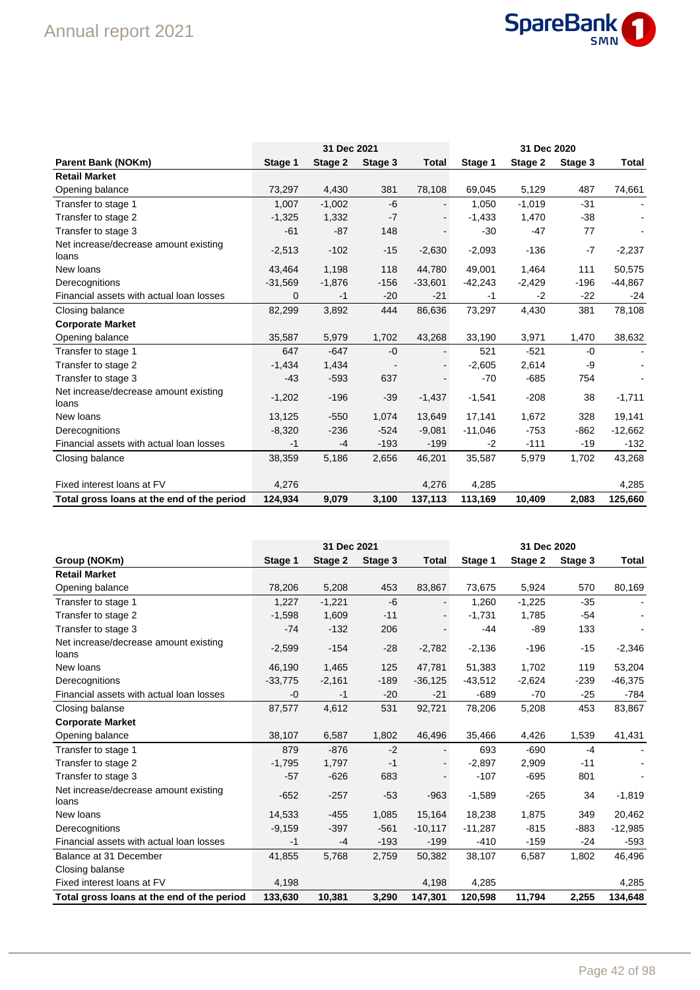# Annual report 2021



|                                                |             | 31 Dec 2021 |         |           |           | 31 Dec 2020 |         |           |
|------------------------------------------------|-------------|-------------|---------|-----------|-----------|-------------|---------|-----------|
| <b>Parent Bank (NOKm)</b>                      | Stage 1     | Stage 2     | Stage 3 | Total     | Stage 1   | Stage 2     | Stage 3 | Total     |
| <b>Retail Market</b>                           |             |             |         |           |           |             |         |           |
| Opening balance                                | 73,297      | 4,430       | 381     | 78,108    | 69,045    | 5,129       | 487     | 74,661    |
| Transfer to stage 1                            | 1,007       | $-1,002$    | $-6$    |           | 1,050     | $-1,019$    | $-31$   |           |
| Transfer to stage 2                            | $-1,325$    | 1,332       | $-7$    |           | $-1,433$  | 1,470       | $-38$   |           |
| Transfer to stage 3                            | $-61$       | $-87$       | 148     |           | $-30$     | $-47$       | 77      |           |
| Net increase/decrease amount existing<br>loans | $-2,513$    | $-102$      | $-15$   | $-2,630$  | $-2,093$  | $-136$      | $-7$    | $-2,237$  |
| New loans                                      | 43,464      | 1,198       | 118     | 44,780    | 49,001    | 1,464       | 111     | 50,575    |
| Derecognitions                                 | $-31,569$   | $-1,876$    | $-156$  | $-33,601$ | $-42,243$ | $-2,429$    | $-196$  | $-44,867$ |
| Financial assets with actual loan losses       | $\mathbf 0$ | $-1$        | $-20$   | $-21$     | $-1$      | $-2$        | $-22$   | -24       |
| Closing balance                                | 82,299      | 3,892       | 444     | 86,636    | 73,297    | 4,430       | 381     | 78,108    |
| <b>Corporate Market</b>                        |             |             |         |           |           |             |         |           |
| Opening balance                                | 35,587      | 5,979       | 1,702   | 43,268    | 33,190    | 3,971       | 1,470   | 38,632    |
| Transfer to stage 1                            | 647         | $-647$      | $-0$    |           | 521       | $-521$      | $-0$    |           |
| Transfer to stage 2                            | $-1,434$    | 1,434       |         |           | $-2,605$  | 2,614       | -9      |           |
| Transfer to stage 3                            | $-43$       | $-593$      | 637     |           | $-70$     | $-685$      | 754     |           |
| Net increase/decrease amount existing<br>loans | $-1,202$    | $-196$      | $-39$   | $-1,437$  | $-1,541$  | $-208$      | 38      | $-1,711$  |
| New loans                                      | 13,125      | $-550$      | 1,074   | 13,649    | 17,141    | 1,672       | 328     | 19,141    |
| Derecognitions                                 | $-8,320$    | $-236$      | $-524$  | $-9,081$  | $-11,046$ | $-753$      | $-862$  | $-12,662$ |
| Financial assets with actual loan losses       | -1          | -4          | $-193$  | $-199$    | $-2$      | $-111$      | $-19$   | $-132$    |
| Closing balance                                | 38,359      | 5,186       | 2,656   | 46,201    | 35,587    | 5,979       | 1,702   | 43,268    |
| Fixed interest loans at FV                     | 4,276       |             |         | 4,276     | 4,285     |             |         | 4,285     |
| Total gross loans at the end of the period     | 124,934     | 9,079       | 3,100   | 137,113   | 113,169   | 10,409      | 2,083   | 125,660   |

|                                                |           | 31 Dec 2021 |         |           | 31 Dec 2020 |          |         |           |  |
|------------------------------------------------|-----------|-------------|---------|-----------|-------------|----------|---------|-----------|--|
| Group (NOKm)                                   | Stage 1   | Stage 2     | Stage 3 | Total     | Stage 1     | Stage 2  | Stage 3 | Total     |  |
| <b>Retail Market</b>                           |           |             |         |           |             |          |         |           |  |
| Opening balance                                | 78,206    | 5,208       | 453     | 83,867    | 73,675      | 5,924    | 570     | 80,169    |  |
| Transfer to stage 1                            | 1,227     | $-1,221$    | $-6$    |           | 1,260       | $-1,225$ | $-35$   |           |  |
| Transfer to stage 2                            | $-1,598$  | 1,609       | $-11$   |           | $-1,731$    | 1,785    | $-54$   |           |  |
| Transfer to stage 3                            | $-74$     | $-132$      | 206     |           | -44         | $-89$    | 133     |           |  |
| Net increase/decrease amount existing<br>loans | $-2,599$  | $-154$      | $-28$   | $-2,782$  | $-2,136$    | $-196$   | $-15$   | $-2,346$  |  |
| New loans                                      | 46.190    | 1,465       | 125     | 47.781    | 51,383      | 1,702    | 119     | 53,204    |  |
| Derecognitions                                 | $-33,775$ | $-2,161$    | $-189$  | $-36,125$ | $-43,512$   | $-2,624$ | $-239$  | $-46,375$ |  |
| Financial assets with actual loan losses       | $-0$      | $-1$        | $-20$   | $-21$     | $-689$      | $-70$    | $-25$   | $-784$    |  |
| Closing balanse                                | 87,577    | 4,612       | 531     | 92,721    | 78,206      | 5,208    | 453     | 83,867    |  |
| <b>Corporate Market</b>                        |           |             |         |           |             |          |         |           |  |
| Opening balance                                | 38,107    | 6,587       | 1,802   | 46,496    | 35,466      | 4,426    | 1,539   | 41,431    |  |
| Transfer to stage 1                            | 879       | $-876$      | $-2$    |           | 693         | $-690$   | $-4$    |           |  |
| Transfer to stage 2                            | $-1,795$  | 1,797       | $-1$    |           | $-2,897$    | 2,909    | $-11$   |           |  |
| Transfer to stage 3                            | $-57$     | $-626$      | 683     |           | $-107$      | $-695$   | 801     |           |  |
| Net increase/decrease amount existing<br>loans | $-652$    | $-257$      | $-53$   | $-963$    | $-1,589$    | $-265$   | 34      | $-1,819$  |  |
| New loans                                      | 14,533    | $-455$      | 1,085   | 15,164    | 18,238      | 1,875    | 349     | 20,462    |  |
| Derecognitions                                 | $-9,159$  | $-397$      | $-561$  | $-10,117$ | $-11,287$   | $-815$   | -883    | $-12,985$ |  |
| Financial assets with actual loan losses       | -1        | $-4$        | $-193$  | $-199$    | $-410$      | $-159$   | $-24$   | $-593$    |  |
| Balance at 31 December                         | 41,855    | 5,768       | 2,759   | 50,382    | 38,107      | 6,587    | 1,802   | 46,496    |  |
| Closing balanse                                |           |             |         |           |             |          |         |           |  |
| Fixed interest loans at FV                     | 4,198     |             |         | 4,198     | 4,285       |          |         | 4,285     |  |
| Total gross loans at the end of the period     | 133,630   | 10,381      | 3,290   | 147,301   | 120,598     | 11,794   | 2,255   | 134,648   |  |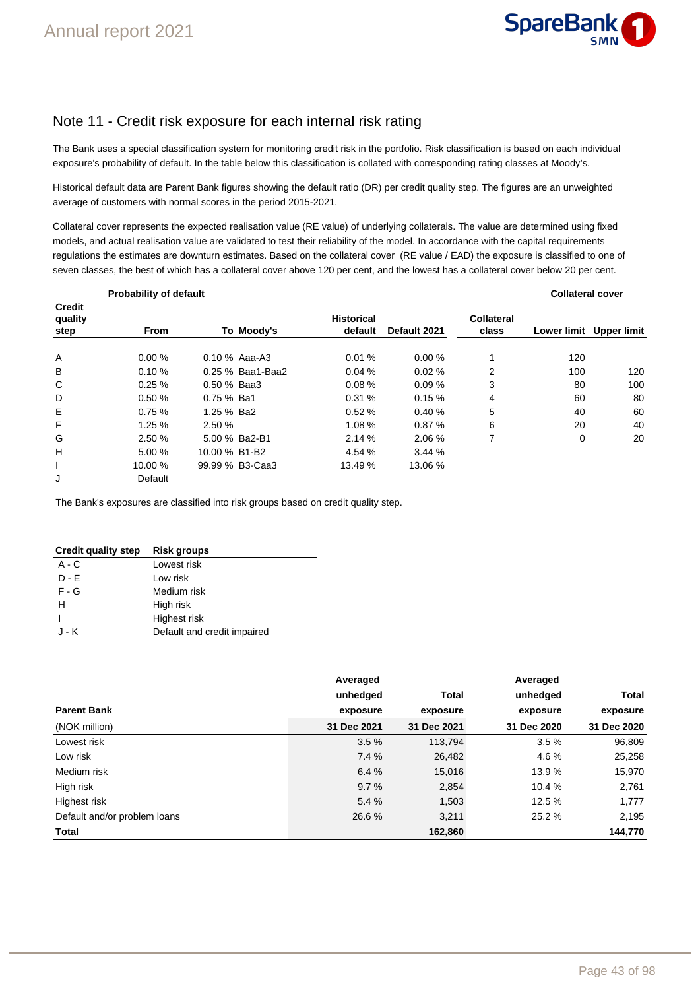

# Note 11 - Credit risk exposure for each internal risk rating

The Bank uses a special classification system for monitoring credit risk in the portfolio. Risk classification is based on each individual exposure's probability of default. In the table below this classification is collated with corresponding rating classes at Moody's.

Historical default data are Parent Bank figures showing the default ratio (DR) per credit quality step. The figures are an unweighted average of customers with normal scores in the period 2015-2021.

Collateral cover represents the expected realisation value (RE value) of underlying collaterals. The value are determined using fixed models, and actual realisation value are validated to test their reliability of the model. In accordance with the capital requirements regulations the estimates are downturn estimates. Based on the collateral cover (RE value / EAD) the exposure is classified to one of seven classes, the best of which has a collateral cover above 120 per cent, and the lowest has a collateral cover below 20 per cent.

|                                  | Probability of default |               |                  |                              |              | <b>Collateral cover</b> |                    |                    |
|----------------------------------|------------------------|---------------|------------------|------------------------------|--------------|-------------------------|--------------------|--------------------|
| <b>Credit</b><br>quality<br>step | <b>From</b>            |               | To Moody's       | <b>Historical</b><br>default | Default 2021 | Collateral<br>class     | <b>Lower limit</b> | <b>Upper limit</b> |
| A                                | 0.00%                  |               | $0.10\%$ Aaa-A3  | 0.01%                        | 0.00%        |                         | 120                |                    |
| В                                | 0.10%                  |               | 0.25 % Baa1-Baa2 | 0.04%                        | 0.02%        | 2                       | 100                | 120                |
| C                                | 0.25%                  | 0.50 % Baa3   |                  | 0.08%                        | 0.09%        | 3                       | 80                 | 100                |
| D                                | 0.50%                  | $0.75\%$ Ba1  |                  | 0.31%                        | 0.15%        | 4                       | 60                 | 80                 |
| E                                | 0.75%                  | 1.25 % Ba2    |                  | 0.52%                        | 0.40%        | 5                       | 40                 | 60                 |
| F                                | 1.25%                  | 2.50 %        |                  | 1.08 %                       | 0.87%        | 6                       | 20                 | 40                 |
| G                                | 2.50 %                 |               | 5.00 % Ba2-B1    | 2.14%                        | 2.06 %       | 7                       | $\mathbf 0$        | 20                 |
| H                                | 5.00 %                 | 10.00 % B1-B2 |                  | 4.54 %                       | 3.44%        |                         |                    |                    |
|                                  | 10.00 %                |               | 99.99 % B3-Caa3  | 13.49 %                      | 13.06 %      |                         |                    |                    |
| J                                | Default                |               |                  |                              |              |                         |                    |                    |

The Bank's exposures are classified into risk groups based on credit quality step.

| <b>Credit quality step</b> | <b>Risk groups</b>          |
|----------------------------|-----------------------------|
| $A - C$                    | Lowest risk                 |
| $D - F$                    | Low risk                    |
| $F - G$                    | Medium risk                 |
| н                          | High risk                   |
|                            | Highest risk                |
| J - K                      | Default and credit impaired |

|                              | Averaged    |             | Averaged    |              |
|------------------------------|-------------|-------------|-------------|--------------|
|                              | unhedged    | Total       | unhedged    | <b>Total</b> |
| <b>Parent Bank</b>           | exposure    | exposure    | exposure    | exposure     |
| (NOK million)                | 31 Dec 2021 | 31 Dec 2021 | 31 Dec 2020 | 31 Dec 2020  |
| Lowest risk                  | 3.5%        | 113,794     | 3.5%        | 96,809       |
| Low risk                     | 7.4 %       | 26,482      | 4.6 %       | 25,258       |
| Medium risk                  | 6.4%        | 15,016      | 13.9 %      | 15,970       |
| High risk                    | 9.7%        | 2,854       | 10.4 %      | 2,761        |
| Highest risk                 | 5.4%        | 1,503       | 12.5 %      | 1,777        |
| Default and/or problem loans | 26.6 %      | 3,211       | 25.2 %      | 2,195        |
| <b>Total</b>                 |             | 162,860     |             | 144,770      |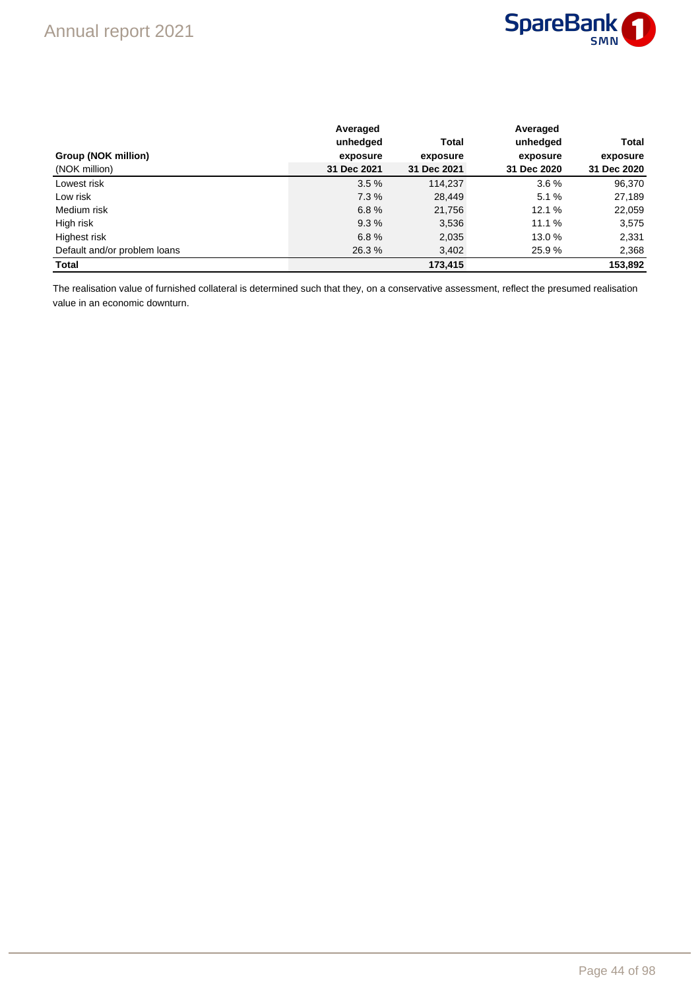

|                              | Averaged    |              | Averaged    |             |  |
|------------------------------|-------------|--------------|-------------|-------------|--|
|                              | unhedged    | <b>Total</b> | unhedged    | Total       |  |
| Group (NOK million)          | exposure    | exposure     | exposure    | exposure    |  |
| (NOK million)                | 31 Dec 2021 | 31 Dec 2021  | 31 Dec 2020 | 31 Dec 2020 |  |
| Lowest risk                  | 3.5%        | 114.237      | 3.6%        | 96,370      |  |
| Low risk                     | 7.3%        | 28,449       | 5.1%        | 27,189      |  |
| Medium risk                  | 6.8%        | 21,756       | 12.1%       | 22,059      |  |
| High risk                    | 9.3%        | 3,536        | 11.1%       | 3,575       |  |
| Highest risk                 | 6.8%        | 2,035        | 13.0 %      | 2,331       |  |
| Default and/or problem loans | 26.3%       | 3,402        | 25.9 %      | 2,368       |  |
| <b>Total</b>                 |             | 173.415      |             | 153,892     |  |

The realisation value of furnished collateral is determined such that they, on a conservative assessment, reflect the presumed realisation value in an economic downturn.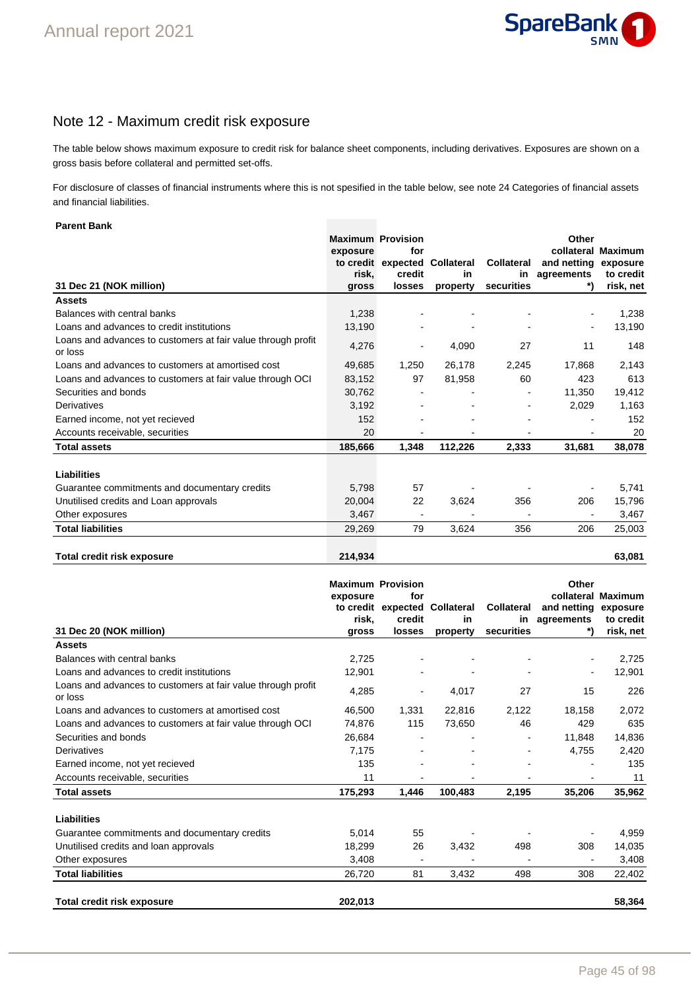

### Note 12 - Maximum credit risk exposure

The table below shows maximum exposure to credit risk for balance sheet components, including derivatives. Exposures are shown on a gross basis before collateral and permitted set-offs.

For disclosure of classes of financial instruments where this is not spesified in the table below, see note 24 Categories of financial assets and financial liabilities.

### **Parent Bank**

|                                                                         | <b>Maximum Provision</b> |                              |            |                   | Other       |                |
|-------------------------------------------------------------------------|--------------------------|------------------------------|------------|-------------------|-------------|----------------|
|                                                                         | exposure                 | for                          |            |                   | collateral  | <b>Maximum</b> |
|                                                                         |                          | to credit expected           | Collateral | <b>Collateral</b> | and netting | exposure       |
|                                                                         | risk,                    | credit                       | in         | in                | agreements  | to credit      |
| 31 Dec 21 (NOK million)                                                 | gross                    | losses                       | property   | securities        |             | risk, net      |
| <b>Assets</b>                                                           |                          |                              |            |                   |             |                |
| Balances with central banks                                             | 1,238                    |                              |            |                   |             | 1,238          |
| Loans and advances to credit institutions                               | 13,190                   |                              |            |                   |             | 13,190         |
| Loans and advances to customers at fair value through profit<br>or loss | 4,276                    | $\qquad \qquad \blacksquare$ | 4,090      | 27                | 11          | 148            |
| Loans and advances to customers at amortised cost                       | 49,685                   | 1,250                        | 26,178     | 2,245             | 17,868      | 2,143          |
| Loans and advances to customers at fair value through OCI               | 83,152                   | 97                           | 81,958     | 60                | 423         | 613            |
| Securities and bonds                                                    | 30,762                   |                              |            |                   | 11.350      | 19,412         |
| Derivatives                                                             | 3,192                    |                              |            |                   | 2,029       | 1,163          |
| Earned income, not yet recieved                                         | 152                      |                              |            |                   |             | 152            |
| Accounts receivable, securities                                         | 20                       |                              |            |                   |             | 20             |
| <b>Total assets</b>                                                     | 185,666                  | 1,348                        | 112,226    | 2,333             | 31,681      | 38,078         |
| Liabilities                                                             |                          |                              |            |                   |             |                |
| Guarantee commitments and documentary credits                           | 5,798                    | 57                           |            |                   |             | 5,741          |
| Unutilised credits and Loan approvals                                   | 20,004                   | 22                           | 3,624      | 356               | 206         | 15,796         |
| Other exposures                                                         | 3,467                    | $\qquad \qquad \blacksquare$ |            |                   |             | 3,467          |
| <b>Total liabilities</b>                                                | 29,269                   | 79                           | 3,624      | 356               | 206         | 25,003         |
| <b>Total credit risk exposure</b>                                       | 214,934                  |                              |            |                   |             | 63,081         |

|                                                                         |          | <b>Maximum Provision</b>     |                   |                   | Other       |                    |
|-------------------------------------------------------------------------|----------|------------------------------|-------------------|-------------------|-------------|--------------------|
|                                                                         | exposure | for                          |                   |                   |             | collateral Maximum |
|                                                                         |          | to credit expected           | <b>Collateral</b> | <b>Collateral</b> | and netting | exposure           |
|                                                                         | risk.    | credit                       | in                | in                | agreements  | to credit          |
| 31 Dec 20 (NOK million)                                                 | gross    | losses                       | property          | securities        |             | risk, net          |
| <b>Assets</b>                                                           |          |                              |                   |                   |             |                    |
| Balances with central banks                                             | 2,725    |                              |                   |                   |             | 2,725              |
| Loans and advances to credit institutions                               | 12,901   |                              |                   |                   |             | 12,901             |
| Loans and advances to customers at fair value through profit<br>or loss | 4,285    | $\blacksquare$               | 4,017             | 27                | 15          | 226                |
| Loans and advances to customers at amortised cost                       | 46,500   | 1,331                        | 22,816            | 2,122             | 18,158      | 2,072              |
| Loans and advances to customers at fair value through OCI               | 74,876   | 115                          | 73,650            | 46                | 429         | 635                |
| Securities and bonds                                                    | 26,684   |                              |                   |                   | 11,848      | 14,836             |
| Derivatives                                                             | 7,175    |                              |                   |                   | 4,755       | 2,420              |
| Earned income, not yet recieved                                         | 135      |                              |                   |                   |             | 135                |
| Accounts receivable, securities                                         | 11       | $\qquad \qquad \blacksquare$ |                   |                   |             | 11                 |
| <b>Total assets</b>                                                     | 175,293  | 1,446                        | 100,483           | 2,195             | 35,206      | 35,962             |
| <b>Liabilities</b>                                                      |          |                              |                   |                   |             |                    |
| Guarantee commitments and documentary credits                           | 5,014    | 55                           |                   |                   |             | 4,959              |
| Unutilised credits and loan approvals                                   | 18,299   | 26                           | 3,432             | 498               | 308         | 14,035             |
| Other exposures                                                         | 3,408    | $\overline{\phantom{a}}$     |                   |                   |             | 3,408              |
| <b>Total liabilities</b>                                                | 26,720   | 81                           | 3,432             | 498               | 308         | 22,402             |
| Total credit risk exposure                                              | 202,013  |                              |                   |                   |             | 58,364             |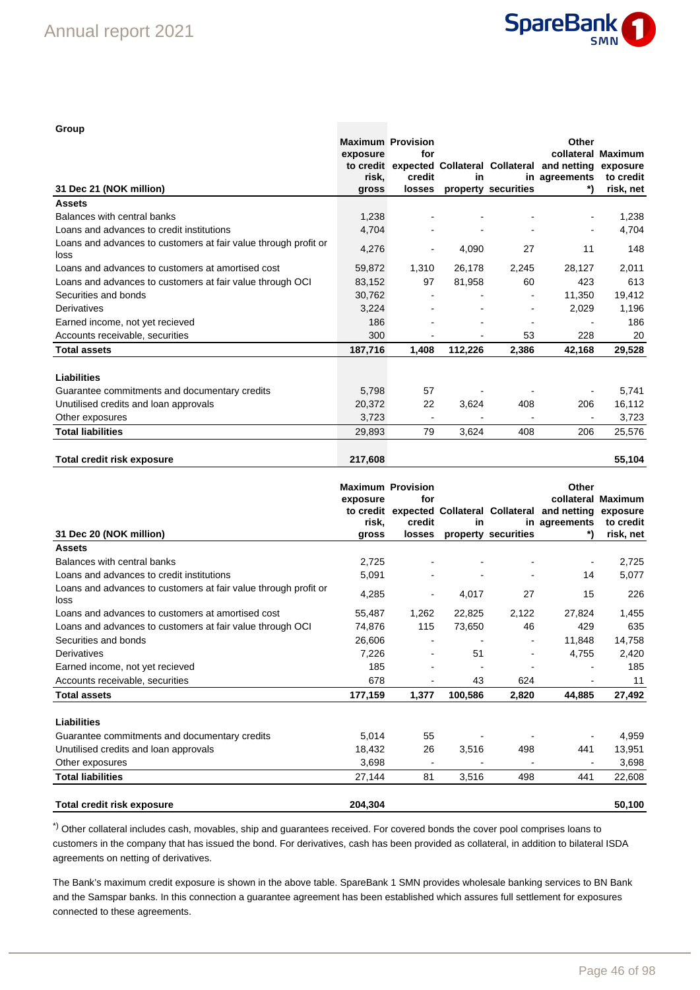

| Group                                                                   |                          |        |         |                          |                                                      |                    |
|-------------------------------------------------------------------------|--------------------------|--------|---------|--------------------------|------------------------------------------------------|--------------------|
|                                                                         | <b>Maximum Provision</b> |        |         |                          | Other                                                |                    |
|                                                                         | exposure                 | for    |         |                          |                                                      | collateral Maximum |
|                                                                         |                          |        |         |                          | to credit expected Collateral Collateral and netting | exposure           |
|                                                                         | risk.                    | credit | in      |                          | in agreements                                        | to credit          |
| 31 Dec 21 (NOK million)                                                 | gross                    | losses |         | property securities      |                                                      | risk, net          |
| <b>Assets</b>                                                           |                          |        |         |                          |                                                      |                    |
| Balances with central banks                                             | 1,238                    |        |         |                          |                                                      | 1,238              |
| Loans and advances to credit institutions                               | 4,704                    |        |         |                          |                                                      | 4,704              |
| Loans and advances to customers at fair value through profit or<br>loss | 4,276                    |        | 4,090   | 27                       | 11                                                   | 148                |
| Loans and advances to customers at amortised cost                       | 59,872                   | 1,310  | 26,178  | 2,245                    | 28,127                                               | 2,011              |
| Loans and advances to customers at fair value through OCI               | 83,152                   | 97     | 81,958  | 60                       | 423                                                  | 613                |
| Securities and bonds                                                    | 30,762                   |        |         | $\blacksquare$           | 11,350                                               | 19,412             |
| Derivatives                                                             | 3,224                    |        |         | $\overline{\phantom{a}}$ | 2,029                                                | 1,196              |
| Earned income, not yet recieved                                         | 186                      |        |         |                          |                                                      | 186                |
| Accounts receivable, securities                                         | 300                      |        |         | 53                       | 228                                                  | 20                 |
| <b>Total assets</b>                                                     | 187,716                  | 1,408  | 112,226 | 2,386                    | 42,168                                               | 29,528             |
| Liabilities                                                             |                          |        |         |                          |                                                      |                    |
| Guarantee commitments and documentary credits                           | 5,798                    | 57     |         |                          |                                                      | 5,741              |
| Unutilised credits and loan approvals                                   | 20,372                   | 22     | 3,624   | 408                      | 206                                                  | 16,112             |
| Other exposures                                                         | 3,723                    |        |         |                          |                                                      | 3,723              |
| <b>Total liabilities</b>                                                | 29,893                   | 79     | 3,624   | 408                      | 206                                                  | 25,576             |
| <b>Total credit risk exposure</b>                                       | 217.608                  |        |         |                          |                                                      | 55,104             |

|                                                                         | <b>Maximum Provision</b><br>exposure | for    |         |                          | Other                                                         | collateral Maximum |
|-------------------------------------------------------------------------|--------------------------------------|--------|---------|--------------------------|---------------------------------------------------------------|--------------------|
|                                                                         |                                      |        |         |                          | to credit expected Collateral Collateral and netting exposure |                    |
|                                                                         | risk.                                | credit | in      |                          | in agreements                                                 | to credit          |
| 31 Dec 20 (NOK million)                                                 | gross                                | losses |         | property securities      |                                                               | risk, net          |
| <b>Assets</b>                                                           |                                      |        |         |                          |                                                               |                    |
| Balances with central banks                                             | 2,725                                |        |         |                          | $\blacksquare$                                                | 2,725              |
| Loans and advances to credit institutions                               | 5,091                                |        |         |                          | 14                                                            | 5,077              |
| Loans and advances to customers at fair value through profit or<br>loss | 4,285                                |        | 4,017   | 27                       | 15                                                            | 226                |
| Loans and advances to customers at amortised cost                       | 55,487                               | 1,262  | 22,825  | 2,122                    | 27,824                                                        | 1,455              |
| Loans and advances to customers at fair value through OCI               | 74,876                               | 115    | 73,650  | 46                       | 429                                                           | 635                |
| Securities and bonds                                                    | 26.606                               |        |         |                          | 11.848                                                        | 14,758             |
| Derivatives                                                             | 7,226                                |        | 51      | $\overline{\phantom{0}}$ | 4,755                                                         | 2,420              |
| Earned income, not yet recieved                                         | 185                                  |        |         |                          |                                                               | 185                |
| Accounts receivable, securities                                         | 678                                  |        | 43      | 624                      |                                                               | 11                 |
| <b>Total assets</b>                                                     | 177,159                              | 1,377  | 100.586 | 2,820                    | 44.885                                                        | 27,492             |
| <b>Liabilities</b>                                                      |                                      |        |         |                          |                                                               |                    |
| Guarantee commitments and documentary credits                           | 5,014                                | 55     |         |                          |                                                               | 4,959              |
| Unutilised credits and loan approvals                                   | 18,432                               | 26     | 3,516   | 498                      | 441                                                           | 13,951             |
| Other exposures                                                         | 3,698                                |        |         |                          |                                                               | 3,698              |
| <b>Total liabilities</b>                                                | 27,144                               | 81     | 3,516   | 498                      | 441                                                           | 22,608             |
| <b>Total credit risk exposure</b>                                       | 204,304                              |        |         |                          |                                                               | 50,100             |

\*) Other collateral includes cash, movables, ship and guarantees received. For covered bonds the cover pool comprises loans to customers in the company that has issued the bond. For derivatives, cash has been provided as collateral, in addition to bilateral ISDA agreements on netting of derivatives.

The Bank's maximum credit exposure is shown in the above table. SpareBank 1 SMN provides wholesale banking services to BN Bank and the Samspar banks. In this connection a guarantee agreement has been established which assures full settlement for exposures connected to these agreements.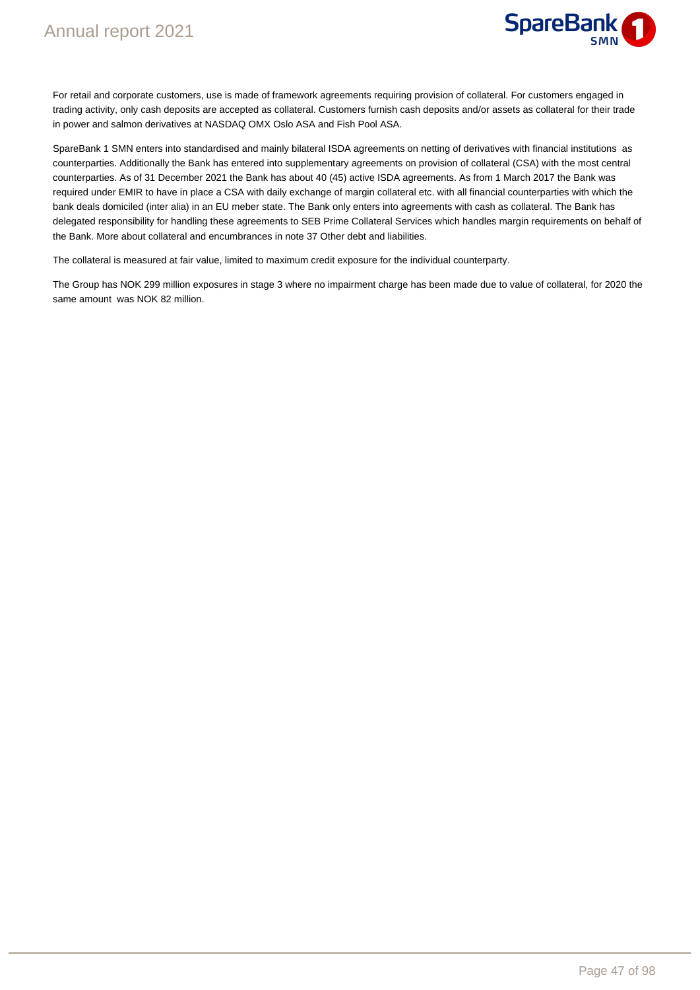

For retail and corporate customers, use is made of framework agreements requiring provision of collateral. For customers engaged in trading activity, only cash deposits are accepted as collateral. Customers furnish cash deposits and/or assets as collateral for their trade in power and salmon derivatives at NASDAQ OMX Oslo ASA and Fish Pool ASA.

SpareBank 1 SMN enters into standardised and mainly bilateral ISDA agreements on netting of derivatives with financial institutions as counterparties. Additionally the Bank has entered into supplementary agreements on provision of collateral (CSA) with the most central counterparties. As of 31 December 2021 the Bank has about 40 (45) active ISDA agreements. As from 1 March 2017 the Bank was required under EMIR to have in place a CSA with daily exchange of margin collateral etc. with all financial counterparties with which the bank deals domiciled (inter alia) in an EU meber state. The Bank only enters into agreements with cash as collateral. The Bank has delegated responsibility for handling these agreements to SEB Prime Collateral Services which handles margin requirements on behalf of the Bank. More about collateral and encumbrances in note 37 Other debt and liabilities.

The collateral is measured at fair value, limited to maximum credit exposure for the individual counterparty.

The Group has NOK 299 million exposures in stage 3 where no impairment charge has been made due to value of collateral, for 2020 the same amount was NOK 82 million.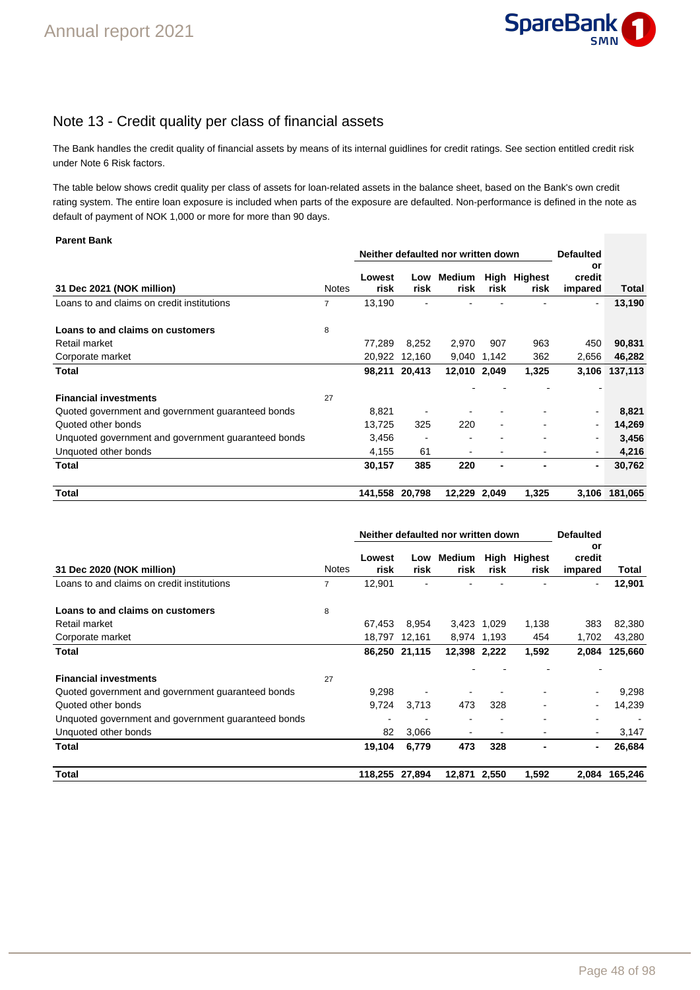

# Note 13 - Credit quality per class of financial assets

The Bank handles the credit quality of financial assets by means of its internal guidlines for credit ratings. See section entitled credit risk under Note 6 Risk factors.

The table below shows credit quality per class of assets for loan-related assets in the balance sheet, based on the Bank's own credit rating system. The entire loan exposure is included when parts of the exposure are defaulted. Non-performance is defined in the note as default of payment of NOK 1,000 or more for more than 90 days.

#### **Parent Bank**

| <b>Parent Bank</b>                                  |                |                                    |                |                |                  |                      |                          |         |  |
|-----------------------------------------------------|----------------|------------------------------------|----------------|----------------|------------------|----------------------|--------------------------|---------|--|
|                                                     |                | Neither defaulted nor written down |                |                | <b>Defaulted</b> |                      |                          |         |  |
| 31 Dec 2021 (NOK million)                           | <b>Notes</b>   | Lowest<br>risk                     | Low<br>risk    | Medium<br>risk | risk             | High Highest<br>risk | or<br>credit<br>impared  | Total   |  |
| Loans to and claims on credit institutions          | $\overline{7}$ | 13,190                             |                |                |                  |                      | $\blacksquare$           | 13,190  |  |
| Loans to and claims on customers                    | 8              |                                    |                |                |                  |                      |                          |         |  |
| Retail market                                       |                | 77,289                             | 8.252          | 2,970          | 907              | 963                  | 450                      | 90,831  |  |
| Corporate market                                    |                | 20,922                             | 12,160         |                | 9,040 1,142      | 362                  | 2,656                    | 46,282  |  |
| <b>Total</b>                                        |                |                                    | 98,211 20,413  | 12,010 2,049   |                  | 1,325                | 3,106                    | 137,113 |  |
|                                                     |                |                                    |                |                |                  |                      |                          |         |  |
| <b>Financial investments</b>                        | 27             |                                    |                |                |                  |                      |                          |         |  |
| Quoted government and government guaranteed bonds   |                | 8,821                              |                |                |                  |                      | $\overline{\phantom{a}}$ | 8,821   |  |
| Quoted other bonds                                  |                | 13.725                             | 325            | 220            | ۰                |                      |                          | 14,269  |  |
| Unquoted government and government guaranteed bonds |                | 3,456                              | $\overline{a}$ |                |                  |                      | $\blacksquare$           | 3,456   |  |
| Unquoted other bonds                                |                | 4,155                              | 61             |                | ۰                |                      | $\overline{\phantom{a}}$ | 4,216   |  |
| <b>Total</b>                                        |                | 30,157                             | 385            | 220            | ٠                |                      | ٠                        | 30,762  |  |
| <b>Total</b>                                        |                | 141,558                            | 20,798         | 12,229         | 2,049            | 1,325                | 3,106                    | 181,065 |  |

|                                                     |              | Neither defaulted nor written down |               | <b>Defaulted</b> |                          |                      |                         |         |
|-----------------------------------------------------|--------------|------------------------------------|---------------|------------------|--------------------------|----------------------|-------------------------|---------|
| 31 Dec 2020 (NOK million)                           | <b>Notes</b> | Lowest<br>risk                     | Low<br>risk   | Medium<br>risk   | risk                     | High Highest<br>risk | or<br>credit<br>impared | Total   |
| Loans to and claims on credit institutions          | 7            | 12,901                             |               |                  |                          |                      | $\blacksquare$          | 12,901  |
| Loans to and claims on customers                    | 8            |                                    |               |                  |                          |                      |                         |         |
| Retail market                                       |              | 67,453                             | 8,954         |                  | 3,423 1,029              | 1,138                | 383                     | 82,380  |
| Corporate market                                    |              |                                    | 18,797 12,161 |                  | 8,974 1,193              | 454                  | 1,702                   | 43,280  |
| Total                                               |              |                                    | 86,250 21,115 | 12,398 2,222     |                          | 1,592                | 2,084                   | 125,660 |
|                                                     |              |                                    |               |                  |                          |                      |                         |         |
| <b>Financial investments</b>                        | 27           |                                    |               |                  |                          |                      |                         |         |
| Quoted government and government guaranteed bonds   |              | 9,298                              |               |                  |                          |                      | $\blacksquare$          | 9,298   |
| Quoted other bonds                                  |              | 9,724                              | 3,713         | 473              | 328                      |                      | -                       | 14,239  |
| Unquoted government and government guaranteed bonds |              |                                    |               |                  |                          |                      |                         |         |
| Unquoted other bonds                                |              | 82                                 | 3,066         |                  | $\overline{\phantom{a}}$ |                      | $\blacksquare$          | 3,147   |
| Total                                               |              | 19,104                             | 6,779         | 473              | 328                      |                      | $\blacksquare$          | 26,684  |
| Total                                               |              | 118,255 27,894                     |               | 12,871 2,550     |                          | 1,592                | 2,084                   | 165.246 |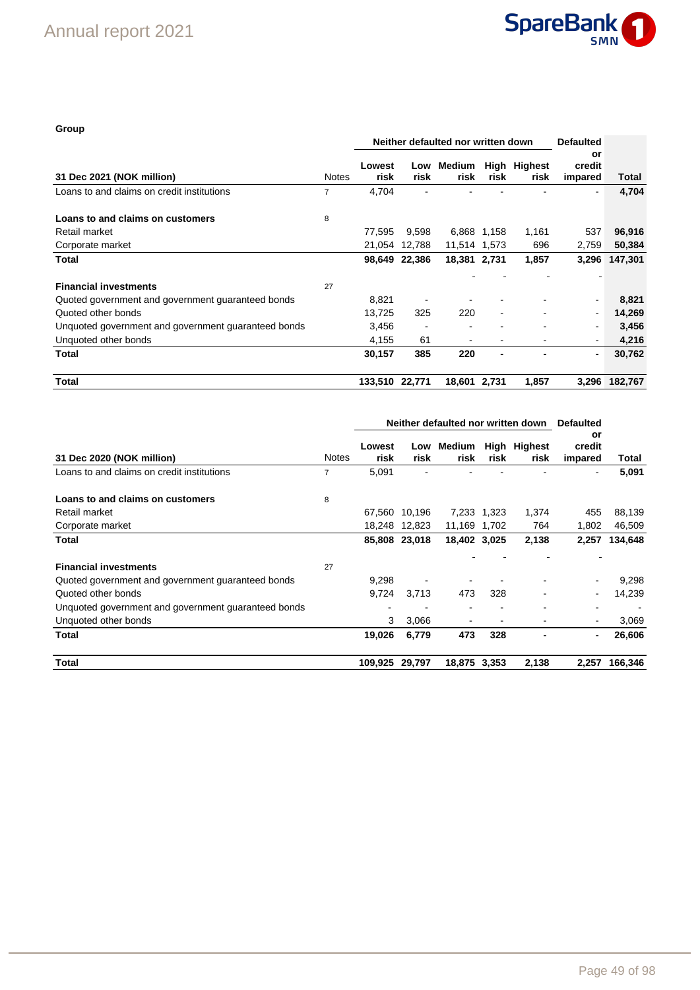

### **Group**

|                                                     |              |                | Neither defaulted nor written down | <b>Defaulted</b> |                          |                      |                          |               |
|-----------------------------------------------------|--------------|----------------|------------------------------------|------------------|--------------------------|----------------------|--------------------------|---------------|
| 31 Dec 2021 (NOK million)                           | <b>Notes</b> | Lowest<br>risk | Low<br>risk                        | Medium<br>risk   | risk                     | High Highest<br>risk | or<br>credit<br>impared  | Total         |
| Loans to and claims on credit institutions          | 7            | 4,704          |                                    |                  |                          |                      | -                        | 4,704         |
| Loans to and claims on customers                    | 8            |                |                                    |                  |                          |                      |                          |               |
| Retail market                                       |              | 77,595         | 9,598                              |                  | 6,868 1,158              | 1,161                | 537                      | 96,916        |
| Corporate market                                    |              | 21,054         | 12,788                             | 11,514 1,573     |                          | 696                  | 2,759                    | 50,384        |
| Total                                               |              | 98,649         | 22,386                             | 18,381 2,731     |                          | 1,857                | 3,296                    | 147,301       |
| <b>Financial investments</b>                        | 27           |                |                                    |                  |                          |                      |                          |               |
| Quoted government and government guaranteed bonds   |              | 8,821          |                                    |                  |                          |                      | $\blacksquare$           | 8,821         |
| Quoted other bonds                                  |              | 13,725         | 325                                | 220              | $\blacksquare$           |                      | $\overline{\phantom{a}}$ | 14,269        |
| Unquoted government and government guaranteed bonds |              | 3,456          |                                    |                  | ٠                        |                      | $\blacksquare$           | 3,456         |
| Unquoted other bonds                                |              | 4,155          | 61                                 |                  | $\overline{\phantom{0}}$ |                      | $\blacksquare$           | 4,216         |
| <b>Total</b>                                        |              | 30,157         | 385                                | 220              | $\blacksquare$           |                      | ٠                        | 30,762        |
| Total                                               |              | 133,510 22,771 |                                    | 18,601 2,731     |                          | 1,857                |                          | 3,296 182,767 |

|                                                     |              |                | Neither defaulted nor written down<br><b>Defaulted</b> |                              |       |                      |                          |         |
|-----------------------------------------------------|--------------|----------------|--------------------------------------------------------|------------------------------|-------|----------------------|--------------------------|---------|
| 31 Dec 2020 (NOK million)                           | <b>Notes</b> | Lowest<br>risk | Low<br>risk                                            | Medium<br>risk               | risk  | High Highest<br>risk | or<br>credit<br>impared  | Total   |
| Loans to and claims on credit institutions          | 7            | 5,091          |                                                        | $\overline{\phantom{0}}$     |       |                      | $\blacksquare$           | 5,091   |
| Loans to and claims on customers                    | 8            |                |                                                        |                              |       |                      |                          |         |
| Retail market                                       |              | 67,560         | 10,196                                                 | 7,233                        | 1,323 | 1,374                | 455                      | 88,139  |
| Corporate market                                    |              |                | 18,248 12,823                                          | 11,169                       | 1,702 | 764                  | 1,802                    | 46,509  |
| Total                                               |              |                | 85,808 23,018                                          | 18,402 3,025                 |       | 2,138                | 2,257                    | 134,648 |
| <b>Financial investments</b>                        | 27           |                |                                                        |                              |       |                      |                          |         |
| Quoted government and government guaranteed bonds   |              | 9,298          |                                                        |                              |       |                      | $\overline{\phantom{a}}$ | 9,298   |
| Quoted other bonds                                  |              | 9,724          | 3,713                                                  | 473                          | 328   |                      |                          | 14,239  |
| Unquoted government and government guaranteed bonds |              |                |                                                        |                              |       |                      |                          |         |
| Unquoted other bonds                                |              | 3              | 3,066                                                  | $\qquad \qquad \blacksquare$ |       |                      | $\overline{\phantom{a}}$ | 3,069   |
| Total                                               |              | 19,026         | 6,779                                                  | 473                          | 328   |                      | ٠                        | 26,606  |
| Total                                               |              | 109,925        | 29,797                                                 | 18,875 3,353                 |       | 2,138                | 2,257                    | 166.346 |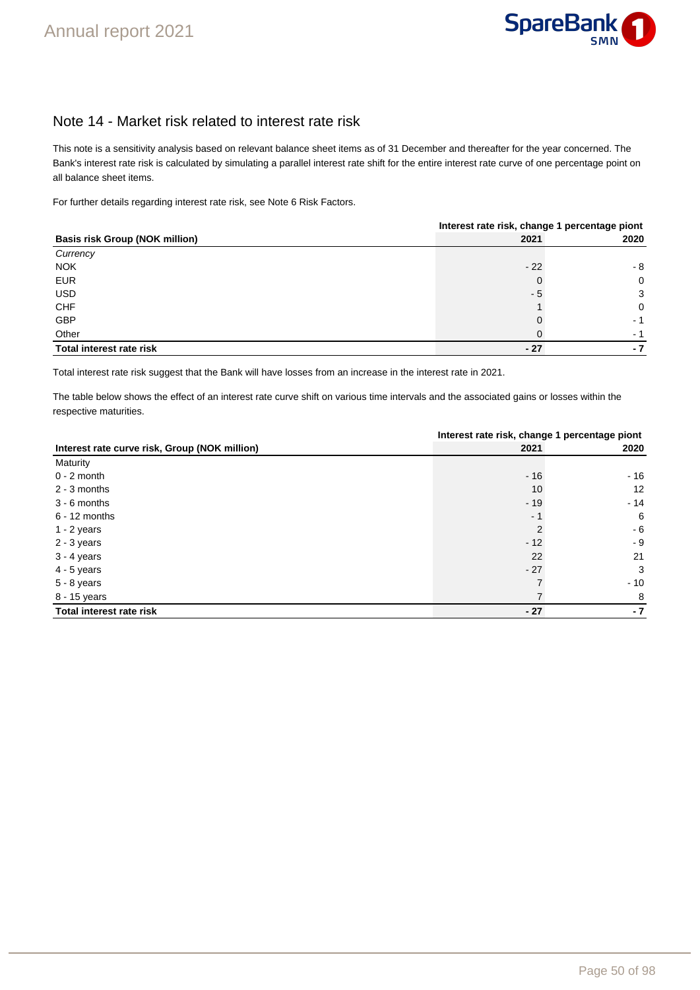

### Note 14 - Market risk related to interest rate risk

This note is a sensitivity analysis based on relevant balance sheet items as of 31 December and thereafter for the year concerned. The Bank's interest rate risk is calculated by simulating a parallel interest rate shift for the entire interest rate curve of one percentage point on all balance sheet items.

For further details regarding interest rate risk, see Note 6 Risk Factors.

|                                       | Interest rate risk, change 1 percentage piont |      |  |  |  |
|---------------------------------------|-----------------------------------------------|------|--|--|--|
| <b>Basis risk Group (NOK million)</b> | 2021                                          | 2020 |  |  |  |
| Currency                              |                                               |      |  |  |  |
| <b>NOK</b>                            | $-22$                                         | - 8  |  |  |  |
| <b>EUR</b>                            |                                               | 0    |  |  |  |
| <b>USD</b>                            | - 5                                           | 3    |  |  |  |
| <b>CHF</b>                            |                                               | 0    |  |  |  |
| GBP                                   |                                               | - 1  |  |  |  |
| Other                                 |                                               | - 1  |  |  |  |
| Total interest rate risk              | $-27$                                         | - 7  |  |  |  |

Total interest rate risk suggest that the Bank will have losses from an increase in the interest rate in 2021.

The table below shows the effect of an interest rate curve shift on various time intervals and the associated gains or losses within the respective maturities.

|                                               |                           | Interest rate risk, change 1 percentage piont |  |  |
|-----------------------------------------------|---------------------------|-----------------------------------------------|--|--|
| Interest rate curve risk, Group (NOK million) | 2021                      | 2020                                          |  |  |
| Maturity                                      |                           |                                               |  |  |
| $0 - 2$ month                                 | $-16$                     | $-16$                                         |  |  |
| $2 - 3$ months                                | 10                        | 12                                            |  |  |
| $3 - 6$ months                                | $-19$                     | $-14$                                         |  |  |
| $6 - 12$ months                               | $ \overline{\phantom{a}}$ | 6                                             |  |  |
| $1 - 2$ years                                 | 2                         | $-6$                                          |  |  |
| 2 - 3 years                                   | $-12$                     | $-9$                                          |  |  |
| $3 - 4$ years                                 | 22                        | 21                                            |  |  |
| $4 - 5$ years                                 | $-27$                     | 3                                             |  |  |
| 5 - 8 years                                   |                           | $-10$                                         |  |  |
| 8 - 15 years                                  |                           | 8                                             |  |  |
| Total interest rate risk                      | $-27$                     | $-7$                                          |  |  |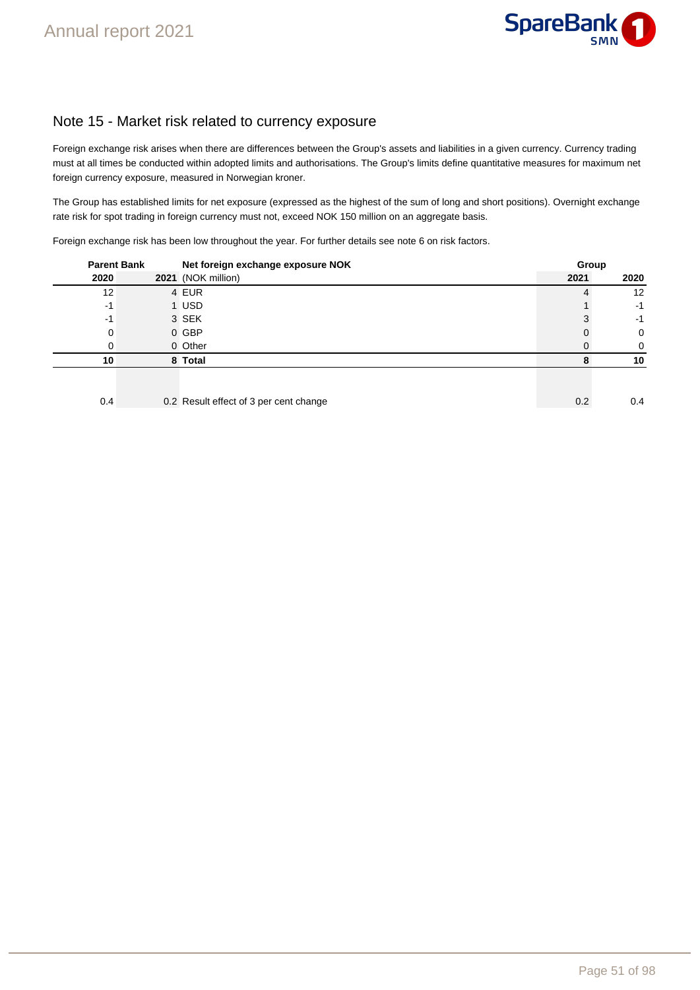

### Note 15 - Market risk related to currency exposure

Foreign exchange risk arises when there are differences between the Group's assets and liabilities in a given currency. Currency trading must at all times be conducted within adopted limits and authorisations. The Group's limits define quantitative measures for maximum net foreign currency exposure, measured in Norwegian kroner.

The Group has established limits for net exposure (expressed as the highest of the sum of long and short positions). Overnight exchange rate risk for spot trading in foreign currency must not, exceed NOK 150 million on an aggregate basis.

Foreign exchange risk has been low throughout the year. For further details see note 6 on risk factors.

| <b>Parent Bank</b> |  | Net foreign exchange exposure NOK      |      | Group |
|--------------------|--|----------------------------------------|------|-------|
| 2020               |  | 2021 (NOK million)                     | 2021 | 2020  |
| 12                 |  | 4 EUR                                  |      | 12    |
| -1                 |  | 1 USD                                  |      | $-1$  |
| -1                 |  | 3 SEK                                  |      | $-1$  |
| 0                  |  | 0 GBP                                  |      | 0     |
| O                  |  | 0 Other                                |      | 0     |
| 10                 |  | 8 Total                                |      | 10    |
| 0.4                |  | 0.2 Result effect of 3 per cent change | 0.2  | 0.4   |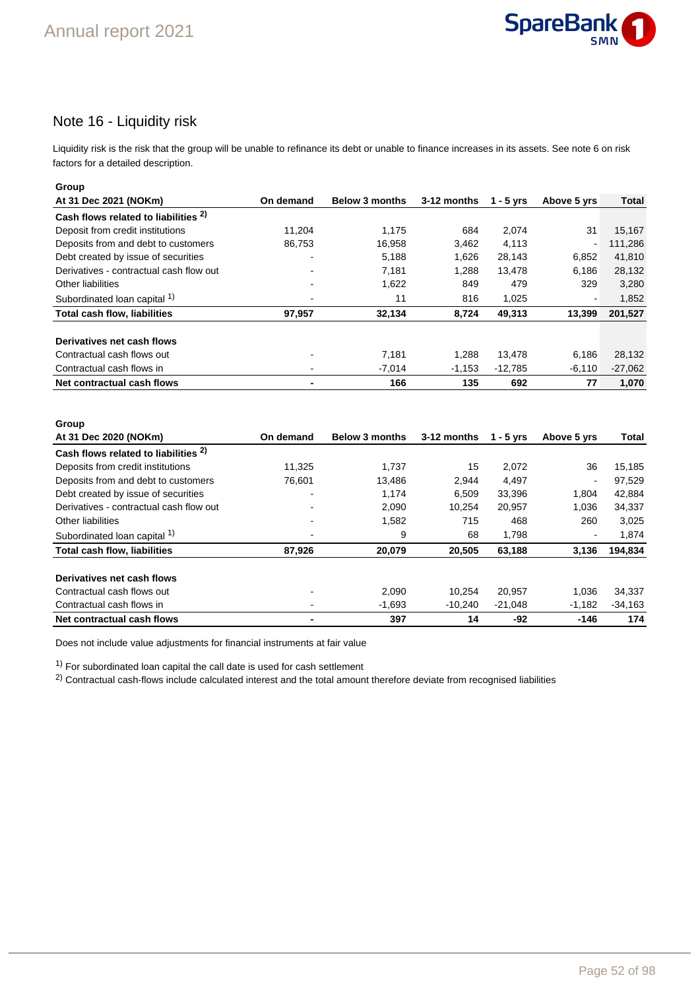

### Note 16 - Liquidity risk

Liquidity risk is the risk that the group will be unable to refinance its debt or unable to finance increases in its assets. See note 6 on risk factors for a detailed description.

| Group                                   |                          |                       |             |           |             |           |
|-----------------------------------------|--------------------------|-----------------------|-------------|-----------|-------------|-----------|
| At 31 Dec 2021 (NOKm)                   | On demand                | <b>Below 3 months</b> | 3-12 months | 1 - 5 yrs | Above 5 yrs | Total     |
| Cash flows related to liabilities 2)    |                          |                       |             |           |             |           |
| Deposit from credit institutions        | 11.204                   | 1.175                 | 684         | 2.074     | 31          | 15,167    |
| Deposits from and debt to customers     | 86,753                   | 16,958                | 3,462       | 4,113     | -           | 111,286   |
| Debt created by issue of securities     | $\overline{\phantom{0}}$ | 5,188                 | 1,626       | 28,143    | 6,852       | 41,810    |
| Derivatives - contractual cash flow out | $\overline{\phantom{0}}$ | 7.181                 | 1.288       | 13.478    | 6.186       | 28,132    |
| <b>Other liabilities</b>                |                          | 1,622                 | 849         | 479       | 329         | 3,280     |
| Subordinated loan capital 1)            |                          | 11                    | 816         | 1,025     | -           | 1,852     |
| <b>Total cash flow, liabilities</b>     | 97,957                   | 32,134                | 8,724       | 49,313    | 13,399      | 201,527   |
| Derivatives net cash flows              |                          |                       |             |           |             |           |
| Contractual cash flows out              |                          | 7.181                 | 1.288       | 13,478    | 6,186       | 28,132    |
| Contractual cash flows in               |                          | $-7,014$              | $-1,153$    | $-12,785$ | $-6,110$    | $-27,062$ |
| Net contractual cash flows              |                          | 166                   | 135         | 692       | 77          | 1,070     |

| Group                                           |                          |                       |             |             |                |           |
|-------------------------------------------------|--------------------------|-----------------------|-------------|-------------|----------------|-----------|
| At 31 Dec 2020 (NOKm)                           | On demand                | <b>Below 3 months</b> | 3-12 months | $1 - 5$ yrs | Above 5 yrs    | Total     |
| Cash flows related to liabilities <sup>2)</sup> |                          |                       |             |             |                |           |
| Deposits from credit institutions               | 11,325                   | 1,737                 | 15          | 2,072       | 36             | 15,185    |
| Deposits from and debt to customers             | 76.601                   | 13.486                | 2.944       | 4.497       | $\blacksquare$ | 97,529    |
| Debt created by issue of securities             | $\overline{\phantom{0}}$ | 1,174                 | 6.509       | 33,396      | 1,804          | 42,884    |
| Derivatives - contractual cash flow out         |                          | 2,090                 | 10.254      | 20.957      | 1,036          | 34,337    |
| Other liabilities                               | $\blacksquare$           | 1,582                 | 715         | 468         | 260            | 3,025     |
| Subordinated loan capital 1)                    | -                        | 9                     | 68          | 1,798       | $\blacksquare$ | 1,874     |
| <b>Total cash flow, liabilities</b>             | 87,926                   | 20,079                | 20,505      | 63,188      | 3,136          | 194,834   |
| Derivatives net cash flows                      |                          |                       |             |             |                |           |
| Contractual cash flows out                      | $\overline{\phantom{0}}$ | 2.090                 | 10.254      | 20.957      | 1.036          | 34,337    |
| Contractual cash flows in                       | $\overline{\phantom{0}}$ | $-1,693$              | $-10.240$   | $-21.048$   | $-1,182$       | $-34,163$ |
| Net contractual cash flows                      | ۰                        | 397                   | 14          | -92         | $-146$         | 174       |

Does not include value adjustments for financial instruments at fair value

 $1)$  For subordinated loan capital the call date is used for cash settlement

<sup>2)</sup> Contractual cash-flows include calculated interest and the total amount therefore deviate from recognised liabilities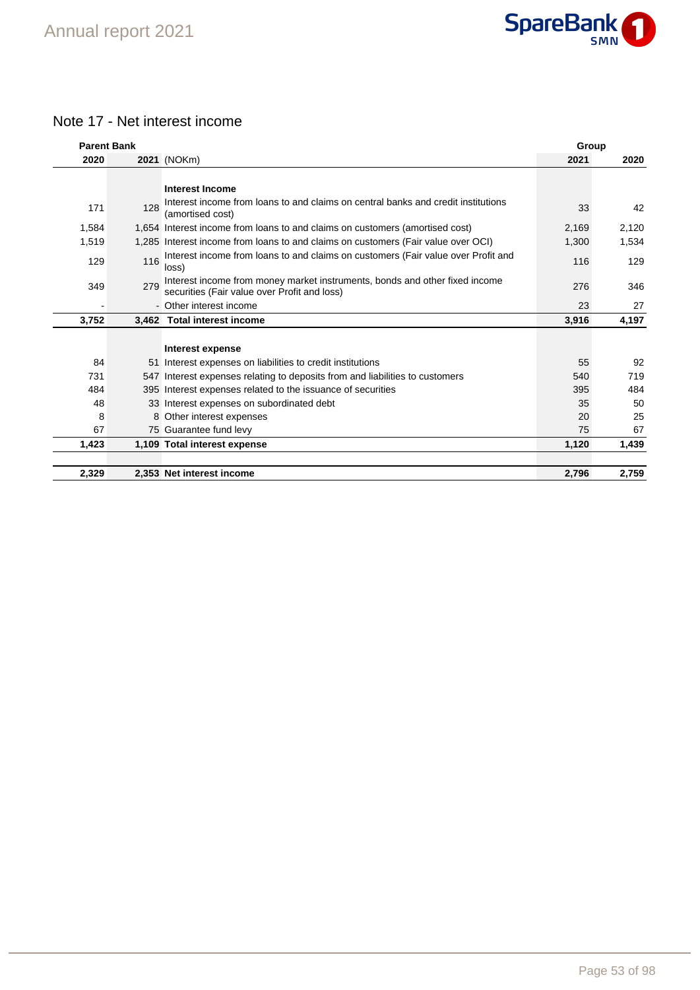

# Note 17 - Net interest income

| <b>Parent Bank</b> |     |                                                                                                                             | Group |       |
|--------------------|-----|-----------------------------------------------------------------------------------------------------------------------------|-------|-------|
| 2020               |     | 2021 (NOKm)                                                                                                                 | 2021  | 2020  |
|                    |     |                                                                                                                             |       |       |
|                    |     | <b>Interest Income</b>                                                                                                      |       |       |
| 171                | 128 | Interest income from loans to and claims on central banks and credit institutions<br>(amortised cost)                       | 33    | 42    |
| 1,584              |     | 1,654 Interest income from loans to and claims on customers (amortised cost)                                                | 2,169 | 2,120 |
| 1,519              |     | 1,285 Interest income from loans to and claims on customers (Fair value over OCI)                                           | 1,300 | 1,534 |
| 129                | 116 | Interest income from loans to and claims on customers (Fair value over Profit and<br>loss)                                  | 116   | 129   |
| 349                | 279 | Interest income from money market instruments, bonds and other fixed income<br>securities (Fair value over Profit and loss) | 276   | 346   |
|                    |     | - Other interest income                                                                                                     | 23    | 27    |
| 3,752              |     | 3,462 Total interest income                                                                                                 | 3,916 | 4,197 |
|                    |     |                                                                                                                             |       |       |
|                    |     | <b>Interest expense</b>                                                                                                     |       |       |
| 84                 |     | 51 Interest expenses on liabilities to credit institutions                                                                  | 55    | 92    |
| 731                |     | 547 Interest expenses relating to deposits from and liabilities to customers                                                | 540   | 719   |
| 484                |     | 395 Interest expenses related to the issuance of securities                                                                 | 395   | 484   |
| 48                 |     | 33 Interest expenses on subordinated debt                                                                                   | 35    | 50    |
| 8                  |     | 8 Other interest expenses                                                                                                   | 20    | 25    |
| 67                 |     | 75 Guarantee fund levy                                                                                                      | 75    | 67    |
| 1,423              |     | 1,109 Total interest expense                                                                                                | 1,120 | 1,439 |
|                    |     |                                                                                                                             |       |       |
| 2,329              |     | 2,353 Net interest income                                                                                                   | 2,796 | 2,759 |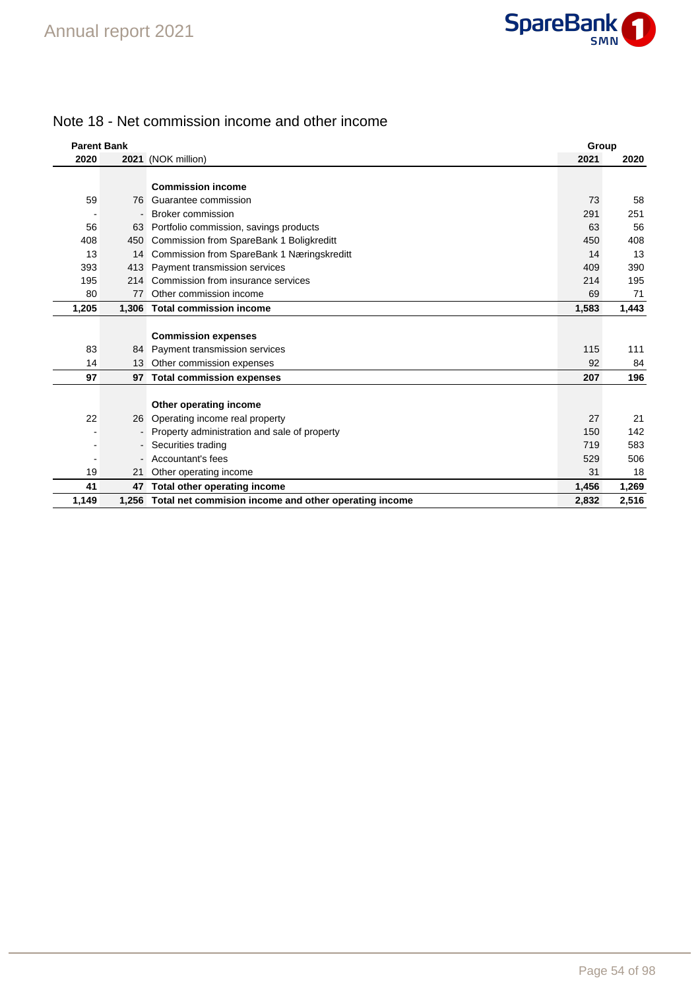

### Note 18 - Net commission income and other income

| <b>Parent Bank</b> |                |                                                             |       | Group |  |
|--------------------|----------------|-------------------------------------------------------------|-------|-------|--|
| 2020               |                | 2021 (NOK million)                                          | 2021  | 2020  |  |
|                    |                |                                                             |       |       |  |
|                    |                | <b>Commission income</b>                                    |       |       |  |
| 59                 | 76             | Guarantee commission                                        | 73    | 58    |  |
|                    |                | <b>Broker commission</b>                                    | 291   | 251   |  |
| 56                 | 63             | Portfolio commission, savings products                      | 63    | 56    |  |
| 408                | 450            | Commission from SpareBank 1 Boligkreditt                    | 450   | 408   |  |
| 13                 | 14             | Commission from SpareBank 1 Næringskreditt                  | 14    | 13    |  |
| 393                | 413            | Payment transmission services                               | 409   | 390   |  |
| 195                |                | 214 Commission from insurance services                      | 214   | 195   |  |
| 80                 | 77             | Other commission income                                     | 69    | 71    |  |
| 1,205              |                | 1,306 Total commission income                               | 1,583 | 1,443 |  |
|                    |                |                                                             |       |       |  |
|                    |                | <b>Commission expenses</b>                                  |       |       |  |
| 83                 |                | 84 Payment transmission services                            | 115   | 111   |  |
| 14                 | 13             | Other commission expenses                                   | 92    | 84    |  |
| 97                 |                | 97 Total commission expenses                                | 207   | 196   |  |
|                    |                |                                                             |       |       |  |
|                    |                | Other operating income                                      |       |       |  |
| 22                 | 26             | Operating income real property                              | 27    | 21    |  |
|                    |                | Property administration and sale of property                | 150   | 142   |  |
|                    | $\blacksquare$ | Securities trading                                          | 719   | 583   |  |
|                    |                | Accountant's fees                                           | 529   | 506   |  |
| 19                 | 21             | Other operating income                                      | 31    | 18    |  |
| 41                 | 47             | Total other operating income                                | 1,456 | 1,269 |  |
| 1,149              |                | 1,256 Total net commision income and other operating income | 2.832 | 2,516 |  |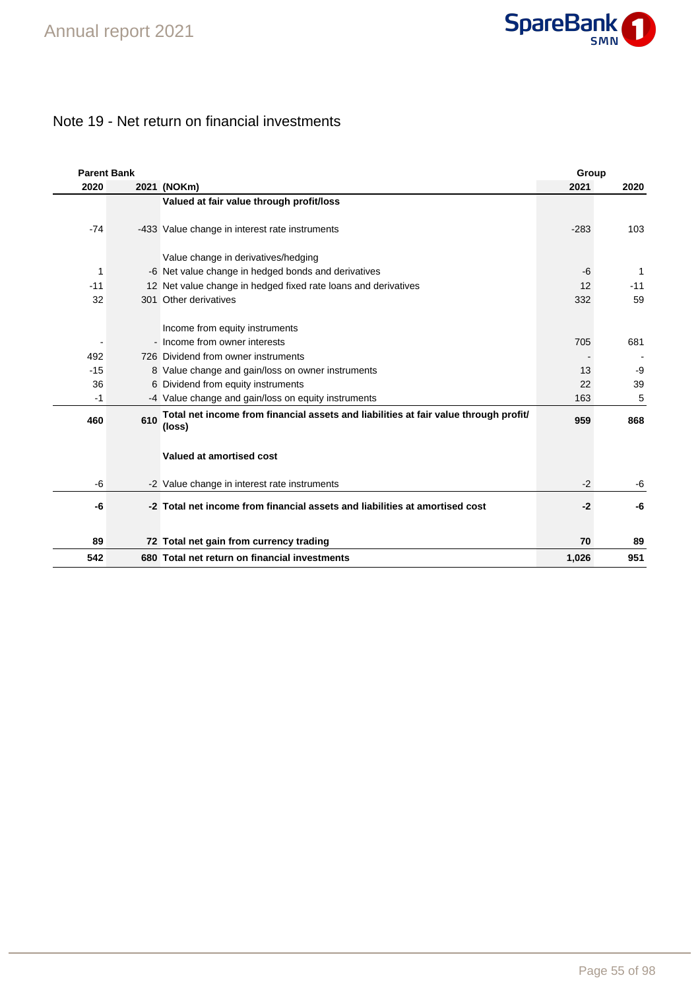

# Note 19 - Net return on financial investments

| <b>Parent Bank</b> |     |                                                                                                | Group  |              |
|--------------------|-----|------------------------------------------------------------------------------------------------|--------|--------------|
| 2020               |     | 2021 (NOKm)                                                                                    | 2021   | 2020         |
|                    |     | Valued at fair value through profit/loss                                                       |        |              |
| $-74$              |     | -433 Value change in interest rate instruments                                                 | $-283$ | 103          |
|                    |     | Value change in derivatives/hedging                                                            |        |              |
| 1                  |     | -6 Net value change in hedged bonds and derivatives                                            | $-6$   | $\mathbf{1}$ |
| $-11$              |     | 12 Net value change in hedged fixed rate loans and derivatives                                 | 12     | $-11$        |
| 32                 |     | 301 Other derivatives                                                                          | 332    | 59           |
|                    |     | Income from equity instruments                                                                 |        |              |
|                    |     | - Income from owner interests                                                                  | 705    | 681          |
| 492                |     | 726 Dividend from owner instruments                                                            |        |              |
| $-15$              |     | 8 Value change and gain/loss on owner instruments                                              | 13     | -9           |
| 36                 |     | 6 Dividend from equity instruments                                                             | 22     | 39           |
| -1                 |     | -4 Value change and gain/loss on equity instruments                                            | 163    | 5            |
| 460                | 610 | Total net income from financial assets and liabilities at fair value through profit/<br>(loss) | 959    | 868          |
|                    |     | Valued at amortised cost                                                                       |        |              |
| -6                 |     | -2 Value change in interest rate instruments                                                   | $-2$   | -6           |
| -6                 |     | -2 Total net income from financial assets and liabilities at amortised cost                    | $-2$   | -6           |
| 89                 |     | 72 Total net gain from currency trading                                                        | 70     | 89           |
| 542                |     | 680 Total net return on financial investments                                                  | 1,026  | 951          |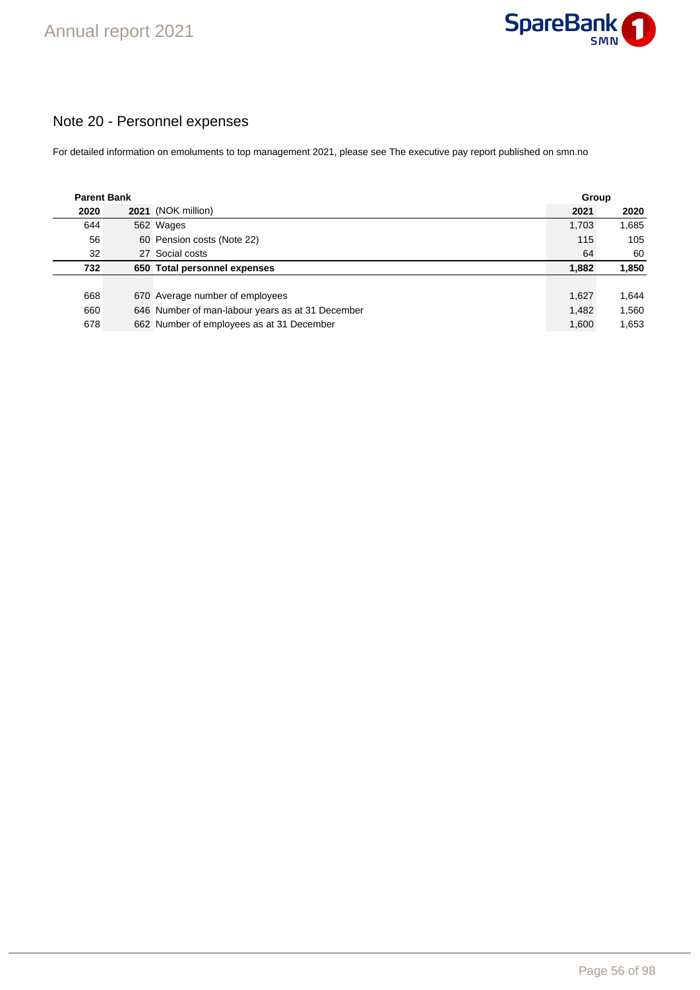

# Note 20 - Personnel expenses

For detailed information on emoluments to top management 2021, please see The executive pay report published on smn.no

| <b>Parent Bank</b> |                                                  | Group |       |  |
|--------------------|--------------------------------------------------|-------|-------|--|
| 2020               | 2021 (NOK million)                               | 2021  | 2020  |  |
| 644                | 562 Wages                                        | 1,703 | 1,685 |  |
| 56                 | 60 Pension costs (Note 22)                       | 115   | 105   |  |
| 32                 | 27 Social costs                                  | 64    | 60    |  |
| 732                | 650 Total personnel expenses                     | 1,882 | 1,850 |  |
|                    |                                                  |       |       |  |
| 668                | 670 Average number of employees                  | 1.627 | 1.644 |  |
| 660                | 646 Number of man-labour years as at 31 December | 1.482 | 1,560 |  |
| 678                | 662 Number of employees as at 31 December        | 1,600 | 1,653 |  |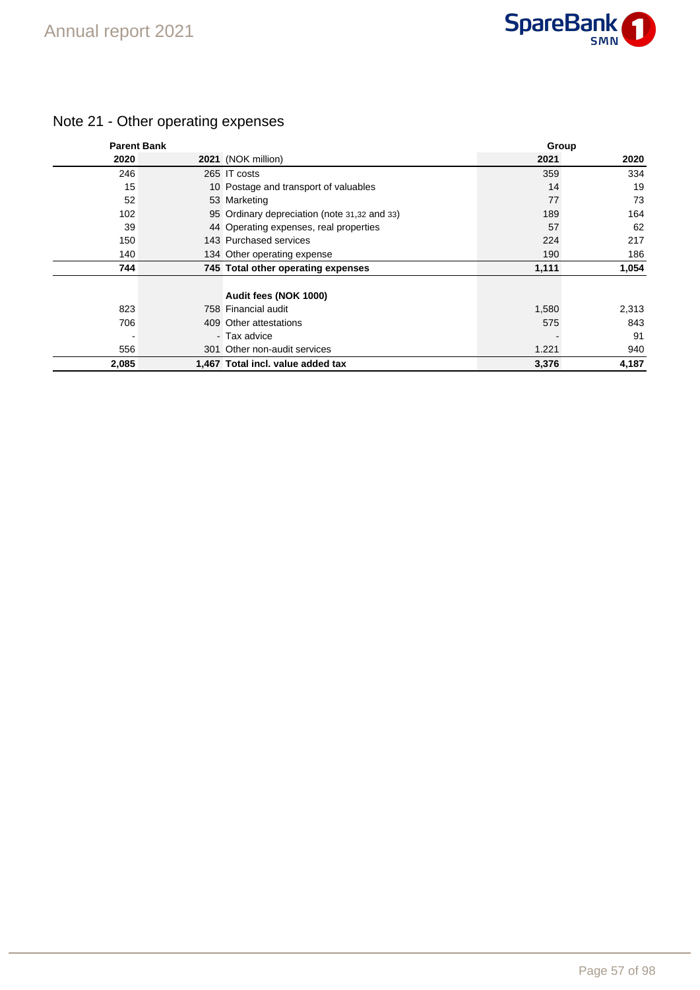

# Note 21 - Other operating expenses

| <b>Parent Bank</b> |                                              | Group |       |
|--------------------|----------------------------------------------|-------|-------|
| 2020               | 2021 (NOK million)                           | 2021  | 2020  |
| 246                | 265 IT costs                                 | 359   | 334   |
| 15                 | 10 Postage and transport of valuables        | 14    | 19    |
| 52                 | 53 Marketing                                 | 77    | 73    |
| 102                | 95 Ordinary depreciation (note 31,32 and 33) | 189   | 164   |
| 39                 | 44 Operating expenses, real properties       | 57    | 62    |
| 150                | 143 Purchased services                       | 224   | 217   |
| 140                | 134 Other operating expense                  | 190   | 186   |
| 744                | 745 Total other operating expenses           | 1,111 | 1,054 |
|                    | Audit fees (NOK 1000)                        |       |       |
| 823                | 758 Financial audit                          | 1,580 | 2,313 |
| 706                | 409 Other attestations                       | 575   | 843   |
|                    | - Tax advice                                 |       | 91    |
| 556                | 301 Other non-audit services                 | 1.221 | 940   |
| 2,085              | 1,467 Total incl. value added tax            | 3,376 | 4,187 |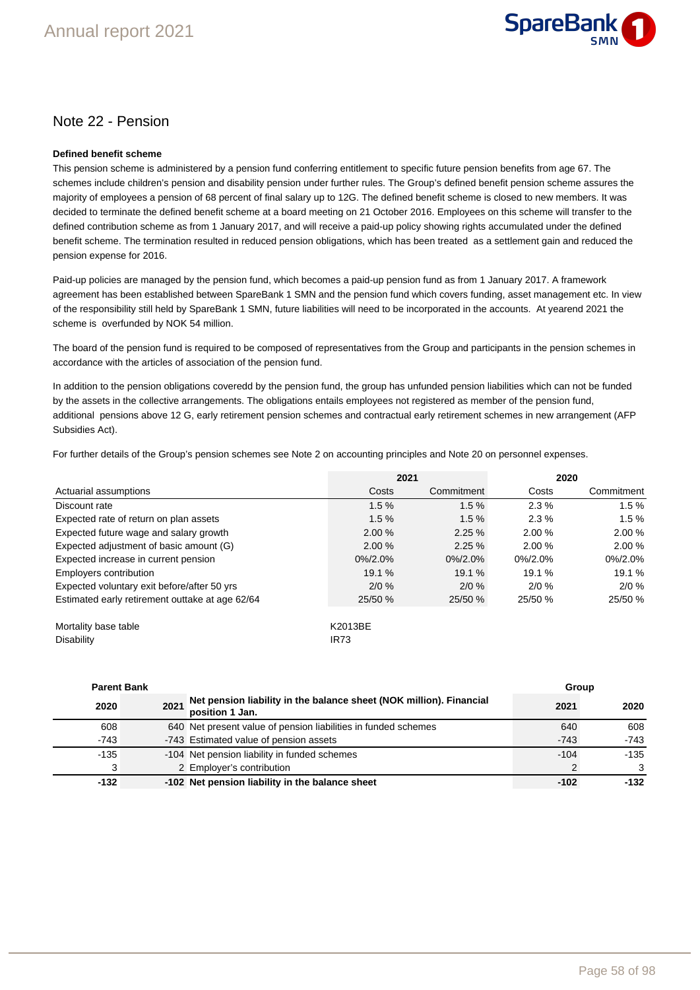

### Note 22 - Pension

#### **Defined benefit scheme**

This pension scheme is administered by a pension fund conferring entitlement to specific future pension benefits from age 67. The schemes include children's pension and disability pension under further rules. The Group's defined benefit pension scheme assures the majority of employees a pension of 68 percent of final salary up to 12G. The defined benefit scheme is closed to new members. It was decided to terminate the defined benefit scheme at a board meeting on 21 October 2016. Employees on this scheme will transfer to the defined contribution scheme as from 1 January 2017, and will receive a paid-up policy showing rights accumulated under the defined benefit scheme. The termination resulted in reduced pension obligations, which has been treated as a settlement gain and reduced the pension expense for 2016.

Paid-up policies are managed by the pension fund, which becomes a paid-up pension fund as from 1 January 2017. A framework agreement has been established between SpareBank 1 SMN and the pension fund which covers funding, asset management etc. In view of the responsibility still held by SpareBank 1 SMN, future liabilities will need to be incorporated in the accounts. At yearend 2021 the scheme is overfunded by NOK 54 million.

The board of the pension fund is required to be composed of representatives from the Group and participants in the pension schemes in accordance with the articles of association of the pension fund.

In addition to the pension obligations coveredd by the pension fund, the group has unfunded pension liabilities which can not be funded by the assets in the collective arrangements. The obligations entails employees not registered as member of the pension fund, additional pensions above 12 G, early retirement pension schemes and contractual early retirement schemes in new arrangement (AFP Subsidies Act).

For further details of the Group's pension schemes see Note 2 on accounting principles and Note 20 on personnel expenses.

|                                                 | 2021             |            |             | 2020       |
|-------------------------------------------------|------------------|------------|-------------|------------|
| Actuarial assumptions                           | Costs            | Commitment | Costs       | Commitment |
| Discount rate                                   | 1.5%             | 1.5%       | 2.3%        | 1.5%       |
| Expected rate of return on plan assets          | 1.5%             | $1.5 \%$   | 2.3%        | $1.5 \%$   |
| Expected future wage and salary growth          | 2.00%            | 2.25%      | 2.00%       | 2.00 %     |
| Expected adjustment of basic amount (G)         | 2.00%            | 2.25%      | 2.00%       | 2.00 %     |
| Expected increase in current pension            | 0%/2.0%          | 0%/2.0%    | $0\%/2.0\%$ | 0%/2.0%    |
| Employers contribution                          | 19.1 %           | 19.1%      | 19.1 %      | 19.1 %     |
| Expected voluntary exit before/after 50 yrs     | 2/0%             | 2/0%       | 2/0%        | 2/0%       |
| Estimated early retirement outtake at age 62/64 | 25/50 %          | 25/50 %    | 25/50 %     | 25/50 %    |
| Mortality base table                            | K2013BE          |            |             |            |
| Disability                                      | IR <sub>73</sub> |            |             |            |

| <b>Parent Bank</b> |      |                                                                                        | Group  |               |
|--------------------|------|----------------------------------------------------------------------------------------|--------|---------------|
| 2020               | 2021 | Net pension liability in the balance sheet (NOK million). Financial<br>position 1 Jan. | 2021   | 2020          |
| 608                |      | 640 Net present value of pension liabilities in funded schemes                         | 640    | 608           |
| $-743$             |      | -743 Estimated value of pension assets                                                 | $-743$ | $-743$        |
| $-135$             |      | -104 Net pension liability in funded schemes                                           | $-104$ | $-135$        |
| 3                  |      | 2 Employer's contribution                                                              |        | $\mathcal{R}$ |
| $-132$             |      | -102 Net pension liability in the balance sheet                                        | $-102$ | $-132$        |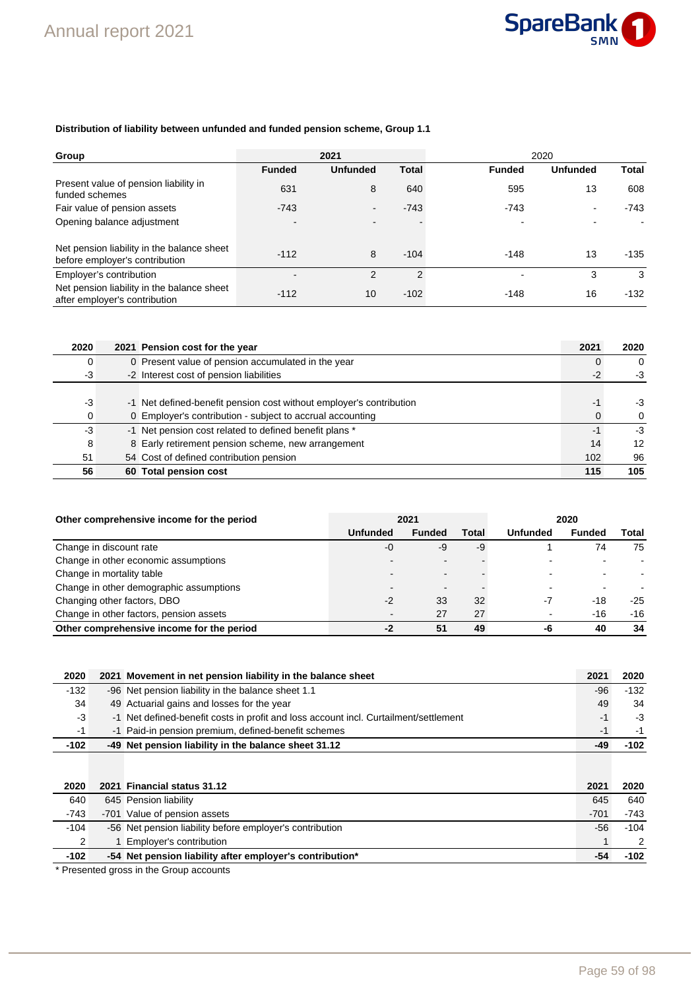

### **Distribution of liability between unfunded and funded pension scheme, Group 1.1**

| Group                                                                        |                | 2021            |                | 2020          |                 |              |
|------------------------------------------------------------------------------|----------------|-----------------|----------------|---------------|-----------------|--------------|
|                                                                              | <b>Funded</b>  | <b>Unfunded</b> | <b>Total</b>   | <b>Funded</b> | <b>Unfunded</b> | <b>Total</b> |
| Present value of pension liability in<br>funded schemes                      | 631            | 8               | 640            | 595           | 13              | 608          |
| Fair value of pension assets                                                 | $-743$         | $\blacksquare$  | $-743$         | $-743$        | $\blacksquare$  | $-743$       |
| Opening balance adjustment                                                   | $\blacksquare$ | $\blacksquare$  |                |               |                 |              |
|                                                                              |                |                 |                |               |                 |              |
| Net pension liability in the balance sheet<br>before employer's contribution | $-112$         | 8               | $-104$         | $-148$        | 13              | $-135$       |
| Employer's contribution                                                      |                | $\mathcal{P}$   | $\mathfrak{p}$ |               | 3               | 3            |
| Net pension liability in the balance sheet<br>after employer's contribution  | $-112$         | 10              | $-102$         | $-148$        | 16              | $-132$       |

| 2020 | 2021 Pension cost for the year                                      | 2021 | 2020     |
|------|---------------------------------------------------------------------|------|----------|
| 0    | 0 Present value of pension accumulated in the year                  |      | $\Omega$ |
| $-3$ | -2 Interest cost of pension liabilities                             | $-2$ | $-3$     |
|      |                                                                     |      |          |
| $-3$ | -1 Net defined-benefit pension cost without employer's contribution | -1   | -3       |
| 0    | 0 Employer's contribution - subject to accrual accounting           | 0    | $\Omega$ |
| $-3$ | -1 Net pension cost related to defined benefit plans *              | $-1$ | -3       |
| 8    | 8 Early retirement pension scheme, new arrangement                  | 14   | 12       |
| 51   | 54 Cost of defined contribution pension                             | 102  | 96       |
| 56   | 60 Total pension cost                                               | 115  | 105      |

| Other comprehensive income for the period |                          | 2021                     |       | 2020            |               |       |
|-------------------------------------------|--------------------------|--------------------------|-------|-----------------|---------------|-------|
|                                           | <b>Unfunded</b>          | <b>Funded</b>            | Total | <b>Unfunded</b> | <b>Funded</b> | Total |
| Change in discount rate                   | -0                       | -9                       | -9    |                 | 74            | 75    |
| Change in other economic assumptions      |                          |                          |       |                 |               |       |
| Change in mortality table                 |                          | $\overline{\phantom{0}}$ |       |                 |               |       |
| Change in other demographic assumptions   |                          | $\overline{\phantom{0}}$ |       |                 |               |       |
| Changing other factors, DBO               | $-2$                     | 33                       | 32    | -7              | -18           | $-25$ |
| Change in other factors, pension assets   | $\overline{\phantom{0}}$ | 27                       | 27    |                 | $-16$         | $-16$ |
| Other comprehensive income for the period | -2                       | 51                       | 49    | -6              | 40            | 34    |

| 2020   | 2021 Movement in net pension liability in the balance sheet                          | 2021 | 2020   |
|--------|--------------------------------------------------------------------------------------|------|--------|
| $-132$ | -96 Net pension liability in the balance sheet 1.1                                   | -96  | $-132$ |
| 34     | 49 Actuarial gains and losses for the year                                           | 49   | 34     |
| -3     | -1 Net defined-benefit costs in profit and loss account incl. Curtailment/settlement | -1   | -3     |
| -1     | -1 Paid-in pension premium, defined-benefit schemes                                  |      | $-1$   |
| $-102$ | -49 Net pension liability in the balance sheet 31.12                                 |      | -102   |

| 2020   | 2021 Financial status 31.12                              | 2021   | 2020          |
|--------|----------------------------------------------------------|--------|---------------|
| 640    | 645 Pension liability                                    | 645    | 640           |
| $-743$ | -701 Value of pension assets                             | $-701$ | $-743$        |
| $-104$ | -56 Net pension liability before employer's contribution | -56    | $-104$        |
|        | 1 Employer's contribution                                |        | $\mathcal{P}$ |
| $-102$ | -54 Net pension liability after employer's contribution* | -54    | $-102$        |

\* Presented gross in the Group accounts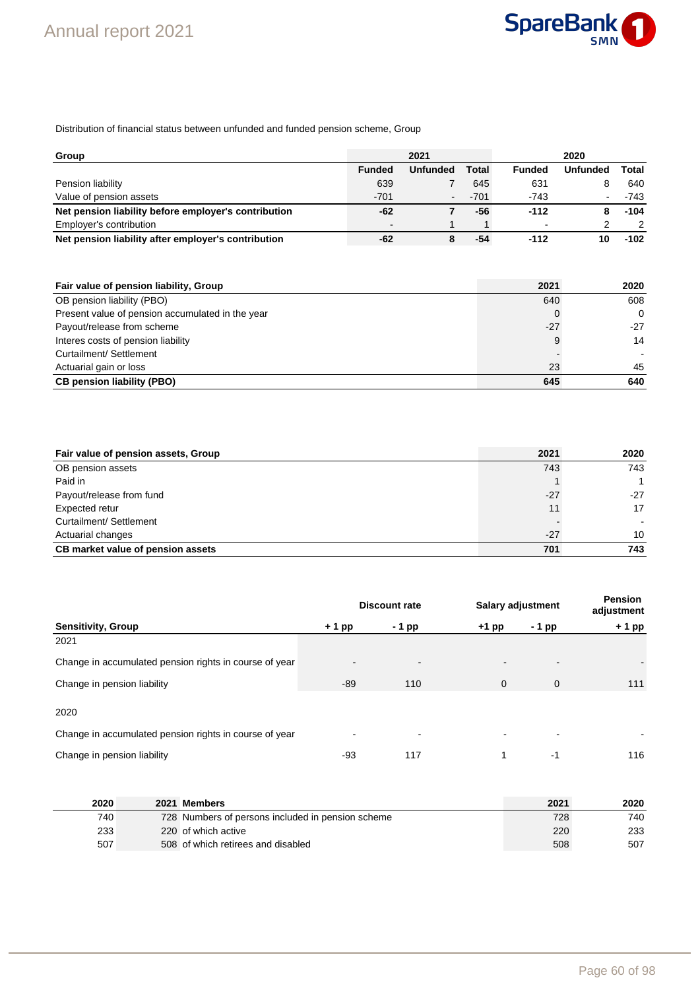

Distribution of financial status between unfunded and funded pension scheme, Group

| Group                                                |                          | 2021            |        |               | 2020            |               |
|------------------------------------------------------|--------------------------|-----------------|--------|---------------|-----------------|---------------|
|                                                      | <b>Funded</b>            | <b>Unfunded</b> | Total  | <b>Funded</b> | <b>Unfunded</b> | Total         |
| Pension liability                                    | 639                      |                 | 645    | 631           | 8               | 640           |
| Value of pension assets                              | $-701$                   | $\blacksquare$  | $-701$ | $-743$        |                 | -743          |
| Net pension liability before employer's contribution | -62                      |                 | -56    | $-112$        |                 | $-104$        |
| Employer's contribution                              | $\overline{\phantom{0}}$ |                 |        |               | າ               | $\mathcal{P}$ |
| Net pension liability after employer's contribution  | -62                      |                 | -54    | $-112$        | 10              | $-102$        |

| Fair value of pension liability, Group           | 2021  | 2020     |
|--------------------------------------------------|-------|----------|
| OB pension liability (PBO)                       | 640   | 608      |
| Present value of pension accumulated in the year |       | $\Omega$ |
| Payout/release from scheme                       | $-27$ | $-27$    |
| Interes costs of pension liability               |       | 14       |
| Curtailment/ Settlement                          |       |          |
| Actuarial gain or loss                           | 23    | 45       |
| <b>CB pension liability (PBO)</b>                | 645   | 640      |

| Fair value of pension assets, Group | 2021  | 2020  |
|-------------------------------------|-------|-------|
| OB pension assets                   | 743   | 743   |
| Paid in                             |       | 1     |
| Payout/release from fund            | $-27$ | $-27$ |
| Expected retur                      | 11    | 17    |
| Curtailment/ Settlement             |       |       |
| Actuarial changes                   | $-27$ | 10    |
| CB market value of pension assets   | 701   | 743   |

|                                                        |         | <b>Salary adjustment</b><br><b>Discount rate</b> |              |             | <b>Pension</b><br>adjustment |  |
|--------------------------------------------------------|---------|--------------------------------------------------|--------------|-------------|------------------------------|--|
| <b>Sensitivity, Group</b>                              | $+1$ pp | - 1 pp                                           | $+1$ pp      | - 1 pp      | $+1$ pp                      |  |
| 2021                                                   |         |                                                  |              |             |                              |  |
| Change in accumulated pension rights in course of year |         | $\overline{\phantom{0}}$                         |              | -           |                              |  |
| Change in pension liability                            | -89     | 110                                              | $\mathbf{0}$ | $\mathbf 0$ | 111                          |  |
| 2020                                                   |         |                                                  |              |             |                              |  |
| Change in accumulated pension rights in course of year |         |                                                  |              |             |                              |  |
| Change in pension liability                            | -93     | 117                                              |              | $-1$        | 116                          |  |

| 2020 | 2021 Members                                      | 2021 | 2020 |
|------|---------------------------------------------------|------|------|
| 740  | 728 Numbers of persons included in pension scheme | 728  | 740  |
| 233  | 220 of which active                               | 220  | 233  |
| 507  | 508 of which retirees and disabled                | 508  | 507  |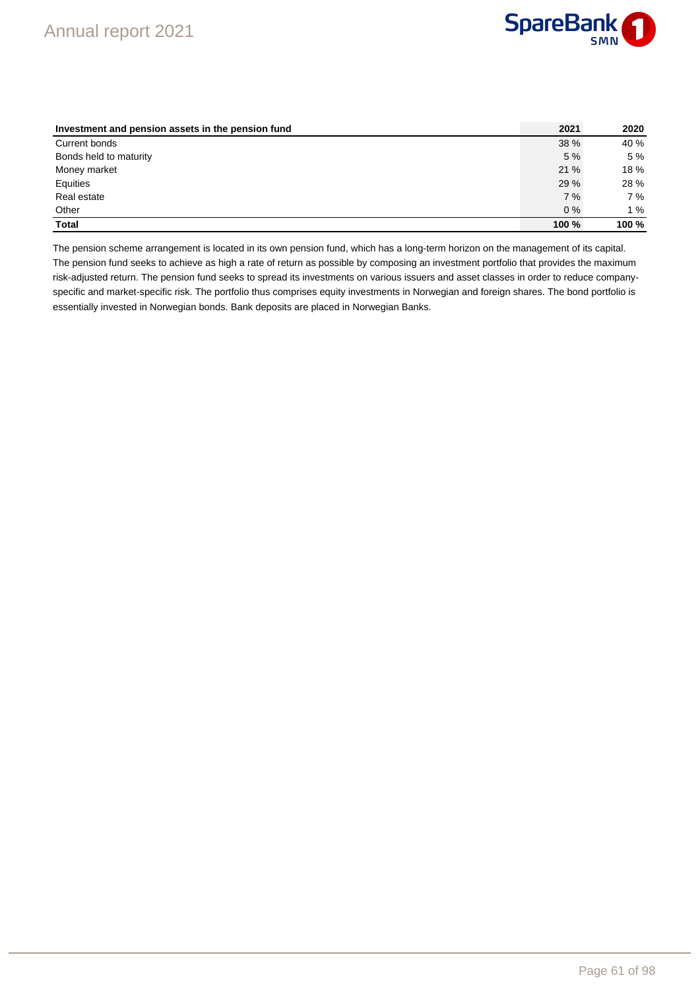

| Investment and pension assets in the pension fund | 2021  | 2020  |
|---------------------------------------------------|-------|-------|
| Current bonds                                     | 38 %  | 40 %  |
| Bonds held to maturity                            | 5%    | 5 %   |
| Money market                                      | 21%   | 18 %  |
| Equities                                          | 29 %  | 28 %  |
| Real estate                                       | 7%    | 7%    |
| Other                                             | $0\%$ | 1%    |
| <b>Total</b>                                      | 100 % | 100 % |

The pension scheme arrangement is located in its own pension fund, which has a long-term horizon on the management of its capital. The pension fund seeks to achieve as high a rate of return as possible by composing an investment portfolio that provides the maximum risk-adjusted return. The pension fund seeks to spread its investments on various issuers and asset classes in order to reduce companyspecific and market-specific risk. The portfolio thus comprises equity investments in Norwegian and foreign shares. The bond portfolio is essentially invested in Norwegian bonds. Bank deposits are placed in Norwegian Banks.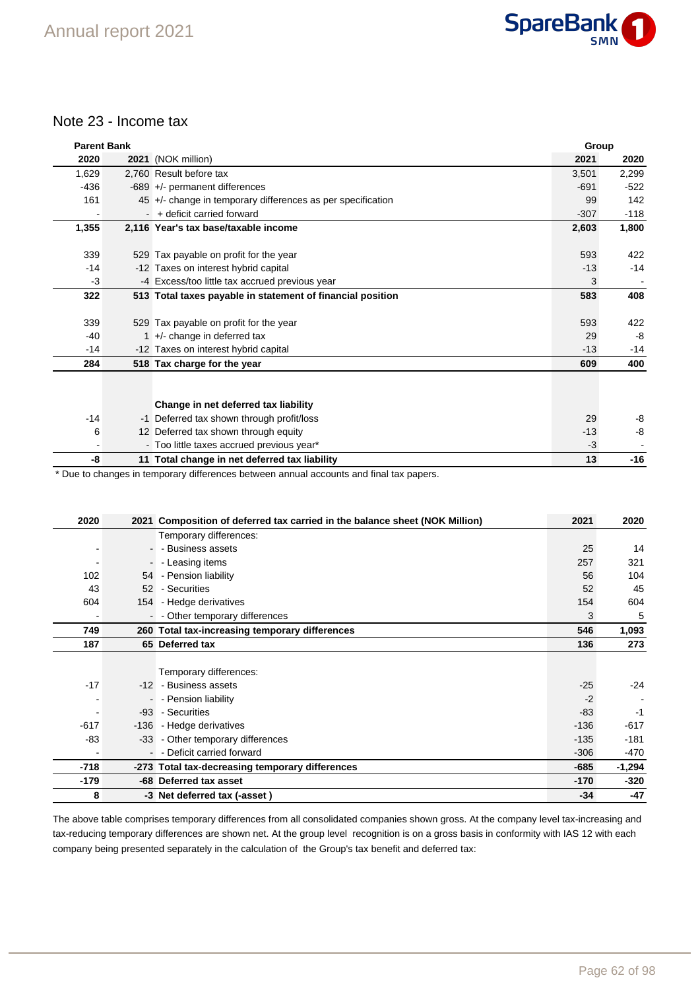

### Note 23 - Income tax

| <b>Parent Bank</b> |                                                             | Group  |        |
|--------------------|-------------------------------------------------------------|--------|--------|
| 2020               | 2021 (NOK million)                                          | 2021   | 2020   |
| 1,629              | 2.760 Result before tax                                     | 3,501  | 2,299  |
| $-436$             | $-689$ +/- permanent differences                            | $-691$ | $-522$ |
| 161                | 45 +/- change in temporary differences as per specification | 99     | 142    |
|                    | - + deficit carried forward                                 | $-307$ | $-118$ |
| 1,355              | 2,116 Year's tax base/taxable income                        | 2,603  | 1,800  |
|                    |                                                             |        |        |
| 339                | 529 Tax payable on profit for the year                      | 593    | 422    |
| $-14$              | -12 Taxes on interest hybrid capital                        | $-13$  | $-14$  |
| -3                 | -4 Excess/too little tax accrued previous year              | 3      |        |
| 322                | 513 Total taxes payable in statement of financial position  | 583    | 408    |
|                    |                                                             |        |        |
| 339                | 529 Tax payable on profit for the year                      | 593    | 422    |
| $-40$              | $1 +$ - change in deferred tax                              | 29     | -8     |
| $-14$              | -12 Taxes on interest hybrid capital                        | $-13$  | $-14$  |
| 284                | 518 Tax charge for the year                                 | 609    | 400    |
|                    |                                                             |        |        |
|                    |                                                             |        |        |
|                    | Change in net deferred tax liability                        |        |        |
| $-14$              | -1 Deferred tax shown through profit/loss                   | 29     | -8     |
| 6                  | 12 Deferred tax shown through equity                        | $-13$  | -8     |
|                    | - Too little taxes accrued previous year*                   | $-3$   |        |
| -8                 | 11 Total change in net deferred tax liability               | 13     | $-16$  |

\* Due to changes in temporary differences between annual accounts and final tax papers.

| 2020   |                | 2021 Composition of deferred tax carried in the balance sheet (NOK Million) | 2021   | 2020     |
|--------|----------------|-----------------------------------------------------------------------------|--------|----------|
|        |                | Temporary differences:                                                      |        |          |
|        |                | - - Business assets                                                         | 25     | 14       |
|        | $\blacksquare$ | - Leasing items                                                             | 257    | 321      |
| 102    |                | 54 - Pension liability                                                      | 56     | 104      |
| 43     |                | 52 - Securities                                                             | 52     | 45       |
| 604    |                | 154 - Hedge derivatives                                                     | 154    | 604      |
|        |                | - - Other temporary differences                                             | 3      | 5        |
| 749    |                | 260 Total tax-increasing temporary differences                              | 546    | 1,093    |
| 187    |                | 65 Deferred tax                                                             | 136    | 273      |
|        |                |                                                                             |        |          |
|        |                | Temporary differences:                                                      |        |          |
| $-17$  |                | -12 - Business assets                                                       | $-25$  | $-24$    |
|        |                | - - Pension liability                                                       | $-2$   |          |
|        |                | -93 - Securities                                                            | $-83$  | $-1$     |
| $-617$ |                | -136 - Hedge derivatives                                                    | $-136$ | $-617$   |
| -83    |                | -33 - Other temporary differences                                           | $-135$ | $-181$   |
|        |                | - - Deficit carried forward                                                 | $-306$ | -470     |
| -718   |                | -273 Total tax-decreasing temporary differences                             | -685   | $-1,294$ |
| $-179$ |                | -68 Deferred tax asset                                                      | $-170$ | $-320$   |
| 8      |                | -3 Net deferred tax (-asset)                                                | $-34$  | $-47$    |

The above table comprises temporary differences from all consolidated companies shown gross. At the company level tax-increasing and tax-reducing temporary differences are shown net. At the group level recognition is on a gross basis in conformity with IAS 12 with each company being presented separately in the calculation of the Group's tax benefit and deferred tax: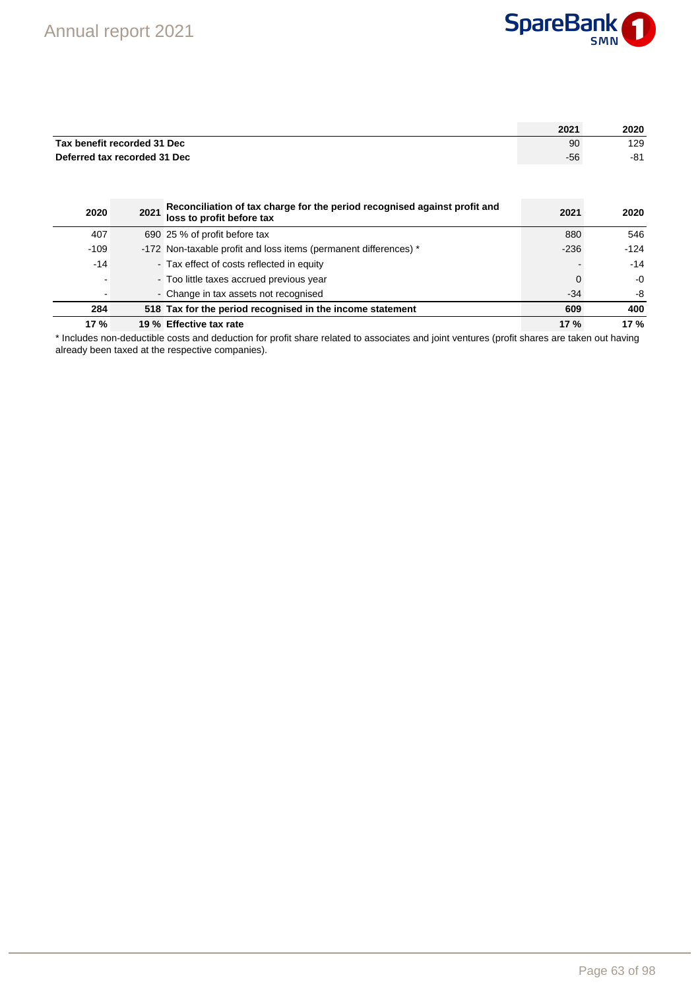

|                              |      |                                                                                                        | 2021        | 2020       |
|------------------------------|------|--------------------------------------------------------------------------------------------------------|-------------|------------|
| Tax benefit recorded 31 Dec  |      |                                                                                                        | 90          | 129        |
| Deferred tax recorded 31 Dec |      |                                                                                                        | -56         | $-81$      |
|                              |      |                                                                                                        |             |            |
|                              |      |                                                                                                        |             |            |
| 2020                         | 2021 | Reconciliation of tax charge for the period recognised against profit and<br>loss to profit before tax | 2021        | 2020       |
| 407                          |      | 690 25 % of profit before tax                                                                          | 880         | 546        |
| $-109$                       |      | -172 Non-taxable profit and loss items (permanent differences) *                                       | $-236$      | $-124$     |
| $-14$                        |      | - Tax effect of costs reflected in equity                                                              |             | $-14$      |
|                              |      | - Too little taxes accrued previous year                                                               | $\mathbf 0$ | $-0$       |
|                              |      | - Change in tax assets not recognised                                                                  | $-34$       | -8         |
| 284                          |      | 518 Tax for the period recognised in the income statement                                              | 609         | 400        |
| <b>17%</b>                   |      | 19 % Effective tax rate                                                                                | 17%         | <b>17%</b> |

\* Includes non-deductible costs and deduction for profit share related to associates and joint ventures (profit shares are taken out having already been taxed at the respective companies).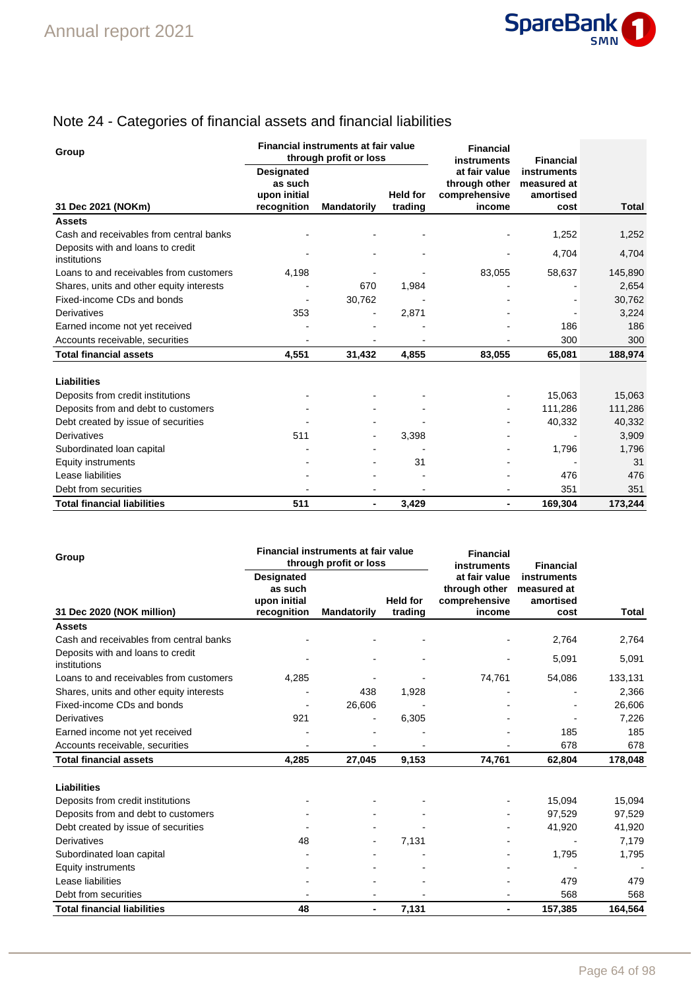

# Note 24 - Categories of financial assets and financial liabilities

| Group                                             | Financial instruments at fair value<br>through profit or loss |                    |                            | <b>Financial</b><br>instruments                           | <b>Financial</b>                                |              |
|---------------------------------------------------|---------------------------------------------------------------|--------------------|----------------------------|-----------------------------------------------------------|-------------------------------------------------|--------------|
| 31 Dec 2021 (NOKm)                                | <b>Designated</b><br>as such<br>upon initial<br>recognition   | <b>Mandatorily</b> | <b>Held for</b><br>trading | at fair value<br>through other<br>comprehensive<br>income | instruments<br>measured at<br>amortised<br>cost | <b>Total</b> |
| <b>Assets</b>                                     |                                                               |                    |                            |                                                           |                                                 |              |
| Cash and receivables from central banks           |                                                               |                    |                            |                                                           | 1,252                                           | 1,252        |
| Deposits with and loans to credit<br>institutions |                                                               |                    |                            |                                                           | 4,704                                           | 4,704        |
| Loans to and receivables from customers           | 4,198                                                         |                    |                            | 83,055                                                    | 58,637                                          | 145,890      |
| Shares, units and other equity interests          |                                                               | 670                | 1,984                      |                                                           |                                                 | 2,654        |
| Fixed-income CDs and bonds                        |                                                               | 30,762             |                            |                                                           |                                                 | 30,762       |
| <b>Derivatives</b>                                | 353                                                           |                    | 2,871                      |                                                           |                                                 | 3,224        |
| Earned income not yet received                    |                                                               |                    |                            |                                                           | 186                                             | 186          |
| Accounts receivable, securities                   |                                                               |                    |                            |                                                           | 300                                             | 300          |
| <b>Total financial assets</b>                     | 4,551                                                         | 31,432             | 4,855                      | 83,055                                                    | 65,081                                          | 188,974      |
| Liabilities                                       |                                                               |                    |                            |                                                           |                                                 |              |
| Deposits from credit institutions                 |                                                               |                    |                            |                                                           | 15,063                                          | 15,063       |
| Deposits from and debt to customers               |                                                               |                    |                            |                                                           | 111.286                                         | 111,286      |
| Debt created by issue of securities               |                                                               |                    |                            |                                                           | 40,332                                          | 40,332       |
| <b>Derivatives</b>                                | 511                                                           | $\blacksquare$     | 3,398                      |                                                           |                                                 | 3,909        |
| Subordinated Ioan capital                         |                                                               |                    |                            |                                                           | 1,796                                           | 1,796        |
| Equity instruments                                |                                                               |                    | 31                         |                                                           |                                                 | 31           |
| Lease liabilities                                 |                                                               |                    |                            |                                                           | 476                                             | 476          |
| Debt from securities                              |                                                               |                    |                            |                                                           | 351                                             | 351          |
| <b>Total financial liabilities</b>                | 511                                                           | ٠                  | 3,429                      | ٠                                                         | 169.304                                         | 173.244      |

| Group                                             | Financial instruments at fair value<br>through profit or loss |                              |                            | <b>Financial</b><br>instruments                           | <b>Financial</b>                                |         |
|---------------------------------------------------|---------------------------------------------------------------|------------------------------|----------------------------|-----------------------------------------------------------|-------------------------------------------------|---------|
| 31 Dec 2020 (NOK million)                         | Designated<br>as such<br>upon initial<br>recognition          | <b>Mandatorily</b>           | <b>Held for</b><br>trading | at fair value<br>through other<br>comprehensive<br>income | instruments<br>measured at<br>amortised<br>cost | Total   |
| <b>Assets</b>                                     |                                                               |                              |                            |                                                           |                                                 |         |
| Cash and receivables from central banks           |                                                               |                              |                            |                                                           | 2,764                                           | 2,764   |
| Deposits with and loans to credit<br>institutions |                                                               |                              |                            |                                                           | 5,091                                           | 5,091   |
| Loans to and receivables from customers           | 4,285                                                         |                              |                            | 74,761                                                    | 54,086                                          | 133,131 |
| Shares, units and other equity interests          |                                                               | 438                          | 1,928                      |                                                           |                                                 | 2,366   |
| Fixed-income CDs and bonds                        |                                                               | 26,606                       |                            |                                                           |                                                 | 26,606  |
| Derivatives                                       | 921                                                           | $\qquad \qquad \blacksquare$ | 6,305                      |                                                           |                                                 | 7,226   |
| Earned income not yet received                    |                                                               |                              |                            |                                                           | 185                                             | 185     |
| Accounts receivable, securities                   |                                                               |                              |                            |                                                           | 678                                             | 678     |
| <b>Total financial assets</b>                     | 4,285                                                         | 27,045                       | 9,153                      | 74,761                                                    | 62,804                                          | 178,048 |
| Liabilities                                       |                                                               |                              |                            |                                                           |                                                 |         |
| Deposits from credit institutions                 |                                                               |                              |                            |                                                           | 15,094                                          | 15,094  |
| Deposits from and debt to customers               |                                                               |                              |                            |                                                           | 97,529                                          | 97,529  |
| Debt created by issue of securities               |                                                               |                              |                            |                                                           | 41,920                                          | 41,920  |
| Derivatives                                       | 48                                                            |                              | 7,131                      |                                                           |                                                 | 7,179   |
| Subordinated loan capital                         |                                                               |                              |                            |                                                           | 1,795                                           | 1,795   |
| Equity instruments                                |                                                               |                              |                            |                                                           |                                                 |         |
| Lease liabilities                                 |                                                               |                              |                            |                                                           | 479                                             | 479     |
| Debt from securities                              |                                                               |                              |                            |                                                           | 568                                             | 568     |
| <b>Total financial liabilities</b>                | 48                                                            | ٠                            | 7,131                      | $\blacksquare$                                            | 157,385                                         | 164,564 |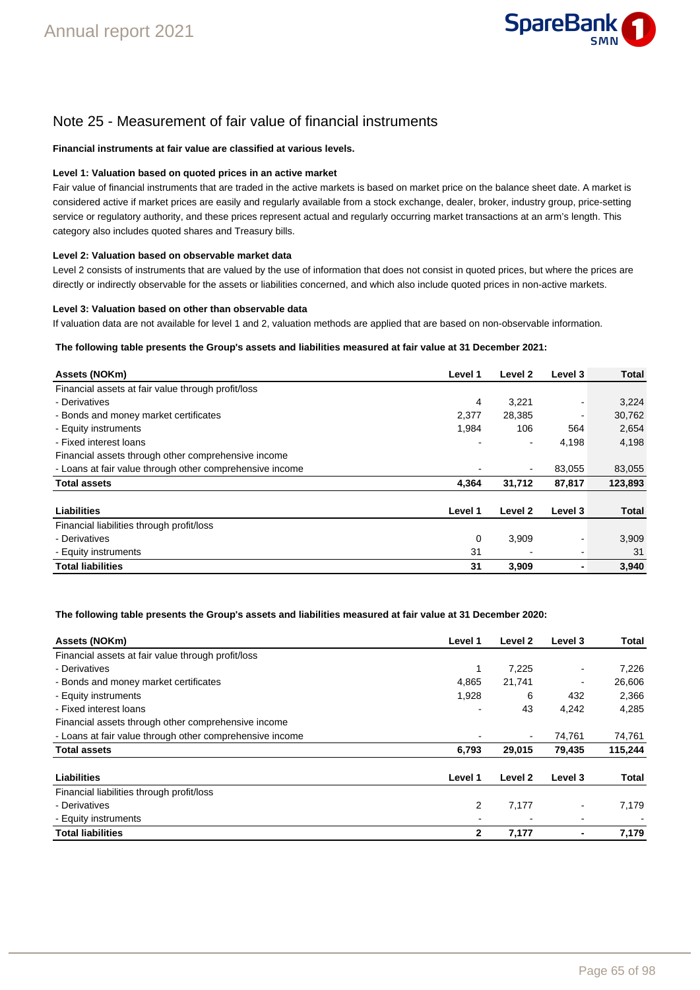

# Note 25 - Measurement of fair value of financial instruments

#### **Financial instruments at fair value are classified at various levels.**

#### **Level 1: Valuation based on quoted prices in an active market**

Fair value of financial instruments that are traded in the active markets is based on market price on the balance sheet date. A market is considered active if market prices are easily and regularly available from a stock exchange, dealer, broker, industry group, price-setting service or regulatory authority, and these prices represent actual and regularly occurring market transactions at an arm's length. This category also includes quoted shares and Treasury bills.

#### **Level 2: Valuation based on observable market data**

Level 2 consists of instruments that are valued by the use of information that does not consist in quoted prices, but where the prices are directly or indirectly observable for the assets or liabilities concerned, and which also include quoted prices in non-active markets.

#### **Level 3: Valuation based on other than observable data**

If valuation data are not available for level 1 and 2, valuation methods are applied that are based on non-observable information.

#### **The following table presents the Group's assets and liabilities measured at fair value at 31 December 2021:**

| Assets (NOKm)                                            | Level 1 | Level 2        | Level 3                  | <b>Total</b> |
|----------------------------------------------------------|---------|----------------|--------------------------|--------------|
| Financial assets at fair value through profit/loss       |         |                |                          |              |
| - Derivatives                                            | 4       | 3,221          | $\overline{\phantom{0}}$ | 3,224        |
| - Bonds and money market certificates                    | 2,377   | 28,385         |                          | 30,762       |
| - Equity instruments                                     | 1,984   | 106            | 564                      | 2,654        |
| - Fixed interest loans                                   |         | $\blacksquare$ | 4,198                    | 4,198        |
| Financial assets through other comprehensive income      |         |                |                          |              |
| - Loans at fair value through other comprehensive income |         |                | 83.055                   | 83,055       |
| <b>Total assets</b>                                      | 4,364   | 31,712         | 87,817                   | 123,893      |
| <b>Liabilities</b>                                       | Level 1 | Level 2        | Level 3                  | <b>Total</b> |
| Financial liabilities through profit/loss                |         |                |                          |              |
| - Derivatives                                            | 0       | 3,909          |                          | 3,909        |
| - Equity instruments                                     | 31      |                |                          | 31           |
| <b>Total liabilities</b>                                 | 31      | 3,909          |                          | 3,940        |

#### **The following table presents the Group's assets and liabilities measured at fair value at 31 December 2020:**

| Assets (NOKm)                                            | Level 1 | Level 2        | Level 3        | Total   |
|----------------------------------------------------------|---------|----------------|----------------|---------|
| Financial assets at fair value through profit/loss       |         |                |                |         |
| - Derivatives                                            | 1       | 7,225          |                | 7,226   |
| - Bonds and money market certificates                    | 4,865   | 21,741         | $\blacksquare$ | 26,606  |
| - Equity instruments                                     | 1,928   | 6              | 432            | 2,366   |
| - Fixed interest loans                                   |         | 43             | 4,242          | 4,285   |
| Financial assets through other comprehensive income      |         |                |                |         |
| - Loans at fair value through other comprehensive income |         | $\blacksquare$ | 74,761         | 74,761  |
| <b>Total assets</b>                                      | 6,793   | 29,015         | 79,435         | 115,244 |
| Liabilities                                              | Level 1 | Level 2        | Level 3        | Total   |
| Financial liabilities through profit/loss                |         |                |                |         |
| - Derivatives                                            | 2       | 7,177          |                | 7,179   |
| - Equity instruments                                     |         |                |                |         |
| <b>Total liabilities</b>                                 | 2       | 7,177          |                | 7,179   |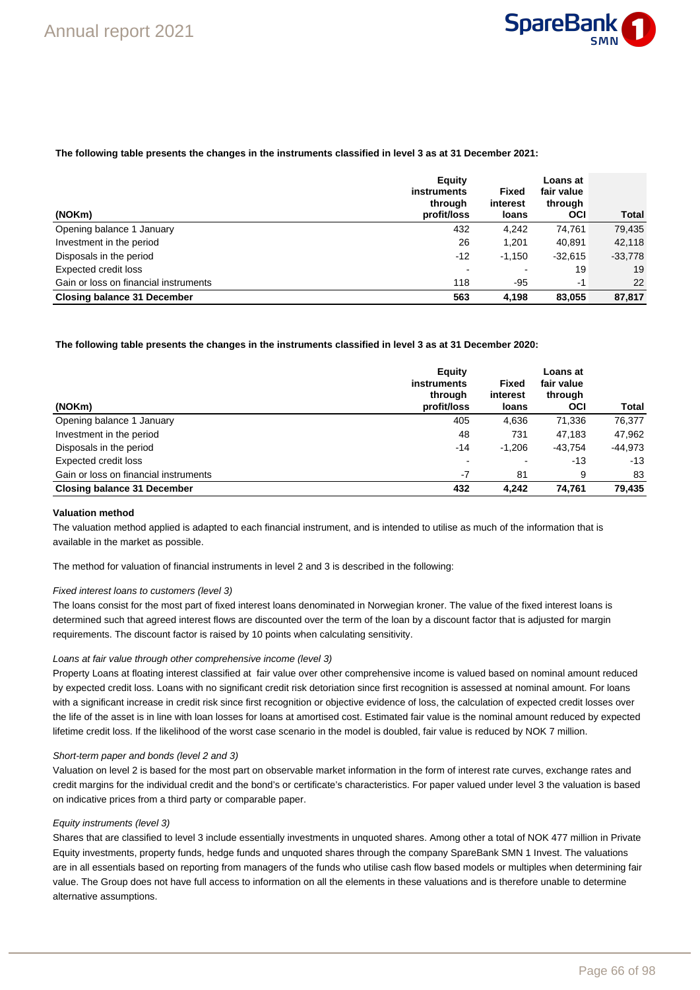

#### **The following table presents the changes in the instruments classified in level 3 as at 31 December 2021:**

|                                       | Equity<br><b>instruments</b><br>through | Fixed<br>interest | Loans at<br>fair value<br>through |           |
|---------------------------------------|-----------------------------------------|-------------------|-----------------------------------|-----------|
| (NOKm)                                | profit/loss                             | loans             | <b>OCI</b>                        | Total     |
| Opening balance 1 January             | 432                                     | 4.242             | 74.761                            | 79,435    |
| Investment in the period              | 26                                      | 1.201             | 40,891                            | 42,118    |
| Disposals in the period               | $-12$                                   | $-1.150$          | $-32.615$                         | $-33,778$ |
| Expected credit loss                  |                                         |                   | 19                                | 19        |
| Gain or loss on financial instruments | 118                                     | $-95$             | $-1$                              | 22        |
| <b>Closing balance 31 December</b>    | 563                                     | 4.198             | 83.055                            | 87,817    |

#### **The following table presents the changes in the instruments classified in level 3 as at 31 December 2020:**

|                                       | Equity                 |                   | Loans at              |           |
|---------------------------------------|------------------------|-------------------|-----------------------|-----------|
|                                       | instruments            | <b>Fixed</b>      | fair value            |           |
| (NOKm)                                | through<br>profit/loss | interest<br>loans | through<br><b>OCI</b> | Total     |
| Opening balance 1 January             | 405                    | 4.636             | 71,336                | 76,377    |
| Investment in the period              | 48                     | 731               | 47.183                | 47,962    |
| Disposals in the period               | $-14$                  | $-1.206$          | $-43.754$             | $-44.973$ |
| Expected credit loss                  |                        |                   | $-13$                 | $-13$     |
| Gain or loss on financial instruments | $-7$                   | 81                | 9                     | 83        |
| <b>Closing balance 31 December</b>    | 432                    | 4.242             | 74.761                | 79,435    |

### **Valuation method**

The valuation method applied is adapted to each financial instrument, and is intended to utilise as much of the information that is available in the market as possible.

The method for valuation of financial instruments in level 2 and 3 is described in the following:

#### Fixed interest loans to customers (level 3)

The loans consist for the most part of fixed interest loans denominated in Norwegian kroner. The value of the fixed interest loans is determined such that agreed interest flows are discounted over the term of the loan by a discount factor that is adjusted for margin requirements. The discount factor is raised by 10 points when calculating sensitivity.

#### Loans at fair value through other comprehensive income (level 3)

Property Loans at floating interest classified at fair value over other comprehensive income is valued based on nominal amount reduced by expected credit loss. Loans with no significant credit risk detoriation since first recognition is assessed at nominal amount. For loans with a significant increase in credit risk since first recognition or objective evidence of loss, the calculation of expected credit losses over the life of the asset is in line with loan losses for loans at amortised cost. Estimated fair value is the nominal amount reduced by expected lifetime credit loss. If the likelihood of the worst case scenario in the model is doubled, fair value is reduced by NOK 7 million.

#### Short-term paper and bonds (level 2 and 3)

Valuation on level 2 is based for the most part on observable market information in the form of interest rate curves, exchange rates and credit margins for the individual credit and the bond's or certificate's characteristics. For paper valued under level 3 the valuation is based on indicative prices from a third party or comparable paper.

#### Equity instruments (level 3)

Shares that are classified to level 3 include essentially investments in unquoted shares. Among other a total of NOK 477 million in Private Equity investments, property funds, hedge funds and unquoted shares through the company SpareBank SMN 1 Invest. The valuations are in all essentials based on reporting from managers of the funds who utilise cash flow based models or multiples when determining fair value. The Group does not have full access to information on all the elements in these valuations and is therefore unable to determine alternative assumptions.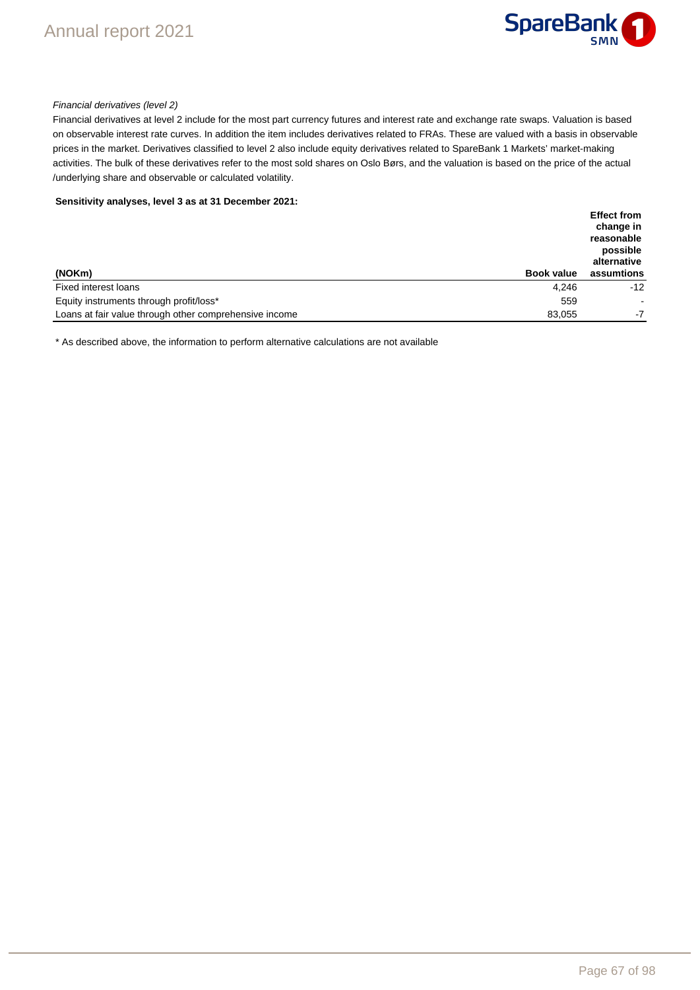

#### Financial derivatives (level 2)

Financial derivatives at level 2 include for the most part currency futures and interest rate and exchange rate swaps. Valuation is based on observable interest rate curves. In addition the item includes derivatives related to FRAs. These are valued with a basis in observable prices in the market. Derivatives classified to level 2 also include equity derivatives related to SpareBank 1 Markets' market-making activities. The bulk of these derivatives refer to the most sold shares on Oslo Børs, and the valuation is based on the price of the actual /underlying share and observable or calculated volatility.

**Sensitivity analyses, level 3 as at 31 December 2021:**

|                                                        |                   | <b>Effect from</b><br>change in<br>reasonable<br>possible<br>alternative |
|--------------------------------------------------------|-------------------|--------------------------------------------------------------------------|
| (NOKm)                                                 | <b>Book value</b> | assumtions                                                               |
| Fixed interest loans                                   | 4.246             | $-12$                                                                    |
| Equity instruments through profit/loss*                | 559               | $\overline{\phantom{a}}$                                                 |
| Loans at fair value through other comprehensive income | 83.055            | -7                                                                       |

\* As described above, the information to perform alternative calculations are not available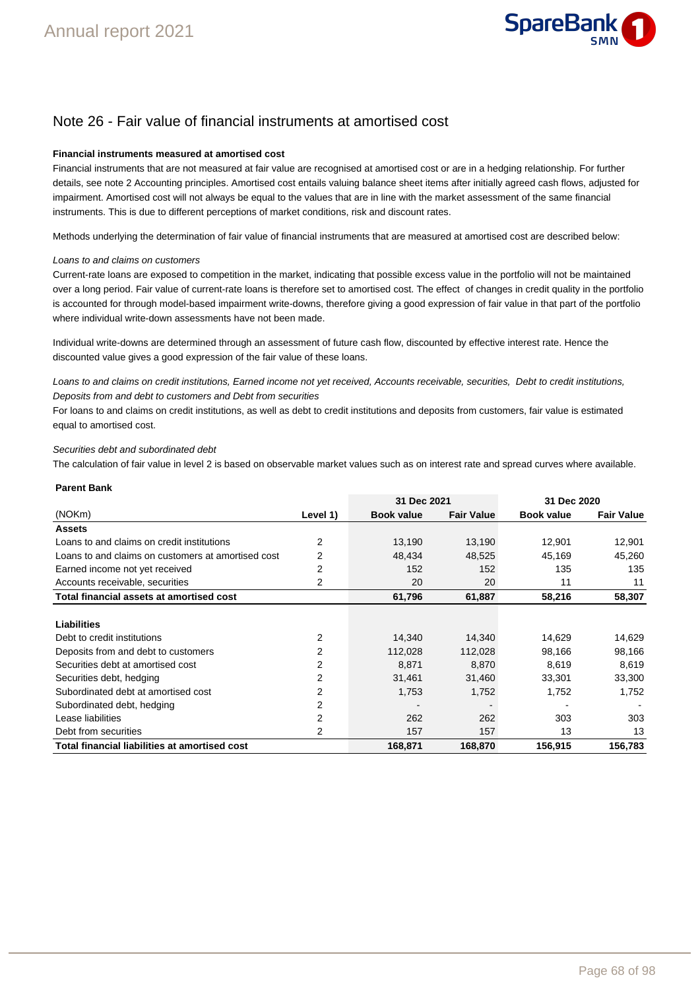

### Note 26 - Fair value of financial instruments at amortised cost

#### **Financial instruments measured at amortised cost**

Financial instruments that are not measured at fair value are recognised at amortised cost or are in a hedging relationship. For further details, see note 2 Accounting principles. Amortised cost entails valuing balance sheet items after initially agreed cash flows, adjusted for impairment. Amortised cost will not always be equal to the values that are in line with the market assessment of the same financial instruments. This is due to different perceptions of market conditions, risk and discount rates.

Methods underlying the determination of fair value of financial instruments that are measured at amortised cost are described below:

#### Loans to and claims on customers

Current-rate loans are exposed to competition in the market, indicating that possible excess value in the portfolio will not be maintained over a long period. Fair value of current-rate loans is therefore set to amortised cost. The effect of changes in credit quality in the portfolio is accounted for through model-based impairment write-downs, therefore giving a good expression of fair value in that part of the portfolio where individual write-down assessments have not been made.

Individual write-downs are determined through an assessment of future cash flow, discounted by effective interest rate. Hence the discounted value gives a good expression of the fair value of these loans.

Loans to and claims on credit institutions, Earned income not yet received, Accounts receivable, securities, Debt to credit institutions, Deposits from and debt to customers and Debt from securities

For loans to and claims on credit institutions, as well as debt to credit institutions and deposits from customers, fair value is estimated equal to amortised cost.

#### Securities debt and subordinated debt

The calculation of fair value in level 2 is based on observable market values such as on interest rate and spread curves where available.

#### **Parent Bank**

|                                                      |                | 31 Dec 2021       |                   | 31 Dec 2020       |                   |
|------------------------------------------------------|----------------|-------------------|-------------------|-------------------|-------------------|
| (NOKm)                                               | Level 1)       | <b>Book value</b> | <b>Fair Value</b> | <b>Book value</b> | <b>Fair Value</b> |
| <b>Assets</b>                                        |                |                   |                   |                   |                   |
| Loans to and claims on credit institutions           | $\overline{2}$ | 13,190            | 13,190            | 12,901            | 12,901            |
| Loans to and claims on customers at amortised cost   | 2              | 48,434            | 48,525            | 45,169            | 45,260            |
| Earned income not yet received                       | 2              | 152               | 152               | 135               | 135               |
| Accounts receivable, securities                      | 2              | 20                | 20                | 11                | 11                |
| Total financial assets at amortised cost             |                | 61,796            | 61,887            | 58,216            | 58,307            |
|                                                      |                |                   |                   |                   |                   |
| Liabilities                                          |                |                   |                   |                   |                   |
| Debt to credit institutions                          | 2              | 14,340            | 14,340            | 14,629            | 14,629            |
| Deposits from and debt to customers                  | 2              | 112,028           | 112,028           | 98,166            | 98,166            |
| Securities debt at amortised cost                    | 2              | 8,871             | 8,870             | 8,619             | 8,619             |
| Securities debt, hedging                             | 2              | 31,461            | 31,460            | 33,301            | 33,300            |
| Subordinated debt at amortised cost                  | 2              | 1,753             | 1,752             | 1,752             | 1,752             |
| Subordinated debt, hedging                           | 2              |                   |                   |                   |                   |
| Lease liabilities                                    | 2              | 262               | 262               | 303               | 303               |
| Debt from securities                                 | 2              | 157               | 157               | 13                | 13                |
| <b>Total financial liabilities at amortised cost</b> |                | 168.871           | 168,870           | 156,915           | 156,783           |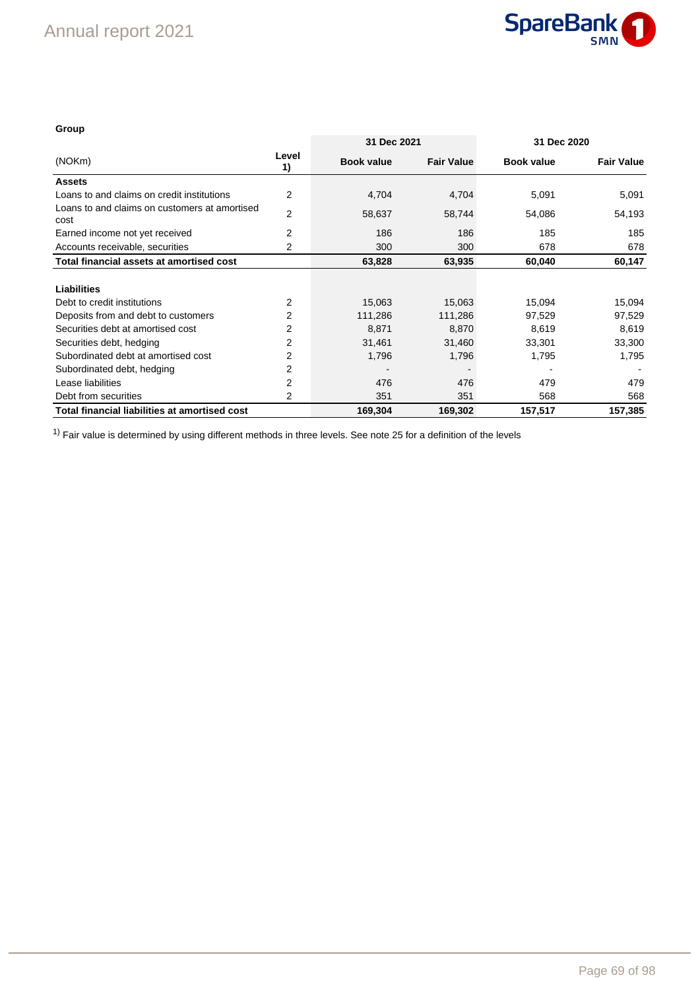

### **Group**

|                                                       |                | 31 Dec 2021       |                   | 31 Dec 2020       |                   |  |
|-------------------------------------------------------|----------------|-------------------|-------------------|-------------------|-------------------|--|
| (NOKm)                                                | Level<br>1)    | <b>Book value</b> | <b>Fair Value</b> | <b>Book value</b> | <b>Fair Value</b> |  |
| <b>Assets</b>                                         |                |                   |                   |                   |                   |  |
| Loans to and claims on credit institutions            | $\overline{2}$ | 4,704             | 4,704             | 5,091             | 5,091             |  |
| Loans to and claims on customers at amortised<br>cost | 2              | 58,637            | 58,744            | 54,086            | 54,193            |  |
| Earned income not yet received                        | $\overline{2}$ | 186               | 186               | 185               | 185               |  |
| Accounts receivable, securities                       | 2              | 300               | 300               | 678               | 678               |  |
| Total financial assets at amortised cost              |                | 63,828            | 63,935            | 60,040            | 60,147            |  |
| <b>Liabilities</b>                                    |                |                   |                   |                   |                   |  |
| Debt to credit institutions                           | 2              | 15,063            | 15,063            | 15,094            | 15,094            |  |
| Deposits from and debt to customers                   | $\overline{2}$ | 111,286           | 111,286           | 97,529            | 97,529            |  |
| Securities debt at amortised cost                     | 2              | 8,871             | 8,870             | 8,619             | 8,619             |  |
| Securities debt, hedging                              | 2              | 31,461            | 31,460            | 33,301            | 33,300            |  |
| Subordinated debt at amortised cost                   | $\overline{2}$ | 1,796             | 1,796             | 1,795             | 1,795             |  |
| Subordinated debt, hedging                            | 2              |                   |                   |                   |                   |  |
| Lease liabilities                                     | 2              | 476               | 476               | 479               | 479               |  |
| Debt from securities                                  | 2              | 351               | 351               | 568               | 568               |  |
| Total financial liabilities at amortised cost         | 169,304        | 169,302           | 157,517           | 157,385           |                   |  |

<sup>1)</sup> Fair value is determined by using different methods in three levels. See note 25 for a definition of the levels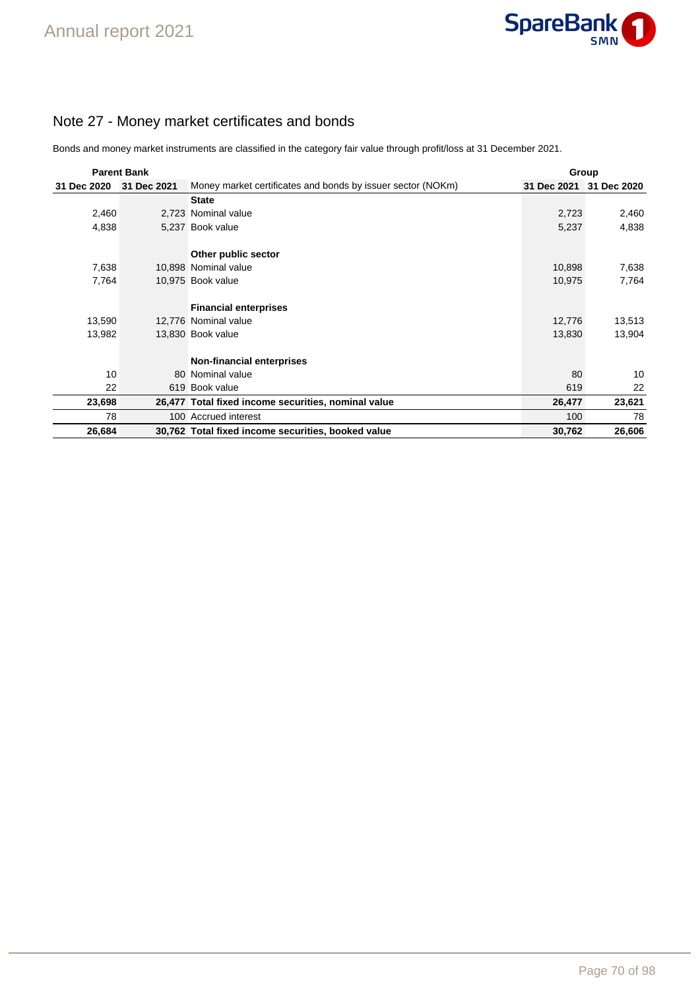## Note 27 - Money market certificates and bonds

Bonds and money market instruments are classified in the category fair value through profit/loss at 31 December 2021.

| <b>Parent Bank</b> |             |                                                             | Group       |             |  |
|--------------------|-------------|-------------------------------------------------------------|-------------|-------------|--|
| 31 Dec 2020        | 31 Dec 2021 | Money market certificates and bonds by issuer sector (NOKm) | 31 Dec 2021 | 31 Dec 2020 |  |
|                    |             | <b>State</b>                                                |             |             |  |
| 2,460              |             | 2,723 Nominal value                                         | 2,723       | 2,460       |  |
| 4,838              |             | 5,237 Book value                                            | 5,237       | 4,838       |  |
|                    |             | Other public sector                                         |             |             |  |
| 7,638              |             | 10,898 Nominal value                                        | 10,898      | 7,638       |  |
| 7,764              |             | 10,975 Book value                                           | 10,975      | 7,764       |  |
|                    |             | <b>Financial enterprises</b>                                |             |             |  |
| 13,590             |             | 12,776 Nominal value                                        | 12,776      | 13,513      |  |
| 13,982             |             | 13,830 Book value                                           | 13,830      | 13,904      |  |
|                    |             | Non-financial enterprises                                   |             |             |  |
| 10                 |             | 80 Nominal value                                            | 80          | 10          |  |
| 22                 |             | 619 Book value                                              | 619         | 22          |  |
| 23,698             |             | 26,477 Total fixed income securities, nominal value         | 26,477      | 23,621      |  |
| 78                 |             | 100 Accrued interest                                        | 100         | 78          |  |
| 26,684             |             | 30,762 Total fixed income securities, booked value          | 30,762      | 26,606      |  |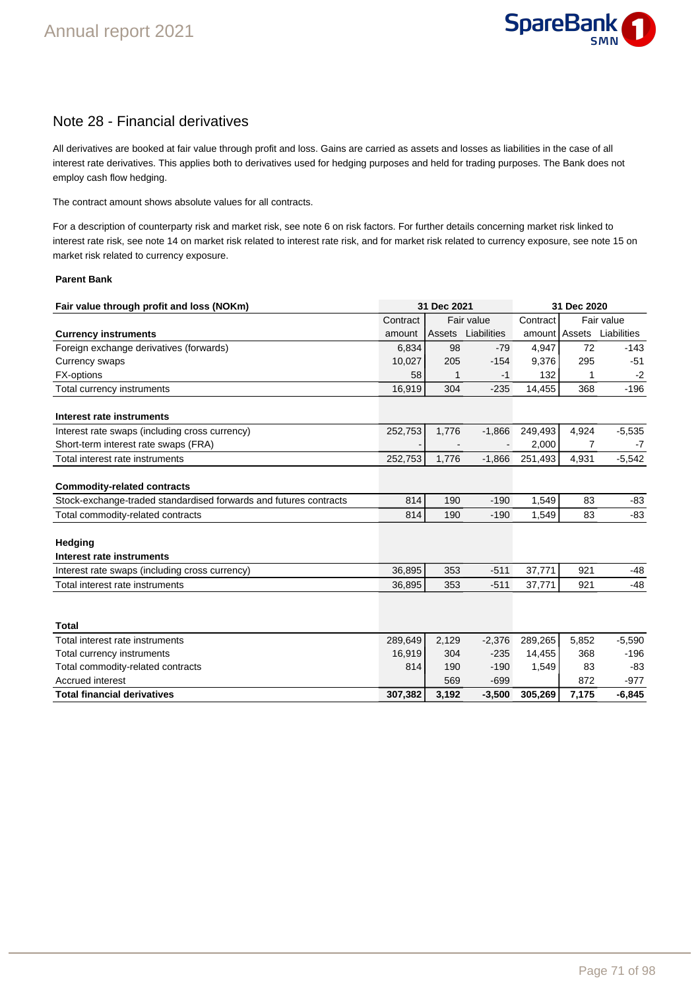

### Note 28 - Financial derivatives

All derivatives are booked at fair value through profit and loss. Gains are carried as assets and losses as liabilities in the case of all interest rate derivatives. This applies both to derivatives used for hedging purposes and held for trading purposes. The Bank does not employ cash flow hedging.

The contract amount shows absolute values for all contracts.

For a description of counterparty risk and market risk, see note 6 on risk factors. For further details concerning market risk linked to interest rate risk, see note 14 on market risk related to interest rate risk, and for market risk related to currency exposure, see note 15 on market risk related to currency exposure.

#### **Parent Bank**

| Fair value through profit and loss (NOKm)                         |          | 31 Dec 2021 |             |               | 31 Dec 2020 |             |  |
|-------------------------------------------------------------------|----------|-------------|-------------|---------------|-------------|-------------|--|
|                                                                   | Contract | Fair value  |             | Contract      | Fair value  |             |  |
| <b>Currency instruments</b>                                       | amount   | Assets      | Liabilities | amount Assets |             | Liabilities |  |
| Foreign exchange derivatives (forwards)                           | 6.834    | 98          | $-79$       | 4,947         | 72          | $-143$      |  |
| Currency swaps                                                    | 10,027   | 205         | $-154$      | 9,376         | 295         | $-51$       |  |
| <b>FX-options</b>                                                 | 58       | 1           | $-1$        | 132           | 1           | $-2$        |  |
| Total currency instruments                                        | 16,919   | 304         | $-235$      | 14,455        | 368         | $-196$      |  |
| Interest rate instruments                                         |          |             |             |               |             |             |  |
| Interest rate swaps (including cross currency)                    | 252,753  | 1,776       | $-1,866$    | 249,493       | 4,924       | $-5,535$    |  |
| Short-term interest rate swaps (FRA)                              |          |             |             | 2,000         | 7           | $-7$        |  |
| Total interest rate instruments                                   | 252,753  | 1.776       | $-1.866$    | 251,493       | 4,931       | $-5,542$    |  |
| <b>Commodity-related contracts</b>                                |          |             |             |               |             |             |  |
| Stock-exchange-traded standardised forwards and futures contracts | 814      | 190         | $-190$      | 1,549         | 83          | $-83$       |  |
| Total commodity-related contracts                                 | 814      | 190         | $-190$      | 1,549         | 83          | $-83$       |  |
| Hedging<br>Interest rate instruments                              |          |             |             |               |             |             |  |
| Interest rate swaps (including cross currency)                    | 36,895   | 353         | $-511$      | 37,771        | 921         | $-48$       |  |
| Total interest rate instruments                                   | 36,895   | 353         | $-511$      | 37,771        | 921         | $-48$       |  |
|                                                                   |          |             |             |               |             |             |  |
| <b>Total</b>                                                      |          |             |             |               |             |             |  |
| Total interest rate instruments                                   | 289,649  | 2,129       | $-2,376$    | 289,265       | 5,852       | $-5,590$    |  |
| Total currency instruments                                        | 16,919   | 304         | $-235$      | 14,455        | 368         | $-196$      |  |
| Total commodity-related contracts                                 | 814      | 190         | $-190$      | 1,549         | 83          | $-83$       |  |
| Accrued interest                                                  |          | 569         | $-699$      |               | 872         | $-977$      |  |
| <b>Total financial derivatives</b>                                | 307,382  | 3,192       | $-3,500$    | 305,269       | 7,175       | $-6,845$    |  |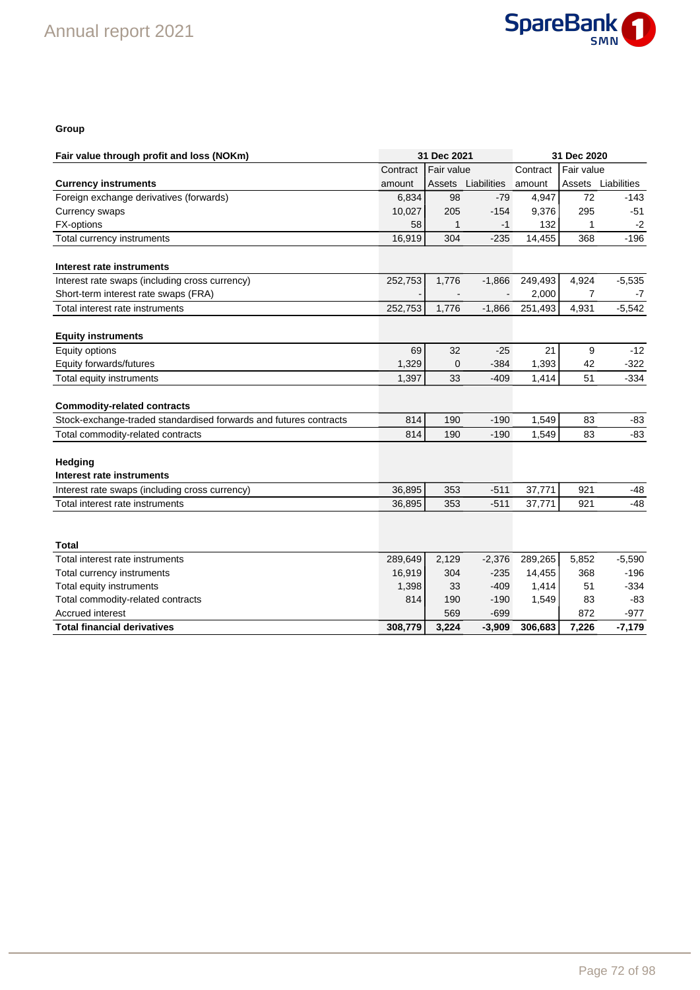

#### **Group**

| Fair value<br>Fair value<br>Contract<br>Contract<br>Liabilities<br>Liabilities<br>Assets<br>amount<br>Assets<br>amount<br>Foreign exchange derivatives (forwards)<br>$-79$<br>4,947<br>72<br>$-143$<br>6,834<br>98<br>205<br>295<br>Currency swaps<br>10,027<br>$-154$<br>9,376<br>$-51$<br>FX-options<br>58<br>$-1$<br>132<br>1<br>1<br>$-2$<br>16,919<br>$-196$<br>Total currency instruments<br>304<br>$-235$<br>14,455<br>368<br>Interest rate instruments<br>Interest rate swaps (including cross currency)<br>252,753<br>1,776<br>249,493<br>4,924<br>$-5,535$<br>$-1,866$<br>Short-term interest rate swaps (FRA)<br>2,000<br>7<br>-7<br>252,753<br>251,493<br>$-5,542$<br>Total interest rate instruments<br>1,776<br>$-1,866$<br>4,931<br><b>Equity instruments</b><br>32<br>21<br>9<br>$-12$<br>Equity options<br>69<br>$-25$<br>1,329<br>1,393<br>$-322$<br>Equity forwards/futures<br>$\mathbf 0$<br>$-384$<br>42<br>1,397<br>33<br>$-409$<br>51<br>$-334$<br>Total equity instruments<br>1,414<br><b>Commodity-related contracts</b><br>814<br>190<br>$-190$<br>1,549<br>83<br>Stock-exchange-traded standardised forwards and futures contracts<br>-83<br>Total commodity-related contracts<br>$-190$<br>1,549<br>$-83$<br>814<br>190<br>83<br><b>Hedging</b><br>Interest rate instruments<br>921<br>36,895<br>353<br>$-511$<br>37,771<br>$-48$<br>Interest rate swaps (including cross currency)<br>36,895<br>353<br>$-511$<br>37,771<br>921<br>$-48$<br>Total interest rate instruments<br>Total<br>289,649<br>2,129<br>289,265<br>5,852<br>$-5,590$<br>Total interest rate instruments<br>$-2,376$<br>16,919<br>304<br>$-235$<br>14,455<br>$-196$<br>Total currency instruments<br>368<br>33<br>$-409$<br>$-334$<br>Total equity instruments<br>1,398<br>1,414<br>51<br>Total commodity-related contracts<br>814<br>190<br>$-190$<br>$-83$<br>1,549<br>83<br>Accrued interest<br>569<br>$-699$<br>872<br>$-977$ | Fair value through profit and loss (NOKm) |         | 31 Dec 2021 |          |         | 31 Dec 2020 |          |  |
|----------------------------------------------------------------------------------------------------------------------------------------------------------------------------------------------------------------------------------------------------------------------------------------------------------------------------------------------------------------------------------------------------------------------------------------------------------------------------------------------------------------------------------------------------------------------------------------------------------------------------------------------------------------------------------------------------------------------------------------------------------------------------------------------------------------------------------------------------------------------------------------------------------------------------------------------------------------------------------------------------------------------------------------------------------------------------------------------------------------------------------------------------------------------------------------------------------------------------------------------------------------------------------------------------------------------------------------------------------------------------------------------------------------------------------------------------------------------------------------------------------------------------------------------------------------------------------------------------------------------------------------------------------------------------------------------------------------------------------------------------------------------------------------------------------------------------------------------------------------------------------------------------------------------------------|-------------------------------------------|---------|-------------|----------|---------|-------------|----------|--|
|                                                                                                                                                                                                                                                                                                                                                                                                                                                                                                                                                                                                                                                                                                                                                                                                                                                                                                                                                                                                                                                                                                                                                                                                                                                                                                                                                                                                                                                                                                                                                                                                                                                                                                                                                                                                                                                                                                                                  |                                           |         |             |          |         |             |          |  |
|                                                                                                                                                                                                                                                                                                                                                                                                                                                                                                                                                                                                                                                                                                                                                                                                                                                                                                                                                                                                                                                                                                                                                                                                                                                                                                                                                                                                                                                                                                                                                                                                                                                                                                                                                                                                                                                                                                                                  | <b>Currency instruments</b>               |         |             |          |         |             |          |  |
|                                                                                                                                                                                                                                                                                                                                                                                                                                                                                                                                                                                                                                                                                                                                                                                                                                                                                                                                                                                                                                                                                                                                                                                                                                                                                                                                                                                                                                                                                                                                                                                                                                                                                                                                                                                                                                                                                                                                  |                                           |         |             |          |         |             |          |  |
|                                                                                                                                                                                                                                                                                                                                                                                                                                                                                                                                                                                                                                                                                                                                                                                                                                                                                                                                                                                                                                                                                                                                                                                                                                                                                                                                                                                                                                                                                                                                                                                                                                                                                                                                                                                                                                                                                                                                  |                                           |         |             |          |         |             |          |  |
|                                                                                                                                                                                                                                                                                                                                                                                                                                                                                                                                                                                                                                                                                                                                                                                                                                                                                                                                                                                                                                                                                                                                                                                                                                                                                                                                                                                                                                                                                                                                                                                                                                                                                                                                                                                                                                                                                                                                  |                                           |         |             |          |         |             |          |  |
|                                                                                                                                                                                                                                                                                                                                                                                                                                                                                                                                                                                                                                                                                                                                                                                                                                                                                                                                                                                                                                                                                                                                                                                                                                                                                                                                                                                                                                                                                                                                                                                                                                                                                                                                                                                                                                                                                                                                  |                                           |         |             |          |         |             |          |  |
|                                                                                                                                                                                                                                                                                                                                                                                                                                                                                                                                                                                                                                                                                                                                                                                                                                                                                                                                                                                                                                                                                                                                                                                                                                                                                                                                                                                                                                                                                                                                                                                                                                                                                                                                                                                                                                                                                                                                  |                                           |         |             |          |         |             |          |  |
|                                                                                                                                                                                                                                                                                                                                                                                                                                                                                                                                                                                                                                                                                                                                                                                                                                                                                                                                                                                                                                                                                                                                                                                                                                                                                                                                                                                                                                                                                                                                                                                                                                                                                                                                                                                                                                                                                                                                  |                                           |         |             |          |         |             |          |  |
|                                                                                                                                                                                                                                                                                                                                                                                                                                                                                                                                                                                                                                                                                                                                                                                                                                                                                                                                                                                                                                                                                                                                                                                                                                                                                                                                                                                                                                                                                                                                                                                                                                                                                                                                                                                                                                                                                                                                  |                                           |         |             |          |         |             |          |  |
|                                                                                                                                                                                                                                                                                                                                                                                                                                                                                                                                                                                                                                                                                                                                                                                                                                                                                                                                                                                                                                                                                                                                                                                                                                                                                                                                                                                                                                                                                                                                                                                                                                                                                                                                                                                                                                                                                                                                  |                                           |         |             |          |         |             |          |  |
|                                                                                                                                                                                                                                                                                                                                                                                                                                                                                                                                                                                                                                                                                                                                                                                                                                                                                                                                                                                                                                                                                                                                                                                                                                                                                                                                                                                                                                                                                                                                                                                                                                                                                                                                                                                                                                                                                                                                  |                                           |         |             |          |         |             |          |  |
|                                                                                                                                                                                                                                                                                                                                                                                                                                                                                                                                                                                                                                                                                                                                                                                                                                                                                                                                                                                                                                                                                                                                                                                                                                                                                                                                                                                                                                                                                                                                                                                                                                                                                                                                                                                                                                                                                                                                  |                                           |         |             |          |         |             |          |  |
|                                                                                                                                                                                                                                                                                                                                                                                                                                                                                                                                                                                                                                                                                                                                                                                                                                                                                                                                                                                                                                                                                                                                                                                                                                                                                                                                                                                                                                                                                                                                                                                                                                                                                                                                                                                                                                                                                                                                  |                                           |         |             |          |         |             |          |  |
|                                                                                                                                                                                                                                                                                                                                                                                                                                                                                                                                                                                                                                                                                                                                                                                                                                                                                                                                                                                                                                                                                                                                                                                                                                                                                                                                                                                                                                                                                                                                                                                                                                                                                                                                                                                                                                                                                                                                  |                                           |         |             |          |         |             |          |  |
|                                                                                                                                                                                                                                                                                                                                                                                                                                                                                                                                                                                                                                                                                                                                                                                                                                                                                                                                                                                                                                                                                                                                                                                                                                                                                                                                                                                                                                                                                                                                                                                                                                                                                                                                                                                                                                                                                                                                  |                                           |         |             |          |         |             |          |  |
|                                                                                                                                                                                                                                                                                                                                                                                                                                                                                                                                                                                                                                                                                                                                                                                                                                                                                                                                                                                                                                                                                                                                                                                                                                                                                                                                                                                                                                                                                                                                                                                                                                                                                                                                                                                                                                                                                                                                  |                                           |         |             |          |         |             |          |  |
|                                                                                                                                                                                                                                                                                                                                                                                                                                                                                                                                                                                                                                                                                                                                                                                                                                                                                                                                                                                                                                                                                                                                                                                                                                                                                                                                                                                                                                                                                                                                                                                                                                                                                                                                                                                                                                                                                                                                  |                                           |         |             |          |         |             |          |  |
|                                                                                                                                                                                                                                                                                                                                                                                                                                                                                                                                                                                                                                                                                                                                                                                                                                                                                                                                                                                                                                                                                                                                                                                                                                                                                                                                                                                                                                                                                                                                                                                                                                                                                                                                                                                                                                                                                                                                  |                                           |         |             |          |         |             |          |  |
|                                                                                                                                                                                                                                                                                                                                                                                                                                                                                                                                                                                                                                                                                                                                                                                                                                                                                                                                                                                                                                                                                                                                                                                                                                                                                                                                                                                                                                                                                                                                                                                                                                                                                                                                                                                                                                                                                                                                  |                                           |         |             |          |         |             |          |  |
|                                                                                                                                                                                                                                                                                                                                                                                                                                                                                                                                                                                                                                                                                                                                                                                                                                                                                                                                                                                                                                                                                                                                                                                                                                                                                                                                                                                                                                                                                                                                                                                                                                                                                                                                                                                                                                                                                                                                  |                                           |         |             |          |         |             |          |  |
|                                                                                                                                                                                                                                                                                                                                                                                                                                                                                                                                                                                                                                                                                                                                                                                                                                                                                                                                                                                                                                                                                                                                                                                                                                                                                                                                                                                                                                                                                                                                                                                                                                                                                                                                                                                                                                                                                                                                  |                                           |         |             |          |         |             |          |  |
|                                                                                                                                                                                                                                                                                                                                                                                                                                                                                                                                                                                                                                                                                                                                                                                                                                                                                                                                                                                                                                                                                                                                                                                                                                                                                                                                                                                                                                                                                                                                                                                                                                                                                                                                                                                                                                                                                                                                  |                                           |         |             |          |         |             |          |  |
|                                                                                                                                                                                                                                                                                                                                                                                                                                                                                                                                                                                                                                                                                                                                                                                                                                                                                                                                                                                                                                                                                                                                                                                                                                                                                                                                                                                                                                                                                                                                                                                                                                                                                                                                                                                                                                                                                                                                  |                                           |         |             |          |         |             |          |  |
|                                                                                                                                                                                                                                                                                                                                                                                                                                                                                                                                                                                                                                                                                                                                                                                                                                                                                                                                                                                                                                                                                                                                                                                                                                                                                                                                                                                                                                                                                                                                                                                                                                                                                                                                                                                                                                                                                                                                  |                                           |         |             |          |         |             |          |  |
|                                                                                                                                                                                                                                                                                                                                                                                                                                                                                                                                                                                                                                                                                                                                                                                                                                                                                                                                                                                                                                                                                                                                                                                                                                                                                                                                                                                                                                                                                                                                                                                                                                                                                                                                                                                                                                                                                                                                  |                                           |         |             |          |         |             |          |  |
|                                                                                                                                                                                                                                                                                                                                                                                                                                                                                                                                                                                                                                                                                                                                                                                                                                                                                                                                                                                                                                                                                                                                                                                                                                                                                                                                                                                                                                                                                                                                                                                                                                                                                                                                                                                                                                                                                                                                  |                                           |         |             |          |         |             |          |  |
|                                                                                                                                                                                                                                                                                                                                                                                                                                                                                                                                                                                                                                                                                                                                                                                                                                                                                                                                                                                                                                                                                                                                                                                                                                                                                                                                                                                                                                                                                                                                                                                                                                                                                                                                                                                                                                                                                                                                  | <b>Total financial derivatives</b>        | 308,779 | 3,224       | $-3,909$ | 306,683 | 7,226       | $-7,179$ |  |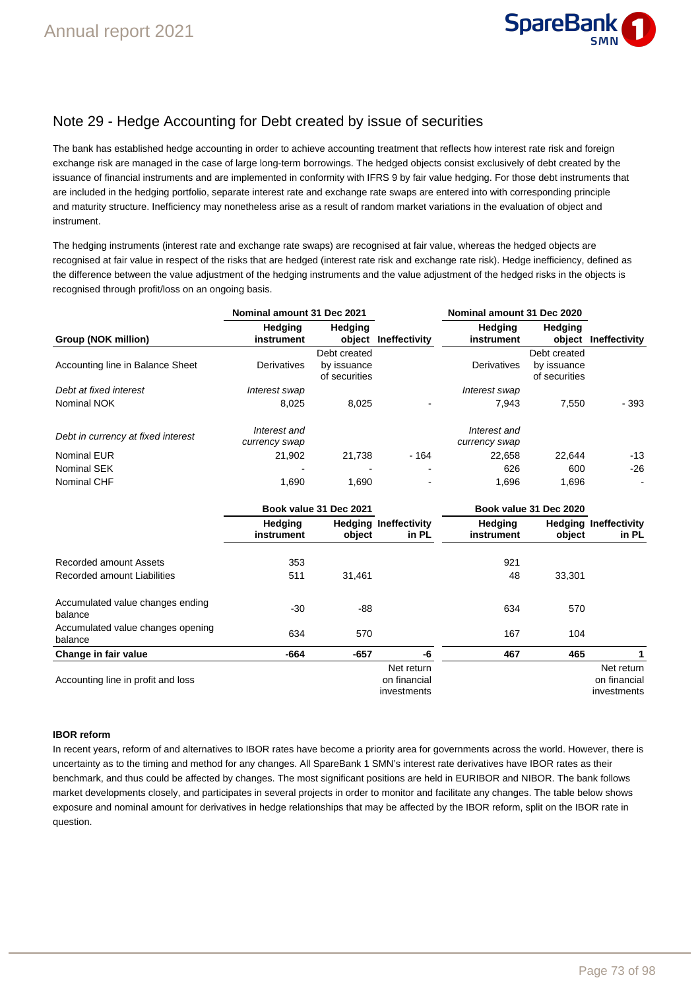

## Note 29 - Hedge Accounting for Debt created by issue of securities

The bank has established hedge accounting in order to achieve accounting treatment that reflects how interest rate risk and foreign exchange risk are managed in the case of large long-term borrowings. The hedged objects consist exclusively of debt created by the issuance of financial instruments and are implemented in conformity with IFRS 9 by fair value hedging. For those debt instruments that are included in the hedging portfolio, separate interest rate and exchange rate swaps are entered into with corresponding principle and maturity structure. Inefficiency may nonetheless arise as a result of random market variations in the evaluation of object and instrument.

The hedging instruments (interest rate and exchange rate swaps) are recognised at fair value, whereas the hedged objects are recognised at fair value in respect of the risks that are hedged (interest rate risk and exchange rate risk). Hedge inefficiency, defined as the difference between the value adjustment of the hedging instruments and the value adjustment of the hedged risks in the objects is recognised through profit/loss on an ongoing basis.

|                                    | Nominal amount 31 Dec 2021    |                                              |                                       | Nominal amount 31 Dec 2020    |                                              |                                       |
|------------------------------------|-------------------------------|----------------------------------------------|---------------------------------------|-------------------------------|----------------------------------------------|---------------------------------------|
| Group (NOK million)                | <b>Hedging</b><br>instrument  | <b>Hedging</b><br>object                     | Ineffectivity                         | <b>Hedging</b><br>instrument  | <b>Hedging</b><br>object                     | Ineffectivity                         |
| Accounting line in Balance Sheet   | Derivatives                   | Debt created<br>by issuance<br>of securities |                                       | Derivatives                   | Debt created<br>by issuance<br>of securities |                                       |
| Debt at fixed interest             | Interest swap                 |                                              |                                       | Interest swap                 |                                              |                                       |
| Nominal NOK                        | 8,025                         | 8,025                                        |                                       | 7.943                         | 7,550                                        | - 393                                 |
| Debt in currency at fixed interest | Interest and<br>currency swap |                                              |                                       | Interest and<br>currency swap |                                              |                                       |
| <b>Nominal EUR</b>                 | 21,902                        | 21,738                                       | - 164                                 | 22,658                        | 22,644                                       | -13                                   |
| Nominal SEK                        |                               |                                              |                                       | 626                           | 600                                          | $-26$                                 |
| Nominal CHF                        | 1.690                         | 1.690                                        | $\blacksquare$                        | 1.696                         | 1.696                                        |                                       |
|                                    | Book value 31 Dec 2021        |                                              |                                       |                               | Book value 31 Dec 2020                       |                                       |
|                                    | <b>Hedging</b><br>instrument  | object                                       | <b>Hedging Ineffectivity</b><br>in PL | <b>Hedging</b><br>instrument  | object                                       | <b>Hedging Ineffectivity</b><br>in PL |

|                                              | ,,,,,,,,,<br>instrument | noughly monecuting<br>object | in PL        | ,,,,,,,,,<br>instrument | 100<br>object | in PL        |
|----------------------------------------------|-------------------------|------------------------------|--------------|-------------------------|---------------|--------------|
| Recorded amount Assets                       | 353                     |                              |              | 921                     |               |              |
| Recorded amount Liabilities                  | 511                     | 31.461                       |              | 48                      | 33,301        |              |
| Accumulated value changes ending<br>balance  | $-30$                   | -88                          |              | 634                     | 570           |              |
| Accumulated value changes opening<br>balance | 634                     | 570                          |              | 167                     | 104           |              |
| Change in fair value                         | $-664$                  | $-657$                       | -6           | 467                     | 465           |              |
|                                              |                         |                              | Net return   |                         |               | Net return   |
| Accounting line in profit and loss           |                         |                              | on financial |                         |               | on financial |
|                                              |                         |                              | investments  |                         |               | investments  |

### **IBOR reform**

In recent years, reform of and alternatives to IBOR rates have become a priority area for governments across the world. However, there is uncertainty as to the timing and method for any changes. All SpareBank 1 SMN's interest rate derivatives have IBOR rates as their benchmark, and thus could be affected by changes. The most significant positions are held in EURIBOR and NIBOR. The bank follows market developments closely, and participates in several projects in order to monitor and facilitate any changes. The table below shows exposure and nominal amount for derivatives in hedge relationships that may be affected by the IBOR reform, split on the IBOR rate in question.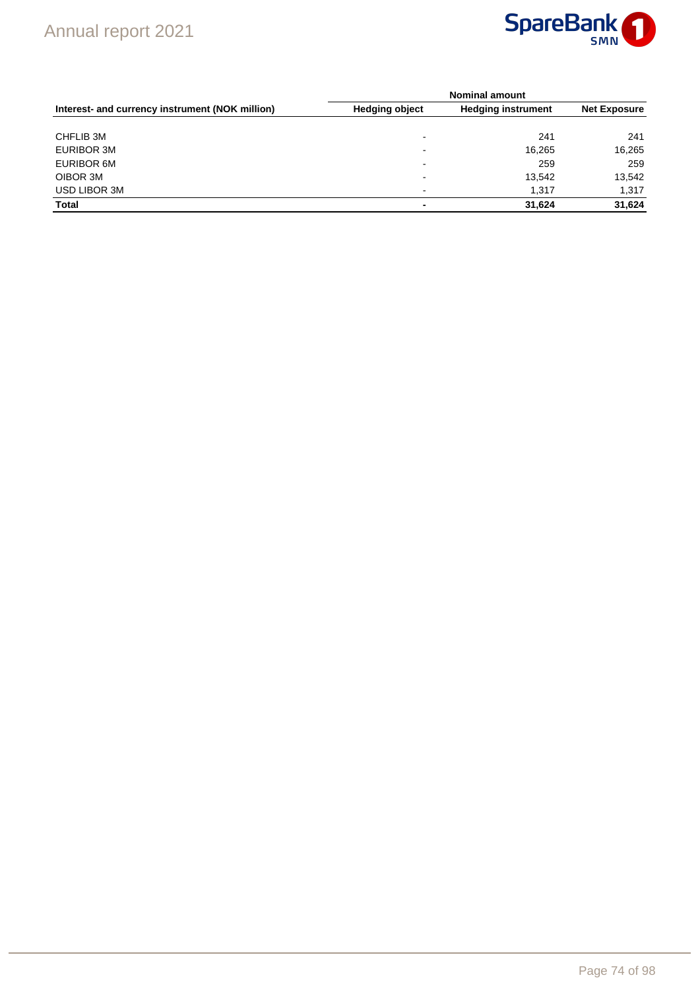

|                                                 | <b>Nominal amount</b>    |                           |                     |  |  |  |
|-------------------------------------------------|--------------------------|---------------------------|---------------------|--|--|--|
| Interest- and currency instrument (NOK million) | <b>Hedging object</b>    | <b>Hedging instrument</b> | <b>Net Exposure</b> |  |  |  |
| CHFLIB 3M                                       | $\overline{\phantom{0}}$ | 241                       | 241                 |  |  |  |
| EURIBOR 3M                                      | $\overline{\phantom{0}}$ | 16,265                    | 16,265              |  |  |  |
| EURIBOR 6M                                      | $\overline{\phantom{0}}$ | 259                       | 259                 |  |  |  |
| OIBOR 3M                                        | $\overline{\phantom{a}}$ | 13,542                    | 13,542              |  |  |  |
| USD LIBOR 3M                                    | $\overline{\phantom{a}}$ | 1.317                     | 1,317               |  |  |  |
| <b>Total</b>                                    | ٠                        | 31.624                    | 31,624              |  |  |  |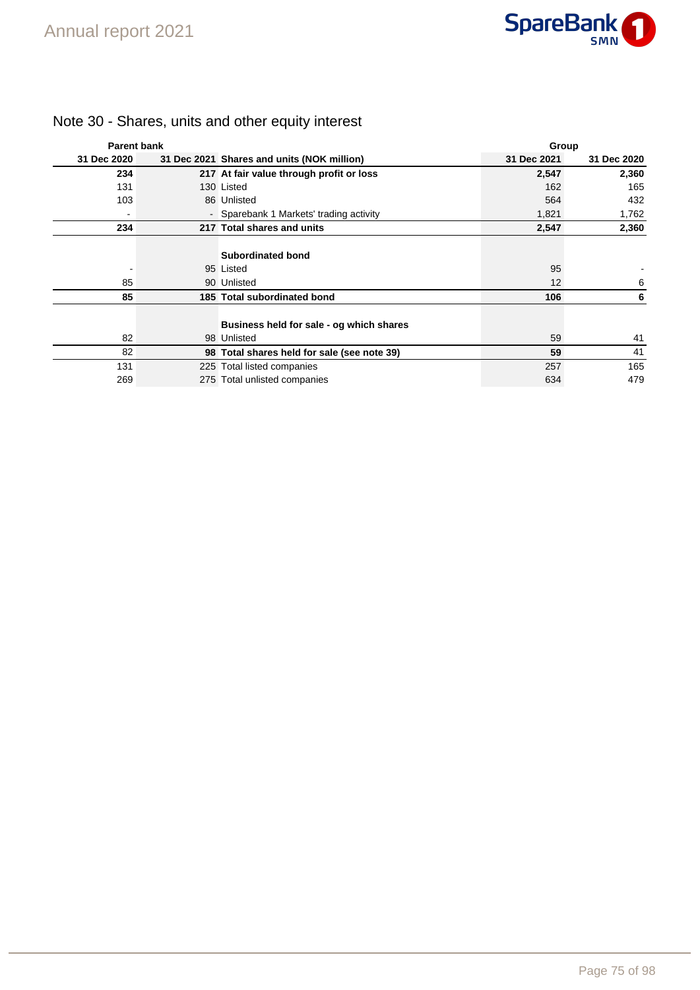

| <b>Parent bank</b> |                                                         | Group       |             |
|--------------------|---------------------------------------------------------|-------------|-------------|
| 31 Dec 2020        | 31 Dec 2021 Shares and units (NOK million)              | 31 Dec 2021 | 31 Dec 2020 |
| 234                | 217 At fair value through profit or loss                | 2,547       | 2,360       |
| 131                | 130 Listed                                              | 162         | 165         |
| 103                | 86 Unlisted                                             | 564         | 432         |
|                    | - Sparebank 1 Markets' trading activity                 | 1,821       | 1,762       |
| 234                | 217 Total shares and units                              | 2,547       | 2,360       |
|                    | <b>Subordinated bond</b>                                |             |             |
|                    | 95 Listed                                               | 95          |             |
| 85                 | 90 Unlisted                                             | 12          | 6           |
| 85                 | 185 Total subordinated bond                             | 106         | 6           |
| 82                 | Business held for sale - og which shares<br>98 Unlisted | 59          | 41          |
| 82                 |                                                         | 59          | 41          |
|                    | 98 Total shares held for sale (see note 39)             |             |             |
| 131                | 225 Total listed companies                              | 257         | 165         |
| 269                | 275 Total unlisted companies                            | 634         | 479         |

# Note 30 - Shares, units and other equity interest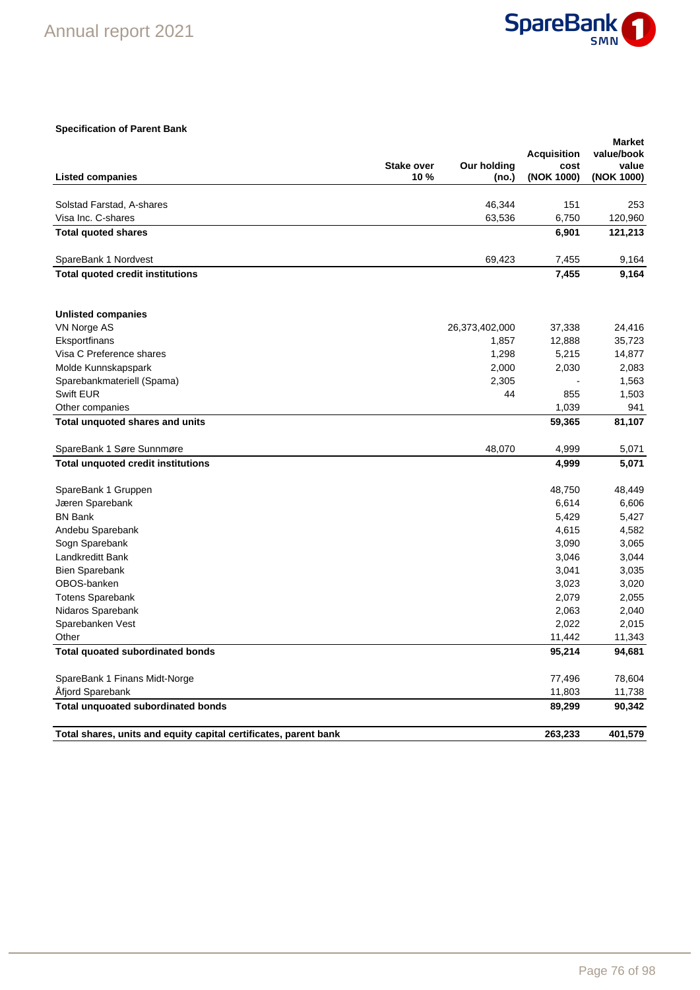

## **Specification of Parent Bank**

|                                                                  | <b>Stake over</b> | Our holding    | <b>Acquisition</b><br>cost | <b>Market</b><br>value/book<br>value |
|------------------------------------------------------------------|-------------------|----------------|----------------------------|--------------------------------------|
| <b>Listed companies</b>                                          | 10%               | (no.)          | (NOK 1000)                 | (NOK 1000)                           |
| Solstad Farstad, A-shares                                        |                   | 46,344         | 151                        | 253                                  |
| Visa Inc. C-shares                                               |                   | 63,536         | 6,750                      | 120,960                              |
| <b>Total quoted shares</b>                                       |                   |                | 6,901                      | 121,213                              |
|                                                                  |                   |                |                            |                                      |
| SpareBank 1 Nordvest                                             |                   | 69,423         | 7,455                      | 9,164                                |
| <b>Total quoted credit institutions</b>                          |                   |                | 7,455                      | 9,164                                |
| <b>Unlisted companies</b>                                        |                   |                |                            |                                      |
| VN Norge AS                                                      |                   | 26,373,402,000 | 37,338                     | 24,416                               |
| Eksportfinans                                                    |                   | 1,857          | 12,888                     | 35,723                               |
| Visa C Preference shares                                         |                   | 1,298          | 5,215                      | 14,877                               |
| Molde Kunnskapspark                                              |                   | 2,000          | 2,030                      | 2,083                                |
| Sparebankmateriell (Spama)                                       |                   | 2,305          |                            | 1,563                                |
| Swift EUR                                                        |                   | 44             | 855                        | 1,503                                |
| Other companies                                                  |                   |                | 1,039                      | 941                                  |
| Total unquoted shares and units                                  |                   |                | 59,365                     | 81,107                               |
| SpareBank 1 Søre Sunnmøre                                        |                   | 48,070         | 4,999                      | 5,071                                |
| <b>Total unquoted credit institutions</b>                        |                   |                | 4,999                      | 5,071                                |
| SpareBank 1 Gruppen                                              |                   |                | 48,750                     | 48,449                               |
| Jæren Sparebank                                                  |                   |                | 6,614                      | 6,606                                |
| <b>BN Bank</b>                                                   |                   |                | 5,429                      | 5,427                                |
| Andebu Sparebank                                                 |                   |                | 4,615                      | 4,582                                |
| Sogn Sparebank                                                   |                   |                | 3,090                      | 3,065                                |
| Landkreditt Bank                                                 |                   |                | 3,046                      | 3,044                                |
| <b>Bien Sparebank</b>                                            |                   |                | 3,041                      | 3,035                                |
| OBOS-banken                                                      |                   |                | 3,023                      | 3,020                                |
| <b>Totens Sparebank</b>                                          |                   |                | 2,079                      | 2,055                                |
| Nidaros Sparebank                                                |                   |                | 2,063                      | 2,040                                |
| Sparebanken Vest                                                 |                   |                | 2,022                      | 2,015                                |
| Other                                                            |                   |                | 11,442                     | 11,343                               |
| <b>Total quoated subordinated bonds</b>                          |                   |                | 95,214                     | 94,681                               |
| SpareBank 1 Finans Midt-Norge                                    |                   |                | 77,496                     | 78,604                               |
| Afjord Sparebank                                                 |                   |                | 11,803                     | 11,738                               |
| <b>Total unquoated subordinated bonds</b>                        |                   |                | 89,299                     | 90,342                               |
| Total shares, units and equity capital certificates, parent bank |                   |                | 263,233                    | 401,579                              |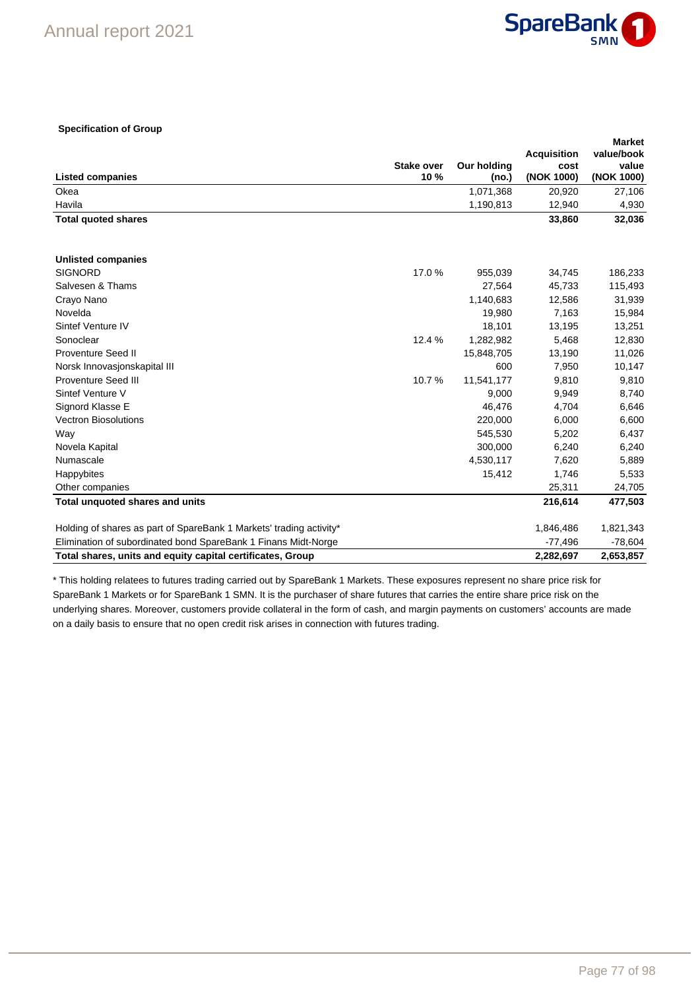

### **Specification of Group**

|                                                                     |                          |                             |                    | <b>Market</b>       |
|---------------------------------------------------------------------|--------------------------|-----------------------------|--------------------|---------------------|
|                                                                     |                          |                             | <b>Acquisition</b> | value/book          |
| <b>Listed companies</b>                                             | <b>Stake over</b><br>10% | <b>Our holding</b><br>(no.) | cost<br>(NOK 1000) | value<br>(NOK 1000) |
| Okea                                                                |                          | 1,071,368                   | 20,920             | 27,106              |
| Havila                                                              |                          | 1,190,813                   | 12,940             | 4,930               |
| <b>Total quoted shares</b>                                          |                          |                             | 33,860             | 32,036              |
| <b>Unlisted companies</b>                                           |                          |                             |                    |                     |
| <b>SIGNORD</b>                                                      | 17.0%                    | 955,039                     | 34,745             | 186,233             |
| Salvesen & Thams                                                    |                          | 27,564                      | 45,733             | 115,493             |
| Crayo Nano                                                          |                          | 1,140,683                   | 12,586             | 31,939              |
| Novelda                                                             |                          | 19,980                      | 7,163              | 15,984              |
| Sintef Venture IV                                                   |                          | 18,101                      | 13,195             | 13,251              |
| Sonoclear                                                           | 12.4 %                   | 1,282,982                   | 5,468              | 12,830              |
| <b>Proventure Seed II</b>                                           |                          | 15,848,705                  | 13,190             | 11,026              |
| Norsk Innovasjonskapital III                                        |                          | 600                         | 7,950              | 10,147              |
| <b>Proventure Seed III</b>                                          | 10.7%                    | 11,541,177                  | 9,810              | 9,810               |
| Sintef Venture V                                                    |                          | 9,000                       | 9,949              | 8,740               |
| Signord Klasse E                                                    |                          | 46.476                      | 4,704              | 6,646               |
| <b>Vectron Biosolutions</b>                                         |                          | 220,000                     | 6,000              | 6,600               |
| Way                                                                 |                          | 545,530                     | 5,202              | 6,437               |
| Novela Kapital                                                      |                          | 300,000                     | 6,240              | 6,240               |
| Numascale                                                           |                          | 4,530,117                   | 7,620              | 5,889               |
| Happybites                                                          |                          | 15,412                      | 1,746              | 5,533               |
| Other companies                                                     |                          |                             | 25,311             | 24,705              |
| Total unquoted shares and units                                     |                          |                             | 216,614            | 477,503             |
| Holding of shares as part of SpareBank 1 Markets' trading activity* |                          |                             | 1,846,486          | 1,821,343           |
| Elimination of subordinated bond SpareBank 1 Finans Midt-Norge      |                          |                             | $-77,496$          | $-78,604$           |
| Total shares, units and equity capital certificates, Group          |                          |                             | 2,282,697          | 2,653,857           |

\* This holding relatees to futures trading carried out by SpareBank 1 Markets. These exposures represent no share price risk for SpareBank 1 Markets or for SpareBank 1 SMN. It is the purchaser of share futures that carries the entire share price risk on the underlying shares. Moreover, customers provide collateral in the form of cash, and margin payments on customers' accounts are made on a daily basis to ensure that no open credit risk arises in connection with futures trading.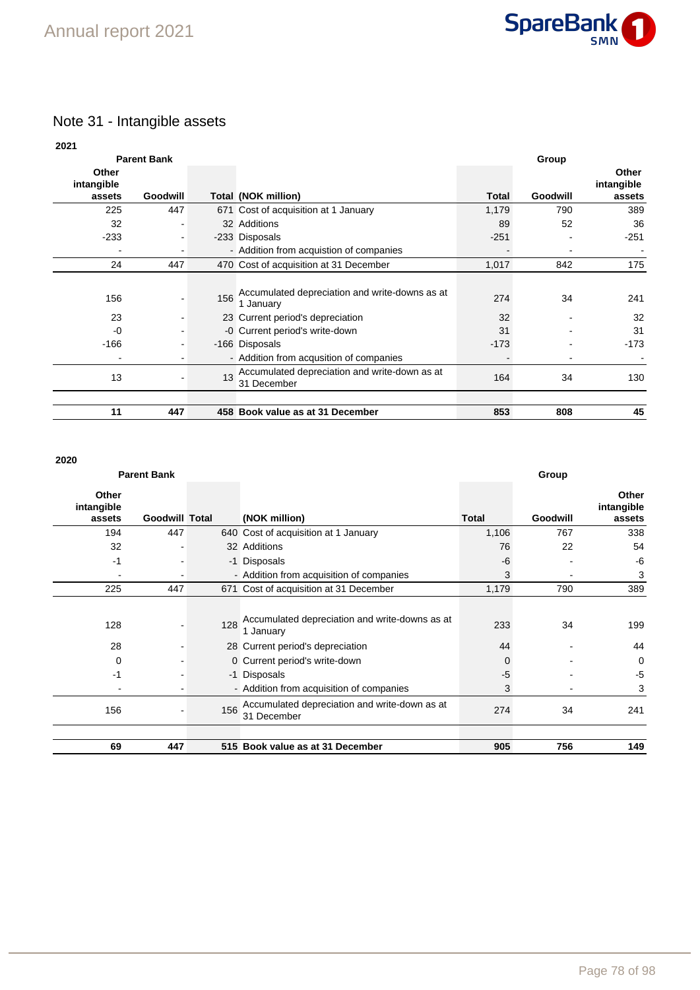

## Note 31 - Intangible assets

| 2021                |                    |     |                                                              |              |                 |                     |
|---------------------|--------------------|-----|--------------------------------------------------------------|--------------|-----------------|---------------------|
|                     | <b>Parent Bank</b> |     |                                                              |              | Group           |                     |
| Other<br>intangible |                    |     |                                                              |              |                 | Other<br>intangible |
| assets              | <b>Goodwill</b>    |     | Total (NOK million)                                          | <b>Total</b> | <b>Goodwill</b> | assets              |
| 225                 | 447                |     | 671 Cost of acquisition at 1 January                         | 1,179        | 790             | 389                 |
| 32                  | $\blacksquare$     |     | 32 Additions                                                 | 89           | 52              | 36                  |
| $-233$              | $\blacksquare$     |     | -233 Disposals                                               | $-251$       |                 | $-251$              |
|                     | -                  |     | - Addition from acquistion of companies                      |              |                 |                     |
| 24                  | 447                |     | 470 Cost of acquisition at 31 December                       | 1,017        | 842             | 175                 |
|                     |                    |     |                                                              |              |                 |                     |
| 156                 |                    | 156 | Accumulated depreciation and write-downs as at<br>1 January  | 274          | 34              | 241                 |
| 23                  |                    |     | 23 Current period's depreciation                             | 32           |                 | 32                  |
| $-0$                |                    |     | -0 Current period's write-down                               | 31           |                 | 31                  |
| $-166$              | -                  |     | -166 Disposals                                               | $-173$       |                 | $-173$              |
|                     |                    |     | - Addition from acqusition of companies                      |              |                 |                     |
| 13                  |                    | 13  | Accumulated depreciation and write-down as at<br>31 December | 164          | 34              | 130                 |
| 11                  | 447                |     | 458 Book value as at 31 December                             | 853          | 808             | 45                  |

## **2020**

| <b>Parent Bank</b>            |                       |     |                                                              | Group        |          |                               |  |
|-------------------------------|-----------------------|-----|--------------------------------------------------------------|--------------|----------|-------------------------------|--|
| Other<br>intangible<br>assets | <b>Goodwill Total</b> |     | (NOK million)                                                | <b>Total</b> | Goodwill | Other<br>intangible<br>assets |  |
| 194                           | 447                   |     | 640 Cost of acquisition at 1 January                         | 1,106        | 767      | 338                           |  |
| 32                            |                       |     | 32 Additions                                                 | 76           | 22       | 54                            |  |
| $-1$                          |                       |     | -1 Disposals                                                 | -6           |          | $-6$                          |  |
| $\overline{\phantom{a}}$      |                       |     | - Addition from acquisition of companies                     | 3            |          | 3                             |  |
| 225                           | 447                   |     | 671 Cost of acquisition at 31 December                       | 1,179        | 790      | 389                           |  |
| 128                           |                       | 128 | Accumulated depreciation and write-downs as at<br>1 January  | 233          | 34       | 199                           |  |
| 28                            |                       |     | 28 Current period's depreciation                             | 44           |          | 44                            |  |
| $\mathbf 0$                   |                       |     | 0 Current period's write-down                                | 0            |          | $\Omega$                      |  |
| -1                            |                       |     | -1 Disposals                                                 | $-5$         |          | $-5$                          |  |
|                               |                       |     | - Addition from acquisition of companies                     | 3            |          | 3                             |  |
| 156                           |                       | 156 | Accumulated depreciation and write-down as at<br>31 December | 274          | 34       | 241                           |  |
| 69                            | 447                   |     | 515 Book value as at 31 December                             | 905          | 756      | 149                           |  |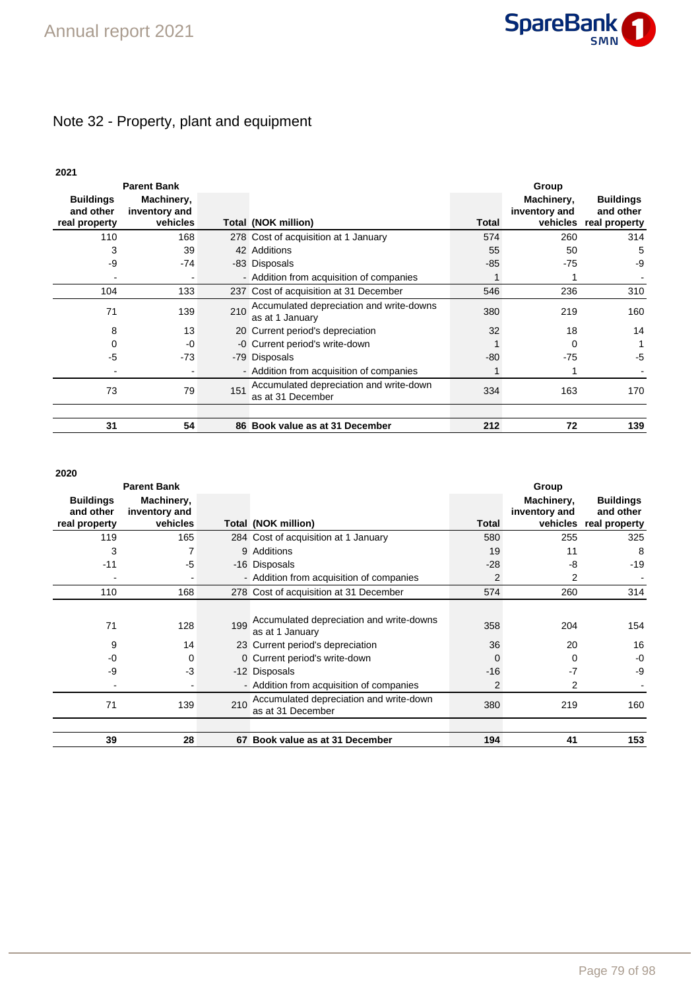

# Note 32 - Property, plant and equipment

| ×<br>۰. |
|---------|
|---------|

| <b>Parent Bank</b>                             |                                         |     |                                                              |       | Group                       |                                                         |  |
|------------------------------------------------|-----------------------------------------|-----|--------------------------------------------------------------|-------|-----------------------------|---------------------------------------------------------|--|
| <b>Buildings</b><br>and other<br>real property | Machinery,<br>inventory and<br>vehicles |     | Total (NOK million)                                          | Total | Machinery,<br>inventory and | <b>Buildings</b><br>and other<br>vehicles real property |  |
| 110                                            | 168                                     |     | 278 Cost of acquisition at 1 January                         | 574   | 260                         | 314                                                     |  |
| 3                                              | 39                                      |     | 42 Additions                                                 | 55    | 50                          | 5                                                       |  |
| -9                                             | $-74$                                   |     | -83 Disposals                                                | $-85$ | $-75$                       | -9                                                      |  |
|                                                |                                         |     | - Addition from acquisition of companies                     |       |                             |                                                         |  |
| 104                                            | 133                                     |     | 237 Cost of acquisition at 31 December                       | 546   | 236                         | 310                                                     |  |
| 71                                             | 139                                     | 210 | Accumulated depreciation and write-downs<br>as at 1 January  | 380   | 219                         | 160                                                     |  |
| 8                                              | 13                                      |     | 20 Current period's depreciation                             | 32    | 18                          | 14                                                      |  |
| 0                                              | $-0$                                    |     | -0 Current period's write-down                               |       | 0                           |                                                         |  |
| -5                                             | $-73$                                   |     | -79 Disposals                                                | $-80$ | $-75$                       | -5                                                      |  |
|                                                |                                         |     | - Addition from acquisition of companies                     |       |                             |                                                         |  |
| 73                                             | 79                                      | 151 | Accumulated depreciation and write-down<br>as at 31 December | 334   | 163                         | 170                                                     |  |
| 31                                             | 54                                      |     | 86 Book value as at 31 December                              | 212   | 72                          | 139                                                     |  |

## **2020**

|                                                | <b>Parent Bank</b>                      |     |                                                              |                | Group                       |                                                         |
|------------------------------------------------|-----------------------------------------|-----|--------------------------------------------------------------|----------------|-----------------------------|---------------------------------------------------------|
| <b>Buildings</b><br>and other<br>real property | Machinery,<br>inventory and<br>vehicles |     | Total (NOK million)                                          | <b>Total</b>   | Machinery,<br>inventory and | <b>Buildings</b><br>and other<br>vehicles real property |
| 119                                            | 165                                     |     | 284 Cost of acquisition at 1 January                         | 580            | 255                         | 325                                                     |
| 3                                              |                                         |     | 9 Additions                                                  | 19             | 11                          | 8                                                       |
| $-11$                                          | -5                                      |     | -16 Disposals                                                | $-28$          | -8                          | $-19$                                                   |
|                                                |                                         |     | - Addition from acquisition of companies                     | $\overline{2}$ | 2                           |                                                         |
| 110                                            | 168                                     |     | 278 Cost of acquisition at 31 December                       | 574            | 260                         | 314                                                     |
| 71                                             | 128                                     | 199 | Accumulated depreciation and write-downs<br>as at 1 January  | 358            | 204                         | 154                                                     |
| 9                                              | 14                                      |     | 23 Current period's depreciation                             | 36             | 20                          | 16                                                      |
| $-0$                                           | $\Omega$                                |     | 0 Current period's write-down                                | 0              | 0                           | -0                                                      |
| $-9$                                           | -3                                      |     | -12 Disposals                                                | $-16$          | $-7$                        | -9                                                      |
|                                                |                                         |     | - Addition from acquisition of companies                     | $\overline{2}$ | 2                           |                                                         |
| 71                                             | 139                                     | 210 | Accumulated depreciation and write-down<br>as at 31 December | 380            | 219                         | 160                                                     |
|                                                |                                         |     |                                                              |                |                             |                                                         |
| 39                                             | 28                                      |     | 67 Book value as at 31 December                              | 194            | 41                          | 153                                                     |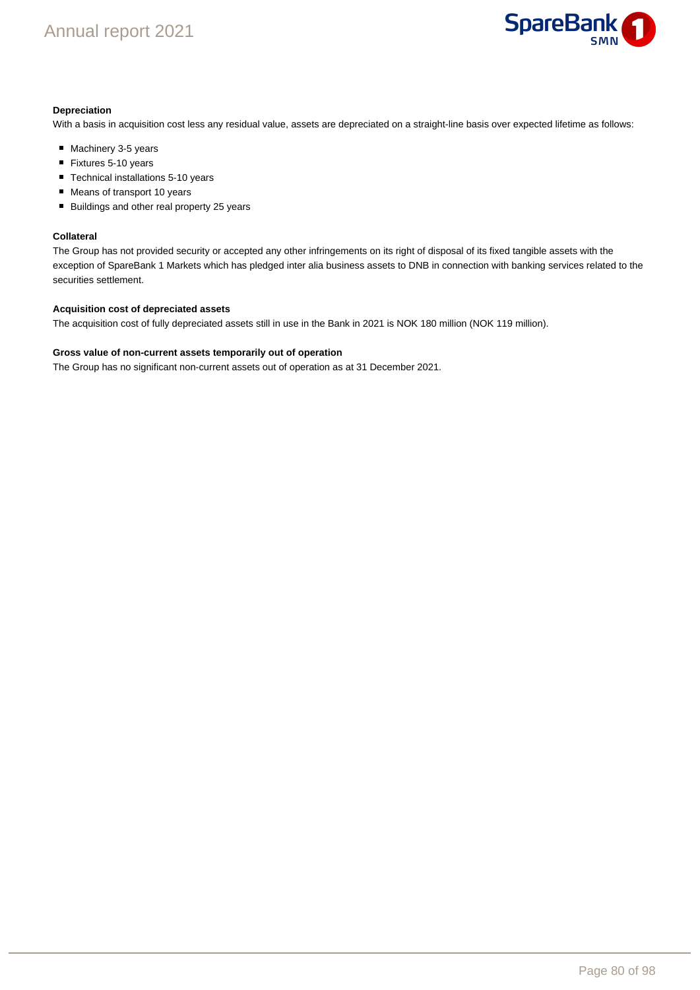

### **Depreciation**

With a basis in acquisition cost less any residual value, assets are depreciated on a straight-line basis over expected lifetime as follows:

- Machinery 3-5 years
- Fixtures 5-10 years
- Technical installations 5-10 years
- Means of transport 10 years
- Buildings and other real property 25 years

### **Collateral**

The Group has not provided security or accepted any other infringements on its right of disposal of its fixed tangible assets with the exception of SpareBank 1 Markets which has pledged inter alia business assets to DNB in connection with banking services related to the securities settlement.

## **Acquisition cost of depreciated assets**

The acquisition cost of fully depreciated assets still in use in the Bank in 2021 is NOK 180 million (NOK 119 million).

### **Gross value of non-current assets temporarily out of operation**

The Group has no significant non-current assets out of operation as at 31 December 2021.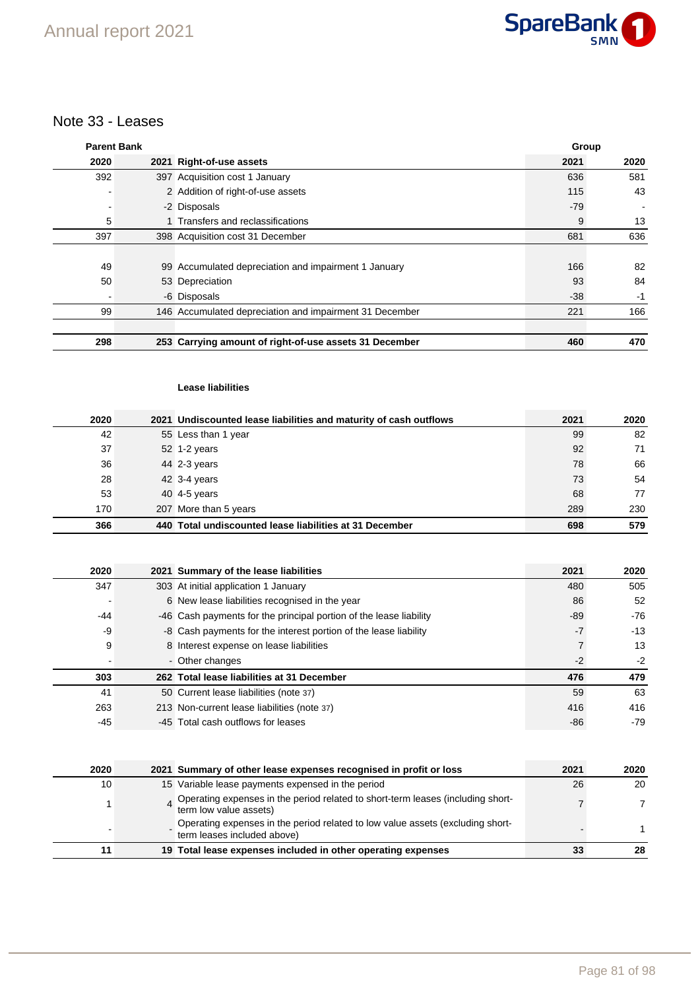

## Note 33 - Leases

| <b>Parent Bank</b> |                                                         | Group |      |
|--------------------|---------------------------------------------------------|-------|------|
| 2020               | 2021 Right-of-use assets                                | 2021  | 2020 |
| 392                | 397 Acquisition cost 1 January                          | 636   | 581  |
|                    | 2 Addition of right-of-use assets                       | 115   | 43   |
|                    | -2 Disposals                                            | $-79$ |      |
| 5                  | 1 Transfers and reclassifications                       | 9     | 13   |
| 397                | 398 Acquisition cost 31 December                        | 681   | 636  |
|                    |                                                         |       |      |
| 49                 | 99 Accumulated depreciation and impairment 1 January    | 166   | 82   |
| 50                 | 53 Depreciation                                         | 93    | 84   |
|                    | -6 Disposals                                            | $-38$ | $-1$ |
| 99                 | 146 Accumulated depreciation and impairment 31 December | 221   | 166  |
|                    |                                                         |       |      |
| 298                | 253 Carrying amount of right-of-use assets 31 December  | 460   | 470  |

## **Lease liabilities**

| 2020 | 2021 Undiscounted lease liabilities and maturity of cash outflows | 2021 | 2020 |
|------|-------------------------------------------------------------------|------|------|
| 42   | 55 Less than 1 year                                               | 99   | 82   |
| 37   | 52 1-2 years                                                      | 92   | 71   |
| 36   | 44 2-3 years                                                      | 78   | 66   |
| 28   | 42 3-4 years                                                      | 73   | 54   |
| 53   | 40 4-5 years                                                      | 68   | 77   |
| 170  | 207 More than 5 years                                             | 289  | 230  |
| 366  | 440 Total undiscounted lease liabilities at 31 December           | 698  | 579  |

| 2020  | 2021 Summary of the lease liabilities                              | 2021  | 2020  |
|-------|--------------------------------------------------------------------|-------|-------|
| 347   | 303 At initial application 1 January                               | 480   | 505   |
|       | 6 New lease liabilities recognised in the year                     | 86    | 52    |
| $-44$ | -46 Cash payments for the principal portion of the lease liability | $-89$ | $-76$ |
| $-9$  | -8 Cash payments for the interest portion of the lease liability   | $-7$  | $-13$ |
| 9     | 8 Interest expense on lease liabilities                            |       | 13    |
|       | - Other changes                                                    | $-2$  | $-2$  |
| 303   | 262 Total lease liabilities at 31 December                         | 476   | 479   |
| 41    | 50 Current lease liabilities (note 37)                             | 59    | 63    |
| 263   | 213 Non-current lease liabilities (note 37)                        | 416   | 416   |
| $-45$ | -45 Total cash outflows for leases                                 | $-86$ | -79   |

| 2020 | 2021 Summary of other lease expenses recognised in profit or loss                                             | 2021 | 2020 |
|------|---------------------------------------------------------------------------------------------------------------|------|------|
| 10   | 15 Variable lease payments expensed in the period                                                             | 26   | 20   |
|      | Operating expenses in the period related to short-term leases (including short-<br>term low value assets)     |      |      |
|      | Operating expenses in the period related to low value assets (excluding short-<br>term leases included above) |      |      |
| 11   | 19 Total lease expenses included in other operating expenses                                                  | 33   | 28   |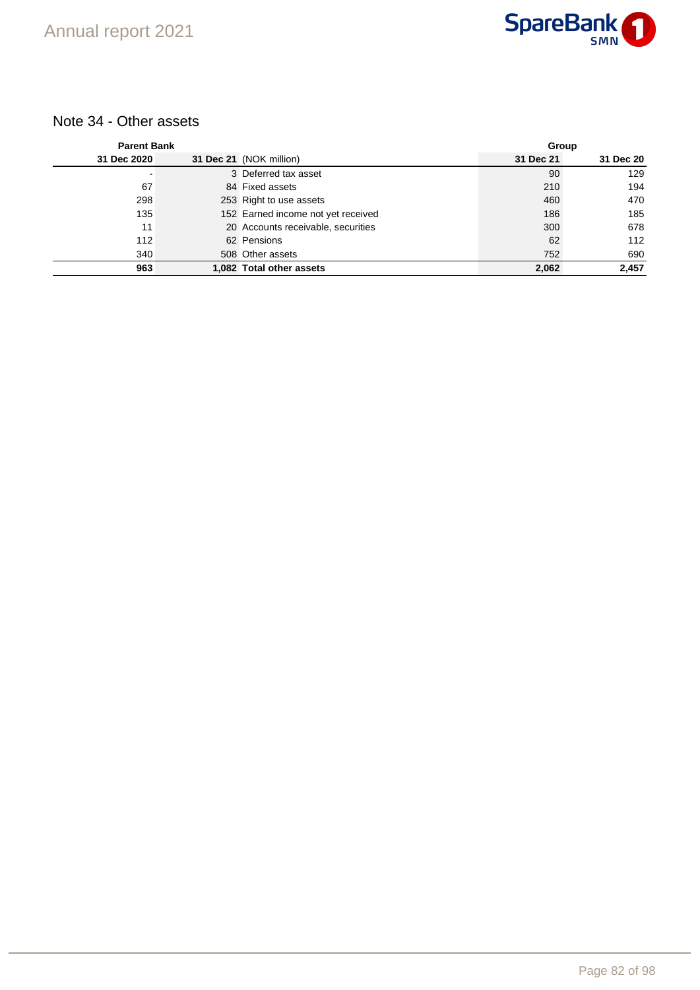## Note 34 - Other assets

| <b>Parent Bank</b> |                                    |           | Group     |  |  |
|--------------------|------------------------------------|-----------|-----------|--|--|
| 31 Dec 2020        | 31 Dec 21 (NOK million)            | 31 Dec 21 | 31 Dec 20 |  |  |
| -                  | 3 Deferred tax asset               | 90        | 129       |  |  |
| 67                 | 84 Fixed assets                    | 210       | 194       |  |  |
| 298                | 253 Right to use assets            | 460       | 470       |  |  |
| 135                | 152 Earned income not yet received | 186       | 185       |  |  |
| 11                 | 20 Accounts receivable, securities | 300       | 678       |  |  |
| 112                | 62 Pensions                        | 62        | 112       |  |  |
| 340                | 508 Other assets                   | 752       | 690       |  |  |
| 963                | 1,082 Total other assets           | 2,062     | 2,457     |  |  |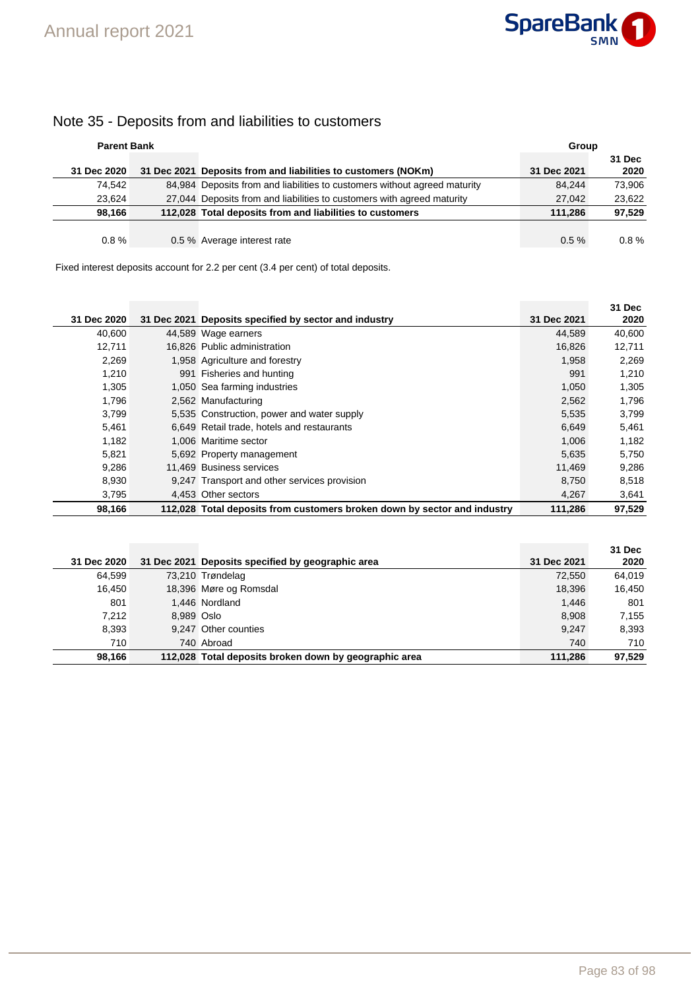

## Note 35 - Deposits from and liabilities to customers

| <b>Parent Bank</b> |                                                                           | Group       |          |
|--------------------|---------------------------------------------------------------------------|-------------|----------|
|                    |                                                                           |             | 31 Dec   |
| 31 Dec 2020        | 31 Dec 2021 Deposits from and liabilities to customers (NOKm)             | 31 Dec 2021 | 2020     |
| 74.542             | 84,984 Deposits from and liabilities to customers without agreed maturity | 84.244      | 73.906   |
| 23.624             | 27,044 Deposits from and liabilities to customers with agreed maturity    | 27.042      | 23.622   |
| 98.166             | 112,028 Total deposits from and liabilities to customers                  | 111.286     | 97.529   |
|                    |                                                                           |             |          |
| $0.8 \%$           | 0.5 % Average interest rate                                               | $0.5 \%$    | $0.8 \%$ |

Fixed interest deposits account for 2.2 per cent (3.4 per cent) of total deposits.

|             |                                                                          |             | 31 Dec |
|-------------|--------------------------------------------------------------------------|-------------|--------|
| 31 Dec 2020 | 31 Dec 2021 Deposits specified by sector and industry                    | 31 Dec 2021 | 2020   |
| 40,600      | 44,589 Wage earners                                                      | 44,589      | 40,600 |
| 12.711      | 16.826 Public administration                                             | 16,826      | 12,711 |
| 2,269       | 1,958 Agriculture and forestry                                           | 1,958       | 2,269  |
| 1,210       | 991 Fisheries and hunting                                                | 991         | 1,210  |
| 1,305       | 1,050 Sea farming industries                                             | 1,050       | 1,305  |
| 1,796       | 2,562 Manufacturing                                                      | 2,562       | 1,796  |
| 3.799       | 5,535 Construction, power and water supply                               | 5,535       | 3,799  |
| 5,461       | 6,649 Retail trade, hotels and restaurants                               | 6,649       | 5,461  |
| 1,182       | 1,006 Maritime sector                                                    | 1,006       | 1,182  |
| 5,821       | 5,692 Property management                                                | 5,635       | 5,750  |
| 9,286       | 11.469 Business services                                                 | 11.469      | 9,286  |
| 8,930       | 9,247 Transport and other services provision                             | 8,750       | 8,518  |
| 3,795       | 4.453 Other sectors                                                      | 4,267       | 3,641  |
| 98,166      | 112,028 Total deposits from customers broken down by sector and industry | 111,286     | 97,529 |

|             |            |                                                       |             | 31 Dec |
|-------------|------------|-------------------------------------------------------|-------------|--------|
| 31 Dec 2020 |            | 31 Dec 2021 Deposits specified by geographic area     | 31 Dec 2021 | 2020   |
| 64.599      |            | 73,210 Trøndelag                                      | 72.550      | 64.019 |
| 16.450      |            | 18,396 Møre og Romsdal                                | 18,396      | 16,450 |
| 801         |            | 1,446 Nordland                                        | 1.446       | 801    |
| 7,212       | 8.989 Oslo |                                                       | 8,908       | 7,155  |
| 8,393       |            | 9.247 Other counties                                  | 9.247       | 8,393  |
| 710         |            | 740 Abroad                                            | 740         | 710    |
| 98.166      |            | 112,028 Total deposits broken down by geographic area | 111.286     | 97,529 |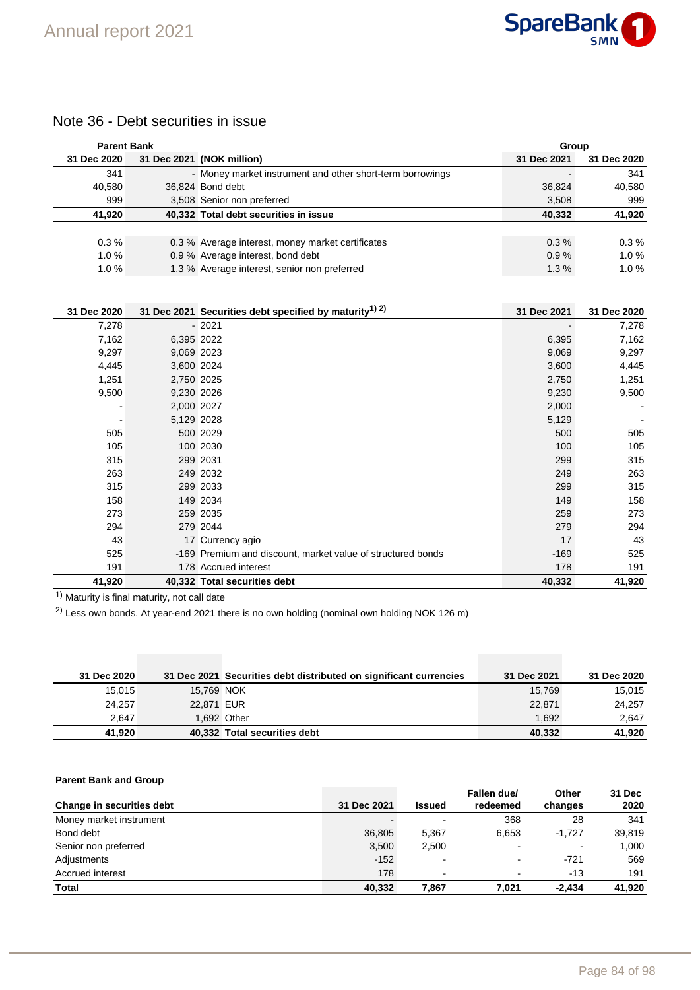

## Note 36 - Debt securities in issue

| <b>Parent Bank</b> |            |                                                                    | Group       |             |
|--------------------|------------|--------------------------------------------------------------------|-------------|-------------|
| 31 Dec 2020        |            | 31 Dec 2021 (NOK million)                                          | 31 Dec 2021 | 31 Dec 2020 |
| 341                |            | - Money market instrument and other short-term borrowings          |             | 341         |
| 40,580             |            | 36,824 Bond debt                                                   | 36,824      | 40,580      |
| 999                |            | 3,508 Senior non preferred                                         | 3,508       | 999         |
| 41,920             |            | 40,332 Total debt securities in issue                              | 40,332      | 41,920      |
|                    |            |                                                                    |             |             |
| 0.3%               |            | 0.3 % Average interest, money market certificates                  | 0.3%        | 0.3%        |
| 1.0%               |            | 0.9 % Average interest, bond debt                                  | 0.9%        | 1.0%        |
| 1.0%               |            | 1.3 % Average interest, senior non preferred                       | 1.3%        | 1.0%        |
|                    |            |                                                                    |             |             |
|                    |            |                                                                    |             |             |
| 31 Dec 2020        |            | 31 Dec 2021 Securities debt specified by maturity <sup>1) 2)</sup> | 31 Dec 2021 | 31 Dec 2020 |
| 7,278              |            | $-2021$                                                            |             | 7,278       |
| 7,162              | 6,395 2022 |                                                                    | 6,395       | 7,162       |
| 9,297              | 9,069 2023 |                                                                    | 9,069       | 9,297       |
| 4,445              | 3,600 2024 |                                                                    | 3,600       | 4,445       |
| 1,251              | 2,750 2025 |                                                                    | 2,750       | 1,251       |
| 9,500              | 9,230 2026 |                                                                    | 9,230       | 9,500       |
|                    | 2,000 2027 |                                                                    | 2,000       |             |
|                    | 5,129 2028 |                                                                    | 5,129       |             |
| 505                |            | 500 2029                                                           | 500         | 505         |
| 105                |            | 100 2030                                                           | 100         | 105         |
| 315                |            | 299 2031                                                           | 299         | 315         |
| 263                |            | 249 2032                                                           | 249         | 263         |
| 315                |            | 299 2033                                                           | 299         | 315         |
| 158                |            | 149 2034                                                           | 149         | 158         |
| 273                |            | 259 2035                                                           | 259         | 273         |
| 294                |            | 279 2044                                                           | 279         | 294         |
| 43                 |            | 17 Currency agio                                                   | 17          | 43          |
| 525                |            | -169 Premium and discount, market value of structured bonds        | $-169$      | 525         |
| 191                |            | 178 Accrued interest                                               | 178         | 191         |
| 41,920             |            | 40,332 Total securities debt                                       | 40,332      | 41,920      |

 $\overline{1}$ ) Maturity is final maturity, not call date

2) Less own bonds. At year-end 2021 there is no own holding (nominal own holding NOK 126 m)

| 31 Dec 2020 |            | 31 Dec 2021 Securities debt distributed on significant currencies | 31 Dec 2021 | 31 Dec 2020 |
|-------------|------------|-------------------------------------------------------------------|-------------|-------------|
| 15.015      | 15,769 NOK |                                                                   | 15.769      | 15,015      |
| 24.257      | 22.871 EUR |                                                                   | 22,871      | 24,257      |
| 2.647       |            | 1.692 Other                                                       | 1.692       | 2.647       |
| 41.920      |            | 40,332 Total securities debt                                      | 40.332      | 41.920      |

## **Parent Bank and Group**

| Change in securities debt | 31 Dec 2021 | <b>Issued</b>            | Fallen due/<br>redeemed  | Other<br>changes | 31 Dec<br>2020 |
|---------------------------|-------------|--------------------------|--------------------------|------------------|----------------|
| Money market instrument   |             |                          | 368                      | 28               | 341            |
| Bond debt                 | 36,805      | 5.367                    | 6.653                    | $-1.727$         | 39.819         |
| Senior non preferred      | 3,500       | 2,500                    |                          | -                | 1,000          |
| Adjustments               | $-152$      |                          | $\overline{\phantom{0}}$ | $-721$           | 569            |
| Accrued interest          | 178         | $\overline{\phantom{a}}$ | $\,$                     | $-13$            | 191            |
| <b>Total</b>              | 40,332      | 7.867                    | 7.021                    | $-2.434$         | 41,920         |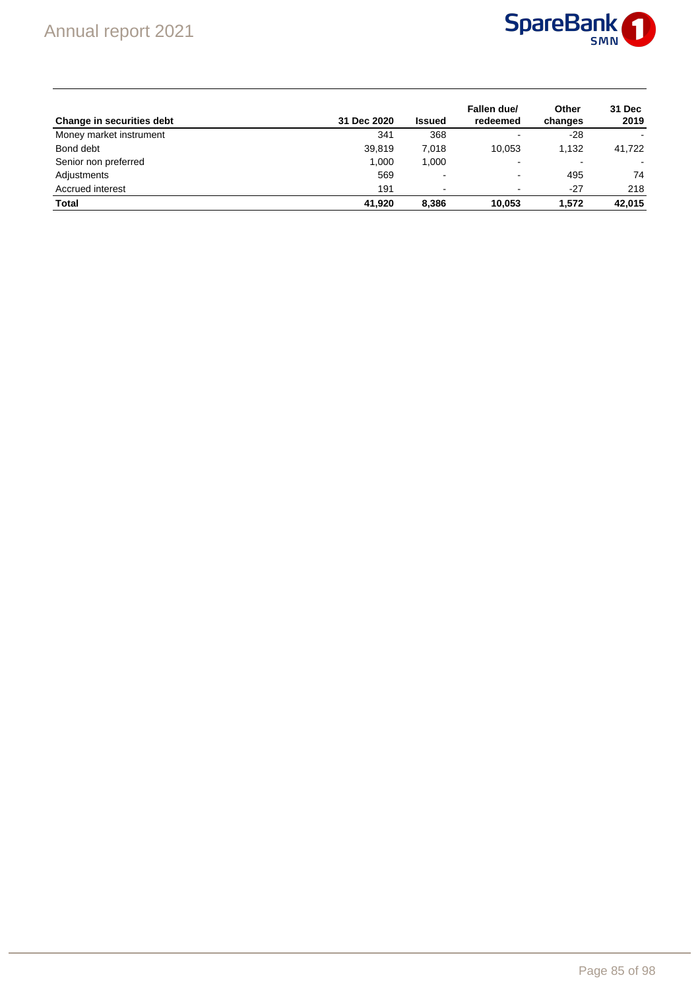

| Change in securities debt | 31 Dec 2020 | Issued                   | Fallen due/<br>redeemed  | Other<br>changes | 31 Dec<br>2019 |
|---------------------------|-------------|--------------------------|--------------------------|------------------|----------------|
| Money market instrument   | 341         | 368                      | $\blacksquare$           | $-28$            |                |
| Bond debt                 | 39,819      | 7.018                    | 10.053                   | 1.132            | 41,722         |
| Senior non preferred      | 1,000       | 1,000                    | $\overline{\phantom{a}}$ | ٠                |                |
| Adjustments               | 569         |                          | $\overline{\phantom{a}}$ | 495              | 74             |
| Accrued interest          | 191         | $\overline{\phantom{a}}$ |                          | $-27$            | 218            |
| <b>Total</b>              | 41.920      | 8,386                    | 10.053                   | 1.572            | 42,015         |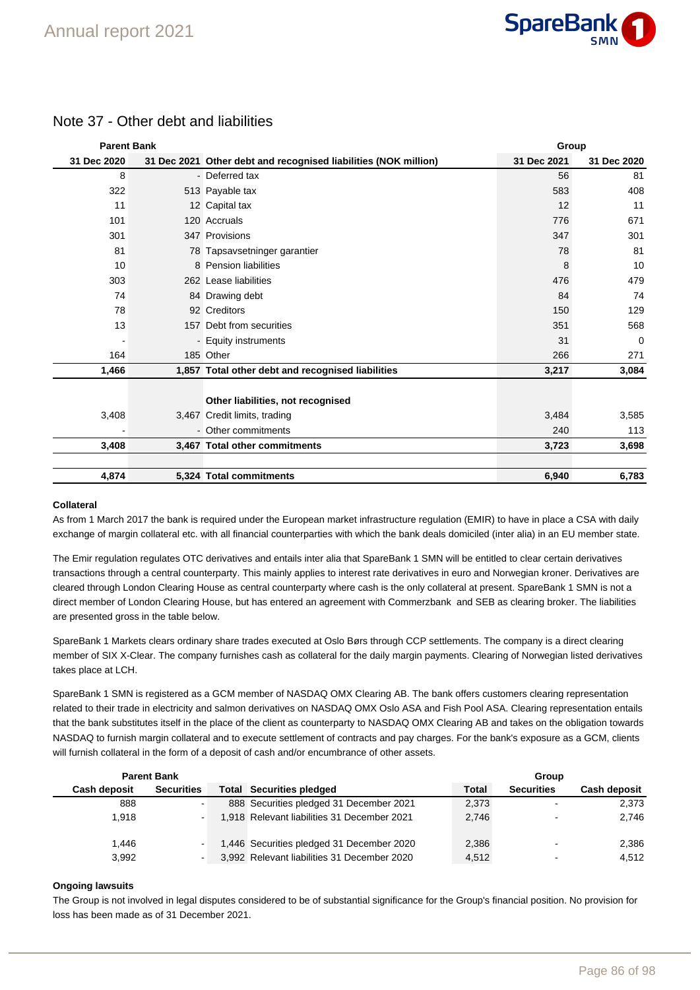

| Note 37 - Other debt and liabilities |
|--------------------------------------|
|                                      |

| <b>Parent Bank</b> |                                                                 |             | Group       |  |  |  |
|--------------------|-----------------------------------------------------------------|-------------|-------------|--|--|--|
| 31 Dec 2020        | 31 Dec 2021 Other debt and recognised liabilities (NOK million) | 31 Dec 2021 | 31 Dec 2020 |  |  |  |
| 8                  | - Deferred tax                                                  | 56          | 81          |  |  |  |
| 322                | 513 Payable tax                                                 | 583         | 408         |  |  |  |
| 11                 | 12 Capital tax                                                  | 12          | 11          |  |  |  |
| 101                | 120 Accruals                                                    | 776         | 671         |  |  |  |
| 301                | 347 Provisions                                                  | 347         | 301         |  |  |  |
| 81                 | 78 Tapsavsetninger garantier                                    | 78          | 81          |  |  |  |
| 10                 | 8 Pension liabilities                                           | 8           | 10          |  |  |  |
| 303                | 262 Lease liabilities                                           | 476         | 479         |  |  |  |
| 74                 | 84 Drawing debt                                                 | 84          | 74          |  |  |  |
| 78                 | 92 Creditors                                                    | 150         | 129         |  |  |  |
| 13                 | 157 Debt from securities                                        | 351         | 568         |  |  |  |
|                    | - Equity instruments                                            | 31          | 0           |  |  |  |
| 164                | 185 Other                                                       | 266         | 271         |  |  |  |
| 1,466              | 1,857 Total other debt and recognised liabilities               | 3,217       | 3,084       |  |  |  |
|                    |                                                                 |             |             |  |  |  |
|                    | Other liabilities, not recognised                               |             |             |  |  |  |
| 3,408              | 3,467 Credit limits, trading                                    | 3,484       | 3,585       |  |  |  |
|                    | - Other commitments                                             | 240         | 113         |  |  |  |
| 3,408              | 3,467 Total other commitments                                   | 3,723       | 3,698       |  |  |  |
|                    |                                                                 |             |             |  |  |  |
| 4,874              | 5,324 Total commitments                                         | 6,940       | 6,783       |  |  |  |

### **Collateral**

As from 1 March 2017 the bank is required under the European market infrastructure regulation (EMIR) to have in place a CSA with daily exchange of margin collateral etc. with all financial counterparties with which the bank deals domiciled (inter alia) in an EU member state.

The Emir regulation regulates OTC derivatives and entails inter alia that SpareBank 1 SMN will be entitled to clear certain derivatives transactions through a central counterparty. This mainly applies to interest rate derivatives in euro and Norwegian kroner. Derivatives are cleared through London Clearing House as central counterparty where cash is the only collateral at present. SpareBank 1 SMN is not a direct member of London Clearing House, but has entered an agreement with Commerzbank and SEB as clearing broker. The liabilities are presented gross in the table below.

SpareBank 1 Markets clears ordinary share trades executed at Oslo Børs through CCP settlements. The company is a direct clearing member of SIX X-Clear. The company furnishes cash as collateral for the daily margin payments. Clearing of Norwegian listed derivatives takes place at LCH.

SpareBank 1 SMN is registered as a GCM member of NASDAQ OMX Clearing AB. The bank offers customers clearing representation related to their trade in electricity and salmon derivatives on NASDAQ OMX Oslo ASA and Fish Pool ASA. Clearing representation entails that the bank substitutes itself in the place of the client as counterparty to NASDAQ OMX Clearing AB and takes on the obligation towards NASDAQ to furnish margin collateral and to execute settlement of contracts and pay charges. For the bank's exposure as a GCM, clients will furnish collateral in the form of a deposit of cash and/or encumbrance of other assets.

|                     | <b>Parent Bank</b> |                                             |              | Group                    |                     |
|---------------------|--------------------|---------------------------------------------|--------------|--------------------------|---------------------|
| <b>Cash deposit</b> | <b>Securities</b>  | <b>Total Securities pledged</b>             | <b>Total</b> | <b>Securities</b>        | <b>Cash deposit</b> |
| 888                 |                    | 888 Securities pledged 31 December 2021     | 2.373        |                          | 2,373               |
| 1.918               |                    | 1,918 Relevant liabilities 31 December 2021 | 2,746        | $\overline{\phantom{a}}$ | 2,746               |
| 1.446               |                    | 1,446 Securities pledged 31 December 2020   | 2.386        | $\sim$                   | 2,386               |
| 3,992               |                    | 3,992 Relevant liabilities 31 December 2020 | 4.512        |                          | 4,512               |

### **Ongoing lawsuits**

The Group is not involved in legal disputes considered to be of substantial significance for the Group's financial position. No provision for loss has been made as of 31 December 2021.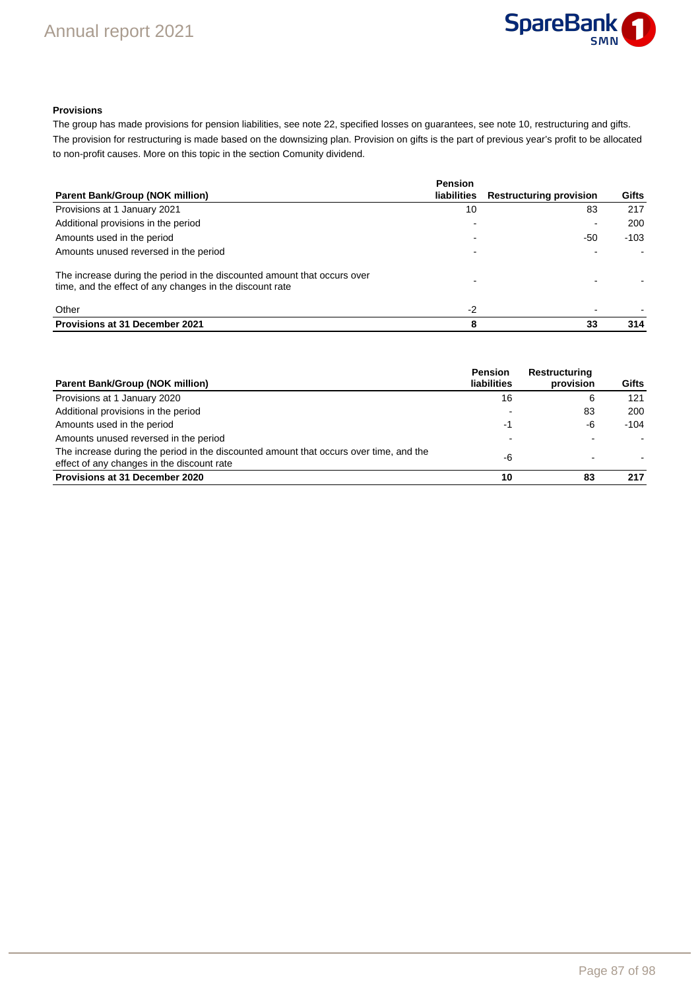

## **Provisions**

The group has made provisions for pension liabilities, see note 22, specified losses on guarantees, see note 10, restructuring and gifts. The provision for restructuring is made based on the downsizing plan. Provision on gifts is the part of previous year's profit to be allocated to non-profit causes. More on this topic in the section Comunity dividend.

| Parent Bank/Group (NOK million)                                                                                                      | <b>Pension</b><br><b>liabilities</b> | <b>Restructuring provision</b> | Gifts  |
|--------------------------------------------------------------------------------------------------------------------------------------|--------------------------------------|--------------------------------|--------|
| Provisions at 1 January 2021                                                                                                         | 10                                   | 83                             | 217    |
| Additional provisions in the period                                                                                                  |                                      | ۰                              | 200    |
| Amounts used in the period                                                                                                           |                                      | $-50$                          | $-103$ |
| Amounts unused reversed in the period                                                                                                |                                      |                                |        |
| The increase during the period in the discounted amount that occurs over<br>time, and the effect of any changes in the discount rate |                                      |                                |        |
| Other                                                                                                                                | $-2$                                 |                                |        |
| <b>Provisions at 31 December 2021</b>                                                                                                | 8                                    | 33                             | 314    |

| <b>Parent Bank/Group (NOK million)</b>                                                                                               | <b>Pension</b><br>liabilities | <b>Restructuring</b><br>provision | Gifts |
|--------------------------------------------------------------------------------------------------------------------------------------|-------------------------------|-----------------------------------|-------|
| Provisions at 1 January 2020                                                                                                         | 16                            | 6                                 | 121   |
| Additional provisions in the period                                                                                                  |                               | 83                                | 200   |
| Amounts used in the period                                                                                                           | -1                            | -6                                | -104  |
| Amounts unused reversed in the period                                                                                                |                               |                                   |       |
| The increase during the period in the discounted amount that occurs over time, and the<br>effect of any changes in the discount rate | -6                            |                                   |       |
| Provisions at 31 December 2020                                                                                                       | 10                            | 83                                | 217   |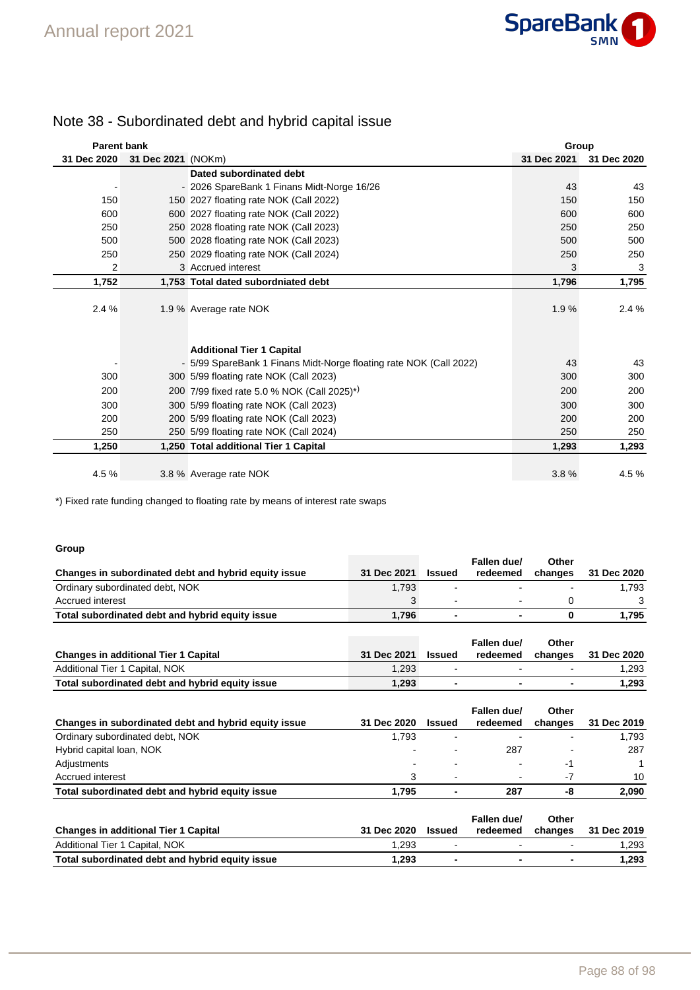

| <b>Parent bank</b> |                    |                                                                    | Group       |             |
|--------------------|--------------------|--------------------------------------------------------------------|-------------|-------------|
| 31 Dec 2020        | 31 Dec 2021 (NOKm) |                                                                    | 31 Dec 2021 | 31 Dec 2020 |
|                    |                    | Dated subordinated debt                                            |             |             |
|                    |                    | - 2026 SpareBank 1 Finans Midt-Norge 16/26                         | 43          | 43          |
| 150                |                    | 150 2027 floating rate NOK (Call 2022)                             | 150         | 150         |
| 600                |                    | 600 2027 floating rate NOK (Call 2022)                             | 600         | 600         |
| 250                |                    | 250 2028 floating rate NOK (Call 2023)                             | 250         | 250         |
| 500                |                    | 500 2028 floating rate NOK (Call 2023)                             | 500         | 500         |
| 250                |                    | 250 2029 floating rate NOK (Call 2024)                             | 250         | 250         |
| 2                  |                    | 3 Accrued interest                                                 | 3           | 3           |
| 1,752              |                    | 1,753 Total dated subordniated debt                                | 1,796       | 1,795       |
|                    |                    |                                                                    |             |             |
| 2.4%               |                    | 1.9 % Average rate NOK                                             | 1.9%        | 2.4 %       |
|                    |                    |                                                                    |             |             |
|                    |                    |                                                                    |             |             |
|                    |                    | <b>Additional Tier 1 Capital</b>                                   |             |             |
|                    |                    | - 5/99 SpareBank 1 Finans Midt-Norge floating rate NOK (Call 2022) | 43          | 43          |
| 300                |                    | 300 5/99 floating rate NOK (Call 2023)                             | 300         | 300         |
| 200                |                    | 200 7/99 fixed rate 5.0 % NOK (Call 2025) <sup>*)</sup>            | 200         | 200         |
| 300                |                    | 300 5/99 floating rate NOK (Call 2023)                             | 300         | 300         |
| 200                |                    | 200 5/99 floating rate NOK (Call 2023)                             | 200         | 200         |
| 250                |                    | 250 5/99 floating rate NOK (Call 2024)                             | 250         | 250         |
| 1,250              |                    | 1,250 Total additional Tier 1 Capital                              | 1,293       | 1,293       |
|                    |                    |                                                                    |             |             |
| 4.5%               |                    | 3.8 % Average rate NOK                                             | 3.8%        | 4.5 %       |

## Note 38 - Subordinated debt and hybrid capital issue

\*) Fixed rate funding changed to floating rate by means of interest rate swaps

## **Group**

| Changes in subordinated debt and hybrid equity issue | 31 Dec 2021 | <b>Issued</b>  | Fallen due/<br>redeemed | Other<br>changes | 31 Dec 2020 |
|------------------------------------------------------|-------------|----------------|-------------------------|------------------|-------------|
| Ordinary subordinated debt, NOK                      | 1,793       |                |                         |                  | 1,793       |
| Accrued interest                                     | 3           |                |                         | 0                | 3           |
| Total subordinated debt and hybrid equity issue      | 1,796       | $\blacksquare$ |                         | 0                | 1,795       |
| <b>Changes in additional Tier 1 Capital</b>          | 31 Dec 2021 | <b>Issued</b>  | Fallen due/<br>redeemed | Other<br>changes | 31 Dec 2020 |
| Additional Tier 1 Capital, NOK                       | 1,293       | $\blacksquare$ | $\blacksquare$          |                  | 1,293       |
| Total subordinated debt and hybrid equity issue      | 1,293       | $\blacksquare$ | ٠                       | ۰                | 1,293       |
| Changes in subordinated debt and hybrid equity issue | 31 Dec 2020 | <b>Issued</b>  | Fallen due/<br>redeemed | Other<br>changes | 31 Dec 2019 |
| Ordinary subordinated debt, NOK                      | 1,793       |                |                         |                  | 1,793       |
| Hybrid capital loan, NOK                             |             |                | 287                     |                  | 287         |
| Adjustments                                          |             |                |                         | $-1$             |             |
| Accrued interest                                     | 3           | $\blacksquare$ |                         | $-7$             | 10          |
| Total subordinated debt and hybrid equity issue      | 1,795       |                | 287                     | -8               | 2,090       |
| <b>Changes in additional Tier 1 Capital</b>          | 31 Dec 2020 | <b>Issued</b>  | Fallen due/<br>redeemed | Other<br>changes | 31 Dec 2019 |
| Additional Tier 1 Capital, NOK                       | 1,293       |                |                         |                  | 1,293       |

**Total subordinated debt and hybrid equity issue 1,293 - - - 1,293**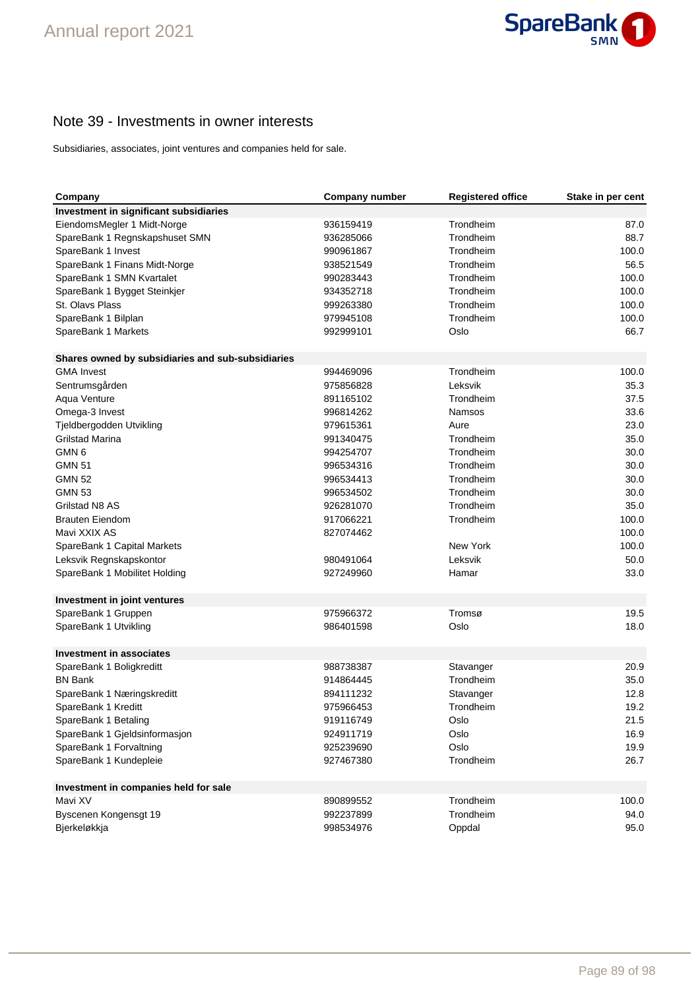

## Note 39 - Investments in owner interests

Subsidiaries, associates, joint ventures and companies held for sale.

| Investment in significant subsidiaries<br>EiendomsMegler 1 Midt-Norge<br>936159419<br>Trondheim<br>87.0<br>Trondheim<br>88.7<br>SpareBank 1 Regnskapshuset SMN<br>936285066<br>Trondheim<br>SpareBank 1 Invest<br>990961867<br>100.0<br>Trondheim<br>56.5<br>SpareBank 1 Finans Midt-Norge<br>938521549<br>Trondheim<br>100.0<br>SpareBank 1 SMN Kvartalet<br>990283443<br>934352718<br>Trondheim<br>100.0<br>SpareBank 1 Bygget Steinkjer<br>St. Olavs Plass<br>999263380<br>Trondheim<br>100.0<br>Trondheim<br>100.0<br>SpareBank 1 Bilplan<br>979945108<br>Oslo<br>66.7<br>SpareBank 1 Markets<br>992999101<br>Shares owned by subsidiaries and sub-subsidiaries<br>Trondheim<br>100.0<br><b>GMA Invest</b><br>994469096<br>Leksvik<br>Sentrumsgården<br>975856828<br>35.3<br>Trondheim<br>Aqua Venture<br>891165102<br>37.5<br>33.6<br>Omega-3 Invest<br>996814262<br><b>Namsos</b><br>23.0<br>Tjeldbergodden Utvikling<br>979615361<br>Aure<br><b>Grilstad Marina</b><br>Trondheim<br>35.0<br>991340475<br>GMN <sub>6</sub><br>Trondheim<br>30.0<br>994254707<br><b>GMN 51</b><br>Trondheim<br>30.0<br>996534316<br><b>GMN 52</b><br>Trondheim<br>30.0<br>996534413<br>Trondheim<br>30.0<br><b>GMN 53</b><br>996534502<br>Trondheim<br>35.0<br>Grilstad N8 AS<br>926281070<br>Trondheim<br>100.0<br><b>Brauten Eiendom</b><br>917066221<br>Mavi XXIX AS<br>827074462<br>100.0<br>SpareBank 1 Capital Markets<br>New York<br>100.0<br>Leksvik<br>50.0<br>Leksvik Regnskapskontor<br>980491064<br>927249960<br>33.0<br>SpareBank 1 Mobilitet Holding<br>Hamar<br>Investment in joint ventures<br>SpareBank 1 Gruppen<br>Tromsø<br>19.5<br>975966372<br>18.0<br>SpareBank 1 Utvikling<br>986401598<br>Oslo<br><b>Investment in associates</b><br>20.9<br>988738387<br>Stavanger<br>SpareBank 1 Boligkreditt<br>Trondheim<br>35.0<br><b>BN Bank</b><br>914864445<br>894111232<br>Stavanger<br>12.8<br>SpareBank 1 Næringskreditt<br>19.2<br>SpareBank 1 Kreditt<br>975966453<br>Trondheim<br>SpareBank 1 Betaling<br>919116749<br>Oslo<br>21.5<br>SpareBank 1 Gjeldsinformasjon<br>924911719<br>Oslo<br>16.9<br>SpareBank 1 Forvaltning<br>Oslo<br>19.9<br>925239690<br>Trondheim<br>26.7<br>SpareBank 1 Kundepleie<br>927467380<br>Investment in companies held for sale<br>Trondheim<br>100.0<br>Mavi XV<br>890899552<br>Trondheim<br>Byscenen Kongensgt 19<br>992237899<br>94.0<br>998534976<br>Oppdal<br>Bjerkeløkkja<br>95.0 | Company | <b>Company number</b> | <b>Registered office</b> | Stake in per cent |
|------------------------------------------------------------------------------------------------------------------------------------------------------------------------------------------------------------------------------------------------------------------------------------------------------------------------------------------------------------------------------------------------------------------------------------------------------------------------------------------------------------------------------------------------------------------------------------------------------------------------------------------------------------------------------------------------------------------------------------------------------------------------------------------------------------------------------------------------------------------------------------------------------------------------------------------------------------------------------------------------------------------------------------------------------------------------------------------------------------------------------------------------------------------------------------------------------------------------------------------------------------------------------------------------------------------------------------------------------------------------------------------------------------------------------------------------------------------------------------------------------------------------------------------------------------------------------------------------------------------------------------------------------------------------------------------------------------------------------------------------------------------------------------------------------------------------------------------------------------------------------------------------------------------------------------------------------------------------------------------------------------------------------------------------------------------------------------------------------------------------------------------------------------------------------------------------------------------------------------------------------------------------------------------------------------------------------------------------------------------------------------------------------------------------------------|---------|-----------------------|--------------------------|-------------------|
|                                                                                                                                                                                                                                                                                                                                                                                                                                                                                                                                                                                                                                                                                                                                                                                                                                                                                                                                                                                                                                                                                                                                                                                                                                                                                                                                                                                                                                                                                                                                                                                                                                                                                                                                                                                                                                                                                                                                                                                                                                                                                                                                                                                                                                                                                                                                                                                                                                    |         |                       |                          |                   |
|                                                                                                                                                                                                                                                                                                                                                                                                                                                                                                                                                                                                                                                                                                                                                                                                                                                                                                                                                                                                                                                                                                                                                                                                                                                                                                                                                                                                                                                                                                                                                                                                                                                                                                                                                                                                                                                                                                                                                                                                                                                                                                                                                                                                                                                                                                                                                                                                                                    |         |                       |                          |                   |
|                                                                                                                                                                                                                                                                                                                                                                                                                                                                                                                                                                                                                                                                                                                                                                                                                                                                                                                                                                                                                                                                                                                                                                                                                                                                                                                                                                                                                                                                                                                                                                                                                                                                                                                                                                                                                                                                                                                                                                                                                                                                                                                                                                                                                                                                                                                                                                                                                                    |         |                       |                          |                   |
|                                                                                                                                                                                                                                                                                                                                                                                                                                                                                                                                                                                                                                                                                                                                                                                                                                                                                                                                                                                                                                                                                                                                                                                                                                                                                                                                                                                                                                                                                                                                                                                                                                                                                                                                                                                                                                                                                                                                                                                                                                                                                                                                                                                                                                                                                                                                                                                                                                    |         |                       |                          |                   |
|                                                                                                                                                                                                                                                                                                                                                                                                                                                                                                                                                                                                                                                                                                                                                                                                                                                                                                                                                                                                                                                                                                                                                                                                                                                                                                                                                                                                                                                                                                                                                                                                                                                                                                                                                                                                                                                                                                                                                                                                                                                                                                                                                                                                                                                                                                                                                                                                                                    |         |                       |                          |                   |
|                                                                                                                                                                                                                                                                                                                                                                                                                                                                                                                                                                                                                                                                                                                                                                                                                                                                                                                                                                                                                                                                                                                                                                                                                                                                                                                                                                                                                                                                                                                                                                                                                                                                                                                                                                                                                                                                                                                                                                                                                                                                                                                                                                                                                                                                                                                                                                                                                                    |         |                       |                          |                   |
|                                                                                                                                                                                                                                                                                                                                                                                                                                                                                                                                                                                                                                                                                                                                                                                                                                                                                                                                                                                                                                                                                                                                                                                                                                                                                                                                                                                                                                                                                                                                                                                                                                                                                                                                                                                                                                                                                                                                                                                                                                                                                                                                                                                                                                                                                                                                                                                                                                    |         |                       |                          |                   |
|                                                                                                                                                                                                                                                                                                                                                                                                                                                                                                                                                                                                                                                                                                                                                                                                                                                                                                                                                                                                                                                                                                                                                                                                                                                                                                                                                                                                                                                                                                                                                                                                                                                                                                                                                                                                                                                                                                                                                                                                                                                                                                                                                                                                                                                                                                                                                                                                                                    |         |                       |                          |                   |
|                                                                                                                                                                                                                                                                                                                                                                                                                                                                                                                                                                                                                                                                                                                                                                                                                                                                                                                                                                                                                                                                                                                                                                                                                                                                                                                                                                                                                                                                                                                                                                                                                                                                                                                                                                                                                                                                                                                                                                                                                                                                                                                                                                                                                                                                                                                                                                                                                                    |         |                       |                          |                   |
|                                                                                                                                                                                                                                                                                                                                                                                                                                                                                                                                                                                                                                                                                                                                                                                                                                                                                                                                                                                                                                                                                                                                                                                                                                                                                                                                                                                                                                                                                                                                                                                                                                                                                                                                                                                                                                                                                                                                                                                                                                                                                                                                                                                                                                                                                                                                                                                                                                    |         |                       |                          |                   |
|                                                                                                                                                                                                                                                                                                                                                                                                                                                                                                                                                                                                                                                                                                                                                                                                                                                                                                                                                                                                                                                                                                                                                                                                                                                                                                                                                                                                                                                                                                                                                                                                                                                                                                                                                                                                                                                                                                                                                                                                                                                                                                                                                                                                                                                                                                                                                                                                                                    |         |                       |                          |                   |
|                                                                                                                                                                                                                                                                                                                                                                                                                                                                                                                                                                                                                                                                                                                                                                                                                                                                                                                                                                                                                                                                                                                                                                                                                                                                                                                                                                                                                                                                                                                                                                                                                                                                                                                                                                                                                                                                                                                                                                                                                                                                                                                                                                                                                                                                                                                                                                                                                                    |         |                       |                          |                   |
|                                                                                                                                                                                                                                                                                                                                                                                                                                                                                                                                                                                                                                                                                                                                                                                                                                                                                                                                                                                                                                                                                                                                                                                                                                                                                                                                                                                                                                                                                                                                                                                                                                                                                                                                                                                                                                                                                                                                                                                                                                                                                                                                                                                                                                                                                                                                                                                                                                    |         |                       |                          |                   |
|                                                                                                                                                                                                                                                                                                                                                                                                                                                                                                                                                                                                                                                                                                                                                                                                                                                                                                                                                                                                                                                                                                                                                                                                                                                                                                                                                                                                                                                                                                                                                                                                                                                                                                                                                                                                                                                                                                                                                                                                                                                                                                                                                                                                                                                                                                                                                                                                                                    |         |                       |                          |                   |
|                                                                                                                                                                                                                                                                                                                                                                                                                                                                                                                                                                                                                                                                                                                                                                                                                                                                                                                                                                                                                                                                                                                                                                                                                                                                                                                                                                                                                                                                                                                                                                                                                                                                                                                                                                                                                                                                                                                                                                                                                                                                                                                                                                                                                                                                                                                                                                                                                                    |         |                       |                          |                   |
|                                                                                                                                                                                                                                                                                                                                                                                                                                                                                                                                                                                                                                                                                                                                                                                                                                                                                                                                                                                                                                                                                                                                                                                                                                                                                                                                                                                                                                                                                                                                                                                                                                                                                                                                                                                                                                                                                                                                                                                                                                                                                                                                                                                                                                                                                                                                                                                                                                    |         |                       |                          |                   |
|                                                                                                                                                                                                                                                                                                                                                                                                                                                                                                                                                                                                                                                                                                                                                                                                                                                                                                                                                                                                                                                                                                                                                                                                                                                                                                                                                                                                                                                                                                                                                                                                                                                                                                                                                                                                                                                                                                                                                                                                                                                                                                                                                                                                                                                                                                                                                                                                                                    |         |                       |                          |                   |
|                                                                                                                                                                                                                                                                                                                                                                                                                                                                                                                                                                                                                                                                                                                                                                                                                                                                                                                                                                                                                                                                                                                                                                                                                                                                                                                                                                                                                                                                                                                                                                                                                                                                                                                                                                                                                                                                                                                                                                                                                                                                                                                                                                                                                                                                                                                                                                                                                                    |         |                       |                          |                   |
|                                                                                                                                                                                                                                                                                                                                                                                                                                                                                                                                                                                                                                                                                                                                                                                                                                                                                                                                                                                                                                                                                                                                                                                                                                                                                                                                                                                                                                                                                                                                                                                                                                                                                                                                                                                                                                                                                                                                                                                                                                                                                                                                                                                                                                                                                                                                                                                                                                    |         |                       |                          |                   |
|                                                                                                                                                                                                                                                                                                                                                                                                                                                                                                                                                                                                                                                                                                                                                                                                                                                                                                                                                                                                                                                                                                                                                                                                                                                                                                                                                                                                                                                                                                                                                                                                                                                                                                                                                                                                                                                                                                                                                                                                                                                                                                                                                                                                                                                                                                                                                                                                                                    |         |                       |                          |                   |
|                                                                                                                                                                                                                                                                                                                                                                                                                                                                                                                                                                                                                                                                                                                                                                                                                                                                                                                                                                                                                                                                                                                                                                                                                                                                                                                                                                                                                                                                                                                                                                                                                                                                                                                                                                                                                                                                                                                                                                                                                                                                                                                                                                                                                                                                                                                                                                                                                                    |         |                       |                          |                   |
|                                                                                                                                                                                                                                                                                                                                                                                                                                                                                                                                                                                                                                                                                                                                                                                                                                                                                                                                                                                                                                                                                                                                                                                                                                                                                                                                                                                                                                                                                                                                                                                                                                                                                                                                                                                                                                                                                                                                                                                                                                                                                                                                                                                                                                                                                                                                                                                                                                    |         |                       |                          |                   |
|                                                                                                                                                                                                                                                                                                                                                                                                                                                                                                                                                                                                                                                                                                                                                                                                                                                                                                                                                                                                                                                                                                                                                                                                                                                                                                                                                                                                                                                                                                                                                                                                                                                                                                                                                                                                                                                                                                                                                                                                                                                                                                                                                                                                                                                                                                                                                                                                                                    |         |                       |                          |                   |
|                                                                                                                                                                                                                                                                                                                                                                                                                                                                                                                                                                                                                                                                                                                                                                                                                                                                                                                                                                                                                                                                                                                                                                                                                                                                                                                                                                                                                                                                                                                                                                                                                                                                                                                                                                                                                                                                                                                                                                                                                                                                                                                                                                                                                                                                                                                                                                                                                                    |         |                       |                          |                   |
|                                                                                                                                                                                                                                                                                                                                                                                                                                                                                                                                                                                                                                                                                                                                                                                                                                                                                                                                                                                                                                                                                                                                                                                                                                                                                                                                                                                                                                                                                                                                                                                                                                                                                                                                                                                                                                                                                                                                                                                                                                                                                                                                                                                                                                                                                                                                                                                                                                    |         |                       |                          |                   |
|                                                                                                                                                                                                                                                                                                                                                                                                                                                                                                                                                                                                                                                                                                                                                                                                                                                                                                                                                                                                                                                                                                                                                                                                                                                                                                                                                                                                                                                                                                                                                                                                                                                                                                                                                                                                                                                                                                                                                                                                                                                                                                                                                                                                                                                                                                                                                                                                                                    |         |                       |                          |                   |
|                                                                                                                                                                                                                                                                                                                                                                                                                                                                                                                                                                                                                                                                                                                                                                                                                                                                                                                                                                                                                                                                                                                                                                                                                                                                                                                                                                                                                                                                                                                                                                                                                                                                                                                                                                                                                                                                                                                                                                                                                                                                                                                                                                                                                                                                                                                                                                                                                                    |         |                       |                          |                   |
|                                                                                                                                                                                                                                                                                                                                                                                                                                                                                                                                                                                                                                                                                                                                                                                                                                                                                                                                                                                                                                                                                                                                                                                                                                                                                                                                                                                                                                                                                                                                                                                                                                                                                                                                                                                                                                                                                                                                                                                                                                                                                                                                                                                                                                                                                                                                                                                                                                    |         |                       |                          |                   |
|                                                                                                                                                                                                                                                                                                                                                                                                                                                                                                                                                                                                                                                                                                                                                                                                                                                                                                                                                                                                                                                                                                                                                                                                                                                                                                                                                                                                                                                                                                                                                                                                                                                                                                                                                                                                                                                                                                                                                                                                                                                                                                                                                                                                                                                                                                                                                                                                                                    |         |                       |                          |                   |
|                                                                                                                                                                                                                                                                                                                                                                                                                                                                                                                                                                                                                                                                                                                                                                                                                                                                                                                                                                                                                                                                                                                                                                                                                                                                                                                                                                                                                                                                                                                                                                                                                                                                                                                                                                                                                                                                                                                                                                                                                                                                                                                                                                                                                                                                                                                                                                                                                                    |         |                       |                          |                   |
|                                                                                                                                                                                                                                                                                                                                                                                                                                                                                                                                                                                                                                                                                                                                                                                                                                                                                                                                                                                                                                                                                                                                                                                                                                                                                                                                                                                                                                                                                                                                                                                                                                                                                                                                                                                                                                                                                                                                                                                                                                                                                                                                                                                                                                                                                                                                                                                                                                    |         |                       |                          |                   |
|                                                                                                                                                                                                                                                                                                                                                                                                                                                                                                                                                                                                                                                                                                                                                                                                                                                                                                                                                                                                                                                                                                                                                                                                                                                                                                                                                                                                                                                                                                                                                                                                                                                                                                                                                                                                                                                                                                                                                                                                                                                                                                                                                                                                                                                                                                                                                                                                                                    |         |                       |                          |                   |
|                                                                                                                                                                                                                                                                                                                                                                                                                                                                                                                                                                                                                                                                                                                                                                                                                                                                                                                                                                                                                                                                                                                                                                                                                                                                                                                                                                                                                                                                                                                                                                                                                                                                                                                                                                                                                                                                                                                                                                                                                                                                                                                                                                                                                                                                                                                                                                                                                                    |         |                       |                          |                   |
|                                                                                                                                                                                                                                                                                                                                                                                                                                                                                                                                                                                                                                                                                                                                                                                                                                                                                                                                                                                                                                                                                                                                                                                                                                                                                                                                                                                                                                                                                                                                                                                                                                                                                                                                                                                                                                                                                                                                                                                                                                                                                                                                                                                                                                                                                                                                                                                                                                    |         |                       |                          |                   |
|                                                                                                                                                                                                                                                                                                                                                                                                                                                                                                                                                                                                                                                                                                                                                                                                                                                                                                                                                                                                                                                                                                                                                                                                                                                                                                                                                                                                                                                                                                                                                                                                                                                                                                                                                                                                                                                                                                                                                                                                                                                                                                                                                                                                                                                                                                                                                                                                                                    |         |                       |                          |                   |
|                                                                                                                                                                                                                                                                                                                                                                                                                                                                                                                                                                                                                                                                                                                                                                                                                                                                                                                                                                                                                                                                                                                                                                                                                                                                                                                                                                                                                                                                                                                                                                                                                                                                                                                                                                                                                                                                                                                                                                                                                                                                                                                                                                                                                                                                                                                                                                                                                                    |         |                       |                          |                   |
|                                                                                                                                                                                                                                                                                                                                                                                                                                                                                                                                                                                                                                                                                                                                                                                                                                                                                                                                                                                                                                                                                                                                                                                                                                                                                                                                                                                                                                                                                                                                                                                                                                                                                                                                                                                                                                                                                                                                                                                                                                                                                                                                                                                                                                                                                                                                                                                                                                    |         |                       |                          |                   |
|                                                                                                                                                                                                                                                                                                                                                                                                                                                                                                                                                                                                                                                                                                                                                                                                                                                                                                                                                                                                                                                                                                                                                                                                                                                                                                                                                                                                                                                                                                                                                                                                                                                                                                                                                                                                                                                                                                                                                                                                                                                                                                                                                                                                                                                                                                                                                                                                                                    |         |                       |                          |                   |
|                                                                                                                                                                                                                                                                                                                                                                                                                                                                                                                                                                                                                                                                                                                                                                                                                                                                                                                                                                                                                                                                                                                                                                                                                                                                                                                                                                                                                                                                                                                                                                                                                                                                                                                                                                                                                                                                                                                                                                                                                                                                                                                                                                                                                                                                                                                                                                                                                                    |         |                       |                          |                   |
|                                                                                                                                                                                                                                                                                                                                                                                                                                                                                                                                                                                                                                                                                                                                                                                                                                                                                                                                                                                                                                                                                                                                                                                                                                                                                                                                                                                                                                                                                                                                                                                                                                                                                                                                                                                                                                                                                                                                                                                                                                                                                                                                                                                                                                                                                                                                                                                                                                    |         |                       |                          |                   |
|                                                                                                                                                                                                                                                                                                                                                                                                                                                                                                                                                                                                                                                                                                                                                                                                                                                                                                                                                                                                                                                                                                                                                                                                                                                                                                                                                                                                                                                                                                                                                                                                                                                                                                                                                                                                                                                                                                                                                                                                                                                                                                                                                                                                                                                                                                                                                                                                                                    |         |                       |                          |                   |
|                                                                                                                                                                                                                                                                                                                                                                                                                                                                                                                                                                                                                                                                                                                                                                                                                                                                                                                                                                                                                                                                                                                                                                                                                                                                                                                                                                                                                                                                                                                                                                                                                                                                                                                                                                                                                                                                                                                                                                                                                                                                                                                                                                                                                                                                                                                                                                                                                                    |         |                       |                          |                   |
|                                                                                                                                                                                                                                                                                                                                                                                                                                                                                                                                                                                                                                                                                                                                                                                                                                                                                                                                                                                                                                                                                                                                                                                                                                                                                                                                                                                                                                                                                                                                                                                                                                                                                                                                                                                                                                                                                                                                                                                                                                                                                                                                                                                                                                                                                                                                                                                                                                    |         |                       |                          |                   |
|                                                                                                                                                                                                                                                                                                                                                                                                                                                                                                                                                                                                                                                                                                                                                                                                                                                                                                                                                                                                                                                                                                                                                                                                                                                                                                                                                                                                                                                                                                                                                                                                                                                                                                                                                                                                                                                                                                                                                                                                                                                                                                                                                                                                                                                                                                                                                                                                                                    |         |                       |                          |                   |
|                                                                                                                                                                                                                                                                                                                                                                                                                                                                                                                                                                                                                                                                                                                                                                                                                                                                                                                                                                                                                                                                                                                                                                                                                                                                                                                                                                                                                                                                                                                                                                                                                                                                                                                                                                                                                                                                                                                                                                                                                                                                                                                                                                                                                                                                                                                                                                                                                                    |         |                       |                          |                   |
|                                                                                                                                                                                                                                                                                                                                                                                                                                                                                                                                                                                                                                                                                                                                                                                                                                                                                                                                                                                                                                                                                                                                                                                                                                                                                                                                                                                                                                                                                                                                                                                                                                                                                                                                                                                                                                                                                                                                                                                                                                                                                                                                                                                                                                                                                                                                                                                                                                    |         |                       |                          |                   |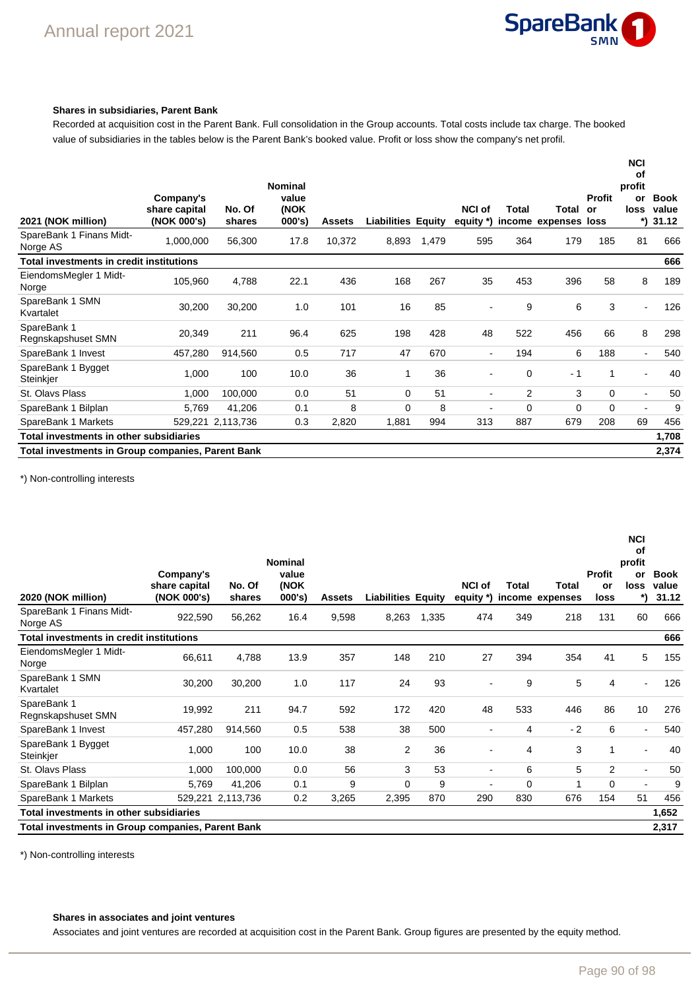

## **Shares in subsidiaries, Parent Bank**

Recorded at acquisition cost in the Parent Bank. Full consolidation in the Group accounts. Total costs include tax charge. The booked value of subsidiaries in the tables below is the Parent Bank's booked value. Profit or loss show the company's net profil.

| 2021 (NOK million)                       | Company's<br>share capital<br>(NOK 000's)                  | No. Of<br>shares | <b>Nominal</b><br>value<br>(NOK<br>$000's$ ) | <b>Assets</b> | <b>Liabilities Equity</b> |       | <b>NCI of</b><br>equity *) | Total          | Total<br>income expenses loss | <b>Profit</b><br>or | <b>NCI</b><br>οf<br>profit<br>or<br>loss<br>*) | <b>Book</b><br>value<br>31.12 |
|------------------------------------------|------------------------------------------------------------|------------------|----------------------------------------------|---------------|---------------------------|-------|----------------------------|----------------|-------------------------------|---------------------|------------------------------------------------|-------------------------------|
| SpareBank 1 Finans Midt-<br>Norge AS     | 1,000,000                                                  | 56,300           | 17.8                                         | 10,372        | 8,893                     | 1,479 | 595                        | 364            | 179                           | 185                 | 81                                             | 666                           |
| Total investments in credit institutions |                                                            |                  |                                              |               |                           |       |                            |                |                               |                     |                                                | 666                           |
| EiendomsMegler 1 Midt-<br>Norge          | 105,960                                                    | 4,788            | 22.1                                         | 436           | 168                       | 267   | 35                         | 453            | 396                           | 58                  | 8                                              | 189                           |
| SpareBank 1 SMN<br>Kvartalet             | 30,200                                                     | 30,200           | 1.0                                          | 101           | 16                        | 85    |                            | 9              | 6                             | 3                   | $\blacksquare$                                 | 126                           |
| SpareBank 1<br>Regnskapshuset SMN        | 20,349                                                     | 211              | 96.4                                         | 625           | 198                       | 428   | 48                         | 522            | 456                           | 66                  | 8                                              | 298                           |
| SpareBank 1 Invest                       | 457,280                                                    | 914,560          | 0.5                                          | 717           | 47                        | 670   | $\blacksquare$             | 194            | 6                             | 188                 | $\blacksquare$                                 | 540                           |
| SpareBank 1 Bygget<br>Steinkjer          | 1,000                                                      | 100              | 10.0                                         | 36            | 1                         | 36    |                            | $\mathbf 0$    | $-1$                          | $\mathbf{1}$        | $\blacksquare$                                 | 40                            |
| St. Olavs Plass                          | 1,000                                                      | 100,000          | 0.0                                          | 51            | $\Omega$                  | 51    | $\blacksquare$             | $\overline{2}$ | 3                             | $\mathbf 0$         | $\blacksquare$                                 | 50                            |
| SpareBank 1 Bilplan                      | 5,769                                                      | 41,206           | 0.1                                          | 8             | $\Omega$                  | 8     | $\blacksquare$             | 0              | $\Omega$                      | $\Omega$            | $\blacksquare$                                 | 9                             |
| SpareBank 1 Markets                      | 529,221                                                    | 2,113,736        | 0.3                                          | 2,820         | 1,881                     | 994   | 313                        | 887            | 679                           | 208                 | 69                                             | 456                           |
| Total investments in other subsidiaries  |                                                            |                  |                                              |               |                           |       |                            |                |                               |                     |                                                | 1,708                         |
|                                          | 2,374<br>Total investments in Group companies, Parent Bank |                  |                                              |               |                           |       |                            |                |                               |                     |                                                |                               |

\*) Non-controlling interests

| 2020 (NOK million)                                       | Company's<br>share capital<br>(NOK 000's) | No. Of<br>shares | <b>Nominal</b><br>value<br>(NOK<br>000's | <b>Assets</b> | <b>Liabilities Equity</b> |       | <b>NCI of</b><br>equity *) | Total          | Total<br>income expenses | Profit<br>or<br>loss | <b>NCI</b><br>οf<br>profit<br>or<br>loss<br>*) | <b>Book</b><br>value<br>31.12 |
|----------------------------------------------------------|-------------------------------------------|------------------|------------------------------------------|---------------|---------------------------|-------|----------------------------|----------------|--------------------------|----------------------|------------------------------------------------|-------------------------------|
| SpareBank 1 Finans Midt-<br>Norge AS                     | 922,590                                   | 56,262           | 16.4                                     | 9,598         | 8,263                     | 1,335 | 474                        | 349            | 218                      | 131                  | 60                                             | 666                           |
| Total investments in credit institutions                 |                                           |                  |                                          |               |                           |       |                            |                |                          |                      |                                                | 666                           |
| EiendomsMegler 1 Midt-<br>Norge                          | 66,611                                    | 4,788            | 13.9                                     | 357           | 148                       | 210   | 27                         | 394            | 354                      | 41                   | 5                                              | 155                           |
| SpareBank 1 SMN<br>Kvartalet                             | 30,200                                    | 30,200           | 1.0                                      | 117           | 24                        | 93    |                            | 9              | 5                        | 4                    | $\blacksquare$                                 | 126                           |
| SpareBank 1<br>Regnskapshuset SMN                        | 19,992                                    | 211              | 94.7                                     | 592           | 172                       | 420   | 48                         | 533            | 446                      | 86                   | 10                                             | 276                           |
| SpareBank 1 Invest                                       | 457,280                                   | 914,560          | 0.5                                      | 538           | 38                        | 500   | $\blacksquare$             | 4              | $-2$                     | 6                    | $\blacksquare$                                 | 540                           |
| SpareBank 1 Bygget<br>Steinkjer                          | 1,000                                     | 100              | 10.0                                     | 38            | 2                         | 36    | $\blacksquare$             | $\overline{4}$ | 3                        | 1                    | $\overline{\phantom{a}}$                       | 40                            |
| St. Olavs Plass                                          | 1,000                                     | 100,000          | 0.0                                      | 56            | 3                         | 53    | $\blacksquare$             | 6              | 5                        | $\overline{2}$       | $\blacksquare$                                 | 50                            |
| SpareBank 1 Bilplan                                      | 5,769                                     | 41,206           | 0.1                                      | 9             | $\Omega$                  | 9     | ٠                          | $\Omega$       |                          | $\Omega$             | $\overline{\phantom{a}}$                       | 9                             |
| SpareBank 1 Markets                                      | 529,221                                   | 2,113,736        | 0.2                                      | 3,265         | 2,395                     | 870   | 290                        | 830            | 676                      | 154                  | 51                                             | 456                           |
| Total investments in other subsidiaries                  |                                           |                  |                                          |               |                           |       |                            |                |                          |                      |                                                | 1,652                         |
| <b>Total investments in Group companies, Parent Bank</b> |                                           |                  |                                          |               |                           |       |                            |                |                          |                      |                                                | 2,317                         |

\*) Non-controlling interests

### **Shares in associates and joint ventures**

Associates and joint ventures are recorded at acquisition cost in the Parent Bank. Group figures are presented by the equity method.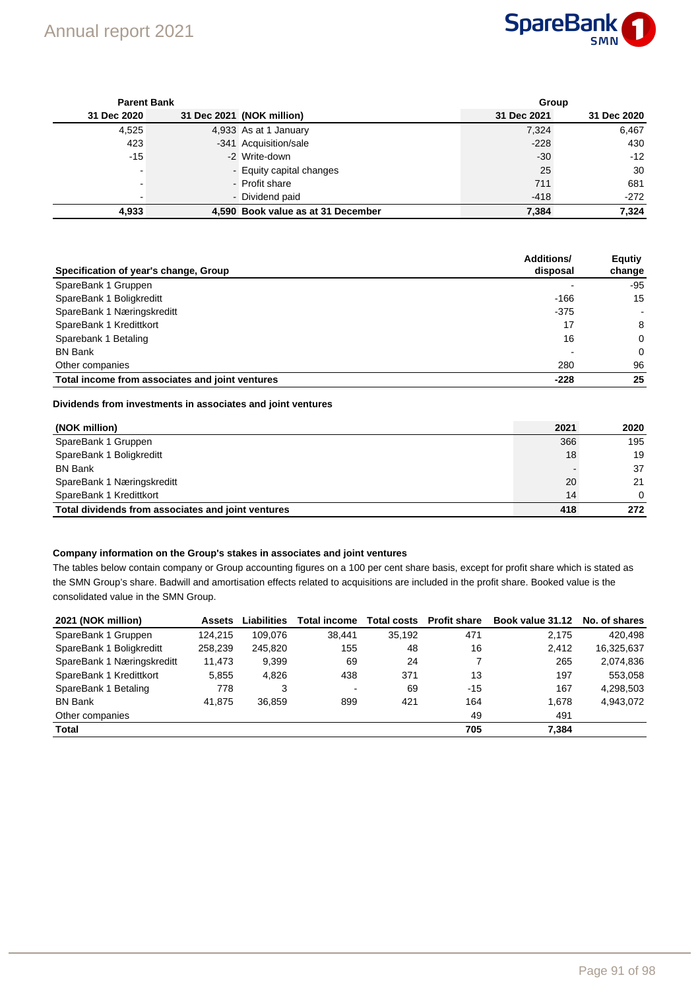

| <b>Parent Bank</b>       |  |                                    |             | Group       |  |  |  |
|--------------------------|--|------------------------------------|-------------|-------------|--|--|--|
| 31 Dec 2020              |  | 31 Dec 2021 (NOK million)          | 31 Dec 2021 | 31 Dec 2020 |  |  |  |
| 4,525                    |  | 4,933 As at 1 January              | 7,324       | 6,467       |  |  |  |
| 423                      |  | -341 Acquisition/sale              | $-228$      | 430         |  |  |  |
| $-15$                    |  | -2 Write-down                      | $-30$       | $-12$       |  |  |  |
| $\overline{\phantom{0}}$ |  | - Equity capital changes           | 25          | 30          |  |  |  |
|                          |  | - Profit share                     | 711         | 681         |  |  |  |
| $\overline{\phantom{0}}$ |  | - Dividend paid                    | $-418$      | $-272$      |  |  |  |
| 4,933                    |  | 4,590 Book value as at 31 December | 7,384       | 7,324       |  |  |  |

| Specification of year's change, Group           | <b>Additions/</b><br>disposal | <b>Equtiy</b><br>change  |
|-------------------------------------------------|-------------------------------|--------------------------|
| SpareBank 1 Gruppen                             |                               | -95                      |
| SpareBank 1 Boligkreditt                        | $-166$                        | 15                       |
| SpareBank 1 Næringskreditt                      | $-375$                        | $\overline{\phantom{a}}$ |
| SpareBank 1 Kredittkort                         | 17                            | 8                        |
| Sparebank 1 Betaling                            | 16                            | $\Omega$                 |
| <b>BN Bank</b>                                  |                               | $\Omega$                 |
| Other companies                                 | 280                           | 96                       |
| Total income from associates and joint ventures | $-228$                        | 25                       |

## **Dividends from investments in associates and joint ventures**

| (NOK million)                                      | 2021 | 2020     |
|----------------------------------------------------|------|----------|
| SpareBank 1 Gruppen                                | 366  | 195      |
| SpareBank 1 Boligkreditt                           | 18   | 19       |
| <b>BN Bank</b>                                     |      | 37       |
| SpareBank 1 Næringskreditt                         | 20   | 21       |
| SpareBank 1 Kredittkort                            | 14   | $\Omega$ |
| Total dividends from associates and joint ventures | 418  | 272      |

#### **Company information on the Group's stakes in associates and joint ventures**

The tables below contain company or Group accounting figures on a 100 per cent share basis, except for profit share which is stated as the SMN Group's share. Badwill and amortisation effects related to acquisitions are included in the profit share. Booked value is the consolidated value in the SMN Group.

| 2021 (NOK million)         | <b>Assets</b> | Liabilities | <b>Total income</b>      | <b>Total costs</b> | <b>Profit share</b> | Book value 31.12 No. of shares |            |
|----------------------------|---------------|-------------|--------------------------|--------------------|---------------------|--------------------------------|------------|
| SpareBank 1 Gruppen        | 124.215       | 109.076     | 38.441                   | 35.192             | 471                 | 2.175                          | 420.498    |
| SpareBank 1 Boligkreditt   | 258,239       | 245.820     | 155                      | 48                 | 16                  | 2,412                          | 16.325.637 |
| SpareBank 1 Næringskreditt | 11,473        | 9,399       | 69                       | 24                 |                     | 265                            | 2,074,836  |
| SpareBank 1 Kredittkort    | 5,855         | 4.826       | 438                      | 371                | 13                  | 197                            | 553,058    |
| SpareBank 1 Betaling       | 778           | 3           | $\overline{\phantom{a}}$ | 69                 | $-15$               | 167                            | 4.298.503  |
| <b>BN Bank</b>             | 41.875        | 36.859      | 899                      | 421                | 164                 | 1.678                          | 4.943.072  |
| Other companies            |               |             |                          |                    | 49                  | 491                            |            |
| <b>Total</b>               |               |             |                          |                    | 705                 | 7.384                          |            |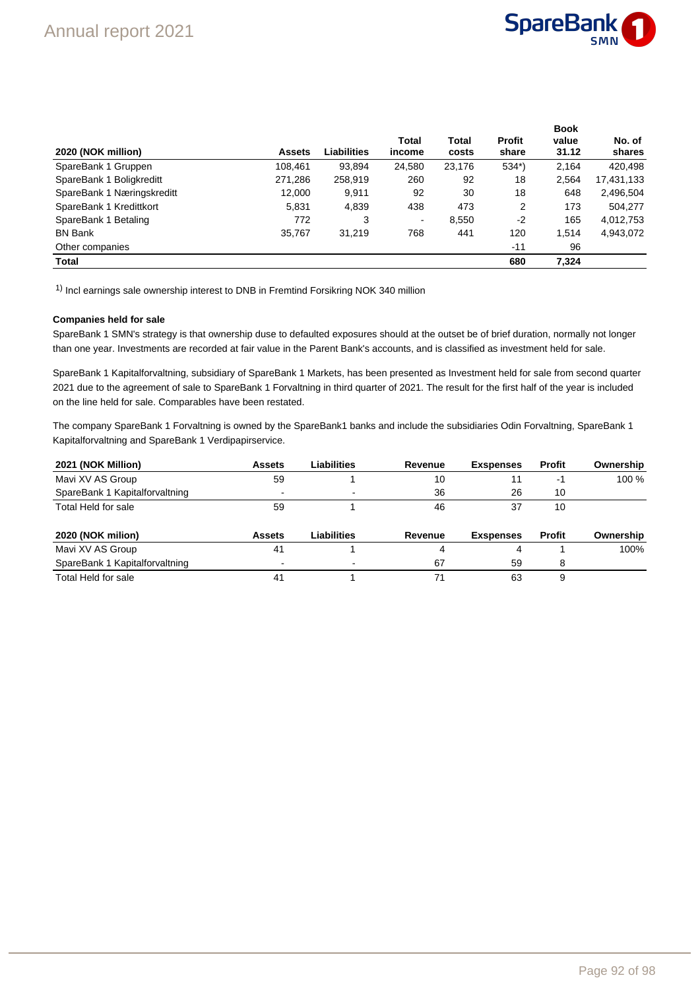

**Book** 

|               |             |                |        |               | ⊷…    |            |
|---------------|-------------|----------------|--------|---------------|-------|------------|
|               |             | Total          | Total  | <b>Profit</b> | value | No. of     |
| <b>Assets</b> | Liabilities | income         | costs  | share         | 31.12 | shares     |
| 108,461       | 93,894      | 24,580         | 23,176 | $534*)$       | 2,164 | 420,498    |
| 271,286       | 258,919     | 260            | 92     | 18            | 2.564 | 17,431,133 |
| 12,000        | 9.911       | 92             | 30     | 18            | 648   | 2,496,504  |
| 5,831         | 4,839       | 438            | 473    | 2             | 173   | 504,277    |
| 772           | 3           | $\blacksquare$ | 8,550  | $-2$          | 165   | 4,012,753  |
| 35,767        | 31,219      | 768            | 441    | 120           | 1.514 | 4,943,072  |
|               |             |                |        | $-11$         | 96    |            |
|               |             |                |        | 680           | 7.324 |            |
|               |             |                |        |               |       |            |

<sup>1)</sup> Incl earnings sale ownership interest to DNB in Fremtind Forsikring NOK 340 million

#### **Companies held for sale**

SpareBank 1 SMN's strategy is that ownership duse to defaulted exposures should at the outset be of brief duration, normally not longer than one year. Investments are recorded at fair value in the Parent Bank's accounts, and is classified as investment held for sale.

SpareBank 1 Kapitalforvaltning, subsidiary of SpareBank 1 Markets, has been presented as Investment held for sale from second quarter 2021 due to the agreement of sale to SpareBank 1 Forvaltning in third quarter of 2021. The result for the first half of the year is included on the line held for sale. Comparables have been restated.

The company SpareBank 1 Forvaltning is owned by the SpareBank1 banks and include the subsidiaries Odin Forvaltning, SpareBank 1 Kapitalforvaltning and SpareBank 1 Verdipapirservice.

| 2021 (NOK Million)             | <b>Assets</b>  | Liabilities | Revenue | <b>Exspenses</b> | <b>Profit</b> | Ownership |
|--------------------------------|----------------|-------------|---------|------------------|---------------|-----------|
| Mavi XV AS Group               | 59             |             | 10      | 11               | -1            | 100 %     |
| SpareBank 1 Kapitalforvaltning | $\blacksquare$ |             | 36      | 26               | 10            |           |
| Total Held for sale            | 59             |             | 46      | 37               | 10            |           |
|                                |                |             |         |                  |               |           |
| 2020 (NOK milion)              | <b>Assets</b>  | Liabilities | Revenue | <b>Exspenses</b> | <b>Profit</b> | Ownership |
| Mavi XV AS Group               | 41             |             |         |                  |               | 100%      |
| SpareBank 1 Kapitalforvaltning |                |             | 67      | 59               | 8             |           |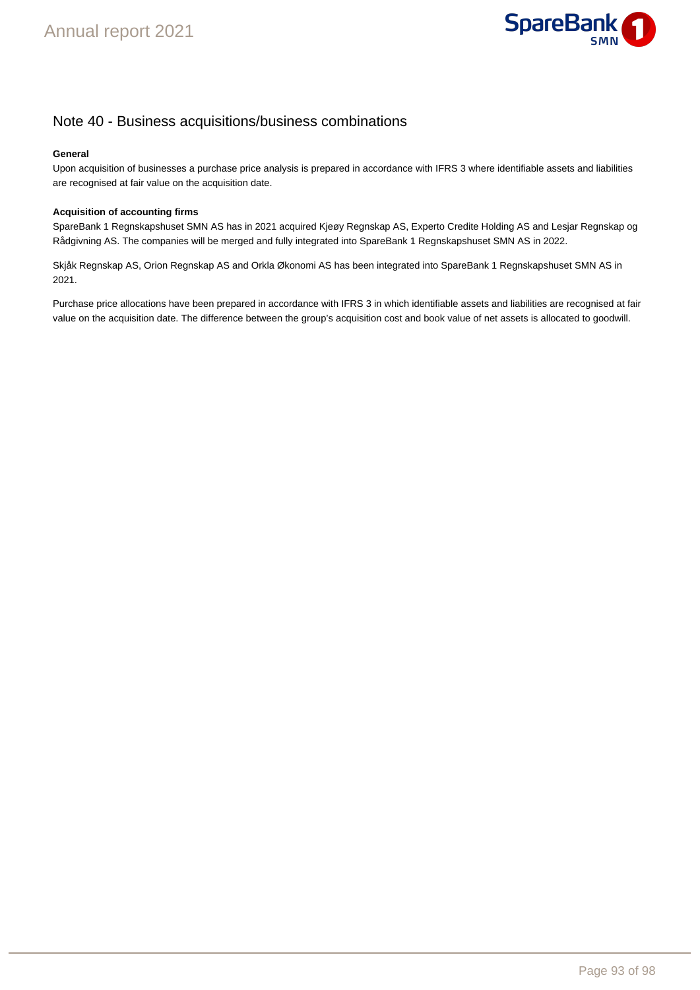

## Note 40 - Business acquisitions/business combinations

### **General**

Upon acquisition of businesses a purchase price analysis is prepared in accordance with IFRS 3 where identifiable assets and liabilities are recognised at fair value on the acquisition date.

## **Acquisition of accounting firms**

SpareBank 1 Regnskapshuset SMN AS has in 2021 acquired Kjeøy Regnskap AS, Experto Credite Holding AS and Lesjar Regnskap og Rådgivning AS. The companies will be merged and fully integrated into SpareBank 1 Regnskapshuset SMN AS in 2022.

Skjåk Regnskap AS, Orion Regnskap AS and Orkla Økonomi AS has been integrated into SpareBank 1 Regnskapshuset SMN AS in 2021.

Purchase price allocations have been prepared in accordance with IFRS 3 in which identifiable assets and liabilities are recognised at fair value on the acquisition date. The difference between the group's acquisition cost and book value of net assets is allocated to goodwill.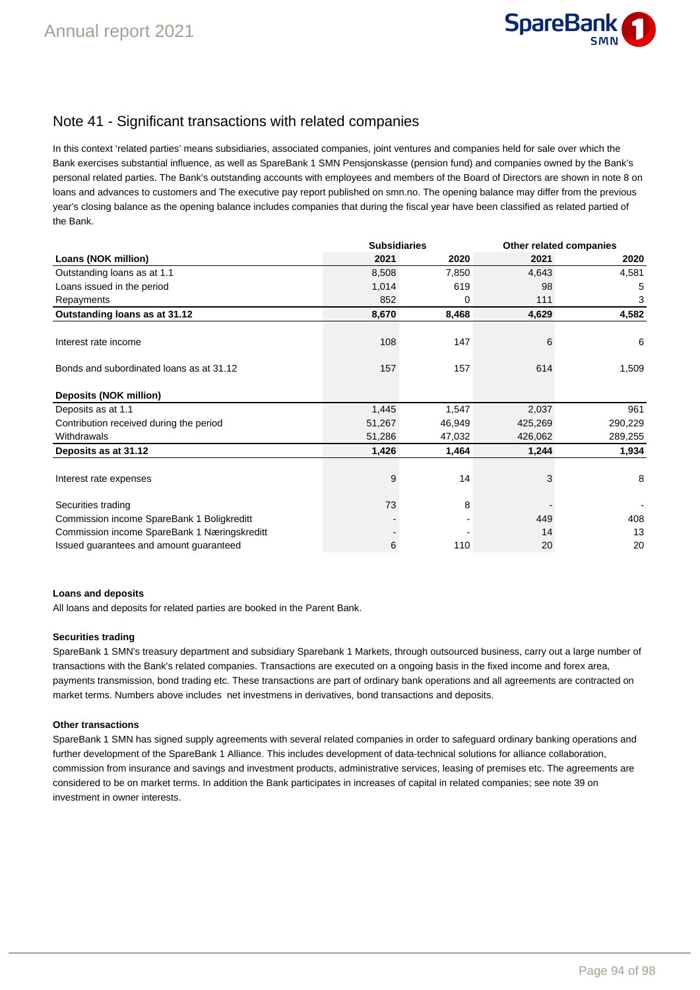

## Note 41 - Significant transactions with related companies

In this context 'related parties' means subsidiaries, associated companies, joint ventures and companies held for sale over which the Bank exercises substantial influence, as well as SpareBank 1 SMN Pensjonskasse (pension fund) and companies owned by the Bank's personal related parties. The Bank's outstanding accounts with employees and members of the Board of Directors are shown in note 8 on loans and advances to customers and The executive pay report published on smn.no. The opening balance may differ from the previous year's closing balance as the opening balance includes companies that during the fiscal year have been classified as related partied of the Bank.

|                                              | <b>Subsidiaries</b> |        | Other related companies |         |
|----------------------------------------------|---------------------|--------|-------------------------|---------|
| Loans (NOK million)                          | 2021                | 2020   | 2021                    | 2020    |
| Outstanding loans as at 1.1                  | 8,508               | 7,850  | 4,643                   | 4,581   |
| Loans issued in the period                   | 1,014               | 619    | 98                      | 5       |
| Repayments                                   | 852                 | 0      | 111                     | 3       |
| Outstanding loans as at 31.12                | 8,670               | 8,468  | 4,629                   | 4,582   |
| Interest rate income                         | 108                 | 147    | 6                       | 6       |
| Bonds and subordinated loans as at 31.12     | 157                 | 157    | 614                     | 1,509   |
| Deposits (NOK million)                       |                     |        |                         |         |
| Deposits as at 1.1                           | 1,445               | 1,547  | 2,037                   | 961     |
| Contribution received during the period      | 51,267              | 46,949 | 425,269                 | 290,229 |
| Withdrawals                                  | 51,286              | 47,032 | 426,062                 | 289,255 |
| Deposits as at 31.12                         | 1,426               | 1,464  | 1,244                   | 1,934   |
| Interest rate expenses                       | 9                   | 14     | 3                       | 8       |
| Securities trading                           | 73                  | 8      |                         |         |
| Commission income SpareBank 1 Boligkreditt   |                     |        | 449                     | 408     |
| Commission income SpareBank 1 Næringskreditt |                     |        | 14                      | 13      |
| Issued guarantees and amount guaranteed      | 6                   | 110    | 20                      | 20      |

### **Loans and deposits**

All loans and deposits for related parties are booked in the Parent Bank.

### **Securities trading**

SpareBank 1 SMN's treasury department and subsidiary Sparebank 1 Markets, through outsourced business, carry out a large number of transactions with the Bank's related companies. Transactions are executed on a ongoing basis in the fixed income and forex area, payments transmission, bond trading etc. These transactions are part of ordinary bank operations and all agreements are contracted on market terms. Numbers above includes net investmens in derivatives, bond transactions and deposits.

### **Other transactions**

SpareBank 1 SMN has signed supply agreements with several related companies in order to safeguard ordinary banking operations and further development of the SpareBank 1 Alliance. This includes development of data-technical solutions for alliance collaboration, commission from insurance and savings and investment products, administrative services, leasing of premises etc. The agreements are considered to be on market terms. In addition the Bank participates in increases of capital in related companies; see note 39 on investment in owner interests.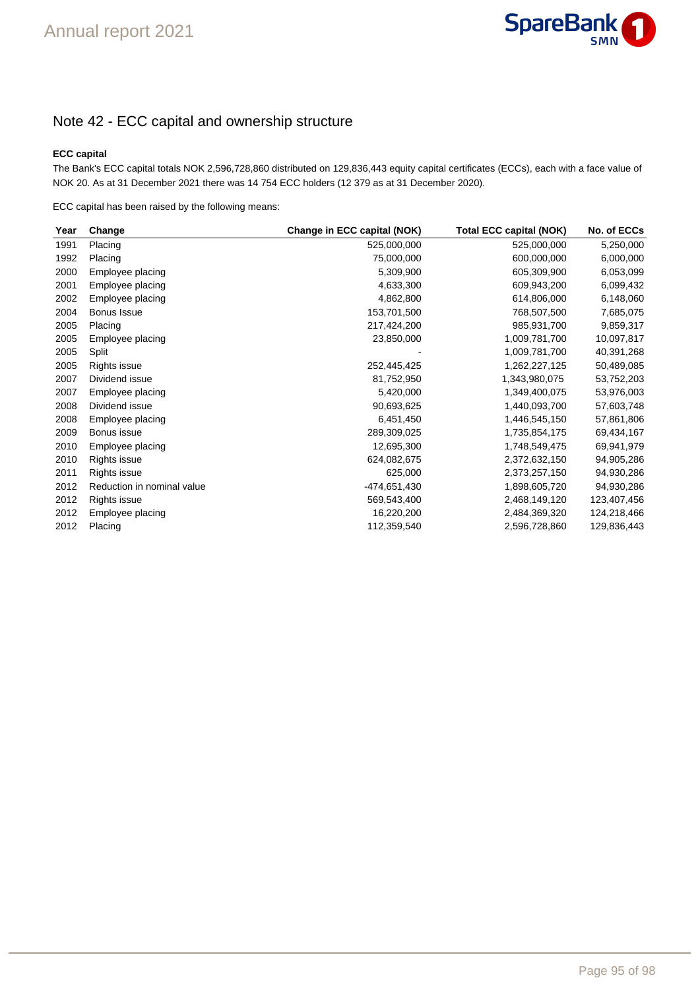

## Note 42 - ECC capital and ownership structure

## **ECC capital**

The Bank's ECC capital totals NOK 2,596,728,860 distributed on 129,836,443 equity capital certificates (ECCs), each with a face value of NOK 20. As at 31 December 2021 there was 14 754 ECC holders (12 379 as at 31 December 2020).

ECC capital has been raised by the following means:

|                            | Change in ECC capital (NOK) | <b>Total ECC capital (NOK)</b> | No. of ECCs |
|----------------------------|-----------------------------|--------------------------------|-------------|
| Placing                    | 525,000,000                 | 525,000,000                    | 5,250,000   |
| Placing                    | 75,000,000                  | 600,000,000                    | 6,000,000   |
| Employee placing           | 5,309,900                   | 605,309,900                    | 6,053,099   |
| Employee placing           | 4,633,300                   | 609,943,200                    | 6,099,432   |
| Employee placing           | 4,862,800                   | 614,806,000                    | 6,148,060   |
| Bonus Issue                | 153,701,500                 | 768,507,500                    | 7,685,075   |
| Placing                    | 217,424,200                 | 985,931,700                    | 9,859,317   |
| Employee placing           | 23,850,000                  | 1,009,781,700                  | 10,097,817  |
| Split                      |                             | 1,009,781,700                  | 40,391,268  |
| Rights issue               | 252,445,425                 | 1,262,227,125                  | 50,489,085  |
| Dividend issue             | 81,752,950                  | 1,343,980,075                  | 53,752,203  |
| Employee placing           | 5,420,000                   | 1,349,400,075                  | 53,976,003  |
| Dividend issue             | 90,693,625                  | 1,440,093,700                  | 57,603,748  |
| Employee placing           | 6,451,450                   | 1,446,545,150                  | 57,861,806  |
| Bonus issue                | 289,309,025                 | 1,735,854,175                  | 69,434,167  |
| Employee placing           | 12,695,300                  | 1,748,549,475                  | 69,941,979  |
| Rights issue               | 624,082,675                 | 2,372,632,150                  | 94,905,286  |
| Rights issue               | 625,000                     | 2,373,257,150                  | 94,930,286  |
| Reduction in nominal value | -474,651,430                | 1,898,605,720                  | 94,930,286  |
| Rights issue               | 569,543,400                 | 2,468,149,120                  | 123,407,456 |
| Employee placing           | 16,220,200                  | 2,484,369,320                  | 124,218,466 |
| Placing                    | 112,359,540                 | 2,596,728,860                  | 129,836,443 |
|                            | Change                      |                                |             |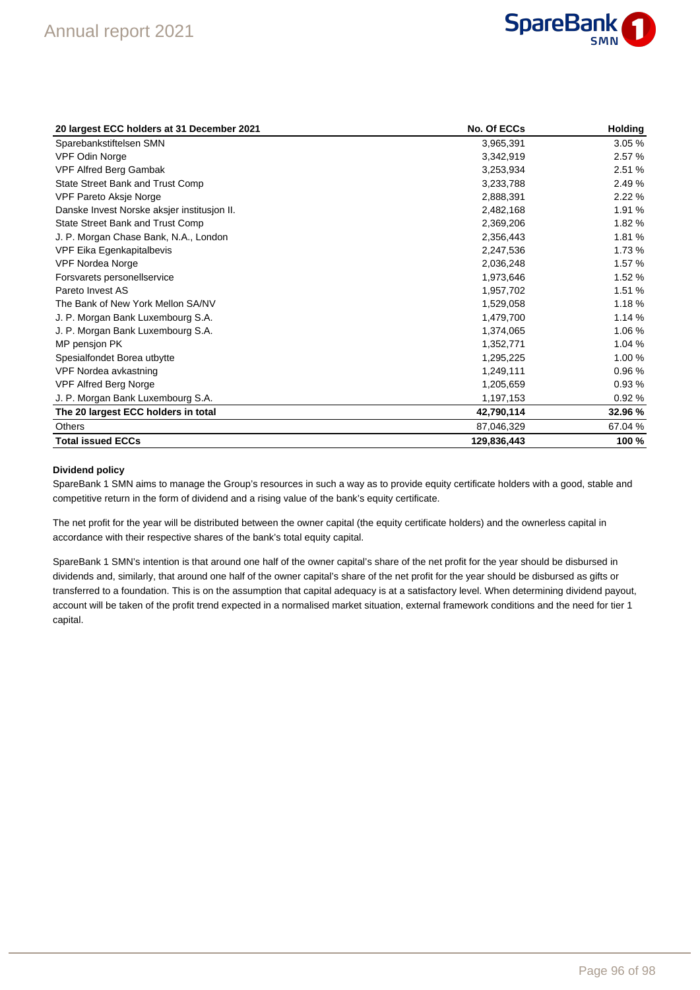

| 20 largest ECC holders at 31 December 2021  | No. Of ECCs | <b>Holding</b> |
|---------------------------------------------|-------------|----------------|
| Sparebankstiftelsen SMN                     | 3,965,391   | 3.05%          |
| <b>VPF Odin Norge</b>                       | 3,342,919   | 2.57%          |
| VPF Alfred Berg Gambak                      | 3,253,934   | 2.51 %         |
| State Street Bank and Trust Comp            | 3,233,788   | 2.49%          |
| VPF Pareto Aksje Norge                      | 2,888,391   | 2.22%          |
| Danske Invest Norske aksjer institusjon II. | 2,482,168   | 1.91 %         |
| State Street Bank and Trust Comp            | 2,369,206   | 1.82%          |
| J. P. Morgan Chase Bank, N.A., London       | 2,356,443   | 1.81%          |
| VPF Eika Egenkapitalbevis                   | 2,247,536   | 1.73%          |
| <b>VPF Nordea Norge</b>                     | 2,036,248   | 1.57%          |
| Forsvarets personellservice                 | 1,973,646   | 1.52 %         |
| Pareto Invest AS                            | 1,957,702   | 1.51 %         |
| The Bank of New York Mellon SA/NV           | 1,529,058   | 1.18%          |
| J. P. Morgan Bank Luxembourg S.A.           | 1,479,700   | 1.14 %         |
| J. P. Morgan Bank Luxembourg S.A.           | 1,374,065   | 1.06 %         |
| MP pensjon PK                               | 1,352,771   | 1.04 %         |
| Spesialfondet Borea utbytte                 | 1,295,225   | 1.00%          |
| VPF Nordea avkastning                       | 1,249,111   | 0.96%          |
| <b>VPF Alfred Berg Norge</b>                | 1,205,659   | 0.93%          |
| J. P. Morgan Bank Luxembourg S.A.           | 1,197,153   | 0.92%          |
| The 20 largest ECC holders in total         | 42,790,114  | 32.96 %        |
| <b>Others</b>                               | 87,046,329  | 67.04 %        |
| <b>Total issued ECCs</b>                    | 129,836,443 | 100 %          |

### **Dividend policy**

SpareBank 1 SMN aims to manage the Group's resources in such a way as to provide equity certificate holders with a good, stable and competitive return in the form of dividend and a rising value of the bank's equity certificate.

The net profit for the year will be distributed between the owner capital (the equity certificate holders) and the ownerless capital in accordance with their respective shares of the bank's total equity capital.

SpareBank 1 SMN's intention is that around one half of the owner capital's share of the net profit for the year should be disbursed in dividends and, similarly, that around one half of the owner capital's share of the net profit for the year should be disbursed as gifts or transferred to a foundation. This is on the assumption that capital adequacy is at a satisfactory level. When determining dividend payout, account will be taken of the profit trend expected in a normalised market situation, external framework conditions and the need for tier 1 capital.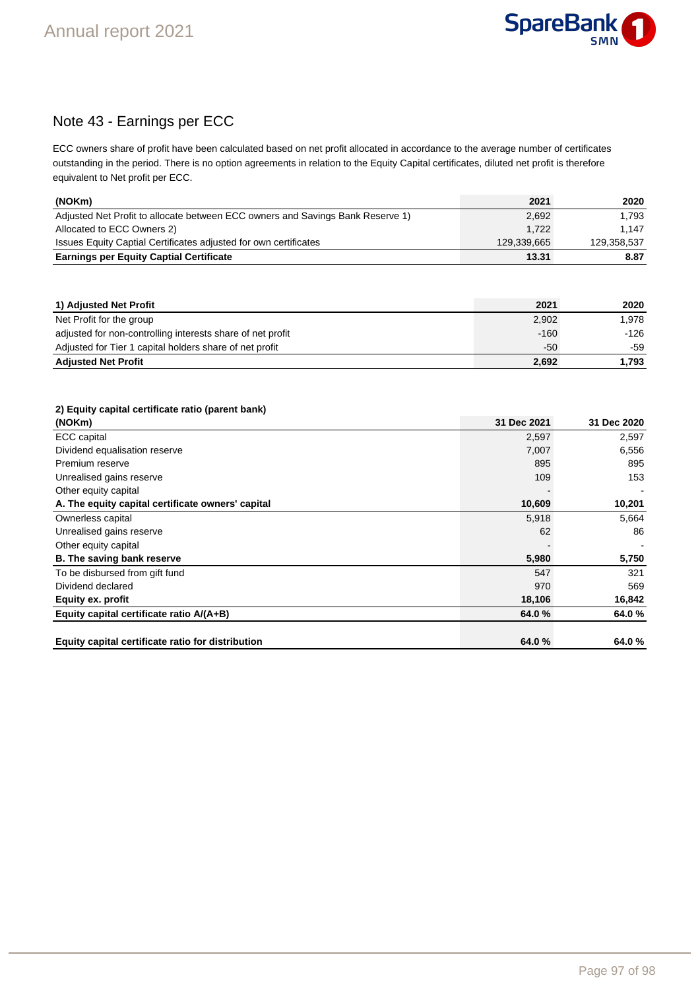

## Note 43 - Earnings per ECC

ECC owners share of profit have been calculated based on net profit allocated in accordance to the average number of certificates outstanding in the period. There is no option agreements in relation to the Equity Capital certificates, diluted net profit is therefore equivalent to Net profit per ECC.

| (NOKm)                                                                         | 2021        | 2020        |
|--------------------------------------------------------------------------------|-------------|-------------|
| Adjusted Net Profit to allocate between ECC owners and Savings Bank Reserve 1) | 2,692       | 1.793       |
| Allocated to ECC Owners 2)                                                     | 1.722       | 1.147       |
| Issues Equity Captial Certificates adjusted for own certificates               | 129,339,665 | 129,358,537 |
| <b>Earnings per Equity Captial Certificate</b>                                 | 13.31       | 8.87        |

| 1) Adjusted Net Profit                                     | 2021   | 2020   |
|------------------------------------------------------------|--------|--------|
| Net Profit for the group                                   | 2,902  | 1.978  |
| adjusted for non-controlling interests share of net profit | $-160$ | $-126$ |
| Adjusted for Tier 1 capital holders share of net profit    | -50    | -59    |
| <b>Adjusted Net Profit</b>                                 | 2,692  | 1.793  |

## **2) Equity capital certificate ratio (parent bank)**

| (NOKm)                                            | 31 Dec 2021 | 31 Dec 2020 |
|---------------------------------------------------|-------------|-------------|
| <b>ECC</b> capital                                | 2,597       | 2,597       |
| Dividend equalisation reserve                     | 7,007       | 6,556       |
| Premium reserve                                   | 895         | 895         |
| Unrealised gains reserve                          | 109         | 153         |
| Other equity capital                              |             |             |
| A. The equity capital certificate owners' capital | 10,609      | 10,201      |
| Ownerless capital                                 | 5,918       | 5,664       |
| Unrealised gains reserve                          | 62          | 86          |
| Other equity capital                              |             |             |
| B. The saving bank reserve                        | 5,980       | 5,750       |
| To be disbursed from gift fund                    | 547         | 321         |
| Dividend declared                                 | 970         | 569         |
| Equity ex. profit                                 | 18,106      | 16,842      |
| Equity capital certificate ratio A/(A+B)          | 64.0%       | 64.0%       |
|                                                   |             |             |
| Equity capital certificate ratio for distribution | 64.0%       | 64.0%       |